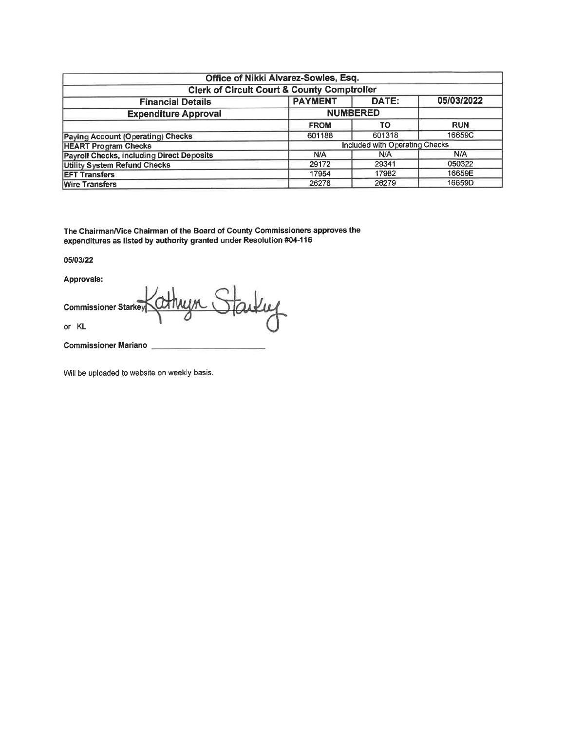|                                                                   | Office of Nikki Alvarez-Sowles, Esq. |                                |            |  |  |  |  |  |  |
|-------------------------------------------------------------------|--------------------------------------|--------------------------------|------------|--|--|--|--|--|--|
| <b>Clerk of Circuit Court &amp; County Comptroller</b>            |                                      |                                |            |  |  |  |  |  |  |
| 05/03/2022<br><b>PAYMENT</b><br>DATE:<br><b>Financial Details</b> |                                      |                                |            |  |  |  |  |  |  |
| <b>NUMBERED</b><br><b>Expenditure Approval</b>                    |                                      |                                |            |  |  |  |  |  |  |
|                                                                   | <b>FROM</b>                          | <b>TO</b>                      | <b>RUN</b> |  |  |  |  |  |  |
| <b>Paying Account (Operating) Checks</b>                          | 601188                               | 601318                         | 16659C     |  |  |  |  |  |  |
| <b>HEART Program Checks</b>                                       |                                      | Included with Operating Checks |            |  |  |  |  |  |  |
| <b>Payroll Checks, including Direct Deposits</b>                  | N/A                                  | N/A                            | N/A        |  |  |  |  |  |  |
| <b>Utility System Refund Checks</b>                               | 29172                                | 29341                          | 050322     |  |  |  |  |  |  |
| <b>EFT Transfers</b>                                              | 16659E<br>17982<br>17954             |                                |            |  |  |  |  |  |  |
| <b>Wire Transfers</b>                                             | 26278                                | 26279                          | 16659D     |  |  |  |  |  |  |

The Chairman/Vice Chairman of the Board of County Commissioners approves the expenditures as listed by authority granted under Resolution #04-116

05/03/22

Approvals:

starting **Commissioner Starkey** or KL

**Commissioner Mariano** 

Will be uploaded to website on weekly basis.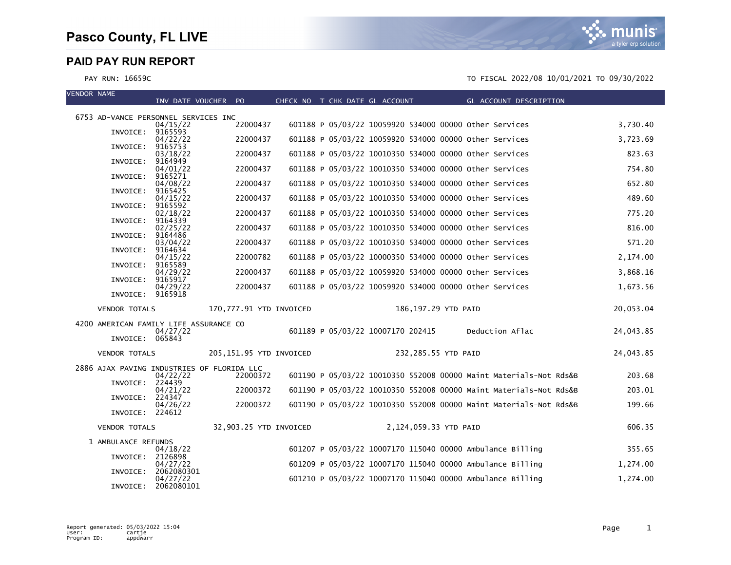| <b>VENDOR NAME</b>                         | INV DATE VOUCHER PO          |                         |  | CHECK NO T CHK DATE GL ACCOUNT                            |                     | <b>Example 2</b> GL ACCOUNT DESCRIPTION                           |           |
|--------------------------------------------|------------------------------|-------------------------|--|-----------------------------------------------------------|---------------------|-------------------------------------------------------------------|-----------|
| 6753 AD-VANCE PERSONNEL SERVICES INC       |                              |                         |  |                                                           |                     |                                                                   |           |
|                                            | 04/15/22                     | 22000437                |  | 601188 P 05/03/22 10059920 534000 00000 Other Services    |                     |                                                                   | 3,730.40  |
| INVOICE:                                   | 9165593<br>04/22/22          | 22000437                |  | 601188 P 05/03/22 10059920 534000 00000 other Services    |                     |                                                                   | 3,723.69  |
| INVOICE:                                   | 9165753<br>03/18/22          | 22000437                |  | 601188 P 05/03/22 10010350 534000 00000 Other Services    |                     |                                                                   | 823.63    |
| INVOICE:                                   | 9164949<br>04/01/22          | 22000437                |  | 601188 P 05/03/22 10010350 534000 00000 other Services    |                     |                                                                   | 754.80    |
| INVOICE:                                   | 9165271<br>04/08/22          | 22000437                |  | 601188 P 05/03/22 10010350 534000 00000 Other Services    |                     |                                                                   | 652.80    |
| INVOICE:                                   | 9165425<br>04/15/22          | 22000437                |  | 601188 P 05/03/22 10010350 534000 00000 other Services    |                     |                                                                   | 489.60    |
| INVOICE:                                   | 9165592<br>02/18/22          | 22000437                |  | 601188 P 05/03/22 10010350 534000 00000 other Services    |                     |                                                                   | 775.20    |
| INVOICE:                                   | 9164339<br>02/25/22          | 22000437                |  | 601188 P 05/03/22 10010350 534000 00000 other Services    |                     |                                                                   | 816.00    |
| INVOICE:                                   | 9164486<br>03/04/22          | 22000437                |  | 601188 P 05/03/22 10010350 534000 00000 other Services    |                     |                                                                   | 571.20    |
| INVOICE:                                   | 9164634<br>04/15/22          | 22000782                |  | 601188 P 05/03/22 10000350 534000 00000 other Services    |                     |                                                                   | 2,174.00  |
| INVOICE:                                   | 9165589<br>04/29/22          | 22000437                |  | 601188 P 05/03/22 10059920 534000 00000 other Services    |                     |                                                                   | 3,868.16  |
| INVOICE:                                   | 9165917                      |                         |  |                                                           |                     |                                                                   |           |
|                                            | 04/29/22<br>INVOICE: 9165918 | 22000437                |  | 601188 P 05/03/22 10059920 534000 00000 other Services    |                     |                                                                   | 1,673.56  |
| <b>VENDOR TOTALS</b>                       |                              | 170,777.91 YTD INVOICED |  |                                                           | 186,197.29 YTD PAID |                                                                   | 20,053.04 |
| 4200 AMERICAN FAMILY LIFE ASSURANCE CO     | 04/27/22                     |                         |  | 601189 P 05/03/22 10007170 202415                         |                     | Deduction Aflac                                                   | 24,043.85 |
|                                            | INVOICE: 065843              |                         |  |                                                           |                     |                                                                   |           |
| <b>VENDOR TOTALS</b>                       |                              | 205,151.95 YTD INVOICED |  |                                                           | 232,285.55 YTD PAID |                                                                   | 24,043.85 |
| 2886 AJAX PAVING INDUSTRIES OF FLORIDA LLC | 04/22/22                     | 22000372                |  |                                                           |                     | 601190 P 05/03/22 10010350 552008 00000 Maint Materials-Not Rds&B | 203.68    |
|                                            | INVOICE: 224439<br>04/21/22  | 22000372                |  |                                                           |                     | 601190 P 05/03/22 10010350 552008 00000 Maint Materials-Not Rds&B | 203.01    |
| INVOICE:                                   | 224347<br>04/26/22           | 22000372                |  |                                                           |                     | 601190 P 05/03/22 10010350 552008 00000 Maint Materials-Not Rds&B | 199.66    |
|                                            | INVOICE: 224612              |                         |  |                                                           |                     |                                                                   |           |
| <b>VENDOR TOTALS</b>                       |                              | 32,903.25 YTD INVOICED  |  | 2,124,059.33 YTD PAID                                     |                     |                                                                   | 606.35    |
| 1 AMBULANCE REFUNDS                        | 04/18/22                     |                         |  | 601207 P 05/03/22 10007170 115040 00000 Ambulance Billing |                     |                                                                   | 355.65    |
| INVOICE:                                   | 2126898<br>04/27/22          |                         |  | 601209 P 05/03/22 10007170 115040 00000 Ambulance Billing |                     |                                                                   | 1,274.00  |
| INVOICE:                                   | 2062080301<br>04/27/22       |                         |  | 601210 P 05/03/22 10007170 115040 00000 Ambulance Billing |                     |                                                                   | 1,274.00  |
| INVOICE:                                   | 2062080101                   |                         |  |                                                           |                     |                                                                   |           |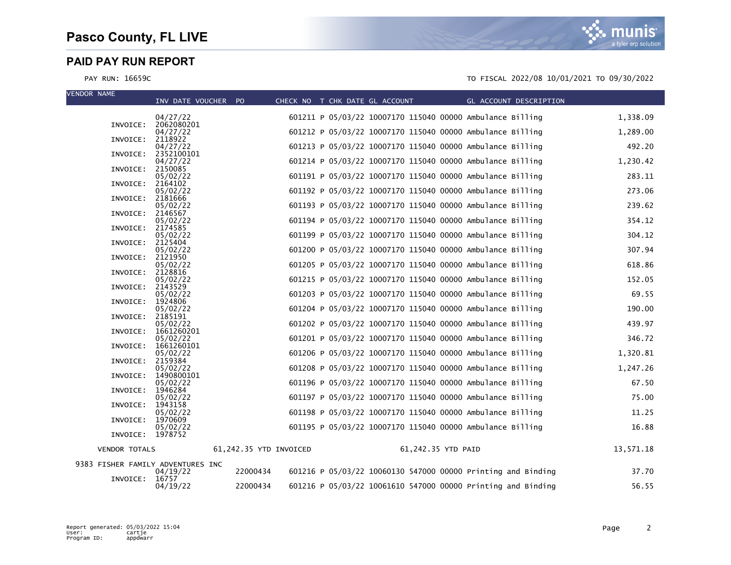| <b>VENDOR NAME</b>   |                                   |                        |  |                                |                                                              |                        |           |
|----------------------|-----------------------------------|------------------------|--|--------------------------------|--------------------------------------------------------------|------------------------|-----------|
|                      | INV DATE VOUCHER PO               |                        |  | CHECK NO T CHK DATE GL ACCOUNT |                                                              | GL ACCOUNT DESCRIPTION |           |
|                      | 04/27/22                          |                        |  |                                | 601211 P 05/03/22 10007170 115040 00000 Ambulance Billing    |                        | 1,338.09  |
|                      | INVOICE: 2062080201<br>04/27/22   |                        |  |                                | 601212 P 05/03/22 10007170 115040 00000 Ambulance Billing    |                        | 1,289.00  |
| INVOICE:             | 2118922                           |                        |  |                                |                                                              |                        |           |
| INVOICE:             | 04/27/22<br>2352100101            |                        |  |                                | 601213 P 05/03/22 10007170 115040 00000 Ambulance Billing    |                        | 492.20    |
|                      | 04/27/22<br>INVOICE: 2150085      |                        |  |                                | 601214 P 05/03/22 10007170 115040 00000 Ambulance Billing    |                        | 1,230.42  |
|                      | 05/02/22                          |                        |  |                                | 601191 P 05/03/22 10007170 115040 00000 Ambulance Billing    |                        | 283.11    |
| INVOICE:             | 2164102<br>05/02/22               |                        |  |                                | 601192 P 05/03/22 10007170 115040 00000 Ambulance Billing    |                        | 273.06    |
| INVOICE:             | 2181666                           |                        |  |                                |                                                              |                        |           |
| INVOICE:             | 05/02/22<br>2146567               |                        |  |                                | 601193 P 05/03/22 10007170 115040 00000 Ambulance Billing    |                        | 239.62    |
|                      | 05/02/22                          |                        |  |                                | 601194 P 05/03/22 10007170 115040 00000 Ambulance Billing    |                        | 354.12    |
| INVOICE:             | 2174585<br>05/02/22               |                        |  |                                | 601199 P 05/03/22 10007170 115040 00000 Ambulance Billing    |                        | 304.12    |
| INVOICE:             | 2125404                           |                        |  |                                |                                                              |                        |           |
| INVOICE:             | 05/02/22<br>2121950               |                        |  |                                | 601200 P 05/03/22 10007170 115040 00000 Ambulance Billing    |                        | 307.94    |
|                      | 05/02/22                          |                        |  |                                | 601205 P 05/03/22 10007170 115040 00000 Ambulance Billing    |                        | 618.86    |
| INVOICE:             | 2128816<br>05/02/22               |                        |  |                                | 601215 P 05/03/22 10007170 115040 00000 Ambulance Billing    |                        | 152.05    |
| INVOICE:             | 2143529<br>05/02/22               |                        |  |                                | 601203 P 05/03/22 10007170 115040 00000 Ambulance Billing    |                        | 69.55     |
| INVOICE:             | 1924806                           |                        |  |                                |                                                              |                        |           |
| INVOICE:             | 05/02/22<br>2185191               |                        |  |                                | 601204 P 05/03/22 10007170 115040 00000 Ambulance Billing    |                        | 190.00    |
|                      | 05/02/22                          |                        |  |                                | 601202 P 05/03/22 10007170 115040 00000 Ambulance Billing    |                        | 439.97    |
| INVOICE:             | 1661260201<br>05/02/22            |                        |  |                                | 601201 P 05/03/22 10007170 115040 00000 Ambulance Billing    |                        | 346.72    |
|                      | INVOICE: 1661260101               |                        |  |                                |                                                              |                        |           |
| INVOICE:             | 05/02/22<br>2159384               |                        |  |                                | 601206 P 05/03/22 10007170 115040 00000 Ambulance Billing    |                        | 1,320.81  |
|                      | 05/02/22                          |                        |  |                                | 601208 P 05/03/22 10007170 115040 00000 Ambulance Billing    |                        | 1,247.26  |
|                      | INVOICE: 1490800101<br>05/02/22   |                        |  |                                | 601196 P 05/03/22 10007170 115040 00000 Ambulance Billing    |                        | 67.50     |
| INVOICE:             | 1946284<br>05/02/22               |                        |  |                                | 601197 P 05/03/22 10007170 115040 00000 Ambulance Billing    |                        | 75.00     |
| INVOICE:             | 1943158                           |                        |  |                                |                                                              |                        |           |
| INVOICE:             | 05/02/22<br>1970609               |                        |  |                                | 601198 P 05/03/22 10007170 115040 00000 Ambulance Billing    |                        | 11.25     |
|                      | 05/02/22                          |                        |  |                                | 601195 P 05/03/22 10007170 115040 00000 Ambulance Billing    |                        | 16.88     |
|                      | INVOICE: 1978752                  |                        |  |                                |                                                              |                        |           |
| <b>VENDOR TOTALS</b> |                                   | 61,242.35 YTD INVOICED |  |                                | 61,242.35 YTD PAID                                           |                        | 13,571.18 |
|                      | 9383 FISHER FAMILY ADVENTURES INC | 22000434               |  |                                | 601216 P 05/03/22 10060130 547000 00000 Printing and Binding |                        | 37.70     |
| INVOICE:             | 04/19/22<br>16757                 |                        |  |                                |                                                              |                        |           |
|                      | 04/19/22                          | 22000434               |  |                                | 601216 P 05/03/22 10061610 547000 00000 Printing and Binding |                        | 56.55     |

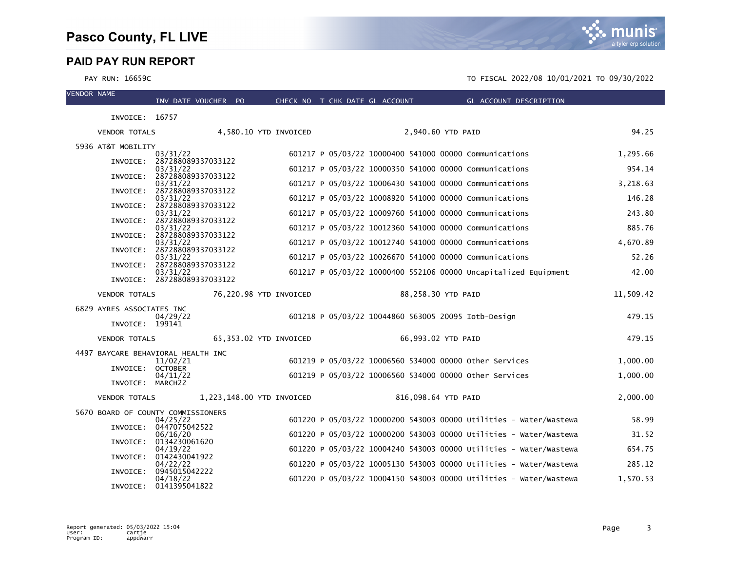| <b>VENDOR NAME</b> |                                              |                                         |                           |                                                     |                     | INV DATE VOUCHER PO CHECK NO T CHK DATE GL ACCOUNT CL ACCOUNT DESCRIPTION |           |
|--------------------|----------------------------------------------|-----------------------------------------|---------------------------|-----------------------------------------------------|---------------------|---------------------------------------------------------------------------|-----------|
|                    | INVOICE: 16757                               |                                         |                           |                                                     |                     |                                                                           |           |
|                    | <b>VENDOR TOTALS</b>                         |                                         | 4,580.10 YTD INVOICED     |                                                     | 2,940.60 YTD PAID   |                                                                           | 94.25     |
|                    | 5936 AT&T MOBILITY                           |                                         |                           |                                                     |                     |                                                                           |           |
|                    |                                              | 03/31/22<br>INVOICE: 287288089337033122 |                           |                                                     |                     | 601217 P 05/03/22 10000400 541000 00000 Communications                    | 1.295.66  |
|                    |                                              | 03/31/22<br>INVOICE: 287288089337033122 |                           |                                                     |                     | 601217 P 05/03/22 10000350 541000 00000 Communications                    | 954.14    |
|                    |                                              | 03/31/22                                |                           |                                                     |                     | 601217 P 05/03/22 10006430 541000 00000 Communications                    | 3,218.63  |
|                    |                                              | INVOICE: 287288089337033122<br>03/31/22 |                           |                                                     |                     | 601217 P 05/03/22 10008920 541000 00000 Communications                    | 146.28    |
|                    |                                              | INVOICE: 287288089337033122<br>03/31/22 |                           |                                                     |                     | 601217 P 05/03/22 10009760 541000 00000 Communications                    | 243.80    |
|                    |                                              | INVOICE: 287288089337033122<br>03/31/22 |                           |                                                     |                     | 601217 P 05/03/22 10012360 541000 00000 Communications                    | 885.76    |
|                    |                                              | INVOICE: 287288089337033122             |                           |                                                     |                     |                                                                           |           |
|                    | INVOICE:                                     | 03/31/22<br>287288089337033122          |                           |                                                     |                     | 601217 P 05/03/22 10012740 541000 00000 Communications                    | 4,670.89  |
|                    |                                              | 03/31/22<br>INVOICE: 287288089337033122 |                           |                                                     |                     | 601217 P 05/03/22 10026670 541000 00000 Communications                    | 52.26     |
|                    |                                              | 03/31/22<br>INVOICE: 287288089337033122 |                           |                                                     |                     | 601217 P 05/03/22 10000400 552106 00000 Uncapitalized Equipment           | 42.00     |
|                    | <b>VENDOR TOTALS</b>                         |                                         | 76,220.98 YTD INVOICED    |                                                     | 88,258.30 YTD PAID  |                                                                           | 11,509.42 |
|                    |                                              |                                         |                           |                                                     |                     |                                                                           |           |
|                    | 6829 AYRES ASSOCIATES INC<br>INVOICE: 199141 | 04/29/22                                |                           | 601218 P 05/03/22 10044860 563005 20095 Iotb-Design |                     |                                                                           | 479.15    |
|                    | <b>VENDOR TOTALS</b>                         |                                         | 65,353.02 YTD INVOICED    |                                                     | 66,993.02 YTD PAID  |                                                                           | 479.15    |
|                    | 4497 BAYCARE BEHAVIORAL HEALTH INC           |                                         |                           |                                                     |                     |                                                                           |           |
|                    | INVOICE: OCTOBER                             | 11/02/21                                |                           |                                                     |                     | 601219 P 05/03/22 10006560 534000 00000 other Services                    | 1,000.00  |
|                    | INVOICE: MARCH22                             | 04/11/22                                |                           |                                                     |                     | 601219 P 05/03/22 10006560 534000 00000 Other Services                    | 1,000.00  |
|                    | <b>VENDOR TOTALS</b>                         |                                         | 1,223,148.00 YTD INVOICED |                                                     | 816,098.64 YTD PAID |                                                                           | 2,000.00  |
|                    | 5670 BOARD OF COUNTY COMMISSIONERS           |                                         |                           |                                                     |                     |                                                                           |           |
|                    |                                              | 04/25/22<br>INVOICE: 0447075042522      |                           |                                                     |                     | 601220 P 05/03/22 10000200 543003 00000 Utilities - Water/Wastewa         | 58.99     |
|                    |                                              | 06/16/20                                |                           |                                                     |                     | 601220 P 05/03/22 10000200 543003 00000 Utilities - Water/Wastewa         | 31.52     |
|                    | INVOICE:                                     | 0134230061620<br>04/19/22               |                           |                                                     |                     | 601220 P 05/03/22 10004240 543003 00000 Utilities - Water/Wastewa         | 654.75    |
|                    |                                              | INVOICE: 0142430041922<br>04/22/22      |                           |                                                     |                     | 601220 P 05/03/22 10005130 543003 00000 Utilities - Water/Wastewa         | 285.12    |
|                    | INVOICE:                                     | 0945015042222                           |                           |                                                     |                     | 601220 P 05/03/22 10004150 543003 00000 Utilities - Water/Wastewa         |           |
|                    |                                              | 04/18/22<br>INVOICE: 0141395041822      |                           |                                                     |                     |                                                                           | 1.570.53  |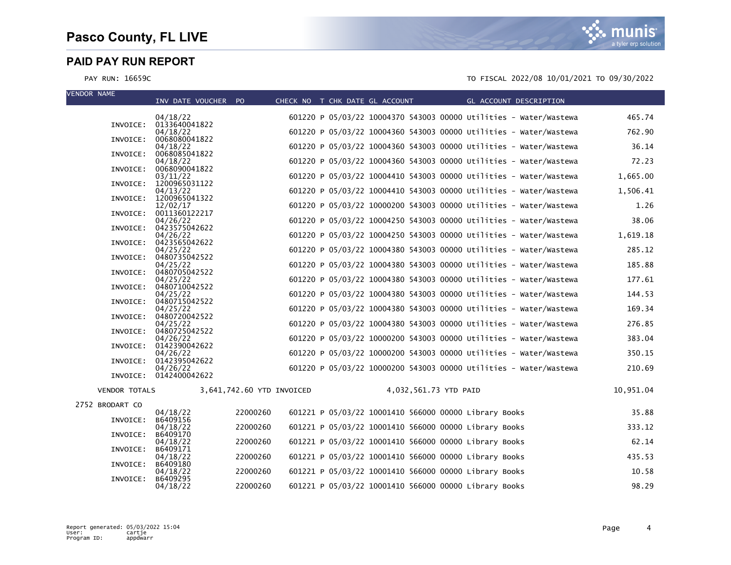| <b>VENDOR NAME</b>   | INV DATE VOUCHER PO                |                           |  | CHECK NO T CHK DATE GL ACCOUNT GL ACCOUNT DESCRIPTION |                                                                   |           |
|----------------------|------------------------------------|---------------------------|--|-------------------------------------------------------|-------------------------------------------------------------------|-----------|
|                      |                                    |                           |  |                                                       |                                                                   |           |
|                      | 04/18/22<br>INVOICE: 0133640041822 |                           |  |                                                       | 601220 P 05/03/22 10004370 543003 00000 Utilities - Water/Wastewa | 465.74    |
|                      | 04/18/22                           |                           |  |                                                       | 601220 P 05/03/22 10004360 543003 00000 Utilities - Water/Wastewa | 762.90    |
| INVOICE:             | 0068080041822<br>04/18/22          |                           |  |                                                       | 601220 P 05/03/22 10004360 543003 00000 Utilities - Water/Wastewa | 36.14     |
| INVOICE:             | 0068085041822                      |                           |  |                                                       |                                                                   |           |
|                      | 04/18/22<br>INVOICE: 0068090041822 |                           |  |                                                       | 601220 P 05/03/22 10004360 543003 00000 Utilities - Water/Wastewa | 72.23     |
|                      | 03/11/22                           |                           |  |                                                       | 601220 P 05/03/22 10004410 543003 00000 Utilities - Water/Wastewa | 1,665.00  |
|                      | INVOICE: 1200965031122<br>04/13/22 |                           |  |                                                       | 601220 P 05/03/22 10004410 543003 00000 Utilities - Water/Wastewa | 1,506.41  |
|                      | INVOICE: 1200965041322             |                           |  |                                                       |                                                                   |           |
|                      | 12/02/17<br>INVOICE: 0011360122217 |                           |  |                                                       | 601220 P 05/03/22 10000200 543003 00000 Utilities - Water/Wastewa | 1.26      |
|                      | 04/26/22<br>INVOICE: 0423575042622 |                           |  |                                                       | 601220 P 05/03/22 10004250 543003 00000 Utilities - Water/Wastewa | 38.06     |
|                      | 04/26/22                           |                           |  |                                                       | 601220 P 05/03/22 10004250 543003 00000 Utilities - Water/Wastewa | 1,619.18  |
|                      | INVOICE: 0423565042622<br>04/25/22 |                           |  |                                                       | 601220 P 05/03/22 10004380 543003 00000 Utilities - Water/Wastewa | 285.12    |
|                      | INVOICE: 0480735042522             |                           |  |                                                       |                                                                   |           |
|                      | 04/25/22<br>INVOICE: 0480705042522 |                           |  |                                                       | 601220 P 05/03/22 10004380 543003 00000 Utilities - Water/Wastewa | 185.88    |
|                      | 04/25/22                           |                           |  |                                                       | 601220 P 05/03/22 10004380 543003 00000 Utilities - Water/Wastewa | 177.61    |
|                      | INVOICE: 0480710042522<br>04/25/22 |                           |  |                                                       | 601220 P 05/03/22 10004380 543003 00000 Utilities - Water/Wastewa | 144.53    |
|                      | INVOICE: 0480715042522             |                           |  |                                                       |                                                                   |           |
|                      | 04/25/22<br>INVOICE: 0480720042522 |                           |  |                                                       | 601220 P 05/03/22 10004380 543003 00000 Utilities - Water/Wastewa | 169.34    |
|                      | 04/25/22                           |                           |  |                                                       | 601220 P 05/03/22 10004380 543003 00000 Utilities - Water/Wastewa | 276.85    |
|                      | INVOICE: 0480725042522<br>04/26/22 |                           |  |                                                       | 601220 P 05/03/22 10000200 543003 00000 Utilities - Water/Wastewa | 383.04    |
|                      | INVOICE: 0142390042622             |                           |  |                                                       | 601220 P 05/03/22 10000200 543003 00000 Utilities - Water/Wastewa | 350.15    |
|                      | 04/26/22<br>INVOICE: 0142395042622 |                           |  |                                                       |                                                                   |           |
|                      | 04/26/22<br>INVOICE: 0142400042622 |                           |  |                                                       | 601220 P 05/03/22 10000200 543003 00000 Utilities - Water/Wastewa | 210.69    |
|                      |                                    |                           |  |                                                       |                                                                   |           |
| <b>VENDOR TOTALS</b> |                                    | 3,641,742.60 YTD INVOICED |  | 4,032,561.73 YTD PAID                                 |                                                                   | 10,951.04 |
| 2752 BRODART CO      |                                    |                           |  |                                                       |                                                                   |           |
| INVOICE:             | 04/18/22<br>B6409156               | 22000260                  |  | 601221 P 05/03/22 10001410 566000 00000 Library Books |                                                                   | 35.88     |
|                      | 04/18/22                           | 22000260                  |  | 601221 P 05/03/22 10001410 566000 00000 Library Books |                                                                   | 333.12    |
| INVOICE:             | B6409170<br>04/18/22               | 22000260                  |  | 601221 P 05/03/22 10001410 566000 00000 Library Books |                                                                   | 62.14     |
| INVOICE:             | B6409171<br>04/18/22               | 22000260                  |  | 601221 P 05/03/22 10001410 566000 00000 Library Books |                                                                   | 435.53    |
| INVOICE:             | B6409180                           |                           |  |                                                       |                                                                   |           |
| INVOICE:             | 04/18/22<br>B6409295               | 22000260                  |  | 601221 P 05/03/22 10001410 566000 00000 Library Books |                                                                   | 10.58     |
|                      | 04/18/22                           | 22000260                  |  | 601221 P 05/03/22 10001410 566000 00000 Library Books |                                                                   | 98.29     |

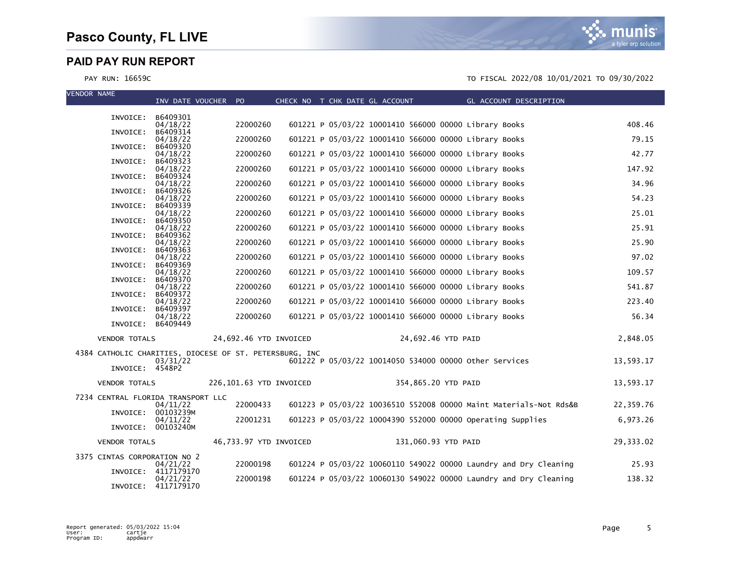| <b>VENDOR NAME</b>                                      | INV DATE VOUCHER PO            |                         |  | CHECK NO T CHK DATE GL ACCOUNT | GL ACCOUNT DESCRIPTION                                            |           |
|---------------------------------------------------------|--------------------------------|-------------------------|--|--------------------------------|-------------------------------------------------------------------|-----------|
|                                                         |                                |                         |  |                                |                                                                   |           |
|                                                         | INVOICE: B6409301<br>04/18/22  | 22000260                |  |                                | 601221 P 05/03/22 10001410 566000 00000 Library Books             | 408.46    |
| INVOICE:                                                | B6409314<br>04/18/22           | 22000260                |  |                                | 601221 P 05/03/22 10001410 566000 00000 Library Books             | 79.15     |
| INVOICE:                                                | B6409320<br>04/18/22           | 22000260                |  |                                | 601221 P 05/03/22 10001410 566000 00000 Library Books             | 42.77     |
| INVOICE:                                                | B6409323<br>04/18/22           | 22000260                |  |                                | 601221 P 05/03/22 10001410 566000 00000 Library Books             | 147.92    |
| INVOICE:                                                | B6409324                       |                         |  |                                |                                                                   |           |
| INVOICE:                                                | 04/18/22<br>B6409326           | 22000260                |  |                                | 601221 P 05/03/22 10001410 566000 00000 Library Books             | 34.96     |
| INVOICE:                                                | 04/18/22<br>B6409339           | 22000260                |  |                                | 601221 P 05/03/22 10001410 566000 00000 Library Books             | 54.23     |
| INVOICE:                                                | 04/18/22<br>B6409350           | 22000260                |  |                                | 601221 P 05/03/22 10001410 566000 00000 Library Books             | 25.01     |
|                                                         | 04/18/22                       | 22000260                |  |                                | 601221 P 05/03/22 10001410 566000 00000 Library Books             | 25.91     |
| INVOICE:                                                | B6409362<br>04/18/22           | 22000260                |  |                                | 601221 P 05/03/22 10001410 566000 00000 Library Books             | 25.90     |
| INVOICE:                                                | B6409363<br>04/18/22           | 22000260                |  |                                | 601221 P 05/03/22 10001410 566000 00000 Library Books             | 97.02     |
| INVOICE:                                                | B6409369<br>04/18/22           | 22000260                |  |                                | 601221 P 05/03/22 10001410 566000 00000 Library Books             | 109.57    |
| INVOICE:                                                | B6409370                       | 22000260                |  |                                | 601221 P 05/03/22 10001410 566000 00000 Library Books             | 541.87    |
| INVOICE:                                                | 04/18/22<br>B6409372           |                         |  |                                |                                                                   |           |
| INVOICE:                                                | 04/18/22<br>B6409397           | 22000260                |  |                                | 601221 P 05/03/22 10001410 566000 00000 Library Books             | 223.40    |
|                                                         | 04/18/22<br>INVOICE: B6409449  | 22000260                |  |                                | 601221 P 05/03/22 10001410 566000 00000 Library Books             | 56.34     |
| <b>VENDOR TOTALS</b>                                    |                                | 24,692.46 YTD INVOICED  |  |                                | 24,692.46 YTD PAID                                                | 2,848.05  |
| 4384 CATHOLIC CHARITIES, DIOCESE OF ST. PETERSBURG, INC |                                |                         |  |                                |                                                                   |           |
|                                                         | 03/31/22                       |                         |  |                                | 601222 P 05/03/22 10014050 534000 00000 other Services            | 13,593.17 |
| INVOICE: 4548P2                                         |                                |                         |  |                                |                                                                   |           |
| <b>VENDOR TOTALS</b>                                    |                                | 226,101.63 YTD INVOICED |  | 354,865.20 YTD PAID            |                                                                   | 13,593.17 |
| 7234 CENTRAL FLORIDA TRANSPORT LLC                      | 04/11/22                       | 22000433                |  |                                | 601223 P 05/03/22 10036510 552008 00000 Maint Materials-Not Rds&B | 22,359.76 |
| INVOICE:                                                | 00103239M                      |                         |  |                                |                                                                   |           |
|                                                         | 04/11/22<br>INVOICE: 00103240M | 22001231                |  |                                | 601223 P 05/03/22 10004390 552000 00000 Operating Supplies        | 6,973.26  |
| <b>VENDOR TOTALS</b>                                    |                                | 46,733.97 YTD INVOICED  |  | 131,060.93 YTD PAID            |                                                                   | 29,333.02 |
| 3375 CINTAS CORPORATION NO 2                            |                                |                         |  |                                |                                                                   |           |
| INVOICE:                                                | 04/21/22<br>4117179170         | 22000198                |  |                                | 601224 P 05/03/22 10060110 549022 00000 Laundry and Dry Cleaning  | 25.93     |
| INVOICE:                                                | 04/21/22<br>4117179170         | 22000198                |  |                                | 601224 P 05/03/22 10060130 549022 00000 Laundry and Dry Cleaning  | 138.32    |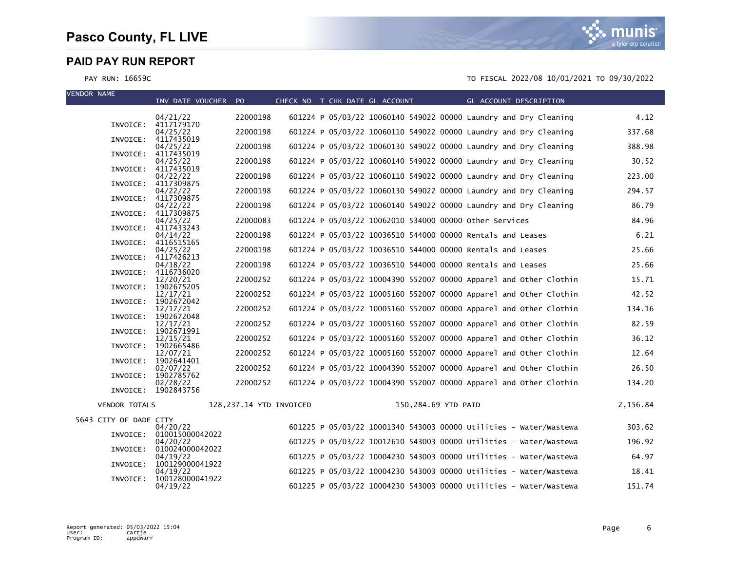VENDOR NAME



| 601224 P 05/03/22 10060140 549022 00000 Laundry and Dry Cleaning<br>22000198<br>4.12<br>04/21/22<br>INVOICE: 4117179170<br>22000198<br>601224 P 05/03/22 10060110 549022 00000 Laundry and Dry Cleaning<br>337.68<br>04/25/22<br>INVOICE: 4117435019<br>22000198<br>601224 P 05/03/22 10060130 549022 00000 Laundry and Dry Cleaning<br>388.98<br>04/25/22<br>4117435019<br>INVOICE:<br>22000198<br>601224 P 05/03/22 10060140 549022 00000 Laundry and Dry Cleaning<br>30.52<br>04/25/22<br>4117435019<br>INVOICE:<br>22000198<br>601224 P 05/03/22 10060110 549022 00000 Laundry and Dry Cleaning<br>223.00<br>04/22/22<br>4117309875<br>INVOICE:<br>601224 P 05/03/22 10060130 549022 00000 Laundry and Dry Cleaning<br>22000198<br>294.57<br>04/22/22<br>INVOICE:<br>4117309875<br>22000198<br>601224 P 05/03/22 10060140 549022 00000 Laundry and Dry Cleaning<br>86.79<br>04/22/22<br>INVOICE: 4117309875<br>22000083<br>601224 P 05/03/22 10062010 534000 00000 other Services<br>84.96<br>04/25/22<br>INVOICE:<br>4117433243<br>22000198<br>601224 P 05/03/22 10036510 544000 00000 Rentals and Leases<br>6.21<br>04/14/22<br>INVOICE:<br>4116515165<br>25.66<br>22000198<br>601224 P 05/03/22 10036510 544000 00000 Rentals and Leases<br>04/25/22<br>INVOICE:<br>4117426213<br>601224 P 05/03/22 10036510 544000 00000 Rentals and Leases<br>22000198<br>25.66<br>04/18/22<br>INVOICE:<br>4116736020<br>601224 P 05/03/22 10004390 552007 00000 Apparel and Other Clothin<br>15.71<br>22000252<br>12/20/21<br>1902675205<br>INVOICE:<br>22000252<br>601224 P 05/03/22 10005160 552007 00000 Apparel and Other Clothin<br>42.52<br>12/17/21<br>1902672042<br>INVOICE:<br>601224 P 05/03/22 10005160 552007 00000 Apparel and Other Clothin<br>22000252<br>134.16<br>12/17/21<br>INVOICE:<br>1902672048<br>22000252<br>601224 P 05/03/22 10005160 552007 00000 Apparel and Other Clothin<br>82.59<br>12/17/21<br>INVOICE:<br>1902671991<br>601224 P 05/03/22 10005160 552007 00000 Apparel and Other Clothin<br>12/15/21<br>22000252<br>36.12<br>1902665486<br>INVOICE:<br>22000252<br>601224 P 05/03/22 10005160 552007 00000 Apparel and Other Clothin<br>12.64<br>12/07/21<br>INVOICE:<br>1902641401<br>22000252<br>601224 P 05/03/22 10004390 552007 00000 Apparel and Other Clothin<br>26.50<br>02/07/22<br>1902785762<br>INVOICE:<br>22000252<br>601224 P 05/03/22 10004390 552007 00000 Apparel and Other Clothin<br>134.20<br>02/28/22<br>INVOICE: 1902843756<br>128, 237.14 YTD INVOICED<br>2,156.84<br>150,284.69 YTD PAID<br><b>VENDOR TOTALS</b><br>5643 CITY OF DADE CITY<br>601225 P 05/03/22 10001340 543003 00000 Utilities - Water/Wastewa<br>303.62<br>04/20/22<br>INVOICE: 010015000042022<br>601225 P 05/03/22 10012610 543003 00000 Utilities - Water/Wastewa<br>196.92<br>04/20/22<br>INVOICE: 010024000042022<br>601225 P 05/03/22 10004230 543003 00000 Utilities - Water/Wastewa<br>64.97<br>04/19/22<br>INVOICE:<br>100129000041922<br>601225 P 05/03/22 10004230 543003 00000 Utilities - Water/Wastewa<br>18.41<br>04/19/22<br>INVOICE: 100128000041922 | VENDUK NAME | INV DATE VOUCHER PO |  | CHECK NO T CHK DATE GL ACCOUNT | <b>Example 2018 GL ACCOUNT DESCRIPTION</b> |  |
|---------------------------------------------------------------------------------------------------------------------------------------------------------------------------------------------------------------------------------------------------------------------------------------------------------------------------------------------------------------------------------------------------------------------------------------------------------------------------------------------------------------------------------------------------------------------------------------------------------------------------------------------------------------------------------------------------------------------------------------------------------------------------------------------------------------------------------------------------------------------------------------------------------------------------------------------------------------------------------------------------------------------------------------------------------------------------------------------------------------------------------------------------------------------------------------------------------------------------------------------------------------------------------------------------------------------------------------------------------------------------------------------------------------------------------------------------------------------------------------------------------------------------------------------------------------------------------------------------------------------------------------------------------------------------------------------------------------------------------------------------------------------------------------------------------------------------------------------------------------------------------------------------------------------------------------------------------------------------------------------------------------------------------------------------------------------------------------------------------------------------------------------------------------------------------------------------------------------------------------------------------------------------------------------------------------------------------------------------------------------------------------------------------------------------------------------------------------------------------------------------------------------------------------------------------------------------------------------------------------------------------------------------------------------------------------------------------------------------------------------------------------------------------------------------------------------------------------------------------------------------------------------------------------------------------------------------------------------------------------------------------------------------------------------------------------------------------------------|-------------|---------------------|--|--------------------------------|--------------------------------------------|--|
|                                                                                                                                                                                                                                                                                                                                                                                                                                                                                                                                                                                                                                                                                                                                                                                                                                                                                                                                                                                                                                                                                                                                                                                                                                                                                                                                                                                                                                                                                                                                                                                                                                                                                                                                                                                                                                                                                                                                                                                                                                                                                                                                                                                                                                                                                                                                                                                                                                                                                                                                                                                                                                                                                                                                                                                                                                                                                                                                                                                                                                                                                             |             |                     |  |                                |                                            |  |
|                                                                                                                                                                                                                                                                                                                                                                                                                                                                                                                                                                                                                                                                                                                                                                                                                                                                                                                                                                                                                                                                                                                                                                                                                                                                                                                                                                                                                                                                                                                                                                                                                                                                                                                                                                                                                                                                                                                                                                                                                                                                                                                                                                                                                                                                                                                                                                                                                                                                                                                                                                                                                                                                                                                                                                                                                                                                                                                                                                                                                                                                                             |             |                     |  |                                |                                            |  |
|                                                                                                                                                                                                                                                                                                                                                                                                                                                                                                                                                                                                                                                                                                                                                                                                                                                                                                                                                                                                                                                                                                                                                                                                                                                                                                                                                                                                                                                                                                                                                                                                                                                                                                                                                                                                                                                                                                                                                                                                                                                                                                                                                                                                                                                                                                                                                                                                                                                                                                                                                                                                                                                                                                                                                                                                                                                                                                                                                                                                                                                                                             |             |                     |  |                                |                                            |  |
|                                                                                                                                                                                                                                                                                                                                                                                                                                                                                                                                                                                                                                                                                                                                                                                                                                                                                                                                                                                                                                                                                                                                                                                                                                                                                                                                                                                                                                                                                                                                                                                                                                                                                                                                                                                                                                                                                                                                                                                                                                                                                                                                                                                                                                                                                                                                                                                                                                                                                                                                                                                                                                                                                                                                                                                                                                                                                                                                                                                                                                                                                             |             |                     |  |                                |                                            |  |
|                                                                                                                                                                                                                                                                                                                                                                                                                                                                                                                                                                                                                                                                                                                                                                                                                                                                                                                                                                                                                                                                                                                                                                                                                                                                                                                                                                                                                                                                                                                                                                                                                                                                                                                                                                                                                                                                                                                                                                                                                                                                                                                                                                                                                                                                                                                                                                                                                                                                                                                                                                                                                                                                                                                                                                                                                                                                                                                                                                                                                                                                                             |             |                     |  |                                |                                            |  |
|                                                                                                                                                                                                                                                                                                                                                                                                                                                                                                                                                                                                                                                                                                                                                                                                                                                                                                                                                                                                                                                                                                                                                                                                                                                                                                                                                                                                                                                                                                                                                                                                                                                                                                                                                                                                                                                                                                                                                                                                                                                                                                                                                                                                                                                                                                                                                                                                                                                                                                                                                                                                                                                                                                                                                                                                                                                                                                                                                                                                                                                                                             |             |                     |  |                                |                                            |  |
|                                                                                                                                                                                                                                                                                                                                                                                                                                                                                                                                                                                                                                                                                                                                                                                                                                                                                                                                                                                                                                                                                                                                                                                                                                                                                                                                                                                                                                                                                                                                                                                                                                                                                                                                                                                                                                                                                                                                                                                                                                                                                                                                                                                                                                                                                                                                                                                                                                                                                                                                                                                                                                                                                                                                                                                                                                                                                                                                                                                                                                                                                             |             |                     |  |                                |                                            |  |
|                                                                                                                                                                                                                                                                                                                                                                                                                                                                                                                                                                                                                                                                                                                                                                                                                                                                                                                                                                                                                                                                                                                                                                                                                                                                                                                                                                                                                                                                                                                                                                                                                                                                                                                                                                                                                                                                                                                                                                                                                                                                                                                                                                                                                                                                                                                                                                                                                                                                                                                                                                                                                                                                                                                                                                                                                                                                                                                                                                                                                                                                                             |             |                     |  |                                |                                            |  |
|                                                                                                                                                                                                                                                                                                                                                                                                                                                                                                                                                                                                                                                                                                                                                                                                                                                                                                                                                                                                                                                                                                                                                                                                                                                                                                                                                                                                                                                                                                                                                                                                                                                                                                                                                                                                                                                                                                                                                                                                                                                                                                                                                                                                                                                                                                                                                                                                                                                                                                                                                                                                                                                                                                                                                                                                                                                                                                                                                                                                                                                                                             |             |                     |  |                                |                                            |  |
|                                                                                                                                                                                                                                                                                                                                                                                                                                                                                                                                                                                                                                                                                                                                                                                                                                                                                                                                                                                                                                                                                                                                                                                                                                                                                                                                                                                                                                                                                                                                                                                                                                                                                                                                                                                                                                                                                                                                                                                                                                                                                                                                                                                                                                                                                                                                                                                                                                                                                                                                                                                                                                                                                                                                                                                                                                                                                                                                                                                                                                                                                             |             |                     |  |                                |                                            |  |
|                                                                                                                                                                                                                                                                                                                                                                                                                                                                                                                                                                                                                                                                                                                                                                                                                                                                                                                                                                                                                                                                                                                                                                                                                                                                                                                                                                                                                                                                                                                                                                                                                                                                                                                                                                                                                                                                                                                                                                                                                                                                                                                                                                                                                                                                                                                                                                                                                                                                                                                                                                                                                                                                                                                                                                                                                                                                                                                                                                                                                                                                                             |             |                     |  |                                |                                            |  |
|                                                                                                                                                                                                                                                                                                                                                                                                                                                                                                                                                                                                                                                                                                                                                                                                                                                                                                                                                                                                                                                                                                                                                                                                                                                                                                                                                                                                                                                                                                                                                                                                                                                                                                                                                                                                                                                                                                                                                                                                                                                                                                                                                                                                                                                                                                                                                                                                                                                                                                                                                                                                                                                                                                                                                                                                                                                                                                                                                                                                                                                                                             |             |                     |  |                                |                                            |  |
|                                                                                                                                                                                                                                                                                                                                                                                                                                                                                                                                                                                                                                                                                                                                                                                                                                                                                                                                                                                                                                                                                                                                                                                                                                                                                                                                                                                                                                                                                                                                                                                                                                                                                                                                                                                                                                                                                                                                                                                                                                                                                                                                                                                                                                                                                                                                                                                                                                                                                                                                                                                                                                                                                                                                                                                                                                                                                                                                                                                                                                                                                             |             |                     |  |                                |                                            |  |
|                                                                                                                                                                                                                                                                                                                                                                                                                                                                                                                                                                                                                                                                                                                                                                                                                                                                                                                                                                                                                                                                                                                                                                                                                                                                                                                                                                                                                                                                                                                                                                                                                                                                                                                                                                                                                                                                                                                                                                                                                                                                                                                                                                                                                                                                                                                                                                                                                                                                                                                                                                                                                                                                                                                                                                                                                                                                                                                                                                                                                                                                                             |             |                     |  |                                |                                            |  |
|                                                                                                                                                                                                                                                                                                                                                                                                                                                                                                                                                                                                                                                                                                                                                                                                                                                                                                                                                                                                                                                                                                                                                                                                                                                                                                                                                                                                                                                                                                                                                                                                                                                                                                                                                                                                                                                                                                                                                                                                                                                                                                                                                                                                                                                                                                                                                                                                                                                                                                                                                                                                                                                                                                                                                                                                                                                                                                                                                                                                                                                                                             |             |                     |  |                                |                                            |  |
|                                                                                                                                                                                                                                                                                                                                                                                                                                                                                                                                                                                                                                                                                                                                                                                                                                                                                                                                                                                                                                                                                                                                                                                                                                                                                                                                                                                                                                                                                                                                                                                                                                                                                                                                                                                                                                                                                                                                                                                                                                                                                                                                                                                                                                                                                                                                                                                                                                                                                                                                                                                                                                                                                                                                                                                                                                                                                                                                                                                                                                                                                             |             |                     |  |                                |                                            |  |
|                                                                                                                                                                                                                                                                                                                                                                                                                                                                                                                                                                                                                                                                                                                                                                                                                                                                                                                                                                                                                                                                                                                                                                                                                                                                                                                                                                                                                                                                                                                                                                                                                                                                                                                                                                                                                                                                                                                                                                                                                                                                                                                                                                                                                                                                                                                                                                                                                                                                                                                                                                                                                                                                                                                                                                                                                                                                                                                                                                                                                                                                                             |             |                     |  |                                |                                            |  |
|                                                                                                                                                                                                                                                                                                                                                                                                                                                                                                                                                                                                                                                                                                                                                                                                                                                                                                                                                                                                                                                                                                                                                                                                                                                                                                                                                                                                                                                                                                                                                                                                                                                                                                                                                                                                                                                                                                                                                                                                                                                                                                                                                                                                                                                                                                                                                                                                                                                                                                                                                                                                                                                                                                                                                                                                                                                                                                                                                                                                                                                                                             |             |                     |  |                                |                                            |  |
|                                                                                                                                                                                                                                                                                                                                                                                                                                                                                                                                                                                                                                                                                                                                                                                                                                                                                                                                                                                                                                                                                                                                                                                                                                                                                                                                                                                                                                                                                                                                                                                                                                                                                                                                                                                                                                                                                                                                                                                                                                                                                                                                                                                                                                                                                                                                                                                                                                                                                                                                                                                                                                                                                                                                                                                                                                                                                                                                                                                                                                                                                             |             |                     |  |                                |                                            |  |
|                                                                                                                                                                                                                                                                                                                                                                                                                                                                                                                                                                                                                                                                                                                                                                                                                                                                                                                                                                                                                                                                                                                                                                                                                                                                                                                                                                                                                                                                                                                                                                                                                                                                                                                                                                                                                                                                                                                                                                                                                                                                                                                                                                                                                                                                                                                                                                                                                                                                                                                                                                                                                                                                                                                                                                                                                                                                                                                                                                                                                                                                                             |             |                     |  |                                |                                            |  |
|                                                                                                                                                                                                                                                                                                                                                                                                                                                                                                                                                                                                                                                                                                                                                                                                                                                                                                                                                                                                                                                                                                                                                                                                                                                                                                                                                                                                                                                                                                                                                                                                                                                                                                                                                                                                                                                                                                                                                                                                                                                                                                                                                                                                                                                                                                                                                                                                                                                                                                                                                                                                                                                                                                                                                                                                                                                                                                                                                                                                                                                                                             |             |                     |  |                                |                                            |  |
|                                                                                                                                                                                                                                                                                                                                                                                                                                                                                                                                                                                                                                                                                                                                                                                                                                                                                                                                                                                                                                                                                                                                                                                                                                                                                                                                                                                                                                                                                                                                                                                                                                                                                                                                                                                                                                                                                                                                                                                                                                                                                                                                                                                                                                                                                                                                                                                                                                                                                                                                                                                                                                                                                                                                                                                                                                                                                                                                                                                                                                                                                             |             |                     |  |                                |                                            |  |
|                                                                                                                                                                                                                                                                                                                                                                                                                                                                                                                                                                                                                                                                                                                                                                                                                                                                                                                                                                                                                                                                                                                                                                                                                                                                                                                                                                                                                                                                                                                                                                                                                                                                                                                                                                                                                                                                                                                                                                                                                                                                                                                                                                                                                                                                                                                                                                                                                                                                                                                                                                                                                                                                                                                                                                                                                                                                                                                                                                                                                                                                                             |             |                     |  |                                |                                            |  |
|                                                                                                                                                                                                                                                                                                                                                                                                                                                                                                                                                                                                                                                                                                                                                                                                                                                                                                                                                                                                                                                                                                                                                                                                                                                                                                                                                                                                                                                                                                                                                                                                                                                                                                                                                                                                                                                                                                                                                                                                                                                                                                                                                                                                                                                                                                                                                                                                                                                                                                                                                                                                                                                                                                                                                                                                                                                                                                                                                                                                                                                                                             |             |                     |  |                                |                                            |  |
|                                                                                                                                                                                                                                                                                                                                                                                                                                                                                                                                                                                                                                                                                                                                                                                                                                                                                                                                                                                                                                                                                                                                                                                                                                                                                                                                                                                                                                                                                                                                                                                                                                                                                                                                                                                                                                                                                                                                                                                                                                                                                                                                                                                                                                                                                                                                                                                                                                                                                                                                                                                                                                                                                                                                                                                                                                                                                                                                                                                                                                                                                             |             |                     |  |                                |                                            |  |
|                                                                                                                                                                                                                                                                                                                                                                                                                                                                                                                                                                                                                                                                                                                                                                                                                                                                                                                                                                                                                                                                                                                                                                                                                                                                                                                                                                                                                                                                                                                                                                                                                                                                                                                                                                                                                                                                                                                                                                                                                                                                                                                                                                                                                                                                                                                                                                                                                                                                                                                                                                                                                                                                                                                                                                                                                                                                                                                                                                                                                                                                                             |             |                     |  |                                |                                            |  |
|                                                                                                                                                                                                                                                                                                                                                                                                                                                                                                                                                                                                                                                                                                                                                                                                                                                                                                                                                                                                                                                                                                                                                                                                                                                                                                                                                                                                                                                                                                                                                                                                                                                                                                                                                                                                                                                                                                                                                                                                                                                                                                                                                                                                                                                                                                                                                                                                                                                                                                                                                                                                                                                                                                                                                                                                                                                                                                                                                                                                                                                                                             |             |                     |  |                                |                                            |  |
|                                                                                                                                                                                                                                                                                                                                                                                                                                                                                                                                                                                                                                                                                                                                                                                                                                                                                                                                                                                                                                                                                                                                                                                                                                                                                                                                                                                                                                                                                                                                                                                                                                                                                                                                                                                                                                                                                                                                                                                                                                                                                                                                                                                                                                                                                                                                                                                                                                                                                                                                                                                                                                                                                                                                                                                                                                                                                                                                                                                                                                                                                             |             |                     |  |                                |                                            |  |
|                                                                                                                                                                                                                                                                                                                                                                                                                                                                                                                                                                                                                                                                                                                                                                                                                                                                                                                                                                                                                                                                                                                                                                                                                                                                                                                                                                                                                                                                                                                                                                                                                                                                                                                                                                                                                                                                                                                                                                                                                                                                                                                                                                                                                                                                                                                                                                                                                                                                                                                                                                                                                                                                                                                                                                                                                                                                                                                                                                                                                                                                                             |             |                     |  |                                |                                            |  |
|                                                                                                                                                                                                                                                                                                                                                                                                                                                                                                                                                                                                                                                                                                                                                                                                                                                                                                                                                                                                                                                                                                                                                                                                                                                                                                                                                                                                                                                                                                                                                                                                                                                                                                                                                                                                                                                                                                                                                                                                                                                                                                                                                                                                                                                                                                                                                                                                                                                                                                                                                                                                                                                                                                                                                                                                                                                                                                                                                                                                                                                                                             |             |                     |  |                                |                                            |  |
|                                                                                                                                                                                                                                                                                                                                                                                                                                                                                                                                                                                                                                                                                                                                                                                                                                                                                                                                                                                                                                                                                                                                                                                                                                                                                                                                                                                                                                                                                                                                                                                                                                                                                                                                                                                                                                                                                                                                                                                                                                                                                                                                                                                                                                                                                                                                                                                                                                                                                                                                                                                                                                                                                                                                                                                                                                                                                                                                                                                                                                                                                             |             |                     |  |                                |                                            |  |
| 601225 P 05/03/22 10004230 543003 00000 Utilities - Water/Wastewa<br>151.74<br>04/19/22                                                                                                                                                                                                                                                                                                                                                                                                                                                                                                                                                                                                                                                                                                                                                                                                                                                                                                                                                                                                                                                                                                                                                                                                                                                                                                                                                                                                                                                                                                                                                                                                                                                                                                                                                                                                                                                                                                                                                                                                                                                                                                                                                                                                                                                                                                                                                                                                                                                                                                                                                                                                                                                                                                                                                                                                                                                                                                                                                                                                     |             |                     |  |                                |                                            |  |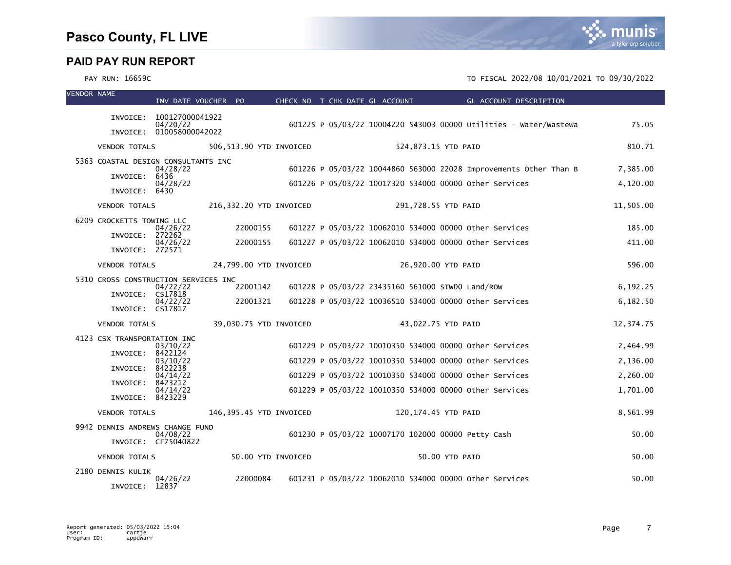| <b>VENDOR NAME</b> |                                      | INV DATE VOUCHER PO                  |                         |                    |  | CHECK NO T CHK DATE GL ACCOUNT                         | <b>Example 2</b> GL ACCOUNT DESCRIPTION                           |           |
|--------------------|--------------------------------------|--------------------------------------|-------------------------|--------------------|--|--------------------------------------------------------|-------------------------------------------------------------------|-----------|
|                    |                                      | INVOICE: 100127000041922             |                         |                    |  |                                                        |                                                                   |           |
|                    |                                      | 04/20/22<br>INVOICE: 010058000042022 |                         |                    |  |                                                        | 601225 P 05/03/22 10004220 543003 00000 Utilities - Water/Wastewa | 75.05     |
|                    |                                      |                                      |                         |                    |  |                                                        |                                                                   |           |
|                    | <b>VENDOR TOTALS</b>                 |                                      | 506,513.90 YTD INVOICED |                    |  | 524,873.15 YTD PAID                                    |                                                                   | 810.71    |
|                    | 5363 COASTAL DESIGN CONSULTANTS INC  | 04/28/22                             |                         |                    |  |                                                        | 601226 P 05/03/22 10044860 563000 22028 Improvements Other Than B | 7,385.00  |
|                    | INVOICE: 6436                        | 04/28/22                             |                         |                    |  | 601226 P 05/03/22 10017320 534000 00000 other Services |                                                                   | 4,120.00  |
|                    | INVOICE: 6430                        |                                      |                         |                    |  |                                                        |                                                                   |           |
|                    | <b>VENDOR TOTALS</b>                 |                                      | 216,332.20 YTD INVOICED |                    |  | 291,728.55 YTD PAID                                    |                                                                   | 11,505.00 |
|                    | 6209 CROCKETTS TOWING LLC            | 04/26/22                             | 22000155                |                    |  | 601227 P 05/03/22 10062010 534000 00000 other Services |                                                                   | 185.00    |
|                    | INVOICE: 272262                      | 04/26/22                             | 22000155                |                    |  | 601227 P 05/03/22 10062010 534000 00000 other Services |                                                                   | 411.00    |
|                    | INVOICE: 272571                      |                                      |                         |                    |  |                                                        |                                                                   |           |
|                    | <b>VENDOR TOTALS</b>                 |                                      | 24,799.00 YTD INVOICED  |                    |  | 26,920.00 YTD PAID                                     |                                                                   | 596.00    |
|                    | 5310 CROSS CONSTRUCTION SERVICES INC |                                      |                         |                    |  |                                                        |                                                                   |           |
|                    | INVOICE: CS17818                     | 04/22/22                             | 22001142                |                    |  | 601228 P 05/03/22 23435160 561000 STW00 Land/ROW       |                                                                   | 6,192.25  |
|                    | INVOICE: CS17817                     | 04/22/22                             | 22001321                |                    |  | 601228 P 05/03/22 10036510 534000 00000 other Services |                                                                   | 6,182.50  |
|                    | <b>VENDOR TOTALS</b>                 |                                      | 39,030.75 YTD INVOICED  |                    |  | 43,022.75 YTD PAID                                     |                                                                   | 12,374.75 |
|                    | 4123 CSX TRANSPORTATION INC          |                                      |                         |                    |  |                                                        |                                                                   |           |
|                    | INVOICE: 8422124                     | 03/10/22                             |                         |                    |  | 601229 P 05/03/22 10010350 534000 00000 Other Services |                                                                   | 2,464.99  |
|                    | INVOICE: 8422238                     | 03/10/22                             |                         |                    |  | 601229 P 05/03/22 10010350 534000 00000 other Services |                                                                   | 2,136.00  |
|                    | INVOICE: 8423212                     | 04/14/22                             |                         |                    |  | 601229 P 05/03/22 10010350 534000 00000 other Services |                                                                   | 2,260.00  |
|                    | INVOICE: 8423229                     | 04/14/22                             |                         |                    |  | 601229 P 05/03/22 10010350 534000 00000 Other Services |                                                                   | 1,701.00  |
|                    | <b>VENDOR TOTALS</b>                 |                                      | 146,395.45 YTD INVOICED |                    |  | 120,174.45 YTD PAID                                    |                                                                   | 8,561.99  |
|                    |                                      |                                      |                         |                    |  |                                                        |                                                                   |           |
|                    | 9942 DENNIS ANDREWS CHANGE FUND      | 04/08/22                             |                         |                    |  | 601230 P 05/03/22 10007170 102000 00000 Petty Cash     |                                                                   | 50.00     |
|                    |                                      | INVOICE: CF75040822                  |                         |                    |  |                                                        |                                                                   |           |
|                    | <b>VENDOR TOTALS</b>                 |                                      |                         | 50.00 YTD INVOICED |  | 50.00 YTD PAID                                         |                                                                   | 50.00     |
|                    | 2180 DENNIS KULIK                    | 04/26/22                             | 22000084                |                    |  | 601231 P 05/03/22 10062010 534000 00000 other Services |                                                                   | 50.00     |
|                    | INVOICE: 12837                       |                                      |                         |                    |  |                                                        |                                                                   |           |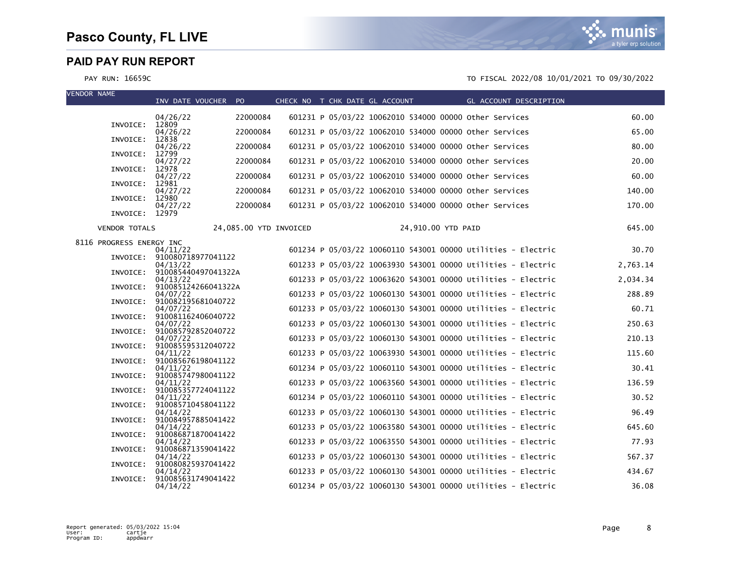

| <b>VENDOR NAME</b>       | INV DATE VOUCHER PO                      |                        | CHECK NO T CHK DATE GL ACCOUNT |  |                                                        |                    |  | GL ACCOUNT DESCRIPTION                                       |          |
|--------------------------|------------------------------------------|------------------------|--------------------------------|--|--------------------------------------------------------|--------------------|--|--------------------------------------------------------------|----------|
|                          | 04/26/22                                 | 22000084               |                                |  | 601231 P 05/03/22 10062010 534000 00000 other Services |                    |  |                                                              | 60.00    |
|                          | INVOICE: 12809<br>04/26/22               | 22000084               |                                |  | 601231 P 05/03/22 10062010 534000 00000 other Services |                    |  |                                                              | 65.00    |
| INVOICE:                 | 12838<br>04/26/22                        | 22000084               |                                |  | 601231 P 05/03/22 10062010 534000 00000 other Services |                    |  |                                                              | 80.00    |
| INVOICE:                 | 12799<br>04/27/22                        | 22000084               |                                |  | 601231 P 05/03/22 10062010 534000 00000 other Services |                    |  |                                                              | 20.00    |
| INVOICE:                 | 12978<br>04/27/22                        | 22000084               |                                |  | 601231 P 05/03/22 10062010 534000 00000 Other Services |                    |  |                                                              | 60.00    |
| INVOICE:                 | 12981<br>04/27/22                        | 22000084               |                                |  | 601231 P 05/03/22 10062010 534000 00000 Other Services |                    |  |                                                              | 140.00   |
| INVOICE:                 | 12980<br>04/27/22                        | 22000084               |                                |  | 601231 P 05/03/22 10062010 534000 00000 other Services |                    |  |                                                              | 170.00   |
|                          | INVOICE: 12979                           |                        |                                |  |                                                        |                    |  |                                                              |          |
| <b>VENDOR TOTALS</b>     |                                          | 24,085.00 YTD INVOICED |                                |  |                                                        | 24,910.00 YTD PAID |  |                                                              | 645.00   |
| 8116 PROGRESS ENERGY INC | 04/11/22                                 |                        |                                |  |                                                        |                    |  | 601234 P 05/03/22 10060110 543001 00000 Utilities - Electric | 30.70    |
|                          | INVOICE: 910080718977041122<br>04/13/22  |                        |                                |  |                                                        |                    |  | 601233 P 05/03/22 10063930 543001 00000 Utilities - Electric | 2,763.14 |
|                          | INVOICE: 910085440497041322A<br>04/13/22 |                        |                                |  |                                                        |                    |  | 601233 P 05/03/22 10063620 543001 00000 Utilities - Electric | 2,034.34 |
| INVOICE:                 | 910085124266041322A<br>04/07/22          |                        |                                |  |                                                        |                    |  | 601233 P 05/03/22 10060130 543001 00000 Utilities - Electric | 288.89   |
|                          | INVOICE: 910082195681040722<br>04/07/22  |                        |                                |  |                                                        |                    |  | 601233 P 05/03/22 10060130 543001 00000 Utilities - Electric | 60.71    |
| INVOICE:                 | 910081162406040722                       |                        |                                |  |                                                        |                    |  | 601233 P 05/03/22 10060130 543001 00000 Utilities - Electric | 250.63   |
| INVOICE:                 | 04/07/22<br>910085792852040722           |                        |                                |  |                                                        |                    |  | 601233 P 05/03/22 10060130 543001 00000 Utilities - Electric |          |
| INVOICE:                 | 04/07/22<br>910085595312040722           |                        |                                |  |                                                        |                    |  |                                                              | 210.13   |
|                          | 04/11/22<br>INVOICE: 910085676198041122  |                        |                                |  |                                                        |                    |  | 601233 P 05/03/22 10063930 543001 00000 Utilities - Electric | 115.60   |
| INVOICE:                 | 04/11/22<br>910085747980041122           |                        |                                |  |                                                        |                    |  | 601234 P 05/03/22 10060110 543001 00000 Utilities - Electric | 30.41    |
| INVOICE:                 | 04/11/22<br>910085357724041122           |                        |                                |  |                                                        |                    |  | 601233 P 05/03/22 10063560 543001 00000 Utilities - Electric | 136.59   |
| INVOICE:                 | 04/11/22<br>910085710458041122           |                        |                                |  |                                                        |                    |  | 601234 P 05/03/22 10060110 543001 00000 Utilities - Electric | 30.52    |
|                          | 04/14/22<br>INVOICE: 910084957885041422  |                        |                                |  |                                                        |                    |  | 601233 P 05/03/22 10060130 543001 00000 Utilities - Electric | 96.49    |
| INVOICE:                 | 04/14/22<br>910086871870041422           |                        |                                |  |                                                        |                    |  | 601233 P 05/03/22 10063580 543001 00000 Utilities - Electric | 645.60   |
| INVOICE:                 | 04/14/22<br>910086871359041422           |                        |                                |  |                                                        |                    |  | 601233 P 05/03/22 10063550 543001 00000 Utilities - Electric | 77.93    |
| INVOICE:                 | 04/14/22<br>910080825937041422           |                        |                                |  |                                                        |                    |  | 601233 P 05/03/22 10060130 543001 00000 Utilities - Electric | 567.37   |
| INVOICE:                 | 04/14/22<br>910085631749041422           |                        |                                |  |                                                        |                    |  | 601233 P 05/03/22 10060130 543001 00000 Utilities - Electric | 434.67   |
|                          | 04/14/22                                 |                        |                                |  |                                                        |                    |  | 601234 P 05/03/22 10060130 543001 00000 Utilities - Electric | 36.08    |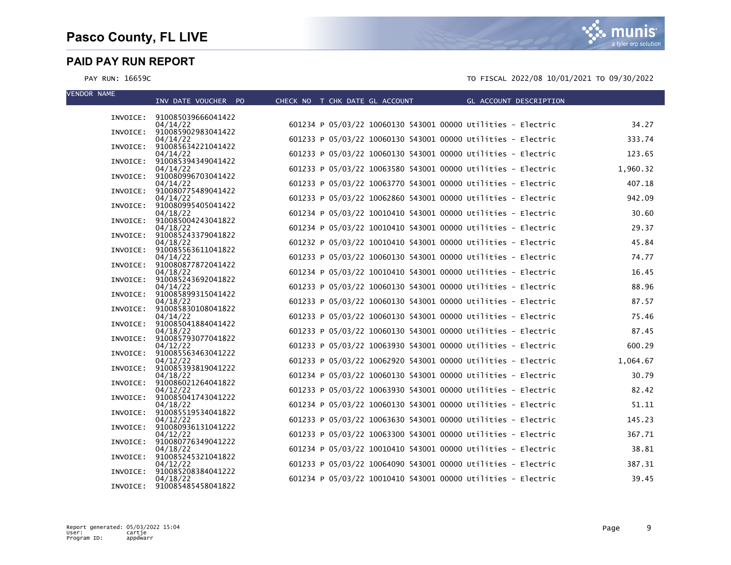munis a tyler erp solution

| <b>VENDOR NAME</b> | INV DATE VOUCHER PO                     | CHECK NO T CHK DATE GL ACCOUNT | GL ACCOUNT DESCRIPTION                                       |          |
|--------------------|-----------------------------------------|--------------------------------|--------------------------------------------------------------|----------|
|                    |                                         |                                |                                                              |          |
|                    | INVOICE: 910085039666041422<br>04/14/22 |                                | 601234 P 05/03/22 10060130 543001 00000 Utilities - Electric | 34.27    |
|                    | INVOICE: 910085902983041422             |                                |                                                              |          |
|                    | 04/14/22<br>INVOICE: 910085634221041422 |                                | 601233 P 05/03/22 10060130 543001 00000 Utilities - Electric | 333.74   |
|                    | 04/14/22                                |                                | 601233 P 05/03/22 10060130 543001 00000 Utilities - Electric | 123.65   |
|                    | INVOICE: 910085394349041422<br>04/14/22 |                                | 601233 P 05/03/22 10063580 543001 00000 Utilities - Electric | 1,960.32 |
|                    | INVOICE: 910080996703041422             |                                |                                                              | 407.18   |
|                    | 04/14/22<br>INVOICE: 910080775489041422 |                                | 601233 P 05/03/22 10063770 543001 00000 Utilities - Electric |          |
|                    | 04/14/22<br>INVOICE: 910080995405041422 |                                | 601233 P 05/03/22 10062860 543001 00000 Utilities - Electric | 942.09   |
|                    | 04/18/22                                |                                | 601234 P 05/03/22 10010410 543001 00000 Utilities - Electric | 30.60    |
|                    | INVOICE: 910085004243041822<br>04/18/22 |                                | 601234 P 05/03/22 10010410 543001 00000 Utilities - Electric | 29.37    |
|                    | INVOICE: 910085243379041822             |                                |                                                              |          |
|                    | 04/18/22<br>INVOICE: 910085563611041822 |                                | 601232 P 05/03/22 10010410 543001 00000 Utilities - Electric | 45.84    |
|                    | 04/14/22                                |                                | 601233 P 05/03/22 10060130 543001 00000 Utilities - Electric | 74.77    |
|                    | INVOICE: 910080877872041422<br>04/18/22 |                                | 601234 P 05/03/22 10010410 543001 00000 Utilities - Electric | 16.45    |
|                    | INVOICE: 910085243692041822             |                                |                                                              |          |
|                    | 04/14/22<br>INVOICE: 910085899315041422 |                                | 601233 P 05/03/22 10060130 543001 00000 Utilities - Electric | 88.96    |
|                    | 04/18/22                                |                                | 601233 P 05/03/22 10060130 543001 00000 Utilities - Electric | 87.57    |
|                    | INVOICE: 910085830108041822<br>04/14/22 |                                | 601233 P 05/03/22 10060130 543001 00000 Utilities - Electric | 75.46    |
|                    | INVOICE: 910085041884041422             |                                | 601233 P 05/03/22 10060130 543001 00000 Utilities - Electric | 87.45    |
|                    | 04/18/22<br>INVOICE: 910085793077041822 |                                |                                                              |          |
|                    | 04/12/22<br>INVOICE: 910085563463041222 |                                | 601233 P 05/03/22 10063930 543001 00000 Utilities - Electric | 600.29   |
|                    | 04/12/22                                |                                | 601233 P 05/03/22 10062920 543001 00000 Utilities - Electric | 1,064.67 |
|                    | INVOICE: 910085393819041222<br>04/18/22 |                                | 601234 P 05/03/22 10060130 543001 00000 Utilities - Electric | 30.79    |
|                    | INVOICE: 910086021264041822             |                                |                                                              |          |
|                    | 04/12/22<br>INVOICE: 910085041743041222 |                                | 601233 P 05/03/22 10063930 543001 00000 Utilities - Electric | 82.42    |
|                    | 04/18/22                                |                                | 601234 P 05/03/22 10060130 543001 00000 Utilities - Electric | 51.11    |
|                    | INVOICE: 910085519534041822<br>04/12/22 |                                | 601233 P 05/03/22 10063630 543001 00000 Utilities - Electric | 145.23   |
|                    | INVOICE: 910080936131041222             |                                |                                                              |          |
|                    | 04/12/22<br>INVOICE: 910080776349041222 |                                | 601233 P 05/03/22 10063300 543001 00000 Utilities - Electric | 367.71   |
|                    | 04/18/22                                |                                | 601234 P 05/03/22 10010410 543001 00000 Utilities - Electric | 38.81    |
|                    | INVOICE: 910085245321041822<br>04/12/22 |                                | 601233 P 05/03/22 10064090 543001 00000 Utilities - Electric | 387.31   |
|                    | INVOICE: 910085208384041222<br>04/18/22 |                                | 601234 P 05/03/22 10010410 543001 00000 Utilities - Electric | 39.45    |
|                    | INVOICE: 910085485458041822             |                                |                                                              |          |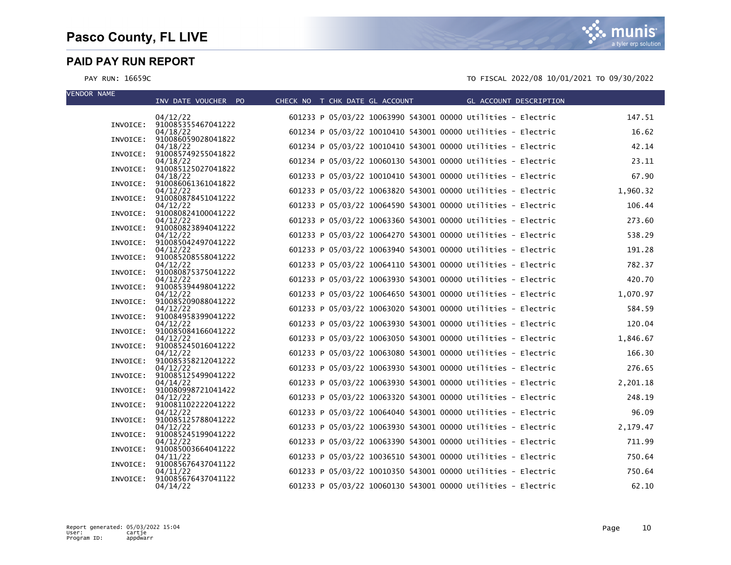VEND

| VENDUK NAME | INV DATE VOUCHER PO                     |  | CHECK NO T CHK DATE GL ACCOUNT GL ACCOUNT DESCRIPTION        |          |
|-------------|-----------------------------------------|--|--------------------------------------------------------------|----------|
|             | 04/12/22                                |  | 601233 P 05/03/22 10063990 543001 00000 Utilities - Electric | 147.51   |
|             | INVOICE: 910085355467041222<br>04/18/22 |  | 601234 P 05/03/22 10010410 543001 00000 Utilities - Electric | 16.62    |
|             | INVOICE: 910086059028041822<br>04/18/22 |  | 601234 P 05/03/22 10010410 543001 00000 Utilities - Electric | 42.14    |
| INVOICE:    | 910085749255041822                      |  |                                                              |          |
| INVOICE:    | 04/18/22<br>910085125027041822          |  | 601234 P 05/03/22 10060130 543001 00000 Utilities - Electric | 23.11    |
|             | 04/18/22<br>INVOICE: 910086061361041822 |  | 601233 P 05/03/22 10010410 543001 00000 Utilities - Electric | 67.90    |
| INVOICE:    | 04/12/22<br>910080878451041222          |  | 601233 P 05/03/22 10063820 543001 00000 Utilities - Electric | 1,960.32 |
|             | 04/12/22                                |  | 601233 P 05/03/22 10064590 543001 00000 Utilities - Electric | 106.44   |
|             | INVOICE: 910080824100041222<br>04/12/22 |  | 601233 P 05/03/22 10063360 543001 00000 Utilities - Electric | 273.60   |
| INVOICE:    | 910080823894041222<br>04/12/22          |  | 601233 P 05/03/22 10064270 543001 00000 Utilities - Electric | 538.29   |
| INVOICE:    | 910085042497041222<br>04/12/22          |  | 601233 P 05/03/22 10063940 543001 00000 Utilities - Electric | 191.28   |
|             | INVOICE: 910085208558041222             |  |                                                              | 782.37   |
| INVOICE:    | 04/12/22<br>910080875375041222          |  | 601233 P 05/03/22 10064110 543001 00000 Utilities - Electric |          |
| INVOICE:    | 04/12/22<br>910085394498041222          |  | 601233 P 05/03/22 10063930 543001 00000 Utilities - Electric | 420.70   |
|             | 04/12/22<br>INVOICE: 910085209088041222 |  | 601233 P 05/03/22 10064650 543001 00000 Utilities - Electric | 1,070.97 |
|             | 04/12/22<br>INVOICE: 910084958399041222 |  | 601233 P 05/03/22 10063020 543001 00000 Utilities - Electric | 584.59   |
|             | 04/12/22                                |  | 601233 P 05/03/22 10063930 543001 00000 Utilities - Electric | 120.04   |
|             | INVOICE: 910085084166041222<br>04/12/22 |  | 601233 P 05/03/22 10063050 543001 00000 Utilities - Electric | 1,846.67 |
| INVOICE:    | 910085245016041222<br>04/12/22          |  | 601233 P 05/03/22 10063080 543001 00000 Utilities - Electric | 166.30   |
|             | INVOICE: 910085358212041222<br>04/12/22 |  | 601233 P 05/03/22 10063930 543001 00000 Utilities - Electric | 276.65   |
|             | INVOICE: 910085125499041222             |  |                                                              |          |
|             | 04/14/22<br>INVOICE: 910080998721041422 |  | 601233 P 05/03/22 10063930 543001 00000 Utilities - Electric | 2,201.18 |
| INVOICE:    | 04/12/22<br>910081102222041222          |  | 601233 P 05/03/22 10063320 543001 00000 Utilities - Electric | 248.19   |
| INVOICE:    | 04/12/22<br>910085125788041222          |  | 601233 P 05/03/22 10064040 543001 00000 Utilities - Electric | 96.09    |
|             | 04/12/22                                |  | 601233 P 05/03/22 10063930 543001 00000 Utilities - Electric | 2,179.47 |
|             | INVOICE: 910085245199041222<br>04/12/22 |  | 601233 P 05/03/22 10063390 543001 00000 Utilities - Electric | 711.99   |
|             | INVOICE: 910085003664041222<br>04/11/22 |  | 601233 P 05/03/22 10036510 543001 00000 Utilities - Electric | 750.64   |
| INVOICE:    | 910085676437041122<br>04/11/22          |  | 601233 P 05/03/22 10010350 543001 00000 Utilities - Electric | 750.64   |
| INVOICE:    | 910085676437041122                      |  |                                                              |          |
|             | 04/14/22                                |  | 601233 P 05/03/22 10060130 543001 00000 Utilities - Electric | 62.10    |

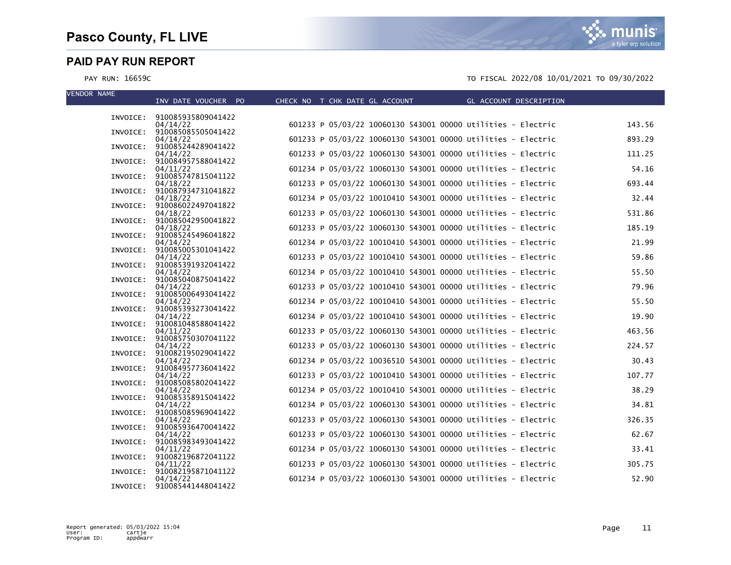munis a tyler erp solution

| <b>VENDOR NAME</b> |                                         |                                |                                                              |        |
|--------------------|-----------------------------------------|--------------------------------|--------------------------------------------------------------|--------|
|                    | INV DATE VOUCHER PO                     | CHECK NO T CHK DATE GL ACCOUNT | GL ACCOUNT DESCRIPTION                                       |        |
|                    | INVOICE: 910085935809041422             |                                |                                                              |        |
|                    | 04/14/22<br>INVOICE: 910085085505041422 |                                | 601233 P 05/03/22 10060130 543001 00000 Utilities - Electric | 143.56 |
|                    | 04/14/22                                |                                | 601233 P 05/03/22 10060130 543001 00000 Utilities - Electric | 893.29 |
| INVOICE:           | 910085244289041422<br>04/14/22          |                                | 601233 P 05/03/22 10060130 543001 00000 Utilities - Electric | 111.25 |
|                    | INVOICE: 910084957588041422             |                                |                                                              |        |
| INVOICE:           | 04/11/22<br>910085747815041122          |                                | 601234 P 05/03/22 10060130 543001 00000 Utilities - Electric | 54.16  |
|                    | 04/18/22                                |                                | 601233 P 05/03/22 10060130 543001 00000 Utilities - Electric | 693.44 |
|                    | INVOICE: 910087934731041822<br>04/18/22 |                                | 601234 P 05/03/22 10010410 543001 00000 Utilities - Electric | 32.44  |
|                    | INVOICE: 910086022497041822             |                                |                                                              |        |
|                    | 04/18/22<br>INVOICE: 910085042950041822 |                                | 601233 P 05/03/22 10060130 543001 00000 Utilities - Electric | 531.86 |
|                    | 04/18/22                                |                                | 601233 P 05/03/22 10060130 543001 00000 Utilities - Electric | 185.19 |
| INVOICE:           | 910085245496041822<br>04/14/22          |                                | 601234 P 05/03/22 10010410 543001 00000 Utilities - Electric | 21.99  |
|                    | INVOICE: 910085005301041422             |                                | 601233 P 05/03/22 10010410 543001 00000 Utilities - Electric | 59.86  |
| INVOICE:           | 04/14/22<br>910085391932041422          |                                |                                                              |        |
|                    | 04/14/22<br>INVOICE: 910085040875041422 |                                | 601234 P 05/03/22 10010410 543001 00000 Utilities - Electric | 55.50  |
|                    | 04/14/22                                |                                | 601233 P 05/03/22 10010410 543001 00000 Utilities - Electric | 79.96  |
|                    | INVOICE: 910085006493041422<br>04/14/22 |                                | 601234 P 05/03/22 10010410 543001 00000 Utilities - Electric | 55.50  |
|                    | INVOICE: 910085393273041422             |                                |                                                              |        |
|                    | 04/14/22<br>INVOICE: 910081048588041422 |                                | 601234 P 05/03/22 10010410 543001 00000 Utilities - Electric | 19.90  |
|                    | 04/11/22                                |                                | 601233 P 05/03/22 10060130 543001 00000 Utilities - Electric | 463.56 |
|                    | INVOICE: 910085750307041122<br>04/14/22 |                                | 601233 P 05/03/22 10060130 543001 00000 Utilities - Electric | 224.57 |
| INVOICE:           | 910082195029041422                      |                                |                                                              |        |
|                    | 04/14/22<br>INVOICE: 910084957736041422 |                                | 601234 P 05/03/22 10036510 543001 00000 Utilities - Electric | 30.43  |
|                    | 04/14/22                                |                                | 601233 P 05/03/22 10010410 543001 00000 Utilities - Electric | 107.77 |
|                    | INVOICE: 910085085802041422<br>04/14/22 |                                | 601234 P 05/03/22 10010410 543001 00000 Utilities - Electric | 38.29  |
|                    | INVOICE: 910085358915041422             |                                |                                                              |        |
| INVOICE:           | 04/14/22<br>910085085969041422          |                                | 601234 P 05/03/22 10060130 543001 00000 Utilities - Electric | 34.81  |
|                    | 04/14/22                                |                                | 601233 P 05/03/22 10060130 543001 00000 Utilities - Electric | 326.35 |
|                    | INVOICE: 910085936470041422<br>04/14/22 |                                | 601233 P 05/03/22 10060130 543001 00000 Utilities - Electric | 62.67  |
|                    | INVOICE: 910085983493041422             |                                |                                                              |        |
|                    | 04/11/22<br>INVOICE: 910082196872041122 |                                | 601234 P 05/03/22 10060130 543001 00000 Utilities - Electric | 33.41  |
|                    | 04/11/22                                |                                | 601233 P 05/03/22 10060130 543001 00000 Utilities - Electric | 305.75 |
|                    | INVOICE: 910082195871041122<br>04/14/22 |                                | 601234 P 05/03/22 10060130 543001 00000 Utilities - Electric | 52.90  |
|                    | INVOICE: 910085441448041422             |                                |                                                              |        |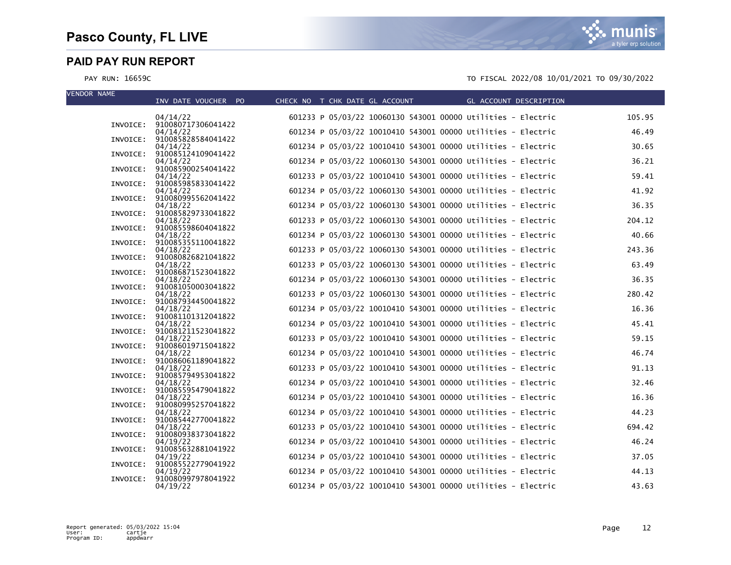VEND

| VENDUK NAME | INV DATE VOUCHER PO                     |  | CHECK NO T CHK DATE GL ACCOUNT THE GL ACCOUNT DESCRIPTION    |        |
|-------------|-----------------------------------------|--|--------------------------------------------------------------|--------|
|             | 04/14/22                                |  | 601233 P 05/03/22 10060130 543001 00000 Utilities - Electric | 105.95 |
|             | INVOICE: 910080717306041422<br>04/14/22 |  | 601234 P 05/03/22 10010410 543001 00000 Utilities - Electric | 46.49  |
|             | INVOICE: 910085828584041422<br>04/14/22 |  | 601234 P 05/03/22 10010410 543001 00000 Utilities - Electric | 30.65  |
| INVOICE:    | 910085124109041422                      |  |                                                              |        |
| INVOICE:    | 04/14/22<br>910085900254041422          |  | 601234 P 05/03/22 10060130 543001 00000 Utilities - Electric | 36.21  |
|             | 04/14/22<br>INVOICE: 910085985833041422 |  | 601233 P 05/03/22 10010410 543001 00000 Utilities - Electric | 59.41  |
|             | 04/14/22<br>INVOICE: 910080995562041422 |  | 601234 P 05/03/22 10060130 543001 00000 Utilities - Electric | 41.92  |
|             | 04/18/22                                |  | 601234 P 05/03/22 10060130 543001 00000 Utilities - Electric | 36.35  |
|             | INVOICE: 910085829733041822<br>04/18/22 |  | 601233 P 05/03/22 10060130 543001 00000 Utilities - Electric | 204.12 |
|             | INVOICE: 910085598604041822<br>04/18/22 |  | 601234 P 05/03/22 10060130 543001 00000 Utilities - Electric | 40.66  |
|             | INVOICE: 910085355110041822             |  |                                                              |        |
|             | 04/18/22<br>INVOICE: 910080826821041822 |  | 601233 P 05/03/22 10060130 543001 00000 Utilities - Electric | 243.36 |
|             | 04/18/22<br>INVOICE: 910086871523041822 |  | 601233 P 05/03/22 10060130 543001 00000 Utilities - Electric | 63.49  |
| INVOICE:    | 04/18/22<br>910081050003041822          |  | 601234 P 05/03/22 10060130 543001 00000 Utilities - Electric | 36.35  |
|             | 04/18/22                                |  | 601233 P 05/03/22 10060130 543001 00000 Utilities - Electric | 280.42 |
|             | INVOICE: 910087934450041822<br>04/18/22 |  | 601234 P 05/03/22 10010410 543001 00000 Utilities - Electric | 16.36  |
|             | INVOICE: 910081101312041822<br>04/18/22 |  | 601234 P 05/03/22 10010410 543001 00000 Utilities - Electric | 45.41  |
|             | INVOICE: 910081211523041822<br>04/18/22 |  | 601233 P 05/03/22 10010410 543001 00000 Utilities - Electric | 59.15  |
| INVOICE:    | 910086019715041822                      |  |                                                              |        |
|             | 04/18/22<br>INVOICE: 910086061189041822 |  | 601234 P 05/03/22 10010410 543001 00000 Utilities - Electric | 46.74  |
|             | 04/18/22<br>INVOICE: 910085794953041822 |  | 601233 P 05/03/22 10010410 543001 00000 Utilities - Electric | 91.13  |
|             | 04/18/22                                |  | 601234 P 05/03/22 10010410 543001 00000 Utilities - Electric | 32.46  |
|             | INVOICE: 910085595479041822<br>04/18/22 |  | 601234 P 05/03/22 10010410 543001 00000 Utilities - Electric | 16.36  |
|             | INVOICE: 910080995257041822<br>04/18/22 |  | 601234 P 05/03/22 10010410 543001 00000 Utilities - Electric | 44.23  |
|             | INVOICE: 910085442770041822<br>04/18/22 |  | 601233 P 05/03/22 10010410 543001 00000 Utilities - Electric | 694.42 |
|             | INVOICE: 910080938373041822             |  |                                                              | 46.24  |
|             | 04/19/22<br>INVOICE: 910085632881041922 |  | 601234 P 05/03/22 10010410 543001 00000 Utilities - Electric |        |
| INVOICE:    | 04/19/22<br>910085522779041922          |  | 601234 P 05/03/22 10010410 543001 00000 Utilities - Electric | 37.05  |
| INVOICE:    | 04/19/22<br>910080997978041922          |  | 601234 P 05/03/22 10010410 543001 00000 Utilities - Electric | 44.13  |
|             | 04/19/22                                |  | 601234 P 05/03/22 10010410 543001 00000 Utilities - Electric | 43.63  |
|             |                                         |  |                                                              |        |

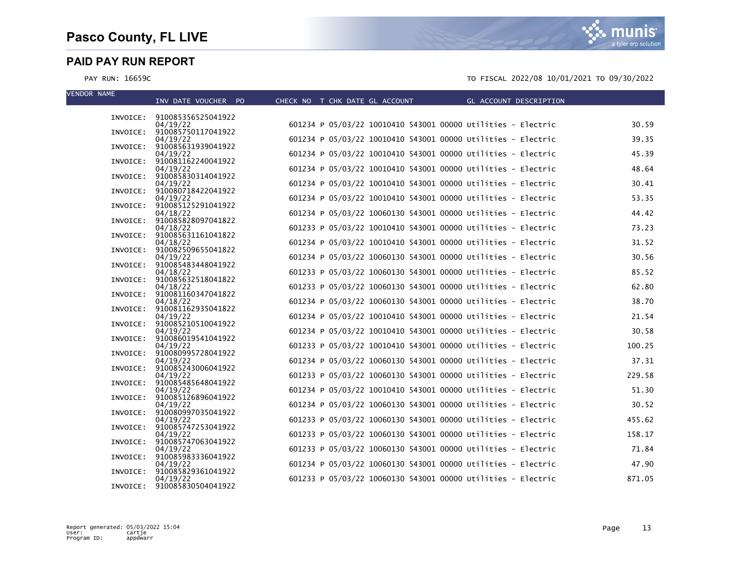munis a tyler erp solution

| <b>VENDOR NAME</b> | INV DATE VOUCHER PO                     | CHECK NO T CHK DATE GL ACCOUNT THE GL ACCOUNT DESCRIPTION    |        |
|--------------------|-----------------------------------------|--------------------------------------------------------------|--------|
|                    | INVOICE: 910085356525041922             |                                                              |        |
|                    | 04/19/22                                | 601234 P 05/03/22 10010410 543001 00000 Utilities - Electric | 30.59  |
|                    | INVOICE: 910085750117041922             |                                                              |        |
|                    | 04/19/22<br>INVOICE: 910085631939041922 | 601234 P 05/03/22 10010410 543001 00000 Utilities - Electric | 39.35  |
|                    | 04/19/22                                | 601234 P 05/03/22 10010410 543001 00000 Utilities - Electric | 45.39  |
|                    | INVOICE: 910081162240041922<br>04/19/22 | 601234 P 05/03/22 10010410 543001 00000 Utilities - Electric | 48.64  |
|                    | INVOICE: 910085830314041922             |                                                              |        |
|                    | 04/19/22<br>INVOICE: 910080718422041922 | 601234 P 05/03/22 10010410 543001 00000 Utilities - Electric | 30.41  |
|                    | 04/19/22                                | 601234 P 05/03/22 10010410 543001 00000 Utilities - Electric | 53.35  |
|                    | INVOICE: 910085125291041922<br>04/18/22 | 601234 P 05/03/22 10060130 543001 00000 Utilities - Electric | 44.42  |
|                    | INVOICE: 910085828097041822             |                                                              |        |
|                    | 04/18/22<br>INVOICE: 910085631161041822 | 601233 P 05/03/22 10010410 543001 00000 Utilities - Electric | 73.23  |
|                    | 04/18/22                                | 601234 P 05/03/22 10010410 543001 00000 Utilities - Electric | 31.52  |
|                    | INVOICE: 910082509655041822             |                                                              |        |
|                    | 04/19/22<br>INVOICE: 910085483448041922 | 601234 P 05/03/22 10060130 543001 00000 Utilities - Electric | 30.56  |
|                    | 04/18/22                                | 601233 P 05/03/22 10060130 543001 00000 Utilities - Electric | 85.52  |
|                    | INVOICE: 910085632518041822<br>04/18/22 | 601233 P 05/03/22 10060130 543001 00000 Utilities - Electric | 62.80  |
|                    | INVOICE: 910081160347041822             |                                                              |        |
|                    | 04/18/22<br>INVOICE: 910081162935041822 | 601234 P 05/03/22 10060130 543001 00000 Utilities - Electric | 38.70  |
|                    | 04/19/22                                | 601234 P 05/03/22 10010410 543001 00000 Utilities - Electric | 21.54  |
|                    | INVOICE: 910085210510041922<br>04/19/22 | 601234 P 05/03/22 10010410 543001 00000 Utilities - Electric | 30.58  |
|                    | INVOICE: 910086019541041922             |                                                              |        |
|                    | 04/19/22<br>INVOICE: 910080995728041922 | 601233 P 05/03/22 10010410 543001 00000 Utilities - Electric | 100.25 |
|                    | 04/19/22                                | 601234 P 05/03/22 10060130 543001 00000 Utilities - Electric | 37.31  |
|                    | INVOICE: 910085243006041922<br>04/19/22 | 601233 P 05/03/22 10060130 543001 00000 Utilities - Electric | 229.58 |
|                    | INVOICE: 910085485648041922             |                                                              |        |
|                    | 04/19/22                                | 601234 P 05/03/22 10010410 543001 00000 Utilities - Electric | 51.30  |
|                    | INVOICE: 910085126896041922<br>04/19/22 | 601234 P 05/03/22 10060130 543001 00000 Utilities - Electric | 30.52  |
|                    | INVOICE: 910080997035041922             |                                                              |        |
|                    | 04/19/22<br>INVOICE: 910085747253041922 | 601233 P 05/03/22 10060130 543001 00000 Utilities - Electric | 455.62 |
|                    | 04/19/22                                | 601233 P 05/03/22 10060130 543001 00000 Utilities - Electric | 158.17 |
|                    | INVOICE: 910085747063041922<br>04/19/22 | 601233 P 05/03/22 10060130 543001 00000 Utilities - Electric | 71.84  |
|                    | INVOICE: 910085983336041922             |                                                              |        |
|                    | 04/19/22<br>INVOICE: 910085829361041922 | 601234 P 05/03/22 10060130 543001 00000 Utilities - Electric | 47.90  |
|                    | 04/19/22                                | 601233 P 05/03/22 10060130 543001 00000 Utilities - Electric | 871.05 |
|                    | INVOICE: 910085830504041922             |                                                              |        |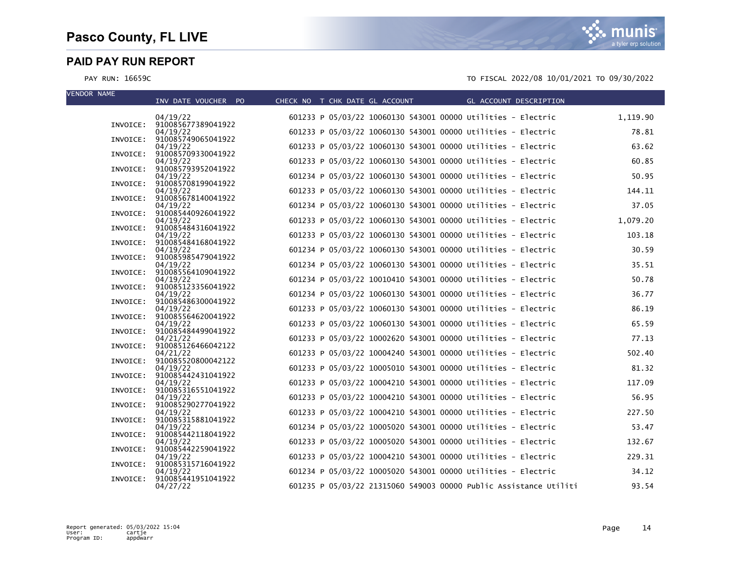| <b>VENDOR NAME</b> | INV DATE VOUCHER PO                     | CHECK NO T CHK DATE GL ACCOUNT                               | GL ACCOUNT DESCRIPTION                                            |          |
|--------------------|-----------------------------------------|--------------------------------------------------------------|-------------------------------------------------------------------|----------|
|                    | 04/19/22                                | 601233 P 05/03/22 10060130 543001 00000 Utilities - Electric |                                                                   | 1,119.90 |
|                    | INVOICE: 910085677389041922<br>04/19/22 | 601233 P 05/03/22 10060130 543001 00000 Utilities - Electric |                                                                   | 78.81    |
| INVOICE:           | 910085749065041922<br>04/19/22          | 601233 P 05/03/22 10060130 543001 00000 Utilities - Electric |                                                                   | 63.62    |
|                    | INVOICE: 910085709330041922<br>04/19/22 | 601233 P 05/03/22 10060130 543001 00000 Utilities - Electric |                                                                   | 60.85    |
| INVOICE:           | 910085793952041922<br>04/19/22          | 601234 P 05/03/22 10060130 543001 00000 Utilities - Electric |                                                                   | 50.95    |
|                    | INVOICE: 910085708199041922             | 601233 P 05/03/22 10060130 543001 00000 Utilities - Electric |                                                                   | 144.11   |
|                    | 04/19/22<br>INVOICE: 910085678140041922 |                                                              |                                                                   |          |
|                    | 04/19/22<br>INVOICE: 910085440926041922 | 601234 P 05/03/22 10060130 543001 00000 Utilities - Electric |                                                                   | 37.05    |
|                    | 04/19/22<br>INVOICE: 910085484316041922 | 601233 P 05/03/22 10060130 543001 00000 Utilities - Electric |                                                                   | 1,079.20 |
|                    | 04/19/22<br>INVOICE: 910085484168041922 | 601233 P 05/03/22 10060130 543001 00000 Utilities - Electric |                                                                   | 103.18   |
|                    | 04/19/22<br>INVOICE: 910085985479041922 | 601234 P 05/03/22 10060130 543001 00000 Utilities - Electric |                                                                   | 30.59    |
|                    | 04/19/22<br>INVOICE: 910085564109041922 | 601234 P 05/03/22 10060130 543001 00000 Utilities - Electric |                                                                   | 35.51    |
|                    | 04/19/22<br>INVOICE: 910085123356041922 | 601234 P 05/03/22 10010410 543001 00000 Utilities - Electric |                                                                   | 50.78    |
|                    | 04/19/22                                | 601234 P 05/03/22 10060130 543001 00000 Utilities - Electric |                                                                   | 36.77    |
| INVOICE:           | 910085486300041922<br>04/19/22          | 601233 P 05/03/22 10060130 543001 00000 Utilities - Electric |                                                                   | 86.19    |
|                    | INVOICE: 910085564620041922<br>04/19/22 | 601233 P 05/03/22 10060130 543001 00000 Utilities - Electric |                                                                   | 65.59    |
|                    | INVOICE: 910085484499041922<br>04/21/22 | 601233 P 05/03/22 10002620 543001 00000 Utilities - Electric |                                                                   | 77.13    |
|                    | INVOICE: 910085126466042122<br>04/21/22 | 601233 P 05/03/22 10004240 543001 00000 Utilities - Electric |                                                                   | 502.40   |
|                    | INVOICE: 910085520800042122<br>04/19/22 | 601233 P 05/03/22 10005010 543001 00000 Utilities - Electric |                                                                   | 81.32    |
|                    | INVOICE: 910085442431041922<br>04/19/22 | 601233 P 05/03/22 10004210 543001 00000 Utilities - Electric |                                                                   | 117.09   |
|                    | INVOICE: 910085316551041922<br>04/19/22 | 601233 P 05/03/22 10004210 543001 00000 Utilities - Electric |                                                                   | 56.95    |
|                    | INVOICE: 910085290277041922<br>04/19/22 | 601233 P 05/03/22 10004210 543001 00000 Utilities - Electric |                                                                   | 227.50   |
|                    | INVOICE: 910085315881041922             |                                                              |                                                                   |          |
|                    | 04/19/22<br>INVOICE: 910085442118041922 | 601234 P 05/03/22 10005020 543001 00000 Utilities - Electric |                                                                   | 53.47    |
|                    | 04/19/22<br>INVOICE: 910085442259041922 | 601233 P 05/03/22 10005020 543001 00000 Utilities - Electric |                                                                   | 132.67   |
| INVOICE:           | 04/19/22<br>910085315716041922          | 601233 P 05/03/22 10004210 543001 00000 Utilities - Electric |                                                                   | 229.31   |
| INVOICE:           | 04/19/22<br>910085441951041922          | 601234 P 05/03/22 10005020 543001 00000 Utilities - Electric |                                                                   | 34.12    |
|                    | 04/27/22                                |                                                              | 601235 P 05/03/22 21315060 549003 00000 Public Assistance Utiliti | 93.54    |

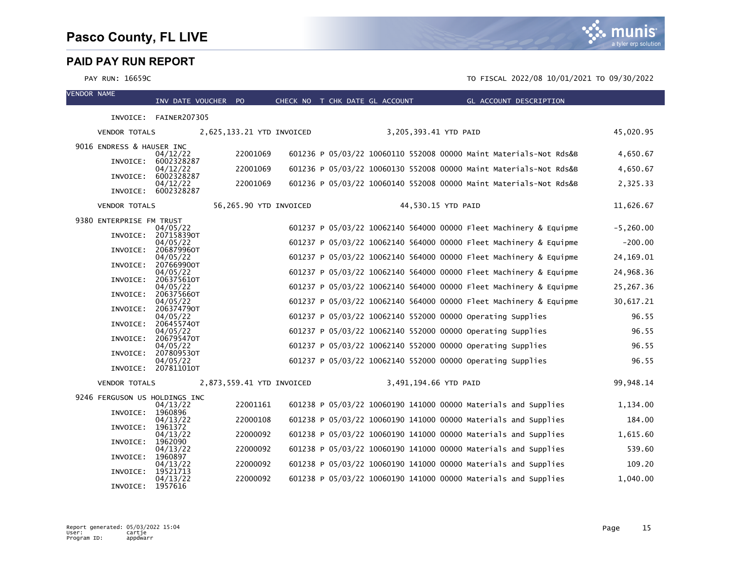

| <b>VENDOR NAME</b> |                               | INV DATE VOUCHER PO             |                           | CHECK NO T CHK DATE GL ACCOUNT |  |                       | GL ACCOUNT DESCRIPTION                                            |              |
|--------------------|-------------------------------|---------------------------------|---------------------------|--------------------------------|--|-----------------------|-------------------------------------------------------------------|--------------|
|                    |                               | INVOICE: FAINER207305           |                           |                                |  |                       |                                                                   |              |
|                    |                               |                                 |                           |                                |  |                       |                                                                   | 45,020.95    |
|                    | <b>VENDOR TOTALS</b>          |                                 | 2,625,133.21 YTD INVOICED |                                |  | 3,205,393.41 YTD PAID |                                                                   |              |
|                    | 9016 ENDRESS & HAUSER INC     | 04/12/22                        | 22001069                  |                                |  |                       | 601236 P 05/03/22 10060110 552008 00000 Maint Materials-Not Rds&B | 4,650.67     |
|                    | INVOICE:                      | 6002328287<br>04/12/22          | 22001069                  |                                |  |                       | 601236 P 05/03/22 10060130 552008 00000 Maint Materials-Not Rds&B | 4,650.67     |
|                    | INVOICE:                      | 6002328287<br>04/12/22          | 22001069                  |                                |  |                       | 601236 P 05/03/22 10060140 552008 00000 Maint Materials-Not Rds&B | 2,325.33     |
|                    | INVOICE:                      | 6002328287                      |                           |                                |  |                       |                                                                   |              |
|                    | <b>VENDOR TOTALS</b>          |                                 | 56,265.90 YTD INVOICED    |                                |  | 44,530.15 YTD PAID    |                                                                   | 11,626.67    |
|                    | 9380 ENTERPRISE FM TRUST      |                                 |                           |                                |  |                       |                                                                   |              |
|                    | INVOICE:                      | 04/05/22<br>207158390T          |                           |                                |  |                       | 601237 P 05/03/22 10062140 564000 00000 Fleet Machinery & Equipme | $-5, 260.00$ |
|                    | INVOICE:                      | 04/05/22<br>206879960T          |                           |                                |  |                       | 601237 P 05/03/22 10062140 564000 00000 Fleet Machinery & Equipme | $-200.00$    |
|                    | INVOICE:                      | 04/05/22<br>207669900T          |                           |                                |  |                       | 601237 P 05/03/22 10062140 564000 00000 Fleet Machinery & Equipme | 24, 169.01   |
|                    |                               | 04/05/22                        |                           |                                |  |                       | 601237 P 05/03/22 10062140 564000 00000 Fleet Machinery & Equipme | 24,968.36    |
|                    | INVOICE:                      | 206375610T<br>04/05/22          |                           |                                |  |                       | 601237 P 05/03/22 10062140 564000 00000 Fleet Machinery & Equipme | 25,267.36    |
|                    | INVOICE:                      | 206375660T<br>04/05/22          |                           |                                |  |                       | 601237 P 05/03/22 10062140 564000 00000 Fleet Machinery & Equipme | 30,617.21    |
|                    | INVOICE:                      | 206374790T<br>04/05/22          |                           |                                |  |                       | 601237 P 05/03/22 10062140 552000 00000 Operating Supplies        | 96.55        |
|                    | INVOICE:                      | 206455740T<br>04/05/22          |                           |                                |  |                       | 601237 P 05/03/22 10062140 552000 00000 Operating Supplies        | 96.55        |
|                    | INVOICE:                      | 206795470T                      |                           |                                |  |                       |                                                                   |              |
|                    | INVOICE:                      | 04/05/22<br>207809530T          |                           |                                |  |                       | 601237 P 05/03/22 10062140 552000 00000 Operating Supplies        | 96.55        |
|                    |                               | 04/05/22<br>INVOICE: 207811010T |                           |                                |  |                       | 601237 P 05/03/22 10062140 552000 00000 operating Supplies        | 96.55        |
|                    | <b>VENDOR TOTALS</b>          |                                 | 2,873,559.41 YTD INVOICED |                                |  | 3,491,194.66 YTD PAID |                                                                   | 99,948.14    |
|                    | 9246 FERGUSON US HOLDINGS INC |                                 |                           |                                |  |                       |                                                                   |              |
|                    | INVOICE:                      | 04/13/22<br>1960896             | 22001161                  |                                |  |                       | 601238 P 05/03/22 10060190 141000 00000 Materials and Supplies    | 1,134.00     |
|                    | INVOICE:                      | 04/13/22<br>1961372             | 22000108                  |                                |  |                       | 601238 P 05/03/22 10060190 141000 00000 Materials and Supplies    | 184.00       |
|                    |                               | 04/13/22                        | 22000092                  |                                |  |                       | 601238 P 05/03/22 10060190 141000 00000 Materials and Supplies    | 1,615.60     |
|                    | INVOICE:                      | 1962090<br>04/13/22             | 22000092                  |                                |  |                       | 601238 P 05/03/22 10060190 141000 00000 Materials and Supplies    | 539.60       |
|                    | INVOICE:                      | 1960897<br>04/13/22             | 22000092                  |                                |  |                       | 601238 P 05/03/22 10060190 141000 00000 Materials and Supplies    | 109.20       |
|                    | INVOICE:                      | 19521713<br>04/13/22            | 22000092                  |                                |  |                       | 601238 P 05/03/22 10060190 141000 00000 Materials and Supplies    | 1,040.00     |
|                    | INVOICE:                      | 1957616                         |                           |                                |  |                       |                                                                   |              |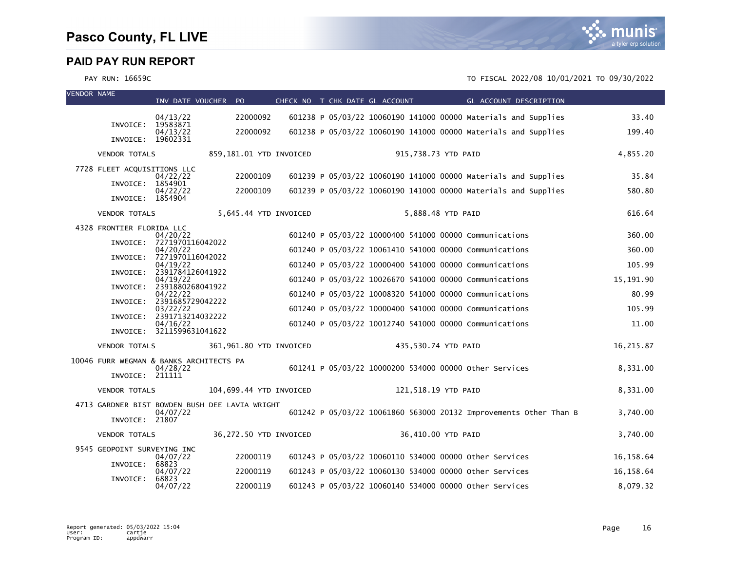

VENDOR NAME

| VENDOK NAME |                                                            | INV DATE VOUCHER                      | PO.                                            | CHECK NO T CHK DATE GL ACCOUNT |                     | GL ACCOUNT DESCRIPTION                                            |            |
|-------------|------------------------------------------------------------|---------------------------------------|------------------------------------------------|--------------------------------|---------------------|-------------------------------------------------------------------|------------|
|             |                                                            | 04/13/22                              | 22000092                                       |                                |                     | 601238 P 05/03/22 10060190 141000 00000 Materials and Supplies    | 33.40      |
|             | INVOICE:                                                   | 19583871<br>04/13/22                  | 22000092                                       |                                |                     | 601238 P 05/03/22 10060190 141000 00000 Materials and Supplies    | 199.40     |
|             | INVOICE: 19602331                                          |                                       |                                                |                                |                     |                                                                   |            |
|             | <b>VENDOR TOTALS</b>                                       |                                       | 859,181.01 YTD INVOICED                        |                                | 915,738.73 YTD PAID |                                                                   | 4,855.20   |
|             | 7728 FLEET ACQUISITIONS LLC                                | 04/22/22                              | 22000109                                       |                                |                     | 601239 P 05/03/22 10060190 141000 00000 Materials and Supplies    | 35.84      |
|             | INVOICE: 1854901<br>INVOICE: 1854904                       | 04/22/22                              | 22000109                                       |                                |                     | 601239 P 05/03/22 10060190 141000 00000 Materials and Supplies    | 580.80     |
|             | <b>VENDOR TOTALS</b>                                       |                                       | 5,645.44 YTD INVOICED                          |                                |                     | 5,888.48 YTD PAID                                                 | 616.64     |
|             | 4328 FRONTIER FLORIDA LLC                                  |                                       |                                                |                                |                     |                                                                   |            |
|             |                                                            | 04/20/22<br>INVOICE: 7271970116042022 |                                                |                                |                     | 601240 P 05/03/22 10000400 541000 00000 Communications            | 360.00     |
|             | INVOICE:                                                   | 04/20/22<br>7271970116042022          |                                                |                                |                     | 601240 P 05/03/22 10061410 541000 00000 Communications            | 360.00     |
|             | INVOICE:                                                   | 04/19/22<br>2391784126041922          |                                                |                                |                     | 601240 P 05/03/22 10000400 541000 00000 Communications            | 105.99     |
|             |                                                            | 04/19/22<br>INVOICE: 2391880268041922 |                                                |                                |                     | 601240 P 05/03/22 10026670 541000 00000 Communications            | 15,191.90  |
|             | INVOICE:                                                   | 04/22/22<br>2391685729042222          |                                                |                                |                     | 601240 P 05/03/22 10008320 541000 00000 Communications            | 80.99      |
|             | INVOICE:                                                   | 03/22/22<br>2391713214032222          |                                                |                                |                     | 601240 P 05/03/22 10000400 541000 00000 Communications            | 105.99     |
|             |                                                            | 04/16/22<br>INVOICE: 3211599631041622 |                                                |                                |                     | 601240 P 05/03/22 10012740 541000 00000 Communications            | 11.00      |
|             | <b>VENDOR TOTALS</b>                                       |                                       | 361,961.80 YTD INVOICED                        |                                | 435,530.74 YTD PAID |                                                                   | 16,215.87  |
|             | 10046 FURR WEGMAN & BANKS ARCHITECTS PA<br>INVOICE: 211111 | 04/28/22                              |                                                |                                |                     | 601241 P 05/03/22 10000200 534000 00000 Other Services            | 8,331.00   |
|             |                                                            |                                       |                                                |                                |                     |                                                                   |            |
|             | <b>VENDOR TOTALS</b>                                       |                                       | 104,699.44 YTD INVOICED                        |                                | 121,518.19 YTD PAID |                                                                   | 8,331.00   |
|             |                                                            | 04/07/22                              | 4713 GARDNER BIST BOWDEN BUSH DEE LAVIA WRIGHT |                                |                     | 601242 P 05/03/22 10061860 563000 20132 Improvements Other Than B | 3,740.00   |
|             | INVOICE: 21807                                             |                                       |                                                |                                |                     |                                                                   |            |
|             | <b>VENDOR TOTALS</b>                                       |                                       | 36,272.50 YTD INVOICED                         |                                |                     | 36,410.00 YTD PAID                                                | 3,740.00   |
|             | 9545 GEOPOINT SURVEYING INC                                | 04/07/22                              | 22000119                                       |                                |                     | 601243 P 05/03/22 10060110 534000 00000 other Services            | 16,158.64  |
|             | INVOICE:                                                   | 68823<br>04/07/22                     | 22000119                                       |                                |                     | 601243 P 05/03/22 10060130 534000 00000 Other Services            | 16, 158.64 |
|             | INVOICE:                                                   | 68823<br>04/07/22                     | 22000119                                       |                                |                     | 601243 P 05/03/22 10060140 534000 00000 Other Services            | 8,079.32   |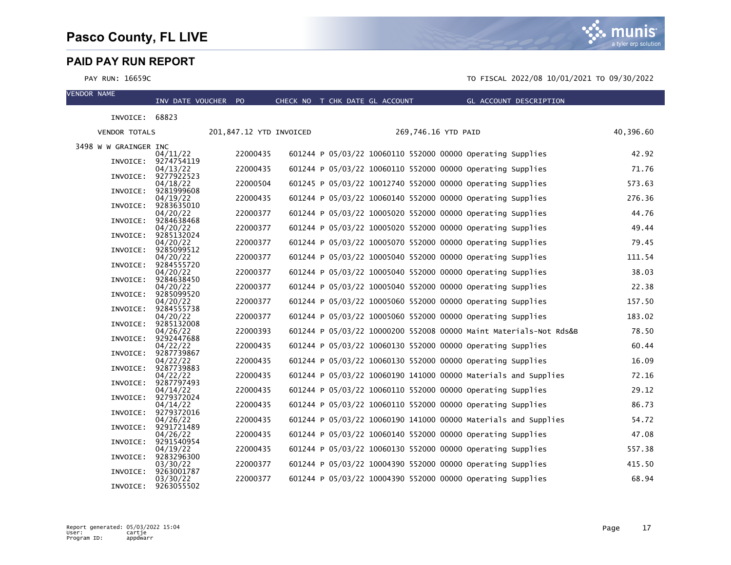

| VENDOR NAME |                       | INV DATE VOUCHER PO    |                         | CHECK NO T CHK DATE GL ACCOUNT |                                                            | <b>Example 2</b> GL ACCOUNT DESCRIPTION                           |           |
|-------------|-----------------------|------------------------|-------------------------|--------------------------------|------------------------------------------------------------|-------------------------------------------------------------------|-----------|
|             | INVOICE: 68823        |                        |                         |                                |                                                            |                                                                   |           |
|             | <b>VENDOR TOTALS</b>  |                        | 201,847.12 YTD INVOICED |                                | 269,746.16 YTD PAID                                        |                                                                   | 40,396.60 |
|             | 3498 W W GRAINGER INC |                        |                         |                                |                                                            |                                                                   |           |
|             |                       | 04/11/22               | 22000435                |                                | 601244 P 05/03/22 10060110 552000 00000 Operating Supplies |                                                                   | 42.92     |
|             | INVOICE:              | 9274754119<br>04/13/22 | 22000435                |                                | 601244 P 05/03/22 10060110 552000 00000 Operating Supplies |                                                                   | 71.76     |
|             | INVOICE:              | 9277922523<br>04/18/22 | 22000504                |                                | 601245 P 05/03/22 10012740 552000 00000 Operating Supplies |                                                                   | 573.63    |
|             | INVOICE:              | 9281999608             |                         |                                |                                                            |                                                                   |           |
|             | INVOICE:              | 04/19/22<br>9283635010 | 22000435                |                                | 601244 P 05/03/22 10060140 552000 00000 Operating Supplies |                                                                   | 276.36    |
|             |                       | 04/20/22               | 22000377                |                                | 601244 P 05/03/22 10005020 552000 00000 Operating Supplies |                                                                   | 44.76     |
|             | INVOICE:              | 9284638468<br>04/20/22 | 22000377                |                                | 601244 P 05/03/22 10005020 552000 00000 Operating Supplies |                                                                   | 49.44     |
|             | INVOICE:              | 9285132024             |                         |                                |                                                            |                                                                   |           |
|             | INVOICE:              | 04/20/22<br>9285099512 | 22000377                |                                | 601244 P 05/03/22 10005070 552000 00000 Operating Supplies |                                                                   | 79.45     |
|             |                       | 04/20/22               | 22000377                |                                | 601244 P 05/03/22 10005040 552000 00000 Operating Supplies |                                                                   | 111.54    |
|             | INVOICE:              | 9284555720<br>04/20/22 | 22000377                |                                | 601244 P 05/03/22 10005040 552000 00000 Operating Supplies |                                                                   | 38.03     |
|             | INVOICE:              | 9284638450             |                         |                                |                                                            |                                                                   |           |
|             | INVOICE:              | 04/20/22<br>9285099520 | 22000377                |                                | 601244 P 05/03/22 10005040 552000 00000 Operating Supplies |                                                                   | 22.38     |
|             |                       | 04/20/22               | 22000377                |                                | 601244 P 05/03/22 10005060 552000 00000 Operating Supplies |                                                                   | 157.50    |
|             | INVOICE:              | 9284555738<br>04/20/22 | 22000377                |                                | 601244 P 05/03/22 10005060 552000 00000 Operating Supplies |                                                                   | 183.02    |
|             | INVOICE:              | 9285132008             |                         |                                |                                                            |                                                                   |           |
|             | INVOICE:              | 04/26/22<br>9292447688 | 22000393                |                                |                                                            | 601244 P 05/03/22 10000200 552008 00000 Maint Materials-Not Rds&B | 78.50     |
|             |                       | 04/22/22               | 22000435                |                                | 601244 P 05/03/22 10060130 552000 00000 Operating Supplies |                                                                   | 60.44     |
|             | INVOICE:              | 9287739867<br>04/22/22 | 22000435                |                                | 601244 P 05/03/22 10060130 552000 00000 Operating Supplies |                                                                   | 16.09     |
|             | INVOICE:              | 9287739883             |                         |                                |                                                            |                                                                   |           |
|             | INVOICE:              | 04/22/22<br>9287797493 | 22000435                |                                |                                                            | 601244 P 05/03/22 10060190 141000 00000 Materials and Supplies    | 72.16     |
|             |                       | 04/14/22               | 22000435                |                                | 601244 P 05/03/22 10060110 552000 00000 Operating Supplies |                                                                   | 29.12     |
|             | INVOICE:              | 9279372024<br>04/14/22 | 22000435                |                                | 601244 P 05/03/22 10060110 552000 00000 Operating Supplies |                                                                   | 86.73     |
|             | INVOICE:              | 9279372016             |                         |                                |                                                            |                                                                   |           |
|             | INVOICE:              | 04/26/22<br>9291721489 | 22000435                |                                |                                                            | 601244 P 05/03/22 10060190 141000 00000 Materials and Supplies    | 54.72     |
|             |                       | 04/26/22               | 22000435                |                                | 601244 P 05/03/22 10060140 552000 00000 Operating Supplies |                                                                   | 47.08     |
|             | INVOICE:              | 9291540954<br>04/19/22 | 22000435                |                                | 601244 P 05/03/22 10060130 552000 00000 Operating Supplies |                                                                   | 557.38    |
|             | INVOICE:              | 9283296300             |                         |                                |                                                            |                                                                   |           |
|             | INVOICE:              | 03/30/22<br>9263001787 | 22000377                |                                | 601244 P 05/03/22 10004390 552000 00000 Operating Supplies |                                                                   | 415.50    |
|             |                       | 03/30/22               | 22000377                |                                | 601244 P 05/03/22 10004390 552000 00000 Operating Supplies |                                                                   | 68.94     |
|             | INVOICE:              | 9263055502             |                         |                                |                                                            |                                                                   |           |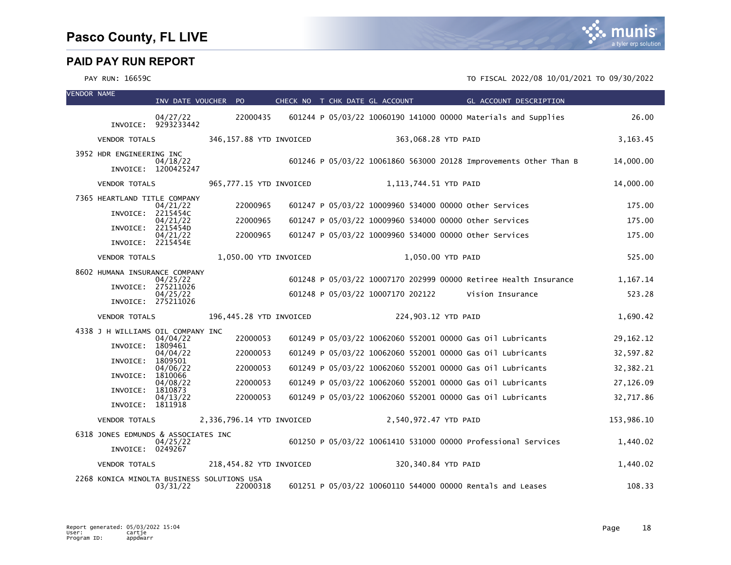| <b>VENDOR NAME</b> |                                                         | INV DATE VOUCHER PO             |                                                        |  | CHECK NO T CHK DATE GL ACCOUNT    | GL ACCOUNT DESCRIPTION                                            |             |
|--------------------|---------------------------------------------------------|---------------------------------|--------------------------------------------------------|--|-----------------------------------|-------------------------------------------------------------------|-------------|
|                    |                                                         | 04/27/22<br>INVOICE: 9293233442 | 22000435                                               |  |                                   | 601244 P 05/03/22 10060190 141000 00000 Materials and Supplies    | 26.00       |
|                    | <b>VENDOR TOTALS</b>                                    |                                 | 346,157.88 YTD INVOICED                                |  |                                   | 363,068.28 YTD PAID                                               | 3, 163. 45  |
|                    | 3952 HDR ENGINEERING INC                                | 04/18/22                        |                                                        |  |                                   | 601246 P 05/03/22 10061860 563000 20128 Improvements Other Than B | 14,000.00   |
|                    |                                                         | INVOICE: 1200425247             |                                                        |  |                                   |                                                                   |             |
|                    | <b>VENDOR TOTALS</b>                                    |                                 | 965,777.15 YTD INVOICED                                |  | 1,113,744.51 YTD PAID             |                                                                   | 14,000.00   |
|                    | 7365 HEARTLAND TITLE COMPANY                            | 04/21/22                        | 22000965                                               |  |                                   | 601247 P 05/03/22 10009960 534000 00000 other Services            | 175.00      |
|                    | INVOICE:                                                | 2215454C<br>04/21/22            | 22000965                                               |  |                                   | 601247 P 05/03/22 10009960 534000 00000 other Services            | 175.00      |
|                    | INVOICE:<br>INVOICE: 2215454E                           | 2215454D<br>04/21/22            | 22000965                                               |  |                                   | 601247 P 05/03/22 10009960 534000 00000 Other Services            | 175.00      |
|                    | <b>VENDOR TOTALS</b>                                    |                                 | 1,050.00 YTD INVOICED                                  |  |                                   | 1,050.00 YTD PAID                                                 | 525.00      |
|                    | 8602 HUMANA INSURANCE COMPANY                           | 04/25/22                        |                                                        |  |                                   | 601248 P 05/03/22 10007170 202999 00000 Retiree Health Insurance  | 1,167.14    |
|                    |                                                         | INVOICE: 275211026<br>04/25/22  |                                                        |  | 601248 P 05/03/22 10007170 202122 | Vision Insurance                                                  | 523.28      |
|                    |                                                         | INVOICE: 275211026              |                                                        |  |                                   |                                                                   |             |
|                    | <b>VENDOR TOTALS</b>                                    |                                 | 196,445.28 YTD INVOICED                                |  |                                   | 224,903.12 YTD PAID                                               | 1,690.42    |
|                    | 4338 J H WILLIAMS OIL COMPANY INC                       | 04/04/22                        | 22000053                                               |  |                                   | 601249 P 05/03/22 10062060 552001 00000 Gas 01l Lubricants        | 29, 162. 12 |
|                    | INVOICE:                                                | 1809461<br>04/04/22             | 22000053                                               |  |                                   | 601249 P 05/03/22 10062060 552001 00000 Gas 01l Lubricants        | 32,597.82   |
|                    | INVOICE:<br>INVOICE:                                    | 1809501<br>04/06/22<br>1810066  | 22000053                                               |  |                                   | 601249 P 05/03/22 10062060 552001 00000 Gas 0il Lubricants        | 32, 382. 21 |
|                    | INVOICE:                                                | 04/08/22<br>1810873             | 22000053                                               |  |                                   | 601249 P 05/03/22 10062060 552001 00000 Gas 01l Lubricants        | 27,126.09   |
|                    | INVOICE: 1811918                                        | 04/13/22                        | 22000053                                               |  |                                   | 601249 P 05/03/22 10062060 552001 00000 Gas 01l Lubricants        | 32,717.86   |
|                    | <b>VENDOR TOTALS</b>                                    |                                 | 2,336,796.14 YTD INVOICED                              |  | 2,540,972.47 YTD PAID             |                                                                   | 153,986.10  |
|                    | 6318 JONES EDMUNDS & ASSOCIATES INC<br>INVOICE: 0249267 | 04/25/22                        |                                                        |  |                                   | 601250 P 05/03/22 10061410 531000 00000 Professional Services     | 1.440.02    |
|                    | <b>VENDOR TOTALS</b>                                    |                                 | 218,454.82 YTD INVOICED                                |  |                                   | 320,340.84 YTD PAID                                               | 1,440.02    |
|                    |                                                         | 03/31/22                        | 2268 KONICA MINOLTA BUSINESS SOLUTIONS USA<br>22000318 |  |                                   | 601251 P 05/03/22 10060110 544000 00000 Rentals and Leases        | 108.33      |

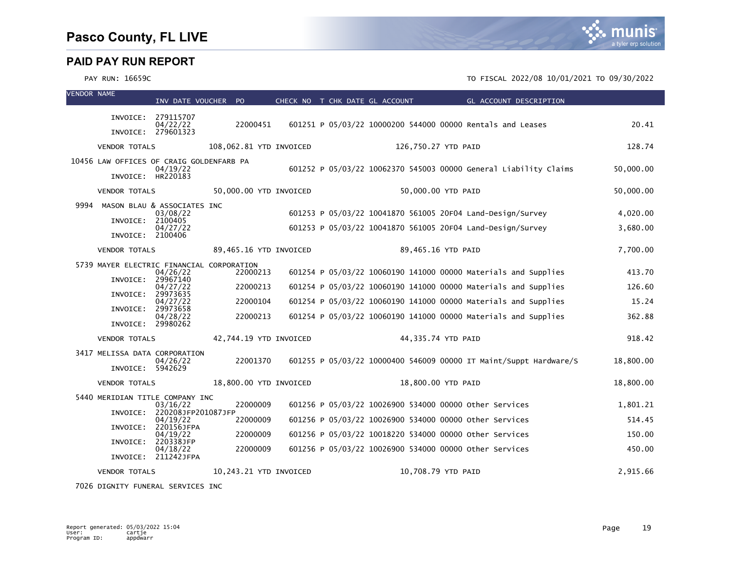### PAY RUN: 16659C TO FISCAL 2022/08 10/01/2021 TO 09/30/2022

| <b>VENDOR NAME</b> |                                           | INV DATE VOUCHER PO              |                         |  | CHECK NO T CHK DATE GL ACCOUNT |                     | GL ACCOUNT DESCRIPTION                                            |           |
|--------------------|-------------------------------------------|----------------------------------|-------------------------|--|--------------------------------|---------------------|-------------------------------------------------------------------|-----------|
|                    |                                           | INVOICE: 279115707               |                         |  |                                |                     |                                                                   |           |
|                    |                                           | 04/22/22<br>INVOICE: 279601323   | 22000451                |  |                                |                     | 601251 P 05/03/22 10000200 544000 00000 Rentals and Leases        | 20.41     |
|                    | <b>VENDOR TOTALS</b>                      |                                  | 108,062.81 YTD INVOICED |  |                                | 126,750.27 YTD PAID |                                                                   | 128.74    |
|                    | 10456 LAW OFFICES OF CRAIG GOLDENFARB PA  | 04/19/22                         |                         |  |                                |                     | 601252 P 05/03/22 10062370 545003 00000 General Liability Claims  | 50,000.00 |
|                    | INVOICE: HR220183                         |                                  |                         |  |                                |                     |                                                                   |           |
|                    | <b>VENDOR TOTALS</b>                      |                                  | 50,000.00 YTD INVOICED  |  |                                | 50,000.00 YTD PAID  |                                                                   | 50.000.00 |
| 9994               | MASON BLAU & ASSOCIATES INC               | 03/08/22                         |                         |  |                                |                     | 601253 P 05/03/22 10041870 561005 20F04 Land-Design/Survey        | 4,020.00  |
|                    | INVOICE:                                  | 2100405<br>04/27/22              |                         |  |                                |                     | 601253 P 05/03/22 10041870 561005 20F04 Land-Design/Survey        | 3,680.00  |
|                    | INVOICE: 2100406                          |                                  |                         |  |                                |                     |                                                                   |           |
|                    | <b>VENDOR TOTALS</b>                      |                                  | 89,465.16 YTD INVOICED  |  |                                | 89,465.16 YTD PAID  |                                                                   | 7,700.00  |
|                    | 5739 MAYER ELECTRIC FINANCIAL CORPORATION | 04/26/22                         | 22000213                |  |                                |                     | 601254 P 05/03/22 10060190 141000 00000 Materials and Supplies    | 413.70    |
|                    | INVOICE:<br>INVOICE:                      | 29967140<br>04/27/22<br>29973635 | 22000213                |  |                                |                     | 601254 P 05/03/22 10060190 141000 00000 Materials and Supplies    | 126.60    |
|                    | INVOICE:                                  | 04/27/22<br>29973658             | 22000104                |  |                                |                     | 601254 P 05/03/22 10060190 141000 00000 Materials and Supplies    | 15.24     |
|                    | INVOICE: 29980262                         | 04/28/22                         | 22000213                |  |                                |                     | 601254 P 05/03/22 10060190 141000 00000 Materials and Supplies    | 362.88    |
|                    | <b>VENDOR TOTALS</b>                      |                                  | 42,744.19 YTD INVOICED  |  |                                | 44,335.74 YTD PAID  |                                                                   | 918.42    |
|                    | 3417 MELISSA DATA CORPORATION             |                                  |                         |  |                                |                     |                                                                   |           |
|                    | INVOICE:                                  | 04/26/22<br>5942629              | 22001370                |  |                                |                     | 601255 P 05/03/22 10000400 546009 00000 IT Maint/Suppt Hardware/S | 18,800.00 |
|                    | <b>VENDOR TOTALS</b>                      |                                  | 18,800.00 YTD INVOICED  |  |                                | 18,800.00 YTD PAID  |                                                                   | 18,800.00 |
|                    | 5440 MERIDIAN TITLE COMPANY INC           |                                  | 22000009                |  |                                |                     | 601256 P 05/03/22 10026900 534000 00000 other Services            | 1,801.21  |
|                    | INVOICE:                                  | 03/16/22<br>220208JFP201087JFP   | 22000009                |  |                                |                     | 601256 P 05/03/22 10026900 534000 00000 other Services            | 514.45    |
|                    | INVOICE:                                  | 04/19/22<br>220156JFPA           |                         |  |                                |                     |                                                                   |           |
|                    | INVOICE:                                  | 04/19/22<br>220338JFP            | 22000009                |  |                                |                     | 601256 P 05/03/22 10018220 534000 00000 other Services            | 150.00    |
|                    |                                           | 04/18/22<br>INVOICE: 211242JFPA  | 22000009                |  |                                |                     | 601256 P 05/03/22 10026900 534000 00000 other Services            | 450.00    |
|                    | <b>VENDOR TOTALS</b>                      |                                  | 10,243.21 YTD INVOICED  |  |                                | 10,708.79 YTD PAID  |                                                                   | 2,915.66  |

7026 DIGNITY FUNERAL SERVICES INC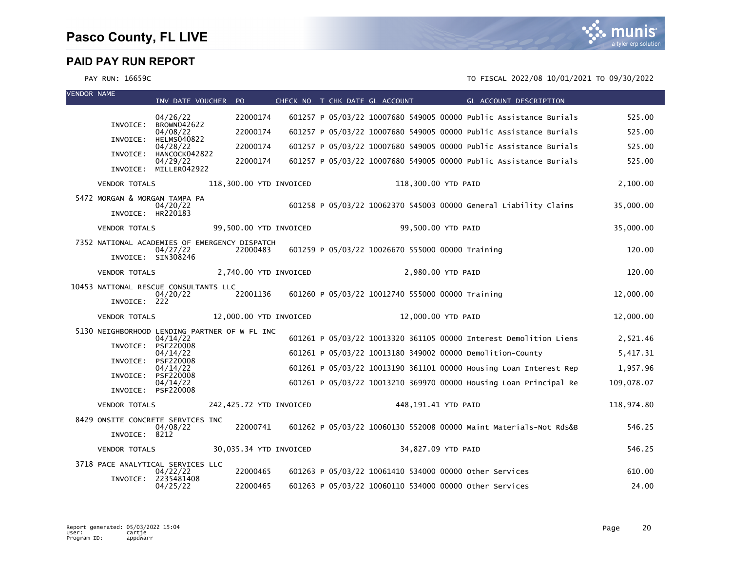

| <b>VENDOR NAME</b> |                                                       | INV DATE VOUCHER PO             |                                                           |  | CHECK NO T CHK DATE GL ACCOUNT                   | <b>Example 2018 GL ACCOUNT DESCRIPTION</b>                        |            |
|--------------------|-------------------------------------------------------|---------------------------------|-----------------------------------------------------------|--|--------------------------------------------------|-------------------------------------------------------------------|------------|
|                    |                                                       | 04/26/22                        | 22000174                                                  |  |                                                  | 601257 P 05/03/22 10007680 549005 00000 Public Assistance Burials | 525.00     |
|                    | INVOICE:                                              | BROWN042622<br>04/08/22         | 22000174                                                  |  |                                                  | 601257 P 05/03/22 10007680 549005 00000 Public Assistance Burials | 525.00     |
|                    | INVOICE:                                              | <b>HELMS040822</b><br>04/28/22  | 22000174                                                  |  |                                                  | 601257 P 05/03/22 10007680 549005 00000 Public Assistance Burials | 525.00     |
|                    | INVOICE:                                              | HANCOCK042822<br>04/29/22       | 22000174                                                  |  |                                                  | 601257 P 05/03/22 10007680 549005 00000 Public Assistance Burials | 525.00     |
|                    |                                                       | INVOICE: MILLER042922           |                                                           |  |                                                  |                                                                   |            |
|                    | <b>VENDOR TOTALS</b>                                  |                                 | 118,300.00 YTD INVOICED                                   |  | 118,300.00 YTD PAID                              |                                                                   | 2,100.00   |
|                    | 5472 MORGAN & MORGAN TAMPA PA<br>INVOICE: HR220183    | 04/20/22                        |                                                           |  |                                                  | 601258 P 05/03/22 10062370 545003 00000 General Liability Claims  | 35,000.00  |
|                    | <b>VENDOR TOTALS</b>                                  |                                 | 99,500.00 YTD INVOICED                                    |  |                                                  | 99,500.00 YTD PAID                                                | 35,000.00  |
|                    |                                                       | 04/27/22                        | 7352 NATIONAL ACADEMIES OF EMERGENCY DISPATCH<br>22000483 |  | 601259 P 05/03/22 10026670 555000 00000 Training |                                                                   | 120.00     |
|                    |                                                       | INVOICE: SIN308246              |                                                           |  |                                                  |                                                                   |            |
|                    | <b>VENDOR TOTALS</b>                                  |                                 | 2,740.00 YTD INVOICED                                     |  |                                                  | 2,980.00 YTD PAID                                                 | 120.00     |
|                    | 10453 NATIONAL RESCUE CONSULTANTS LLC<br>INVOICE: 222 | 04/20/22                        | 22001136                                                  |  | 601260 P 05/03/22 10012740 555000 00000 Training |                                                                   | 12,000.00  |
|                    | <b>VENDOR TOTALS</b>                                  |                                 | 12,000.00 YTD INVOICED                                    |  |                                                  | 12,000.00 YTD PAID                                                | 12,000.00  |
|                    |                                                       |                                 | 5130 NEIGHBORHOOD LENDING PARTNER OF W FL INC             |  |                                                  |                                                                   |            |
|                    | INVOICE:                                              | 04/14/22<br>PSF220008           |                                                           |  |                                                  | 601261 P 05/03/22 10013320 361105 00000 Interest Demolition Liens | 2,521.46   |
|                    |                                                       | 04/14/22<br>INVOICE: PSF220008  |                                                           |  |                                                  | 601261 P 05/03/22 10013180 349002 00000 Demolition-County         | 5,417.31   |
|                    | INVOICE:                                              | 04/14/22<br>PSF220008           |                                                           |  |                                                  | 601261 P 05/03/22 10013190 361101 00000 Housing Loan Interest Rep | 1,957.96   |
|                    |                                                       | 04/14/22<br>INVOICE: PSF220008  |                                                           |  |                                                  | 601261 P 05/03/22 10013210 369970 00000 Housing Loan Principal Re | 109,078.07 |
|                    | <b>VENDOR TOTALS</b>                                  |                                 | 242,425.72 YTD INVOICED                                   |  |                                                  | 448,191.41 YTD PAID                                               | 118,974.80 |
|                    | 8429 ONSITE CONCRETE SERVICES INC                     |                                 |                                                           |  |                                                  |                                                                   |            |
|                    | INVOICE: 8212                                         | 04/08/22                        | 22000741                                                  |  |                                                  | 601262 P 05/03/22 10060130 552008 00000 Maint Materials-Not Rds&B | 546.25     |
|                    | <b>VENDOR TOTALS</b>                                  |                                 | 30,035.34 YTD INVOICED                                    |  |                                                  | 34,827.09 YTD PAID                                                | 546.25     |
|                    | 3718 PACE ANALYTICAL SERVICES LLC                     |                                 |                                                           |  |                                                  |                                                                   |            |
|                    |                                                       | 04/22/22<br>INVOICE: 2235481408 | 22000465                                                  |  |                                                  | 601263 P 05/03/22 10061410 534000 00000 other Services            | 610.00     |
|                    |                                                       | 04/25/22                        | 22000465                                                  |  |                                                  | 601263 P 05/03/22 10060110 534000 00000 other Services            | 24.00      |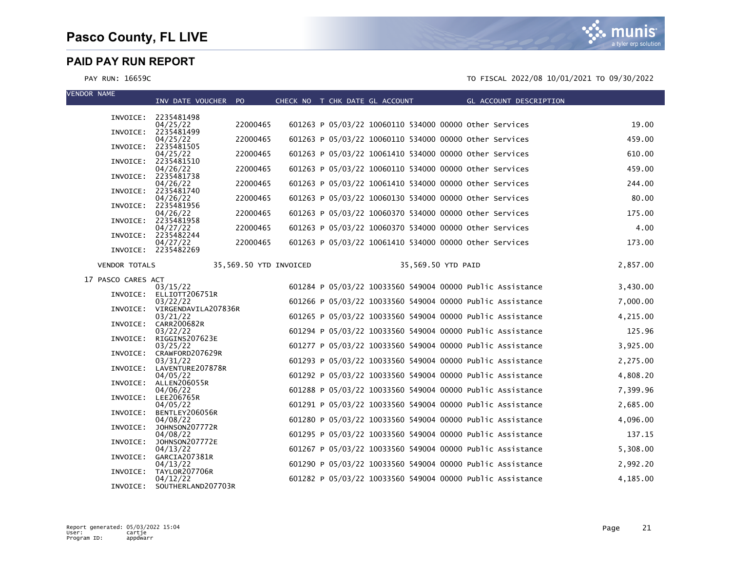

| <b>VENDOR NAME</b> |                      | INV DATE VOUCHER PO                      |                        | CHECK NO T CHK DATE GL ACCOUNT |  |                                                        |                    |  | GL ACCOUNT DESCRIPTION                                    |          |
|--------------------|----------------------|------------------------------------------|------------------------|--------------------------------|--|--------------------------------------------------------|--------------------|--|-----------------------------------------------------------|----------|
|                    |                      |                                          |                        |                                |  |                                                        |                    |  |                                                           |          |
|                    |                      | INVOICE: 2235481498<br>04/25/22          | 22000465               |                                |  | 601263 P 05/03/22 10060110 534000 00000 Other Services |                    |  |                                                           | 19.00    |
|                    | INVOICE:             | 2235481499<br>04/25/22                   | 22000465               |                                |  | 601263 P 05/03/22 10060110 534000 00000 other Services |                    |  |                                                           | 459.00   |
|                    | INVOICE:             | 2235481505<br>04/25/22                   | 22000465               |                                |  | 601263 P 05/03/22 10061410 534000 00000 other Services |                    |  |                                                           | 610.00   |
|                    | INVOICE:             | 2235481510<br>04/26/22                   | 22000465               |                                |  | 601263 P 05/03/22 10060110 534000 00000 Other Services |                    |  |                                                           | 459.00   |
|                    | INVOICE:             | 2235481738<br>04/26/22                   | 22000465               |                                |  | 601263 P 05/03/22 10061410 534000 00000 other Services |                    |  |                                                           | 244.00   |
|                    | INVOICE:             | 2235481740<br>04/26/22                   | 22000465               |                                |  | 601263 P 05/03/22 10060130 534000 00000 Other Services |                    |  |                                                           | 80.00    |
|                    |                      | INVOICE: 2235481956                      |                        |                                |  |                                                        |                    |  |                                                           |          |
|                    |                      | 04/26/22<br>INVOICE: 2235481958          | 22000465               |                                |  | 601263 P 05/03/22 10060370 534000 00000 other Services |                    |  |                                                           | 175.00   |
|                    | INVOICE:             | 04/27/22<br>2235482244                   | 22000465               |                                |  | 601263 P 05/03/22 10060370 534000 00000 other Services |                    |  |                                                           | 4.00     |
|                    |                      | 04/27/22<br>INVOICE: 2235482269          | 22000465               |                                |  |                                                        |                    |  | 601263 P 05/03/22 10061410 534000 00000 Other Services    | 173.00   |
|                    | <b>VENDOR TOTALS</b> |                                          | 35,569.50 YTD INVOICED |                                |  |                                                        | 35,569.50 YTD PAID |  |                                                           | 2,857.00 |
|                    | 17 PASCO CARES ACT   |                                          |                        |                                |  |                                                        |                    |  |                                                           |          |
|                    |                      | 03/15/22                                 |                        |                                |  |                                                        |                    |  | 601284 P 05/03/22 10033560 549004 00000 Public Assistance | 3,430.00 |
|                    |                      | INVOICE: ELLIOTT206751R<br>03/22/22      |                        |                                |  |                                                        |                    |  | 601266 P 05/03/22 10033560 549004 00000 Public Assistance | 7,000.00 |
|                    |                      | INVOICE: VIRGENDAVILA207836R<br>03/21/22 |                        |                                |  |                                                        |                    |  | 601265 P 05/03/22 10033560 549004 00000 Public Assistance | 4,215.00 |
|                    |                      | INVOICE: CARR200682R<br>03/22/22         |                        |                                |  |                                                        |                    |  | 601294 P 05/03/22 10033560 549004 00000 Public Assistance | 125.96   |
|                    | INVOICE:             | RIGGINS207623E<br>03/25/22               |                        |                                |  |                                                        |                    |  | 601277 P 05/03/22 10033560 549004 00000 Public Assistance | 3,925.00 |
|                    |                      | INVOICE: CRAWFORD207629R<br>03/31/22     |                        |                                |  |                                                        |                    |  | 601293 P 05/03/22 10033560 549004 00000 Public Assistance | 2,275.00 |
|                    |                      | INVOICE: LAVENTURE207878R<br>04/05/22    |                        |                                |  |                                                        |                    |  | 601292 P 05/03/22 10033560 549004 00000 Public Assistance | 4,808.20 |
|                    | INVOICE:             | ALLEN206055R<br>04/06/22                 |                        |                                |  |                                                        |                    |  | 601288 P 05/03/22 10033560 549004 00000 Public Assistance | 7,399.96 |
|                    |                      | INVOICE: LEE206765R                      |                        |                                |  |                                                        |                    |  |                                                           |          |
|                    | INVOICE:             | 04/05/22<br>BENTLEY206056R               |                        |                                |  |                                                        |                    |  | 601291 P 05/03/22 10033560 549004 00000 Public Assistance | 2,685.00 |
|                    | INVOICE:             | 04/08/22<br>JOHNSON207772R               |                        |                                |  |                                                        |                    |  | 601280 P 05/03/22 10033560 549004 00000 Public Assistance | 4,096.00 |
|                    | INVOICE:             | 04/08/22<br>JOHNSON207772E               |                        |                                |  |                                                        |                    |  | 601295 P 05/03/22 10033560 549004 00000 Public Assistance | 137.15   |
|                    |                      | 04/13/22<br>INVOICE: GARCIA207381R       |                        |                                |  |                                                        |                    |  | 601267 P 05/03/22 10033560 549004 00000 Public Assistance | 5,308.00 |
|                    |                      | 04/13/22<br>INVOICE: TAYLOR207706R       |                        |                                |  |                                                        |                    |  | 601290 P 05/03/22 10033560 549004 00000 Public Assistance | 2,992.20 |
|                    | INVOICE:             | 04/12/22<br>SOUTHERLAND207703R           |                        |                                |  |                                                        |                    |  | 601282 P 05/03/22 10033560 549004 00000 Public Assistance | 4,185.00 |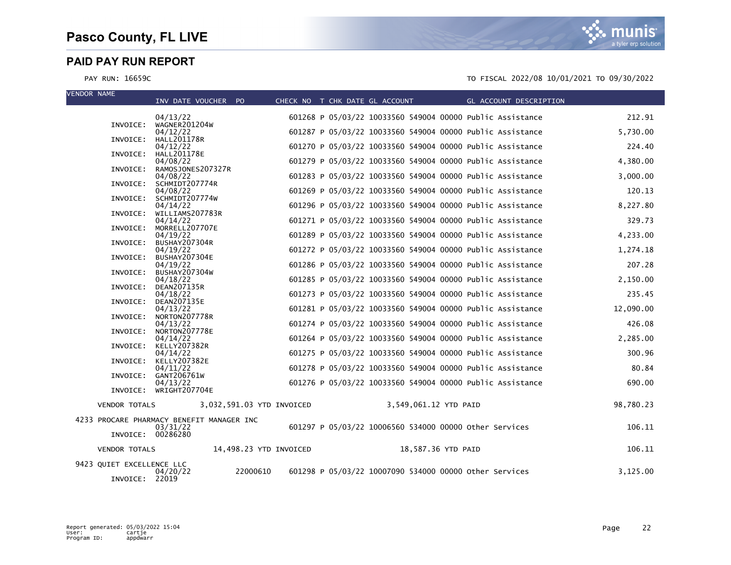VENDOR NAME

| TENDUN NAME                                 | INV DATE VOUCHER PO                                   | CHECK NO T CHK DATE GL ACCOUNT |                                                           | GL ACCOUNT DESCRIPTION |           |
|---------------------------------------------|-------------------------------------------------------|--------------------------------|-----------------------------------------------------------|------------------------|-----------|
|                                             | 04/13/22                                              |                                | 601268 P 05/03/22 10033560 549004 00000 Public Assistance |                        | 212.91    |
| INVOICE:                                    | WAGNER201204W<br>04/12/22                             |                                | 601287 P 05/03/22 10033560 549004 00000 Public Assistance |                        | 5,730.00  |
|                                             | INVOICE: HALL201178R                                  |                                |                                                           |                        | 224.40    |
| INVOICE:                                    | 04/12/22<br><b>HALL201178E</b>                        |                                | 601270 P 05/03/22 10033560 549004 00000 Public Assistance |                        |           |
| INVOICE:                                    | 04/08/22<br>RAMOSJONES207327R                         |                                | 601279 P 05/03/22 10033560 549004 00000 Public Assistance |                        | 4,380.00  |
| INVOICE:                                    | 04/08/22<br>SCHMIDT207774R                            |                                | 601283 P 05/03/22 10033560 549004 00000 Public Assistance |                        | 3,000.00  |
|                                             | 04/08/22                                              |                                | 601269 P 05/03/22 10033560 549004 00000 Public Assistance |                        | 120.13    |
| INVOICE:                                    | SCHMIDT207774W<br>04/14/22                            |                                | 601296 P 05/03/22 10033560 549004 00000 Public Assistance |                        | 8,227.80  |
| INVOICE:                                    | WILLIAMS207783R<br>04/14/22                           |                                | 601271 P 05/03/22 10033560 549004 00000 Public Assistance |                        | 329.73    |
| INVOICE:                                    | MORRELL207707E                                        |                                |                                                           |                        |           |
|                                             | 04/19/22<br>INVOICE: BUSHAY207304R                    |                                | 601289 P 05/03/22 10033560 549004 00000 Public Assistance |                        | 4,233.00  |
| INVOICE:                                    | 04/19/22<br>BUSHAY207304E                             |                                | 601272 P 05/03/22 10033560 549004 00000 Public Assistance |                        | 1,274.18  |
| INVOICE:                                    | 04/19/22<br>BUSHAY207304W                             |                                | 601286 P 05/03/22 10033560 549004 00000 Public Assistance |                        | 207.28    |
|                                             | 04/18/22                                              |                                | 601285 P 05/03/22 10033560 549004 00000 Public Assistance |                        | 2,150.00  |
| INVOICE:                                    | DEAN207135R<br>04/18/22                               |                                | 601273 P 05/03/22 10033560 549004 00000 Public Assistance |                        | 235.45    |
| INVOICE:                                    | <b>DEAN207135E</b><br>04/13/22                        |                                | 601281 P 05/03/22 10033560 549004 00000 Public Assistance |                        | 12,090.00 |
|                                             | INVOICE: NORTON207778R                                |                                |                                                           |                        |           |
|                                             | 04/13/22<br>INVOICE: NORTON207778E                    |                                | 601274 P 05/03/22 10033560 549004 00000 Public Assistance |                        | 426.08    |
|                                             | 04/14/22<br>INVOICE: KELLY207382R                     |                                | 601264 P 05/03/22 10033560 549004 00000 Public Assistance |                        | 2,285.00  |
|                                             | 04/14/22<br>INVOICE: KELLY207382E                     |                                | 601275 P 05/03/22 10033560 549004 00000 Public Assistance |                        | 300.96    |
|                                             | 04/11/22                                              |                                | 601278 P 05/03/22 10033560 549004 00000 Public Assistance |                        | 80.84     |
| INVOICE:                                    | GANT206761W<br>04/13/22                               |                                | 601276 P 05/03/22 10033560 549004 00000 Public Assistance |                        | 690.00    |
|                                             | INVOICE: WRIGHT207704E                                |                                |                                                           |                        |           |
| <b>VENDOR TOTALS</b>                        | 3,032,591.03 YTD INVOICED                             |                                | 3,549,061.12 YTD PAID                                     |                        | 98,780.23 |
| INVOICE: 00286280                           | 4233 PROCARE PHARMACY BENEFIT MANAGER INC<br>03/31/22 |                                | 601297 P 05/03/22 10006560 534000 00000 other Services    |                        | 106.11    |
|                                             |                                                       |                                |                                                           |                        |           |
| <b>VENDOR TOTALS</b>                        | 14,498.23 YTD INVOICED                                |                                | 18,587.36 YTD PAID                                        |                        | 106.11    |
| 9423 QUIET EXCELLENCE LLC<br>INVOICE: 22019 | 22000610<br>04/20/22                                  |                                | 601298 P 05/03/22 10007090 534000 00000 other Services    |                        | 3,125.00  |

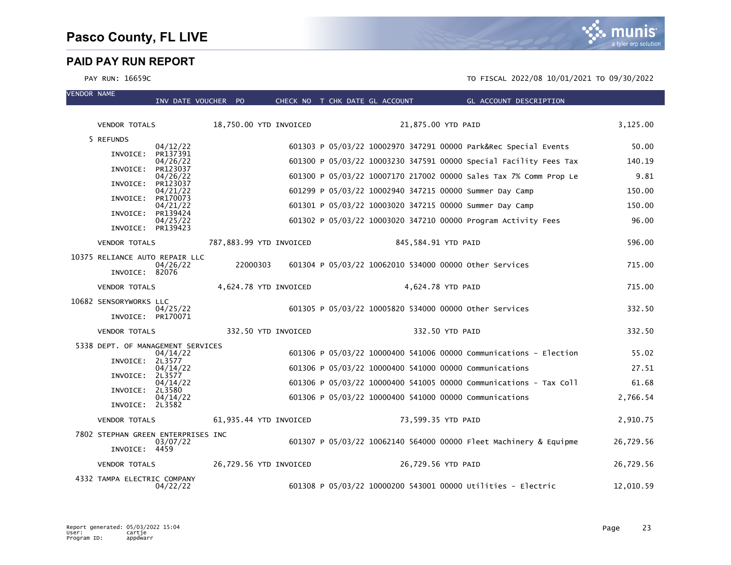VENDOR NAME

|                                    | INV DATE VOUCHER PO  |          |                         | CHECK NO T CHK DATE GL ACCOUNT                          |                     | GL ACCOUNT DESCRIPTION                                            |           |
|------------------------------------|----------------------|----------|-------------------------|---------------------------------------------------------|---------------------|-------------------------------------------------------------------|-----------|
| <b>VENDOR TOTALS</b>               |                      |          | 18,750.00 YTD INVOICED  |                                                         | 21,875.00 YTD PAID  |                                                                   | 3,125.00  |
| 5 REFUNDS                          |                      |          |                         |                                                         |                     |                                                                   |           |
| INVOICE: PR137391                  | 04/12/22             |          |                         |                                                         |                     | 601303 P 05/03/22 10002970 347291 00000 Park&Rec Special Events   | 50.00     |
|                                    | 04/26/22             |          |                         |                                                         |                     | 601300 P 05/03/22 10003230 347591 00000 Special Facility Fees Tax | 140.19    |
| INVOICE:                           | PR123037<br>04/26/22 |          |                         |                                                         |                     | 601300 P 05/03/22 10007170 217002 00000 Sales Tax 7% Comm Prop Le | 9.81      |
| INVOICE:                           | PR123037<br>04/21/22 |          |                         | 601299 P 05/03/22 10002940 347215 00000 Summer Day Camp |                     |                                                                   | 150.00    |
| INVOICE:                           | PR170073<br>04/21/22 |          |                         | 601301 P 05/03/22 10003020 347215 00000 Summer Day Camp |                     |                                                                   | 150.00    |
| INVOICE:                           | PR139424             |          |                         |                                                         |                     |                                                                   | 96.00     |
| INVOICE: PR139423                  | 04/25/22             |          |                         |                                                         |                     | 601302 P 05/03/22 10003020 347210 00000 Program Activity Fees     |           |
| <b>VENDOR TOTALS</b>               |                      |          | 787,883.99 YTD INVOICED |                                                         | 845,584.91 YTD PAID |                                                                   | 596.00    |
| 10375 RELIANCE AUTO REPAIR LLC     |                      | 22000303 |                         |                                                         |                     |                                                                   | 715.00    |
| INVOICE: 82076                     | 04/26/22             |          |                         | 601304 P 05/03/22 10062010 534000 00000 Other Services  |                     |                                                                   |           |
| <b>VENDOR TOTALS</b>               |                      |          | 4,624.78 YTD INVOICED   |                                                         | 4,624.78 YTD PAID   |                                                                   | 715.00    |
| 10682 SENSORYWORKS LLC             | 04/25/22             |          |                         | 601305 P 05/03/22 10005820 534000 00000 other Services  |                     |                                                                   | 332.50    |
| INVOICE: PR170071                  |                      |          |                         |                                                         |                     |                                                                   |           |
| <b>VENDOR TOTALS</b>               |                      |          | 332.50 YTD INVOICED     |                                                         | 332.50 YTD PAID     |                                                                   | 332.50    |
| 5338 DEPT. OF MANAGEMENT SERVICES  | 04/14/22             |          |                         |                                                         |                     | 601306 P 05/03/22 10000400 541006 00000 Communications - Election | 55.02     |
| INVOICE: 2L3577                    |                      |          |                         |                                                         |                     |                                                                   |           |
| INVOICE: 2L3577                    | 04/14/22             |          |                         | 601306 P 05/03/22 10000400 541000 00000 Communications  |                     |                                                                   | 27.51     |
| INVOICE: 2L3580                    | 04/14/22             |          |                         |                                                         |                     | 601306 P 05/03/22 10000400 541005 00000 Communications - Tax Coll | 61.68     |
| INVOICE: 2L3582                    | 04/14/22             |          |                         | 601306 P 05/03/22 10000400 541000 00000 Communications  |                     |                                                                   | 2,766.54  |
| <b>VENDOR TOTALS</b>               |                      |          | 61,935.44 YTD INVOICED  |                                                         | 73,599.35 YTD PAID  |                                                                   | 2,910.75  |
| 7802 STEPHAN GREEN ENTERPRISES INC |                      |          |                         |                                                         |                     |                                                                   |           |
| INVOICE: 4459                      | 03/07/22             |          |                         |                                                         |                     | 601307 P 05/03/22 10062140 564000 00000 Fleet Machinery & Equipme | 26,729.56 |
| <b>VENDOR TOTALS</b>               |                      |          | 26,729.56 YTD INVOICED  |                                                         | 26,729.56 YTD PAID  |                                                                   | 26,729.56 |
| 4332 TAMPA ELECTRIC COMPANY        | 04/22/22             |          |                         |                                                         |                     | 601308 P 05/03/22 10000200 543001 00000 Utilities - Electric      | 12,010.59 |

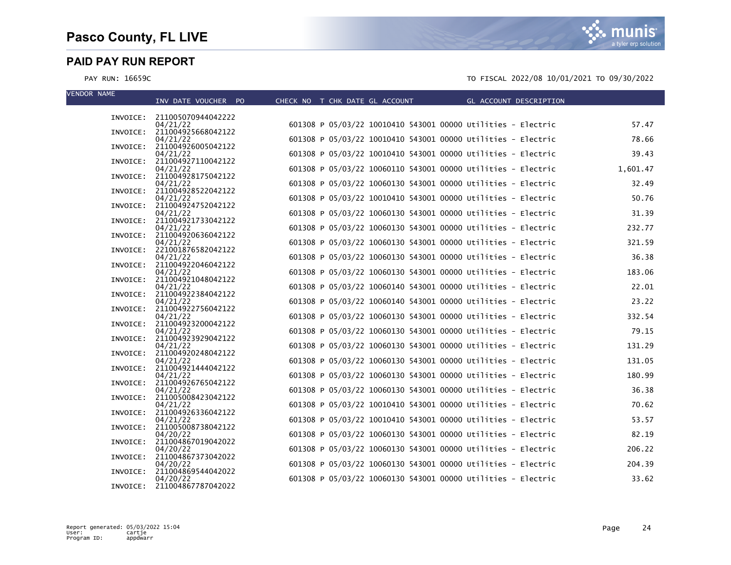munis a tyler erp solution

| <b>VENDOR NAME</b> | INV DATE VOUCHER PO                     | CHECK NO T CHK DATE GL ACCOUNT | GL ACCOUNT DESCRIPTION                                       |          |
|--------------------|-----------------------------------------|--------------------------------|--------------------------------------------------------------|----------|
|                    |                                         |                                |                                                              |          |
|                    | INVOICE: 211005070944042222             |                                | 601308 P 05/03/22 10010410 543001 00000 Utilities - Electric | 57.47    |
|                    | 04/21/22<br>INVOICE: 211004925668042122 |                                |                                                              |          |
|                    | 04/21/22                                |                                | 601308 P 05/03/22 10010410 543001 00000 Utilities - Electric | 78.66    |
|                    | INVOICE: 211004926005042122<br>04/21/22 |                                | 601308 P 05/03/22 10010410 543001 00000 Utilities - Electric | 39.43    |
|                    | INVOICE: 211004927110042122<br>04/21/22 |                                | 601308 P 05/03/22 10060110 543001 00000 Utilities - Electric | 1,601.47 |
|                    | INVOICE: 211004928175042122             |                                |                                                              |          |
|                    | 04/21/22<br>INVOICE: 211004928522042122 |                                | 601308 P 05/03/22 10060130 543001 00000 Utilities - Electric | 32.49    |
|                    | 04/21/22                                |                                | 601308 P 05/03/22 10010410 543001 00000 Utilities - Electric | 50.76    |
|                    | INVOICE: 211004924752042122<br>04/21/22 |                                | 601308 P 05/03/22 10060130 543001 00000 Utilities - Electric | 31.39    |
|                    | INVOICE: 211004921733042122             |                                |                                                              |          |
|                    | 04/21/22<br>INVOICE: 211004920636042122 |                                | 601308 P 05/03/22 10060130 543001 00000 Utilities - Electric | 232.77   |
|                    | 04/21/22                                |                                | 601308 P 05/03/22 10060130 543001 00000 Utilities - Electric | 321.59   |
|                    | INVOICE: 221001876582042122<br>04/21/22 |                                | 601308 P 05/03/22 10060130 543001 00000 Utilities - Electric | 36.38    |
|                    | INVOICE: 211004922046042122             |                                |                                                              |          |
|                    | 04/21/22<br>INVOICE: 211004921048042122 |                                | 601308 P 05/03/22 10060130 543001 00000 Utilities - Electric | 183.06   |
|                    | 04/21/22                                |                                | 601308 P 05/03/22 10060140 543001 00000 Utilities - Electric | 22.01    |
|                    | INVOICE: 211004922384042122<br>04/21/22 |                                | 601308 P 05/03/22 10060140 543001 00000 Utilities - Electric | 23.22    |
|                    | INVOICE: 211004922756042122             |                                |                                                              |          |
|                    | 04/21/22<br>INVOICE: 211004923200042122 |                                | 601308 P 05/03/22 10060130 543001 00000 Utilities - Electric | 332.54   |
|                    | 04/21/22                                |                                | 601308 P 05/03/22 10060130 543001 00000 Utilities - Electric | 79.15    |
|                    | INVOICE: 211004923929042122<br>04/21/22 |                                | 601308 P 05/03/22 10060130 543001 00000 Utilities - Electric | 131.29   |
|                    | INVOICE: 211004920248042122<br>04/21/22 |                                | 601308 P 05/03/22 10060130 543001 00000 Utilities - Electric | 131.05   |
|                    | INVOICE: 211004921444042122             |                                |                                                              |          |
|                    | 04/21/22<br>INVOICE: 211004926765042122 |                                | 601308 P 05/03/22 10060130 543001 00000 Utilities - Electric | 180.99   |
|                    | 04/21/22                                |                                | 601308 P 05/03/22 10060130 543001 00000 Utilities - Electric | 36.38    |
|                    | INVOICE: 211005008423042122<br>04/21/22 |                                | 601308 P 05/03/22 10010410 543001 00000 Utilities - Electric | 70.62    |
|                    | INVOICE: 211004926336042122             |                                |                                                              |          |
|                    | 04/21/22<br>INVOICE: 211005008738042122 |                                | 601308 P 05/03/22 10010410 543001 00000 Utilities - Electric | 53.57    |
|                    | 04/20/22                                |                                | 601308 P 05/03/22 10060130 543001 00000 Utilities - Electric | 82.19    |
|                    | INVOICE: 211004867019042022<br>04/20/22 |                                | 601308 P 05/03/22 10060130 543001 00000 Utilities - Electric | 206.22   |
|                    | INVOICE: 211004867373042022             |                                |                                                              |          |
|                    | 04/20/22<br>INVOICE: 211004869544042022 |                                | 601308 P 05/03/22 10060130 543001 00000 Utilities - Electric | 204.39   |
|                    | 04/20/22                                |                                | 601308 P 05/03/22 10060130 543001 00000 Utilities - Electric | 33.62    |
|                    | INVOICE: 211004867787042022             |                                |                                                              |          |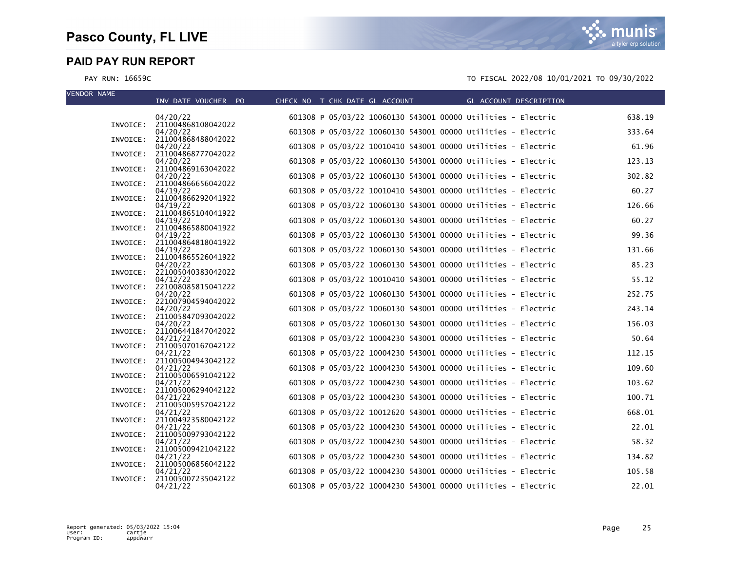VEND

| VENUUR NAME | INV DATE VOUCHER PO                     | CHECK NO T CHK DATE GL ACCOUNT |  |                                                              | <b>Example 2018 GL ACCOUNT DESCRIPTION</b> |        |
|-------------|-----------------------------------------|--------------------------------|--|--------------------------------------------------------------|--------------------------------------------|--------|
|             | 04/20/22                                |                                |  | 601308 P 05/03/22 10060130 543001 00000 Utilities - Electric |                                            | 638.19 |
|             | INVOICE: 211004868108042022<br>04/20/22 |                                |  | 601308 P 05/03/22 10060130 543001 00000 Utilities - Electric |                                            | 333.64 |
|             | INVOICE: 211004868488042022             |                                |  |                                                              |                                            | 61.96  |
| INVOICE:    | 04/20/22<br>211004868777042022          |                                |  | 601308 P 05/03/22 10010410 543001 00000 Utilities - Electric |                                            |        |
| INVOICE:    | 04/20/22<br>211004869163042022          |                                |  | 601308 P 05/03/22 10060130 543001 00000 Utilities - Electric |                                            | 123.13 |
|             | 04/20/22                                |                                |  | 601308 P 05/03/22 10060130 543001 00000 Utilities - Electric |                                            | 302.82 |
| INVOICE:    | 211004866656042022<br>04/19/22          |                                |  | 601308 P 05/03/22 10010410 543001 00000 Utilities - Electric |                                            | 60.27  |
|             | INVOICE: 211004866292041922<br>04/19/22 |                                |  | 601308 P 05/03/22 10060130 543001 00000 Utilities - Electric |                                            | 126.66 |
| INVOICE:    | 211004865104041922                      |                                |  |                                                              |                                            |        |
|             | 04/19/22<br>INVOICE: 211004865880041922 |                                |  | 601308 P 05/03/22 10060130 543001 00000 Utilities - Electric |                                            | 60.27  |
|             | 04/19/22                                |                                |  | 601308 P 05/03/22 10060130 543001 00000 Utilities - Electric |                                            | 99.36  |
| INVOICE:    | 211004864818041922<br>04/19/22          |                                |  | 601308 P 05/03/22 10060130 543001 00000 Utilities - Electric |                                            | 131.66 |
|             | INVOICE: 211004865526041922             |                                |  | 601308 P 05/03/22 10060130 543001 00000 Utilities - Electric |                                            | 85.23  |
| INVOICE:    | 04/20/22<br>221005040383042022          |                                |  |                                                              |                                            |        |
| INVOICE:    | 04/12/22<br>221008085815041222          |                                |  | 601308 P 05/03/22 10010410 543001 00000 Utilities - Electric |                                            | 55.12  |
|             | 04/20/22                                |                                |  | 601308 P 05/03/22 10060130 543001 00000 Utilities - Electric |                                            | 252.75 |
| INVOICE:    | 221007904594042022<br>04/20/22          |                                |  | 601308 P 05/03/22 10060130 543001 00000 Utilities - Electric |                                            | 243.14 |
|             | INVOICE: 211005847093042022<br>04/20/22 |                                |  | 601308 P 05/03/22 10060130 543001 00000 Utilities - Electric |                                            | 156.03 |
|             | INVOICE: 211006441847042022             |                                |  |                                                              |                                            |        |
|             | 04/21/22<br>INVOICE: 211005070167042122 |                                |  | 601308 P 05/03/22 10004230 543001 00000 Utilities - Electric |                                            | 50.64  |
|             | 04/21/22                                |                                |  | 601308 P 05/03/22 10004230 543001 00000 Utilities - Electric |                                            | 112.15 |
| INVOICE:    | 211005004943042122<br>04/21/22          |                                |  | 601308 P 05/03/22 10004230 543001 00000 Utilities - Electric |                                            | 109.60 |
|             | INVOICE: 211005006591042122<br>04/21/22 |                                |  | 601308 P 05/03/22 10004230 543001 00000 Utilities - Electric |                                            | 103.62 |
|             | INVOICE: 211005006294042122             |                                |  |                                                              |                                            |        |
|             | 04/21/22<br>INVOICE: 211005005957042122 |                                |  | 601308 P 05/03/22 10004230 543001 00000 Utilities - Electric |                                            | 100.71 |
|             | 04/21/22<br>211004923580042122          |                                |  | 601308 P 05/03/22 10012620 543001 00000 Utilities - Electric |                                            | 668.01 |
| INVOICE:    | 04/21/22                                |                                |  | 601308 P 05/03/22 10004230 543001 00000 Utilities - Electric |                                            | 22.01  |
|             | INVOICE: 211005009793042122<br>04/21/22 |                                |  | 601308 P 05/03/22 10004230 543001 00000 Utilities - Electric |                                            | 58.32  |
|             | INVOICE: 211005009421042122             |                                |  |                                                              |                                            |        |
|             | 04/21/22<br>INVOICE: 211005006856042122 |                                |  | 601308 P 05/03/22 10004230 543001 00000 Utilities - Electric |                                            | 134.82 |
| INVOICE:    | 04/21/22<br>211005007235042122          |                                |  | 601308 P 05/03/22 10004230 543001 00000 Utilities - Electric |                                            | 105.58 |
|             | 04/21/22                                |                                |  | 601308 P 05/03/22 10004230 543001 00000 Utilities - Electric |                                            | 22.01  |
|             |                                         |                                |  |                                                              |                                            |        |

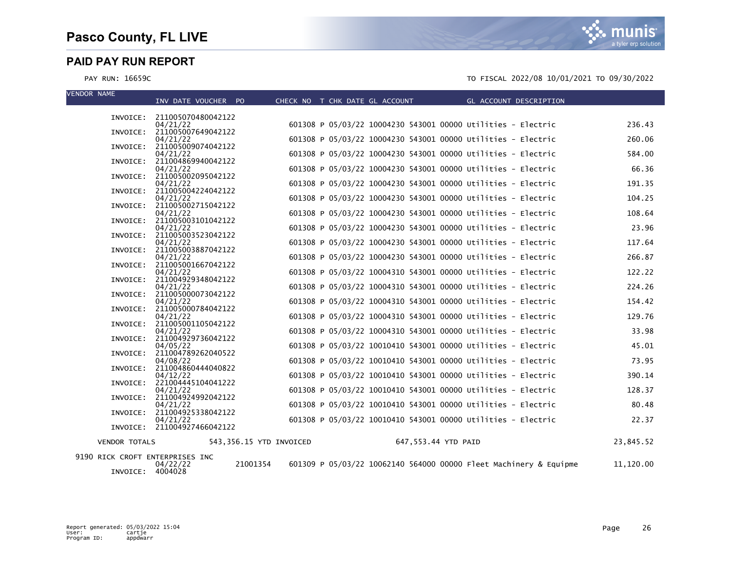munis a tyler erp solution

| <b>VENDOR NAME</b>              | INV DATE VOUCHER PO                     |                         | CHECK NO T CHK DATE GL ACCOUNT |                     | GL ACCOUNT DESCRIPTION                                            |           |
|---------------------------------|-----------------------------------------|-------------------------|--------------------------------|---------------------|-------------------------------------------------------------------|-----------|
|                                 |                                         |                         |                                |                     |                                                                   |           |
|                                 | INVOICE: 211005070480042122<br>04/21/22 |                         |                                |                     | 601308 P 05/03/22 10004230 543001 00000 Utilities - Electric      | 236.43    |
|                                 | INVOICE: 211005007649042122             |                         |                                |                     |                                                                   |           |
|                                 | 04/21/22                                |                         |                                |                     | 601308 P 05/03/22 10004230 543001 00000 Utilities - Electric      | 260.06    |
|                                 | INVOICE: 211005009074042122             |                         |                                |                     |                                                                   |           |
|                                 | 04/21/22<br>INVOICE: 211004869940042122 |                         |                                |                     | 601308 P 05/03/22 10004230 543001 00000 Utilities - Electric      | 584.00    |
|                                 | 04/21/22                                |                         |                                |                     | 601308 P 05/03/22 10004230 543001 00000 Utilities - Electric      | 66.36     |
|                                 | INVOICE: 211005002095042122             |                         |                                |                     |                                                                   |           |
|                                 | 04/21/22<br>INVOICE: 211005004224042122 |                         |                                |                     | 601308 P 05/03/22 10004230 543001 00000 Utilities - Electric      | 191.35    |
|                                 | 04/21/22                                |                         |                                |                     | 601308 P 05/03/22 10004230 543001 00000 Utilities - Electric      | 104.25    |
|                                 | INVOICE: 211005002715042122             |                         |                                |                     |                                                                   |           |
|                                 | 04/21/22<br>INVOICE: 211005003101042122 |                         |                                |                     | 601308 P 05/03/22 10004230 543001 00000 Utilities - Electric      | 108.64    |
|                                 | 04/21/22                                |                         |                                |                     | 601308 P 05/03/22 10004230 543001 00000 Utilities - Electric      | 23.96     |
|                                 | INVOICE: 211005003523042122             |                         |                                |                     |                                                                   |           |
|                                 | 04/21/22<br>INVOICE: 211005003887042122 |                         |                                |                     | 601308 P 05/03/22 10004230 543001 00000 Utilities - Electric      | 117.64    |
|                                 | 04/21/22                                |                         |                                |                     | 601308 P 05/03/22 10004230 543001 00000 Utilities - Electric      | 266.87    |
|                                 | INVOICE: 211005001667042122             |                         |                                |                     |                                                                   |           |
|                                 | 04/21/22                                |                         |                                |                     | 601308 P 05/03/22 10004310 543001 00000 Utilities - Electric      | 122.22    |
|                                 | INVOICE: 211004929348042122<br>04/21/22 |                         |                                |                     | 601308 P 05/03/22 10004310 543001 00000 Utilities - Electric      | 224.26    |
|                                 | INVOICE: 211005000073042122             |                         |                                |                     |                                                                   |           |
|                                 | 04/21/22                                |                         |                                |                     | 601308 P 05/03/22 10004310 543001 00000 Utilities - Electric      | 154.42    |
|                                 | INVOICE: 211005000784042122<br>04/21/22 |                         |                                |                     | 601308 P 05/03/22 10004310 543001 00000 Utilities - Electric      | 129.76    |
|                                 | INVOICE: 211005001105042122             |                         |                                |                     |                                                                   |           |
|                                 | 04/21/22                                |                         |                                |                     | 601308 P 05/03/22 10004310 543001 00000 Utilities - Electric      | 33.98     |
|                                 | INVOICE: 211004929736042122<br>04/05/22 |                         |                                |                     | 601308 P 05/03/22 10010410 543001 00000 Utilities - Electric      | 45.01     |
|                                 | INVOICE: 211004789262040522             |                         |                                |                     |                                                                   |           |
|                                 | 04/08/22                                |                         |                                |                     | 601308 P 05/03/22 10010410 543001 00000 Utilities - Electric      | 73.95     |
|                                 | INVOICE: 211004860444040822             |                         |                                |                     | 601308 P 05/03/22 10010410 543001 00000 Utilities - Electric      | 390.14    |
|                                 | 04/12/22<br>INVOICE: 221004445104041222 |                         |                                |                     |                                                                   |           |
|                                 | 04/21/22                                |                         |                                |                     | 601308 P 05/03/22 10010410 543001 00000 Utilities - Electric      | 128.37    |
|                                 | INVOICE: 211004924992042122             |                         |                                |                     |                                                                   |           |
|                                 | 04/21/22<br>INVOICE: 211004925338042122 |                         |                                |                     | 601308 P 05/03/22 10010410 543001 00000 Utilities - Electric      | 80.48     |
|                                 | 04/21/22                                |                         |                                |                     | 601308 P 05/03/22 10010410 543001 00000 Utilities - Electric      | 22.37     |
|                                 | INVOICE: 211004927466042122             |                         |                                |                     |                                                                   |           |
| <b>VENDOR TOTALS</b>            |                                         | 543,356.15 YTD INVOICED |                                | 647,553.44 YTD PAID |                                                                   | 23,845.52 |
| 9190 RICK CROFT ENTERPRISES INC |                                         |                         |                                |                     |                                                                   |           |
|                                 | 04/22/22                                | 21001354                |                                |                     | 601309 P 05/03/22 10062140 564000 00000 Fleet Machinery & Equipme | 11,120.00 |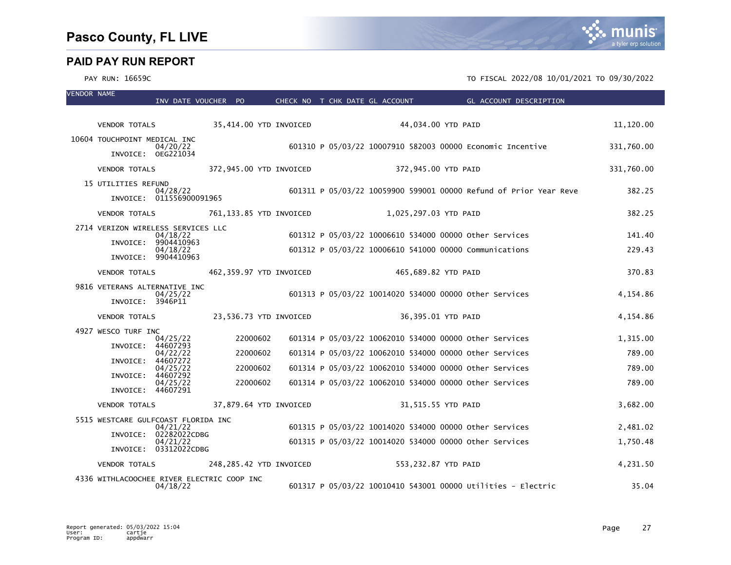VENDOR NAME

# munis a tyler erp solution

| INV DATE VOUCHER PO                             |                         |  | CHECK NO T CHK DATE GL ACCOUNT | GL ACCOUNT DESCRIPTION                                            |            |
|-------------------------------------------------|-------------------------|--|--------------------------------|-------------------------------------------------------------------|------------|
| <b>VENDOR TOTALS</b>                            | 35,414.00 YTD INVOICED  |  |                                | 44,034.00 YTD PAID                                                | 11,120.00  |
| 10604 TOUCHPOINT MEDICAL INC                    |                         |  |                                |                                                                   |            |
| 04/20/22                                        |                         |  |                                | 601310 P 05/03/22 10007910 582003 00000 Economic Incentive        | 331,760.00 |
| INVOICE: 0EG221034                              |                         |  |                                |                                                                   |            |
| <b>VENDOR TOTALS</b>                            | 372,945.00 YTD INVOICED |  | 372,945.00 YTD PAID            |                                                                   | 331,760.00 |
| 15 UTILITIES REFUND<br>04/28/22                 |                         |  |                                | 601311 P 05/03/22 10059900 599001 00000 Refund of Prior Year Reve | 382.25     |
| INVOICE: 011556900091965                        |                         |  |                                |                                                                   |            |
| <b>VENDOR TOTALS</b>                            | 761,133.85 YTD INVOICED |  | 1,025,297.03 YTD PAID          |                                                                   | 382.25     |
| 2714 VERIZON WIRELESS SERVICES LLC              |                         |  |                                |                                                                   |            |
| 04/18/22<br>INVOICE: 9904410963                 |                         |  |                                | 601312 P 05/03/22 10006610 534000 00000 other Services            | 141.40     |
| 04/18/22<br>INVOICE: 9904410963                 |                         |  |                                | 601312 P 05/03/22 10006610 541000 00000 Communications            | 229.43     |
| <b>VENDOR TOTALS</b>                            | 462,359.97 YTD INVOICED |  | 465,689.82 YTD PAID            |                                                                   | 370.83     |
|                                                 |                         |  |                                |                                                                   |            |
| 9816 VETERANS ALTERNATIVE INC<br>04/25/22       |                         |  |                                | 601313 P 05/03/22 10014020 534000 00000 other Services            | 4,154.86   |
| INVOICE: 3946P11                                |                         |  |                                |                                                                   |            |
| <b>VENDOR TOTALS</b>                            | 23,536.73 YTD INVOICED  |  |                                | 36,395.01 YTD PAID                                                | 4,154.86   |
| 4927 WESCO TURF INC                             |                         |  |                                |                                                                   |            |
| 04/25/22<br>INVOICE: 44607293                   | 22000602                |  |                                | 601314 P 05/03/22 10062010 534000 00000 other Services            | 1,315.00   |
| 04/22/22<br>INVOICE: 44607272                   | 22000602                |  |                                | 601314 P 05/03/22 10062010 534000 00000 other Services            | 789.00     |
| 04/25/22<br>INVOICE: 44607292                   | 22000602                |  |                                | 601314 P 05/03/22 10062010 534000 00000 Other Services            | 789.00     |
| 04/25/22                                        | 22000602                |  |                                | 601314 P 05/03/22 10062010 534000 00000 other Services            | 789.00     |
| INVOICE: 44607291                               |                         |  |                                |                                                                   |            |
| <b>VENDOR TOTALS</b>                            | 37,879.64 YTD INVOICED  |  |                                | 31,515.55 YTD PAID                                                | 3,682.00   |
| 5515 WESTCARE GULFCOAST FLORIDA INC<br>04/21/22 |                         |  |                                | 601315 P 05/03/22 10014020 534000 00000 Other Services            | 2,481.02   |
| INVOICE: 02282022CDBG<br>04/21/22               |                         |  |                                | 601315 P 05/03/22 10014020 534000 00000 Other Services            | 1,750.48   |
| INVOICE: 03312022CDBG                           |                         |  |                                |                                                                   |            |
| <b>VENDOR TOTALS</b>                            | 248,285.42 YTD INVOICED |  | 553,232.87 YTD PAID            |                                                                   | 4,231.50   |
| 4336 WITHLACOOCHEE RIVER ELECTRIC COOP INC      |                         |  |                                |                                                                   |            |
| 04/18/22                                        |                         |  |                                | 601317 P 05/03/22 10010410 543001 00000 Utilities - Electric      | 35.04      |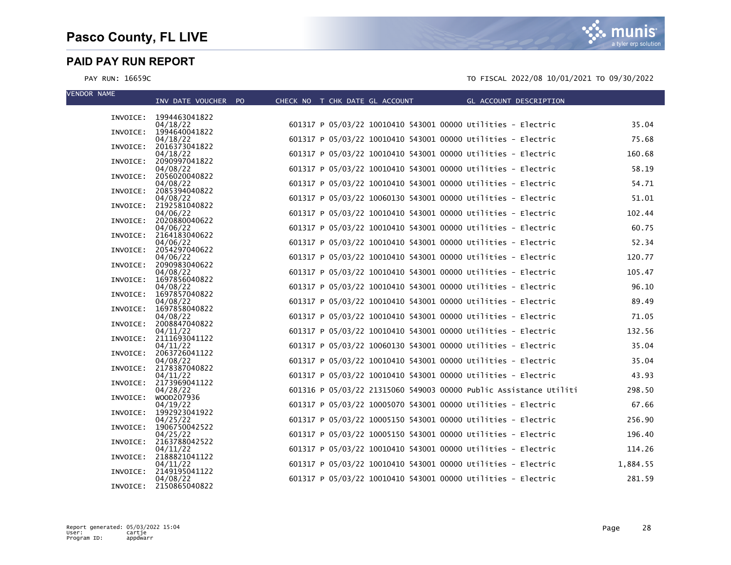| <b>VENDOR NAME</b> |                                    |                                |  |                                                                   |                        |          |
|--------------------|------------------------------------|--------------------------------|--|-------------------------------------------------------------------|------------------------|----------|
|                    | INV DATE VOUCHER PO                | CHECK NO T CHK DATE GL ACCOUNT |  |                                                                   | GL ACCOUNT DESCRIPTION |          |
|                    | INVOICE: 1994463041822             |                                |  |                                                                   |                        |          |
|                    | 04/18/22<br>INVOICE: 1994640041822 |                                |  | 601317 P 05/03/22 10010410 543001 00000 Utilities - Electric      |                        | 35.04    |
|                    | 04/18/22                           |                                |  | 601317 P 05/03/22 10010410 543001 00000 Utilities - Electric      |                        | 75.68    |
| INVOICE:           | 2016373041822<br>04/18/22          |                                |  | 601317 P 05/03/22 10010410 543001 00000 Utilities - Electric      |                        | 160.68   |
|                    | INVOICE: 2090997041822             |                                |  |                                                                   |                        |          |
| INVOICE:           | 04/08/22<br>2056020040822          |                                |  | 601317 P 05/03/22 10010410 543001 00000 Utilities - Electric      |                        | 58.19    |
|                    | 04/08/22                           |                                |  | 601317 P 05/03/22 10010410 543001 00000 Utilities - Electric      |                        | 54.71    |
|                    | INVOICE: 2085394040822<br>04/08/22 |                                |  | 601317 P 05/03/22 10060130 543001 00000 Utilities - Electric      |                        | 51.01    |
|                    | INVOICE: 2192581040822             |                                |  |                                                                   |                        |          |
|                    | 04/06/22<br>INVOICE: 2020880040622 |                                |  | 601317 P 05/03/22 10010410 543001 00000 Utilities - Electric      |                        | 102.44   |
|                    | 04/06/22                           |                                |  | 601317 P 05/03/22 10010410 543001 00000 Utilities - Electric      |                        | 60.75    |
|                    | INVOICE: 2164183040622<br>04/06/22 |                                |  | 601317 P 05/03/22 10010410 543001 00000 Utilities - Electric      |                        | 52.34    |
|                    | INVOICE: 2054297040622             |                                |  |                                                                   |                        |          |
|                    | 04/06/22<br>INVOICE: 2090983040622 |                                |  | 601317 P 05/03/22 10010410 543001 00000 Utilities - Electric      |                        | 120.77   |
|                    | 04/08/22                           |                                |  | 601317 P 05/03/22 10010410 543001 00000 Utilities - Electric      |                        | 105.47   |
|                    | INVOICE: 1697856040822<br>04/08/22 |                                |  | 601317 P 05/03/22 10010410 543001 00000 Utilities - Electric      |                        | 96.10    |
|                    | INVOICE: 1697857040822             |                                |  |                                                                   |                        |          |
|                    | 04/08/22<br>INVOICE: 1697858040822 |                                |  | 601317 P 05/03/22 10010410 543001 00000 Utilities - Electric      |                        | 89.49    |
|                    | 04/08/22                           |                                |  | 601317 P 05/03/22 10010410 543001 00000 Utilities - Electric      |                        | 71.05    |
|                    | INVOICE: 2008847040822<br>04/11/22 |                                |  | 601317 P 05/03/22 10010410 543001 00000 Utilities - Electric      |                        | 132.56   |
|                    | INVOICE: 2111693041122             |                                |  |                                                                   |                        |          |
|                    | 04/11/22<br>INVOICE: 2063726041122 |                                |  | 601317 P 05/03/22 10060130 543001 00000 Utilities - Electric      |                        | 35.04    |
|                    | 04/08/22                           |                                |  | 601317 P 05/03/22 10010410 543001 00000 Utilities - Electric      |                        | 35.04    |
|                    | INVOICE: 2178387040822<br>04/11/22 |                                |  | 601317 P 05/03/22 10010410 543001 00000 Utilities - Electric      |                        | 43.93    |
|                    | INVOICE: 2173969041122             |                                |  |                                                                   |                        |          |
|                    | 04/28/22<br>INVOICE: WOOD207936    |                                |  | 601316 P 05/03/22 21315060 549003 00000 Public Assistance Utiliti |                        | 298.50   |
|                    | 04/19/22                           |                                |  | 601317 P 05/03/22 10005070 543001 00000 Utilities - Electric      |                        | 67.66    |
| INVOICE:           | 1992923041922<br>04/25/22          |                                |  | 601317 P 05/03/22 10005150 543001 00000 Utilities - Electric      |                        | 256.90   |
|                    | INVOICE: 1906750042522             |                                |  |                                                                   |                        |          |
|                    | 04/25/22<br>INVOICE: 2163788042522 |                                |  | 601317 P 05/03/22 10005150 543001 00000 Utilities - Electric      |                        | 196.40   |
|                    | 04/11/22                           |                                |  | 601317 P 05/03/22 10010410 543001 00000 Utilities - Electric      |                        | 114.26   |
|                    | INVOICE: 2188821041122<br>04/11/22 |                                |  | 601317 P 05/03/22 10010410 543001 00000 Utilities - Electric      |                        | 1,884.55 |
|                    | INVOICE: 2149195041122             |                                |  |                                                                   |                        |          |
|                    | 04/08/22<br>INVOICE: 2150865040822 |                                |  | 601317 P 05/03/22 10010410 543001 00000 Utilities - Electric      |                        | 281.59   |

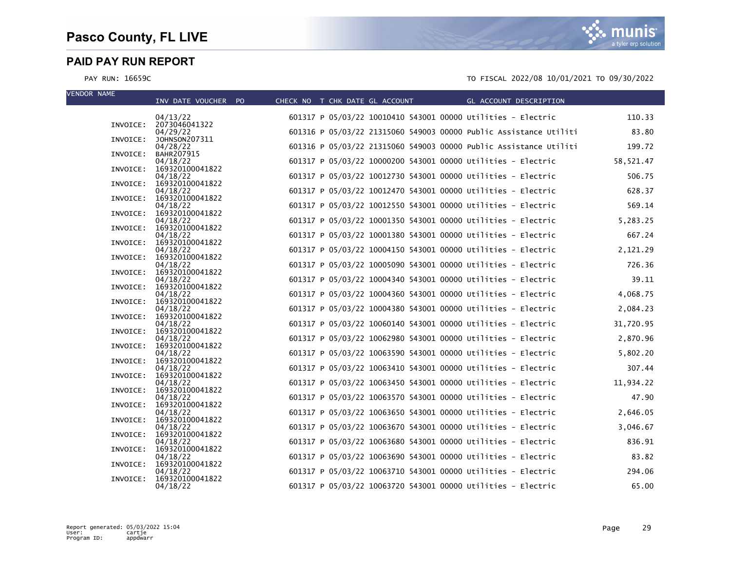| <b>VENDOR NAME</b> | INV DATE VOUCHER PO                  | CHECK NO T CHK DATE GL ACCOUNT | GL ACCOUNT DESCRIPTION                                            |           |
|--------------------|--------------------------------------|--------------------------------|-------------------------------------------------------------------|-----------|
|                    | 04/13/22                             |                                | 601317 P 05/03/22 10010410 543001 00000 Utilities - Electric      | 110.33    |
|                    | INVOICE: 2073046041322<br>04/29/22   |                                | 601316 P 05/03/22 21315060 549003 00000 Public Assistance Utiliti | 83.80     |
| INVOICE:           | JOHNSON207311<br>04/28/22            |                                | 601316 P 05/03/22 21315060 549003 00000 Public Assistance Utiliti | 199.72    |
| INVOICE:           | BAHR207915<br>04/18/22               |                                | 601317 P 05/03/22 10000200 543001 00000 Utilities - Electric      | 58,521.47 |
| INVOICE:           | 169320100041822<br>04/18/22          |                                | 601317 P 05/03/22 10012730 543001 00000 Utilities - Electric      | 506.75    |
| INVOICE:           | 169320100041822                      |                                |                                                                   |           |
|                    | 04/18/22<br>INVOICE: 169320100041822 |                                | 601317 P 05/03/22 10012470 543001 00000 Utilities - Electric      | 628.37    |
|                    | 04/18/22<br>INVOICE: 169320100041822 |                                | 601317 P 05/03/22 10012550 543001 00000 Utilities - Electric      | 569.14    |
|                    | 04/18/22<br>INVOICE: 169320100041822 |                                | 601317 P 05/03/22 10001350 543001 00000 Utilities - Electric      | 5,283.25  |
| INVOICE:           | 04/18/22<br>169320100041822          |                                | 601317 P 05/03/22 10001380 543001 00000 Utilities - Electric      | 667.24    |
|                    | 04/18/22                             |                                | 601317 P 05/03/22 10004150 543001 00000 Utilities - Electric      | 2,121.29  |
|                    | INVOICE: 169320100041822<br>04/18/22 |                                | 601317 P 05/03/22 10005090 543001 00000 Utilities - Electric      | 726.36    |
|                    | INVOICE: 169320100041822<br>04/18/22 |                                | 601317 P 05/03/22 10004340 543001 00000 Utilities - Electric      | 39.11     |
|                    | INVOICE: 169320100041822<br>04/18/22 |                                | 601317 P 05/03/22 10004360 543001 00000 Utilities - Electric      | 4,068.75  |
| INVOICE:           | 169320100041822<br>04/18/22          |                                | 601317 P 05/03/22 10004380 543001 00000 Utilities - Electric      | 2,084.23  |
|                    | INVOICE: 169320100041822             |                                |                                                                   |           |
| INVOICE:           | 04/18/22<br>169320100041822          |                                | 601317 P 05/03/22 10060140 543001 00000 Utilities - Electric      | 31,720.95 |
|                    | 04/18/22<br>INVOICE: 169320100041822 |                                | 601317 P 05/03/22 10062980 543001 00000 Utilities - Electric      | 2,870.96  |
|                    | 04/18/22<br>INVOICE: 169320100041822 |                                | 601317 P 05/03/22 10063590 543001 00000 Utilities - Electric      | 5,802.20  |
|                    | 04/18/22<br>INVOICE: 169320100041822 |                                | 601317 P 05/03/22 10063410 543001 00000 Utilities - Electric      | 307.44    |
|                    | 04/18/22                             |                                | 601317 P 05/03/22 10063450 543001 00000 Utilities - Electric      | 11,934.22 |
|                    | INVOICE: 169320100041822<br>04/18/22 |                                | 601317 P 05/03/22 10063570 543001 00000 Utilities - Electric      | 47.90     |
| INVOICE:           | 169320100041822<br>04/18/22          |                                | 601317 P 05/03/22 10063650 543001 00000 Utilities - Electric      | 2,646.05  |
|                    | INVOICE: 169320100041822<br>04/18/22 |                                | 601317 P 05/03/22 10063670 543001 00000 Utilities - Electric      | 3,046.67  |
| INVOICE:           | 169320100041822                      |                                | 601317 P 05/03/22 10063680 543001 00000 Utilities - Electric      | 836.91    |
|                    | 04/18/22<br>INVOICE: 169320100041822 |                                |                                                                   |           |
| INVOICE:           | 04/18/22<br>169320100041822          |                                | 601317 P 05/03/22 10063690 543001 00000 Utilities - Electric      | 83.82     |
| INVOICE:           | 04/18/22<br>169320100041822          |                                | 601317 P 05/03/22 10063710 543001 00000 Utilities - Electric      | 294.06    |
|                    | 04/18/22                             |                                | 601317 P 05/03/22 10063720 543001 00000 Utilities - Electric      | 65.00     |

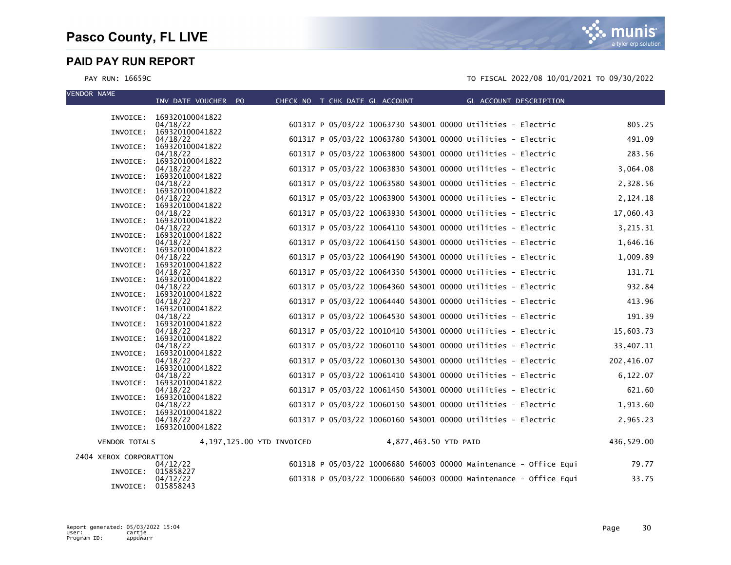**VE** 

| VENDUK NAME            | INV DATE VOUCHER PO                  | CHECK NO T CHK DATE GL ACCOUNT |  |                       | GL ACCOUNT DESCRIPTION                                            |            |
|------------------------|--------------------------------------|--------------------------------|--|-----------------------|-------------------------------------------------------------------|------------|
|                        |                                      |                                |  |                       |                                                                   |            |
| INVOICE:               | 169320100041822<br>04/18/22          |                                |  |                       | 601317 P 05/03/22 10063730 543001 00000 Utilities - Electric      | 805.25     |
| INVOICE:               | 169320100041822                      |                                |  |                       |                                                                   |            |
|                        | 04/18/22                             |                                |  |                       | 601317 P 05/03/22 10063780 543001 00000 Utilities - Electric      | 491.09     |
| INVOICE:               | 169320100041822<br>04/18/22          |                                |  |                       | 601317 P 05/03/22 10063800 543001 00000 Utilities - Electric      | 283.56     |
| INVOICE:               | 169320100041822                      |                                |  |                       |                                                                   |            |
|                        | 04/18/22<br>INVOICE: 169320100041822 |                                |  |                       | 601317 P 05/03/22 10063830 543001 00000 Utilities - Electric      | 3,064.08   |
|                        | 04/18/22                             |                                |  |                       | 601317 P 05/03/22 10063580 543001 00000 Utilities - Electric      | 2,328.56   |
|                        | INVOICE: 169320100041822             |                                |  |                       |                                                                   |            |
| INVOICE:               | 04/18/22<br>169320100041822          |                                |  |                       | 601317 P 05/03/22 10063900 543001 00000 Utilities - Electric      | 2,124.18   |
|                        | 04/18/22                             |                                |  |                       | 601317 P 05/03/22 10063930 543001 00000 Utilities - Electric      | 17,060.43  |
| INVOICE:               | 169320100041822                      |                                |  |                       | 601317 P 05/03/22 10064110 543001 00000 Utilities - Electric      |            |
| INVOICE:               | 04/18/22<br>169320100041822          |                                |  |                       |                                                                   | 3,215.31   |
|                        | 04/18/22                             |                                |  |                       | 601317 P 05/03/22 10064150 543001 00000 Utilities - Electric      | 1,646.16   |
|                        | INVOICE: 169320100041822<br>04/18/22 |                                |  |                       | 601317 P 05/03/22 10064190 543001 00000 Utilities - Electric      | 1,009.89   |
| INVOICE:               | 169320100041822                      |                                |  |                       |                                                                   |            |
|                        | 04/18/22                             |                                |  |                       | 601317 P 05/03/22 10064350 543001 00000 Utilities - Electric      | 131.71     |
|                        | INVOICE: 169320100041822<br>04/18/22 |                                |  |                       | 601317 P 05/03/22 10064360 543001 00000 Utilities - Electric      | 932.84     |
| INVOICE:               | 169320100041822                      |                                |  |                       |                                                                   |            |
| INVOICE:               | 04/18/22<br>169320100041822          |                                |  |                       | 601317 P 05/03/22 10064440 543001 00000 Utilities - Electric      | 413.96     |
|                        | 04/18/22                             |                                |  |                       | 601317 P 05/03/22 10064530 543001 00000 Utilities - Electric      | 191.39     |
|                        | INVOICE: 169320100041822             |                                |  |                       |                                                                   |            |
| INVOICE:               | 04/18/22<br>169320100041822          |                                |  |                       | 601317 P 05/03/22 10010410 543001 00000 Utilities - Electric      | 15,603.73  |
|                        | 04/18/22                             |                                |  |                       | 601317 P 05/03/22 10060110 543001 00000 Utilities - Electric      | 33,407.11  |
| INVOICE:               | 169320100041822<br>04/18/22          |                                |  |                       | 601317 P 05/03/22 10060130 543001 00000 Utilities - Electric      | 202,416.07 |
| INVOICE:               | 169320100041822                      |                                |  |                       |                                                                   |            |
|                        | 04/18/22                             |                                |  |                       | 601317 P 05/03/22 10061410 543001 00000 Utilities - Electric      | 6,122.07   |
|                        | INVOICE: 169320100041822<br>04/18/22 |                                |  |                       | 601317 P 05/03/22 10061450 543001 00000 Utilities - Electric      | 621.60     |
|                        | INVOICE: 169320100041822             |                                |  |                       |                                                                   |            |
|                        | 04/18/22<br>169320100041822          |                                |  |                       | 601317 P 05/03/22 10060150 543001 00000 Utilities - Electric      | 1,913.60   |
| INVOICE:               | 04/18/22                             |                                |  |                       | 601317 P 05/03/22 10060160 543001 00000 Utilities - Electric      | 2,965.23   |
|                        | INVOICE: 169320100041822             |                                |  |                       |                                                                   |            |
| <b>VENDOR TOTALS</b>   |                                      | 4,197,125.00 YTD INVOICED      |  | 4,877,463.50 YTD PAID |                                                                   | 436,529.00 |
|                        |                                      |                                |  |                       |                                                                   |            |
| 2404 XEROX CORPORATION | 04/12/22                             |                                |  |                       | 601318 P 05/03/22 10006680 546003 00000 Maintenance - Office Equi | 79.77      |
|                        | INVOICE: 015858227                   |                                |  |                       |                                                                   |            |
|                        | 04/12/22                             |                                |  |                       | 601318 P 05/03/22 10006680 546003 00000 Maintenance - Office Equi | 33.75      |
|                        | INVOICE: 015858243                   |                                |  |                       |                                                                   |            |

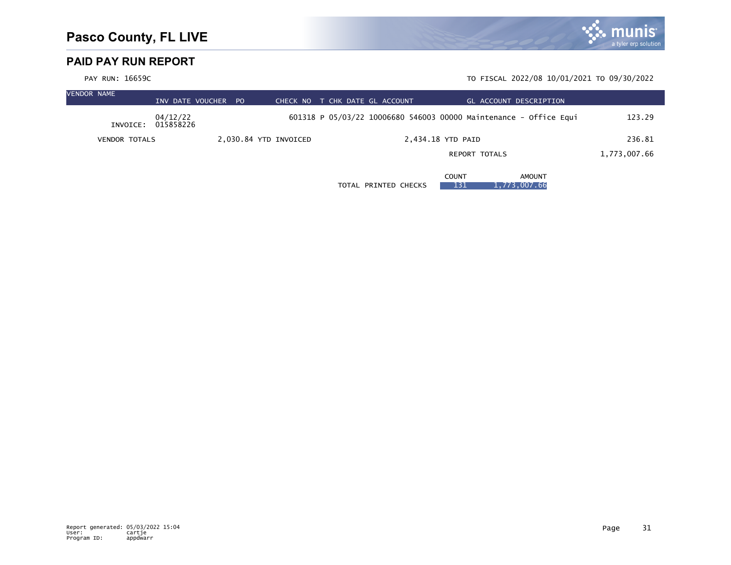

| <b>VENDOR NAME</b> |                      | INV DATE VOUCHER PO   | CHECK NO              | T CHK DATE GL ACCOUNT |                      | GL ACCOUNT DESCRIPTION                                            |              |
|--------------------|----------------------|-----------------------|-----------------------|-----------------------|----------------------|-------------------------------------------------------------------|--------------|
|                    | INVOICE:             | 04/12/22<br>015858226 |                       |                       |                      | 601318 P 05/03/22 10006680 546003 00000 Maintenance - Office Equi | 123.29       |
|                    | <b>VENDOR TOTALS</b> |                       | 2,030.84 YTD INVOICED |                       |                      | 2,434.18 YTD PAID                                                 | 236.81       |
|                    |                      |                       |                       |                       |                      | <b>REPORT TOTALS</b>                                              | 1,773,007.66 |
|                    |                      |                       |                       |                       | TOTAL PRINTED CHECKS | COUNT<br>AMOUNT<br>1,773,007.66<br>131                            |              |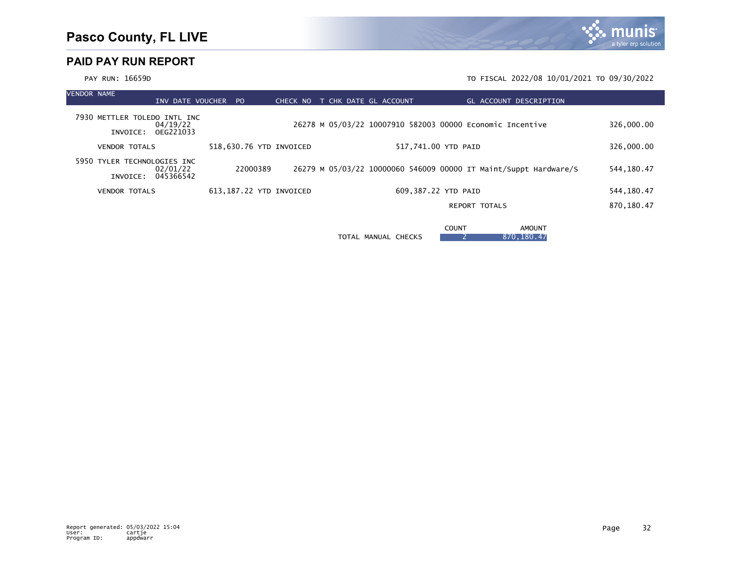

| <b>VENDOR NAME</b> |                                          |                       | INV DATE VOUCHER | - PO                    | CHECK NO |  | T CHK DATE GL ACCOUNT |  |                     | <b>GL ACCOUNT DESCRIPTION</b>                                    |                               |  |             |
|--------------------|------------------------------------------|-----------------------|------------------|-------------------------|----------|--|-----------------------|--|---------------------|------------------------------------------------------------------|-------------------------------|--|-------------|
|                    | 7930 METTLER TOLEDO INTL INC<br>INVOICE: | 04/19/22<br>OEG221033 |                  |                         |          |  |                       |  |                     | 26278 M 05/03/22 10007910 582003 00000 Economic Incentive        |                               |  | 326,000.00  |
|                    | <b>VENDOR TOTALS</b>                     |                       |                  | 518,630.76 YTD INVOICED |          |  |                       |  | 517,741.00 YTD PAID |                                                                  |                               |  | 326,000.00  |
|                    | 5950 TYLER TECHNOLOGIES INC<br>INVOICE:  | 02/01/22<br>045366542 |                  | 22000389                |          |  |                       |  |                     | 26279 M 05/03/22 10000060 546009 00000 IT Maint/Suppt Hardware/S |                               |  | 544, 180.47 |
|                    | <b>VENDOR TOTALS</b>                     |                       |                  | 613,187.22 YTD INVOICED |          |  |                       |  | 609,387.22 YTD PAID |                                                                  |                               |  | 544, 180.47 |
|                    |                                          |                       |                  |                         |          |  |                       |  |                     | <b>REPORT TOTALS</b>                                             |                               |  | 870,180.47  |
|                    |                                          |                       |                  |                         |          |  | TOTAL MANUAL CHECKS   |  | <b>COUNT</b>        |                                                                  | <b>AMOUNT</b><br>870, 180. 47 |  |             |

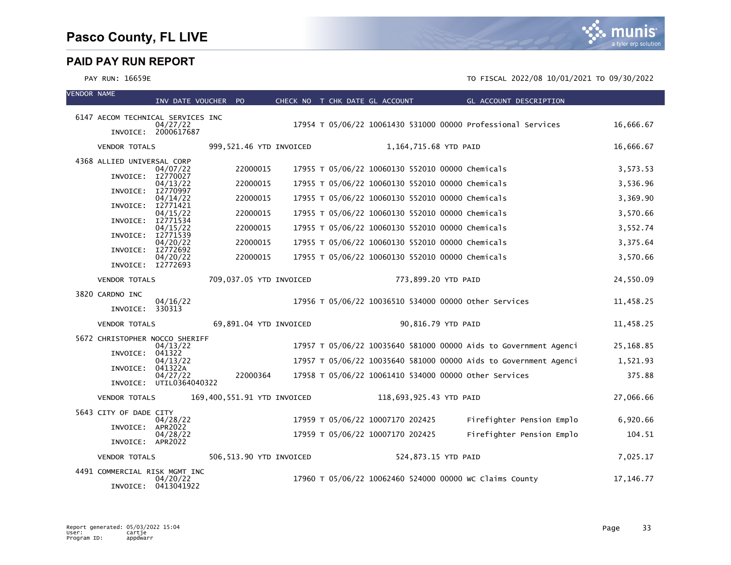mı a tyler erp solution

| <b>VENDOR NAME</b> |                                   | INV DATE VOUCHER PO             |                             | CHECK NO T CHK DATE GL ACCOUNT |                                  |                         | <b>Example 2018 GL ACCOUNT DESCRIPTION</b>                       |             |
|--------------------|-----------------------------------|---------------------------------|-----------------------------|--------------------------------|----------------------------------|-------------------------|------------------------------------------------------------------|-------------|
|                    |                                   |                                 |                             |                                |                                  |                         |                                                                  |             |
|                    | 6147 AECOM TECHNICAL SERVICES INC | 04/27/22                        |                             |                                |                                  |                         | 17954 T 05/06/22 10061430 531000 00000 Professional Services     | 16,666.67   |
|                    |                                   | INVOICE: 2000617687             |                             |                                |                                  |                         |                                                                  |             |
|                    | <b>VENDOR TOTALS</b>              |                                 | 999,521.46 YTD INVOICED     |                                |                                  | 1,164,715.68 YTD PAID   |                                                                  | 16,666.67   |
|                    | 4368 ALLIED UNIVERSAL CORP        | 04/07/22                        | 22000015                    |                                |                                  |                         | 17955 T 05/06/22 10060130 552010 00000 Chemicals                 | 3,573.53    |
|                    | INVOICE: I2770027                 |                                 |                             |                                |                                  |                         |                                                                  |             |
|                    | INVOICE:                          | 04/13/22<br>I2770997            | 22000015                    |                                |                                  |                         | 17955 T 05/06/22 10060130 552010 00000 Chemicals                 | 3,536.96    |
|                    | INVOICE:                          | 04/14/22<br>I2771421            | 22000015                    |                                |                                  |                         | 17955 T 05/06/22 10060130 552010 00000 Chemicals                 | 3,369.90    |
|                    | INVOICE: I2771534                 | 04/15/22                        | 22000015                    |                                |                                  |                         | 17955 T 05/06/22 10060130 552010 00000 Chemicals                 | 3,570.66    |
|                    | INVOICE:                          | 04/15/22<br>I2771539            | 22000015                    |                                |                                  |                         | 17955 T 05/06/22 10060130 552010 00000 Chemicals                 | 3,552.74    |
|                    |                                   | 04/20/22                        | 22000015                    |                                |                                  |                         | 17955 T 05/06/22 10060130 552010 00000 Chemicals                 | 3,375.64    |
|                    | INVOICE: I2772692                 | 04/20/22                        | 22000015                    |                                |                                  |                         | 17955 T 05/06/22 10060130 552010 00000 Chemicals                 | 3,570.66    |
|                    | INVOICE: I2772693                 |                                 |                             |                                |                                  |                         |                                                                  |             |
|                    | <b>VENDOR TOTALS</b>              |                                 | 709,037.05 YTD INVOICED     |                                |                                  | 773,899.20 YTD PAID     |                                                                  | 24,550.09   |
|                    | 3820 CARDNO INC                   | 04/16/22                        |                             |                                |                                  |                         | 17956 T 05/06/22 10036510 534000 00000 other Services            | 11,458.25   |
|                    | INVOICE: 330313                   |                                 |                             |                                |                                  |                         |                                                                  |             |
|                    | <b>VENDOR TOTALS</b>              |                                 | 69,891.04 YTD INVOICED      |                                |                                  | 90,816.79 YTD PAID      |                                                                  | 11,458.25   |
|                    | 5672 CHRISTOPHER NOCCO SHERIFF    |                                 |                             |                                |                                  |                         |                                                                  |             |
|                    | INVOICE: 041322                   | 04/13/22                        |                             |                                |                                  |                         | 17957 T 05/06/22 10035640 581000 00000 Aids to Government Agenci | 25,168.85   |
|                    | INVOICE: 041322A                  | 04/13/22                        |                             |                                |                                  |                         | 17957 T 05/06/22 10035640 581000 00000 Aids to Government Agenci | 1,521.93    |
|                    |                                   | 04/27/22                        | 22000364                    |                                |                                  |                         | 17958 T 05/06/22 10061410 534000 00000 other Services            | 375.88      |
|                    |                                   | INVOICE: UTIL0364040322         |                             |                                |                                  |                         |                                                                  |             |
|                    | <b>VENDOR TOTALS</b>              |                                 | 169,400,551.91 YTD INVOICED |                                |                                  | 118,693,925.43 YTD PAID |                                                                  | 27,066.66   |
|                    | 5643 CITY OF DADE CITY            | 04/28/22                        |                             |                                | 17959 T 05/06/22 10007170 202425 |                         | Firefighter Pension Emplo                                        | 6,920.66    |
|                    | INVOICE: APR2022                  | 04/28/22                        |                             |                                | 17959 T 05/06/22 10007170 202425 |                         | Firefighter Pension Emplo                                        | 104.51      |
|                    | INVOICE: APR2022                  |                                 |                             |                                |                                  |                         |                                                                  |             |
|                    | <b>VENDOR TOTALS</b>              |                                 | 506.513.90 YTD INVOICED     |                                |                                  | 524,873.15 YTD PAID     |                                                                  | 7,025.17    |
|                    | 4491 COMMERCIAL RISK MGMT INC     |                                 |                             |                                |                                  |                         |                                                                  |             |
|                    |                                   | 04/20/22<br>INVOICE: 0413041922 |                             |                                |                                  |                         | 17960 T 05/06/22 10062460 524000 00000 WC Claims County          | 17, 146. 77 |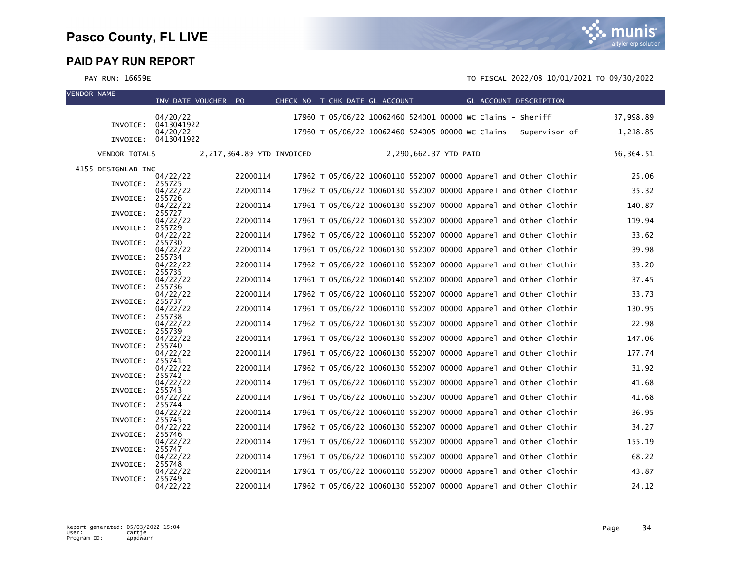| <b>VENDOR NAME</b> |                      | INV DATE VOUCHER PO    |                           | CHECK NO T CHK DATE GL ACCOUNT |  |                       | GL ACCOUNT DESCRIPTION                                           |  |           |
|--------------------|----------------------|------------------------|---------------------------|--------------------------------|--|-----------------------|------------------------------------------------------------------|--|-----------|
|                    |                      | 04/20/22               |                           |                                |  |                       | 17960 T 05/06/22 10062460 524001 00000 WC Claims - Sheriff       |  | 37,998.89 |
|                    | INVOICE:             | 0413041922<br>04/20/22 |                           |                                |  |                       | 17960 T 05/06/22 10062460 524005 00000 WC Claims - Supervisor of |  | 1,218.85  |
|                    | INVOICE:             | 0413041922             |                           |                                |  |                       |                                                                  |  |           |
|                    | <b>VENDOR TOTALS</b> |                        | 2,217,364.89 YTD INVOICED |                                |  | 2,290,662.37 YTD PAID |                                                                  |  | 56,364.51 |
|                    | 4155 DESIGNLAB INC   |                        |                           |                                |  |                       |                                                                  |  |           |
|                    | INVOICE:             | 04/22/22<br>255725     | 22000114                  |                                |  |                       | 17962 T 05/06/22 10060110 552007 00000 Apparel and Other Clothin |  | 25.06     |
|                    | INVOICE:             | 04/22/22<br>255726     | 22000114                  |                                |  |                       | 17962 T 05/06/22 10060130 552007 00000 Apparel and Other Clothin |  | 35.32     |
|                    | INVOICE:             | 04/22/22<br>255727     | 22000114                  |                                |  |                       | 17961 T 05/06/22 10060130 552007 00000 Apparel and Other Clothin |  | 140.87    |
|                    | INVOICE:             | 04/22/22<br>255729     | 22000114                  |                                |  |                       | 17961 T 05/06/22 10060130 552007 00000 Apparel and Other Clothin |  | 119.94    |
|                    |                      | 04/22/22               | 22000114                  |                                |  |                       | 17962 T 05/06/22 10060110 552007 00000 Apparel and Other Clothin |  | 33.62     |
|                    | INVOICE:             | 255730<br>04/22/22     | 22000114                  |                                |  |                       | 17961 T 05/06/22 10060130 552007 00000 Apparel and Other Clothin |  | 39.98     |
|                    | INVOICE:             | 255734<br>04/22/22     | 22000114                  |                                |  |                       | 17962 T 05/06/22 10060110 552007 00000 Apparel and Other Clothin |  | 33.20     |
|                    | INVOICE:             | 255735<br>04/22/22     | 22000114                  |                                |  |                       | 17961 T 05/06/22 10060140 552007 00000 Apparel and Other Clothin |  | 37.45     |
|                    | INVOICE:             | 255736                 |                           |                                |  |                       | 17962 T 05/06/22 10060110 552007 00000 Apparel and Other Clothin |  |           |
|                    | INVOICE:             | 04/22/22<br>255737     | 22000114                  |                                |  |                       |                                                                  |  | 33.73     |
|                    | INVOICE:             | 04/22/22<br>255738     | 22000114                  |                                |  |                       | 17961 T 05/06/22 10060110 552007 00000 Apparel and Other Clothin |  | 130.95    |
|                    | INVOICE:             | 04/22/22<br>255739     | 22000114                  |                                |  |                       | 17962 T 05/06/22 10060130 552007 00000 Apparel and Other Clothin |  | 22.98     |
|                    | INVOICE:             | 04/22/22<br>255740     | 22000114                  |                                |  |                       | 17961 T 05/06/22 10060130 552007 00000 Apparel and Other Clothin |  | 147.06    |
|                    |                      | 04/22/22               | 22000114                  |                                |  |                       | 17961 T 05/06/22 10060130 552007 00000 Apparel and Other Clothin |  | 177.74    |
|                    | INVOICE:             | 255741<br>04/22/22     | 22000114                  |                                |  |                       | 17962 T 05/06/22 10060130 552007 00000 Apparel and Other Clothin |  | 31.92     |
|                    | INVOICE:             | 255742<br>04/22/22     | 22000114                  |                                |  |                       | 17961 T 05/06/22 10060110 552007 00000 Apparel and Other Clothin |  | 41.68     |
|                    | INVOICE:             | 255743<br>04/22/22     | 22000114                  |                                |  |                       | 17961 T 05/06/22 10060110 552007 00000 Apparel and Other Clothin |  | 41.68     |
|                    | INVOICE:             | 255744<br>04/22/22     | 22000114                  |                                |  |                       | 17961 T 05/06/22 10060110 552007 00000 Apparel and Other Clothin |  | 36.95     |
|                    | INVOICE:             | 255745                 |                           |                                |  |                       |                                                                  |  |           |
|                    | INVOICE:             | 04/22/22<br>255746     | 22000114                  |                                |  |                       | 17962 T 05/06/22 10060130 552007 00000 Apparel and Other Clothin |  | 34.27     |
|                    | INVOICE:             | 04/22/22<br>255747     | 22000114                  |                                |  |                       | 17961 T 05/06/22 10060110 552007 00000 Apparel and Other Clothin |  | 155.19    |
|                    | INVOICE:             | 04/22/22<br>255748     | 22000114                  |                                |  |                       | 17961 T 05/06/22 10060110 552007 00000 Apparel and Other Clothin |  | 68.22     |
|                    |                      | 04/22/22<br>255749     | 22000114                  |                                |  |                       | 17961 T 05/06/22 10060110 552007 00000 Apparel and Other Clothin |  | 43.87     |
|                    | INVOICE:             | 04/22/22               | 22000114                  |                                |  |                       | 17962 T 05/06/22 10060130 552007 00000 Apparel and Other Clothin |  | 24.12     |

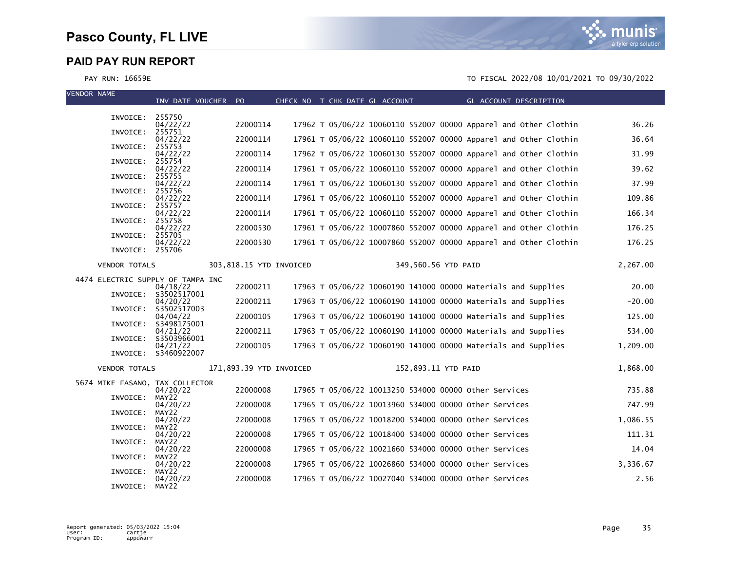

| VENDOR NAME |                      | INV DATE VOUCHER PO                           |                         |  | CHECK NO T CHK DATE GL ACCOUNT |                                                                  | GL ACCOUNT DESCRIPTION |          |
|-------------|----------------------|-----------------------------------------------|-------------------------|--|--------------------------------|------------------------------------------------------------------|------------------------|----------|
|             | INVOICE: 255750      |                                               |                         |  |                                |                                                                  |                        |          |
|             |                      | 04/22/22                                      | 22000114                |  |                                | 17962 T 05/06/22 10060110 552007 00000 Apparel and Other Clothin |                        | 36.26    |
|             | INVOICE:             | 255751<br>04/22/22                            | 22000114                |  |                                | 17961 T 05/06/22 10060110 552007 00000 Apparel and Other Clothin |                        | 36.64    |
|             | INVOICE:             | 255753<br>04/22/22                            | 22000114                |  |                                | 17962 T 05/06/22 10060130 552007 00000 Apparel and Other Clothin |                        | 31.99    |
|             | INVOICE:             | 255754<br>04/22/22                            | 22000114                |  |                                | 17961 T 05/06/22 10060110 552007 00000 Apparel and Other Clothin |                        | 39.62    |
|             | INVOICE:             | 255755<br>04/22/22                            | 22000114                |  |                                | 17961 T 05/06/22 10060130 552007 00000 Apparel and Other Clothin |                        | 37.99    |
|             | INVOICE:             | 255756                                        |                         |  |                                |                                                                  |                        |          |
|             | INVOICE:             | 04/22/22<br>255757                            | 22000114                |  |                                | 17961 T 05/06/22 10060110 552007 00000 Apparel and Other Clothin |                        | 109.86   |
|             | INVOICE:             | 04/22/22<br>255758                            | 22000114                |  |                                | 17961 T 05/06/22 10060110 552007 00000 Apparel and Other Clothin |                        | 166.34   |
|             | INVOICE:             | 04/22/22<br>255705                            | 22000530                |  |                                | 17961 T 05/06/22 10007860 552007 00000 Apparel and Other Clothin |                        | 176.25   |
|             | INVOICE: 255706      | 04/22/22                                      | 22000530                |  |                                | 17961 T 05/06/22 10007860 552007 00000 Apparel and Other Clothin |                        | 176.25   |
|             |                      |                                               |                         |  |                                |                                                                  |                        |          |
|             | <b>VENDOR TOTALS</b> |                                               | 303,818.15 YTD INVOICED |  |                                | 349,560.56 YTD PAID                                              |                        | 2,267.00 |
|             |                      | 4474 ELECTRIC SUPPLY OF TAMPA INC<br>04/18/22 | 22000211                |  |                                | 17963 T 05/06/22 10060190 141000 00000 Materials and Supplies    |                        | 20.00    |
|             |                      | INVOICE: S3502517001<br>04/20/22              | 22000211                |  |                                | 17963 T 05/06/22 10060190 141000 00000 Materials and Supplies    |                        | $-20.00$ |
|             | INVOICE:             | \$3502517003<br>04/04/22                      | 22000105                |  |                                | 17963 T 05/06/22 10060190 141000 00000 Materials and Supplies    |                        | 125.00   |
|             | INVOICE:             | S3498175001                                   |                         |  |                                |                                                                  |                        |          |
|             |                      | 04/21/22<br>INVOICE: S3503966001              | 22000211                |  |                                | 17963 T 05/06/22 10060190 141000 00000 Materials and Supplies    |                        | 534.00   |
|             |                      | 04/21/22<br>INVOICE: S3460922007              | 22000105                |  |                                | 17963 T 05/06/22 10060190 141000 00000 Materials and Supplies    |                        | 1,209.00 |
|             | <b>VENDOR TOTALS</b> |                                               | 171,893.39 YTD INVOICED |  |                                | 152,893.11 YTD PAID                                              |                        | 1,868.00 |
|             |                      | 5674 MIKE FASANO, TAX COLLECTOR               |                         |  |                                |                                                                  |                        |          |
|             | INVOICE:             | 04/20/22<br>MAY22                             | 22000008                |  |                                | 17965 T 05/06/22 10013250 534000 00000 Other Services            |                        | 735.88   |
|             | INVOICE:             | 04/20/22<br>MAY22                             | 22000008                |  |                                | 17965 T 05/06/22 10013960 534000 00000 other Services            |                        | 747.99   |
|             |                      | 04/20/22                                      | 22000008                |  |                                | 17965 T 05/06/22 10018200 534000 00000 other Services            |                        | 1,086.55 |
|             | INVOICE:             | MAY22<br>04/20/22                             | 22000008                |  |                                | 17965 T 05/06/22 10018400 534000 00000 other Services            |                        | 111.31   |
|             | INVOICE:             | MAY22<br>04/20/22                             | 22000008                |  |                                | 17965 T 05/06/22 10021660 534000 00000 other Services            |                        | 14.04    |
|             | INVOICE:             | MAY22<br>04/20/22                             | 22000008                |  |                                | 17965 T 05/06/22 10026860 534000 00000 Other Services            |                        | 3,336.67 |
|             | INVOICE:             | MAY22<br>04/20/22                             | 22000008                |  |                                | 17965 T 05/06/22 10027040 534000 00000 other Services            |                        | 2.56     |
|             | INVOICE:             | MAY22                                         |                         |  |                                |                                                                  |                        |          |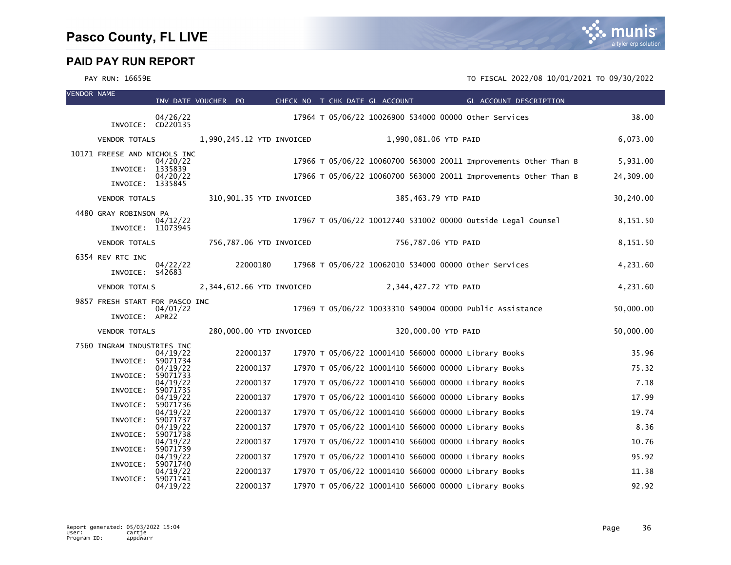| <b>VENDOR NAME</b> |                                | INV DATE VOUCHER PO  |          |                           | CHECK NO T CHK DATE GL ACCOUNT                        |                       |  | GL ACCOUNT DESCRIPTION                                           |           |
|--------------------|--------------------------------|----------------------|----------|---------------------------|-------------------------------------------------------|-----------------------|--|------------------------------------------------------------------|-----------|
|                    | INVOICE: CD220135              | 04/26/22             |          |                           | 17964 T 05/06/22 10026900 534000 00000 other Services |                       |  |                                                                  | 38.00     |
|                    |                                |                      |          |                           |                                                       |                       |  |                                                                  |           |
|                    | <b>VENDOR TOTALS</b>           |                      |          | 1,990,245.12 YTD INVOICED |                                                       | 1,990,081.06 YTD PAID |  |                                                                  | 6,073.00  |
|                    | 10171 FREESE AND NICHOLS INC   | 04/20/22             |          |                           |                                                       |                       |  | 17966 T 05/06/22 10060700 563000 20011 Improvements Other Than B | 5,931.00  |
|                    | INVOICE: 1335839               | 04/20/22             |          |                           |                                                       |                       |  | 17966 T 05/06/22 10060700 563000 20011 Improvements Other Than B | 24,309.00 |
|                    | INVOICE: 1335845               |                      |          |                           |                                                       |                       |  |                                                                  |           |
|                    | <b>VENDOR TOTALS</b>           |                      |          | 310,901.35 YTD INVOICED   |                                                       | 385,463.79 YTD PAID   |  |                                                                  | 30,240.00 |
|                    | 4480 GRAY ROBINSON PA          | 04/12/22             |          |                           |                                                       |                       |  | 17967 T 05/06/22 10012740 531002 00000 Outside Legal Counsel     | 8,151.50  |
|                    | INVOICE: 11073945              |                      |          |                           |                                                       |                       |  |                                                                  |           |
|                    | <b>VENDOR TOTALS</b>           |                      |          | 756,787.06 YTD INVOICED   |                                                       | 756,787.06 YTD PAID   |  |                                                                  | 8,151.50  |
|                    | 6354 REV RTC INC               | 04/22/22             | 22000180 |                           | 17968 T 05/06/22 10062010 534000 00000 other Services |                       |  |                                                                  | 4,231.60  |
|                    | INVOICE: S42683                |                      |          |                           |                                                       |                       |  |                                                                  |           |
|                    | <b>VENDOR TOTALS</b>           |                      |          | 2,344,612.66 YTD INVOICED |                                                       | 2,344,427.72 YTD PAID |  |                                                                  | 4,231.60  |
|                    | 9857 FRESH START FOR PASCO INC | 04/01/22             |          |                           |                                                       |                       |  | 17969 T 05/06/22 10033310 549004 00000 Public Assistance         | 50,000.00 |
|                    | INVOICE: APR22                 |                      |          |                           |                                                       |                       |  |                                                                  |           |
|                    | <b>VENDOR TOTALS</b>           |                      |          | 280,000.00 YTD INVOICED   |                                                       | 320,000.00 YTD PAID   |  |                                                                  | 50,000.00 |
|                    | 7560 INGRAM INDUSTRIES INC     | 04/19/22             | 22000137 |                           | 17970 T 05/06/22 10001410 566000 00000 Library Books  |                       |  |                                                                  | 35.96     |
|                    | INVOICE:                       | 59071734<br>04/19/22 | 22000137 |                           | 17970 T 05/06/22 10001410 566000 00000 Library Books  |                       |  |                                                                  | 75.32     |
|                    | INVOICE:                       | 59071733<br>04/19/22 | 22000137 |                           | 17970 T 05/06/22 10001410 566000 00000 Library Books  |                       |  |                                                                  | 7.18      |
|                    | INVOICE:                       | 59071735<br>04/19/22 | 22000137 |                           | 17970 T 05/06/22 10001410 566000 00000 Library Books  |                       |  |                                                                  | 17.99     |
|                    | INVOICE:                       | 59071736<br>04/19/22 | 22000137 |                           | 17970 T 05/06/22 10001410 566000 00000 Library Books  |                       |  |                                                                  | 19.74     |
|                    | INVOICE:                       | 59071737<br>04/19/22 | 22000137 |                           | 17970 T 05/06/22 10001410 566000 00000 Library Books  |                       |  |                                                                  | 8.36      |
|                    | INVOICE:                       | 59071738             | 22000137 |                           | 17970 T 05/06/22 10001410 566000 00000 Library Books  |                       |  |                                                                  | 10.76     |
|                    | INVOICE:                       | 04/19/22<br>59071739 |          |                           |                                                       |                       |  |                                                                  |           |
|                    | INVOICE:                       | 04/19/22<br>59071740 | 22000137 |                           | 17970 T 05/06/22 10001410 566000 00000 Library Books  |                       |  |                                                                  | 95.92     |
|                    | INVOICE:                       | 04/19/22<br>59071741 | 22000137 |                           | 17970 T 05/06/22 10001410 566000 00000 Library Books  |                       |  |                                                                  | 11.38     |
|                    |                                | 04/19/22             | 22000137 |                           | 17970 T 05/06/22 10001410 566000 00000 Library Books  |                       |  |                                                                  | 92.92     |

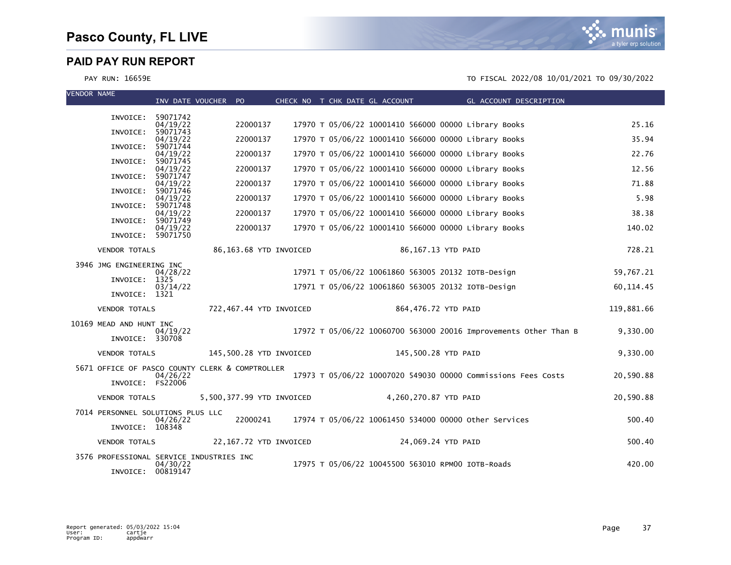

| <b>VENDOR NAME</b> |                          | INV DATE VOUCHER PO                                  |                           |  | CHECK NO T CHK DATE GL ACCOUNT | GL ACCOUNT DESCRIPTION                                           |            |
|--------------------|--------------------------|------------------------------------------------------|---------------------------|--|--------------------------------|------------------------------------------------------------------|------------|
|                    | INVOICE: 59071742        |                                                      |                           |  |                                |                                                                  |            |
|                    |                          | 04/19/22                                             | 22000137                  |  |                                | 17970 T 05/06/22 10001410 566000 00000 Library Books             | 25.16      |
|                    | INVOICE:                 | 59071743<br>04/19/22                                 | 22000137                  |  |                                | 17970 T 05/06/22 10001410 566000 00000 Library Books             | 35.94      |
|                    | INVOICE:                 | 59071744<br>04/19/22                                 | 22000137                  |  |                                | 17970 T 05/06/22 10001410 566000 00000 Library Books             | 22.76      |
|                    | INVOICE:                 | 59071745<br>04/19/22                                 | 22000137                  |  |                                | 17970 T 05/06/22 10001410 566000 00000 Library Books             | 12.56      |
|                    | INVOICE:                 | 59071747                                             |                           |  |                                |                                                                  |            |
|                    | INVOICE:                 | 04/19/22<br>59071746                                 | 22000137                  |  |                                | 17970 T 05/06/22 10001410 566000 00000 Library Books             | 71.88      |
|                    | INVOICE:                 | 04/19/22<br>59071748                                 | 22000137                  |  |                                | 17970 T 05/06/22 10001410 566000 00000 Library Books             | 5.98       |
|                    |                          | 04/19/22                                             | 22000137                  |  |                                | 17970 T 05/06/22 10001410 566000 00000 Library Books             | 38.38      |
|                    | INVOICE:                 | 59071749<br>04/19/22                                 | 22000137                  |  |                                | 17970 T 05/06/22 10001410 566000 00000 Library Books             | 140.02     |
|                    | INVOICE: 59071750        |                                                      |                           |  |                                |                                                                  |            |
|                    | <b>VENDOR TOTALS</b>     |                                                      | 86,163.68 YTD INVOICED    |  |                                | 86,167.13 YTD PAID                                               | 728.21     |
|                    | 3946 JMG ENGINEERING INC |                                                      |                           |  |                                |                                                                  |            |
|                    | INVOICE: 1325            | 04/28/22                                             |                           |  |                                | 17971 T 05/06/22 10061860 563005 20132 IOTB-Design               | 59,767.21  |
|                    | INVOICE: 1321            | 03/14/22                                             |                           |  |                                | 17971 T 05/06/22 10061860 563005 20132 IOTB-Design               | 60, 114.45 |
|                    |                          |                                                      |                           |  |                                |                                                                  |            |
|                    | <b>VENDOR TOTALS</b>     |                                                      | 722,467.44 YTD INVOICED   |  |                                | 864,476.72 YTD PAID                                              | 119,881.66 |
|                    | 10169 MEAD AND HUNT INC  | 04/19/22                                             |                           |  |                                | 17972 T 05/06/22 10060700 563000 20016 Improvements Other Than B | 9,330.00   |
|                    | INVOICE: 330708          |                                                      |                           |  |                                |                                                                  |            |
|                    | <b>VENDOR TOTALS</b>     |                                                      | 145,500.28 YTD INVOICED   |  |                                | 145,500.28 YTD PAID                                              | 9,330.00   |
|                    |                          | 5671 OFFICE OF PASCO COUNTY CLERK & COMPTROLLER      |                           |  |                                |                                                                  |            |
|                    | INVOICE: FS22006         | 04/26/22                                             |                           |  |                                | 17973 T 05/06/22 10007020 549030 00000 Commissions Fees Costs    | 20,590.88  |
|                    | <b>VENDOR TOTALS</b>     |                                                      | 5,500,377.99 YTD INVOICED |  | 4,260,270.87 YTD PAID          |                                                                  | 20,590.88  |
|                    |                          | 7014 PERSONNEL SOLUTIONS PLUS LLC                    |                           |  |                                |                                                                  |            |
|                    | INVOICE: 108348          | 04/26/22                                             | 22000241                  |  |                                | 17974 T 05/06/22 10061450 534000 00000 other Services            | 500.40     |
|                    |                          |                                                      |                           |  |                                |                                                                  |            |
|                    | <b>VENDOR TOTALS</b>     |                                                      | 22,167.72 YTD INVOICED    |  |                                | 24,069.24 YTD PAID                                               | 500.40     |
|                    |                          | 3576 PROFESSIONAL SERVICE INDUSTRIES INC<br>04/30/22 |                           |  |                                | 17975 T 05/06/22 10045500 563010 RPM00 IOTB-Roads                | 420.00     |
|                    | INVOICE: 00819147        |                                                      |                           |  |                                |                                                                  |            |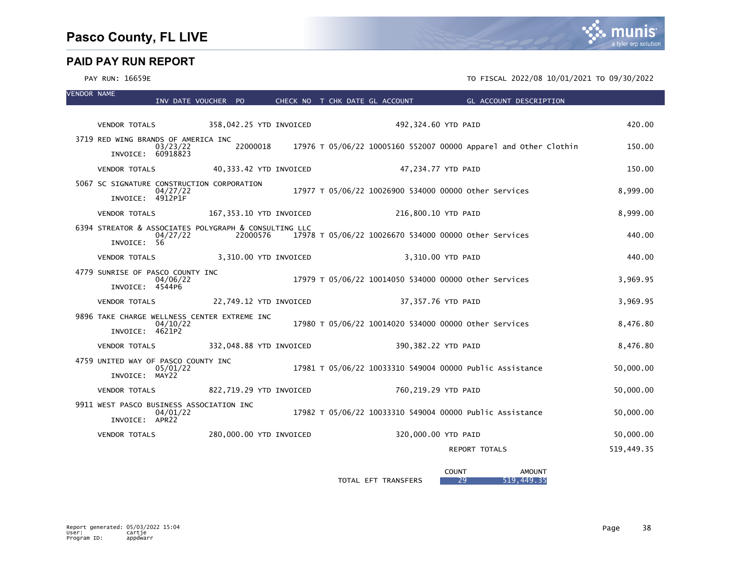### PAY RUN: 16659E TO FISCAL 2022/08 10/01/2021 TO 09/30/2022

| <b>VENDOR NAME</b> |                                                                      |          |          |                         |  | INV DATE VOUCHER PO  CHECK NO T CHK DATE GL ACCOUNT      |                     | <b>Example 2018 GL ACCOUNT DESCRIPTION</b> |                                                                           |            |
|--------------------|----------------------------------------------------------------------|----------|----------|-------------------------|--|----------------------------------------------------------|---------------------|--------------------------------------------|---------------------------------------------------------------------------|------------|
|                    |                                                                      |          |          |                         |  |                                                          |                     |                                            |                                                                           |            |
|                    | <b>VENDOR TOTALS</b>                                                 |          |          |                         |  | 358,042.25 YTD INVOICED 492,324.60 YTD PAID              |                     |                                            |                                                                           | 420.00     |
|                    | 3719 RED WING BRANDS OF AMERICA INC<br>INVOICE: 60918823             | 03/23/22 |          |                         |  |                                                          |                     |                                            | 22000018 17976 T 05/06/22 10005160 552007 00000 Apparel and Other Clothin | 150.00     |
|                    | <b>VENDOR TOTALS</b>                                                 |          |          | 40,333.42 YTD INVOICED  |  |                                                          | 47,234.77 YTD PAID  |                                            |                                                                           | 150.00     |
|                    | 5067 SC SIGNATURE CONSTRUCTION CORPORATION<br>INVOICE: 4912P1F       | 04/27/22 |          |                         |  | 17977 T 05/06/22 10026900 534000 00000 other Services    |                     |                                            |                                                                           | 8,999.00   |
|                    | <b>VENDOR TOTALS</b>                                                 |          |          | 167,353.10 YTD INVOICED |  |                                                          | 216,800.10 YTD PAID |                                            |                                                                           | 8,999.00   |
|                    | 6394 STREATOR & ASSOCIATES POLYGRAPH & CONSULTING LLC<br>INVOICE: 56 | 04/27/22 | 22000576 |                         |  | 17978 T 05/06/22 10026670 534000 00000 other Services    |                     |                                            |                                                                           | 440.00     |
|                    | VENDOR TOTALS 3,310.00 YTD INVOICED                                  |          |          |                         |  |                                                          | 3.310.00 YTD PAID   |                                            |                                                                           | 440.00     |
|                    | 4779 SUNRISE OF PASCO COUNTY INC<br>INVOICE: 4544P6                  | 04/06/22 |          |                         |  | 17979 T 05/06/22 10014050 534000 00000 Other Services    |                     |                                            |                                                                           | 3,969.95   |
|                    | <b>VENDOR TOTALS</b>                                                 |          |          | 22,749.12 YTD INVOICED  |  |                                                          | 37,357.76 YTD PAID  |                                            |                                                                           | 3.969.95   |
|                    | 9896 TAKE CHARGE WELLNESS CENTER EXTREME INC<br>INVOICE: 4621P2      | 04/10/22 |          |                         |  | 17980 T 05/06/22 10014020 534000 00000 other Services    |                     |                                            |                                                                           | 8,476.80   |
|                    | <b>VENDOR TOTALS</b>                                                 |          |          | 332,048.88 YTD INVOICED |  |                                                          | 390,382.22 YTD PAID |                                            |                                                                           | 8,476.80   |
|                    | 4759 UNITED WAY OF PASCO COUNTY INC<br>INVOICE: MAY22                | 05/01/22 |          |                         |  | 17981 T 05/06/22 10033310 549004 00000 Public Assistance |                     |                                            |                                                                           | 50,000.00  |
|                    | VENDOR TOTALS 822,719.29 YTD INVOICED                                |          |          |                         |  |                                                          | 760,219.29 YTD PAID |                                            |                                                                           | 50,000.00  |
|                    | 9911 WEST PASCO BUSINESS ASSOCIATION INC<br>INVOICE: APR22           | 04/01/22 |          |                         |  | 17982 T 05/06/22 10033310 549004 00000 Public Assistance |                     |                                            |                                                                           | 50,000.00  |
|                    | <b>VENDOR TOTALS</b>                                                 |          |          | 280,000.00 YTD INVOICED |  |                                                          | 320,000.00 YTD PAID |                                            |                                                                           | 50,000.00  |
|                    |                                                                      |          |          |                         |  |                                                          |                     | REPORT TOTALS                              |                                                                           | 519,449.35 |
|                    |                                                                      |          |          |                         |  |                                                          | <b>COUNT</b>        |                                            | <b>AMOUNT</b>                                                             |            |

TOTAL EFT TRANSFERS 29 519,449.35

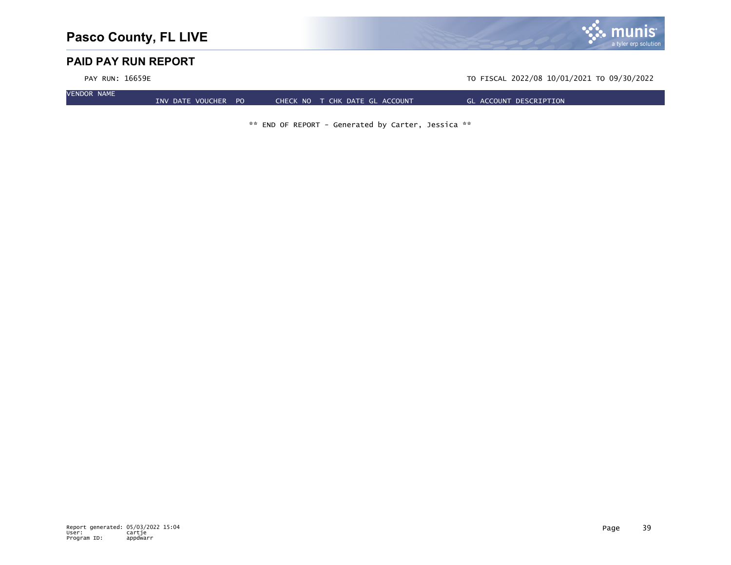

PAY RUN: 16659E TO FISCAL 2022/08 10/01/2021 TO 09/30/2022

VENDOR NAME

INV DATE VOUCHER PO CHECK NO T CHK DATE GL ACCOUNT GL ACCOUNT DESCRIPTION

\*\* END OF REPORT - Generated by Carter, Jessica \*\*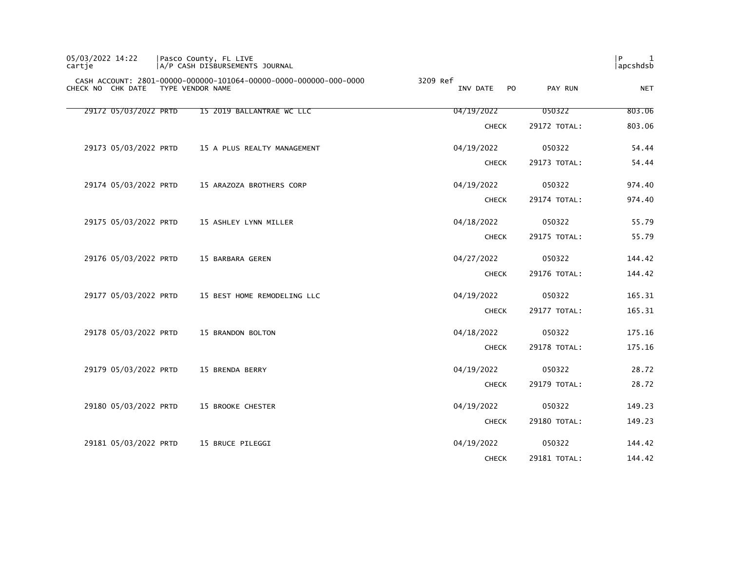| 05/03/2022 14:22<br>cartie |                  | Pasco County, FL LIVE<br>A/P CASH DISBURSEMENTS JOURNAL           |                            |              | l P<br>1<br>apcshdsb |
|----------------------------|------------------|-------------------------------------------------------------------|----------------------------|--------------|----------------------|
| CHECK NO CHK DATE          | TYPE VENDOR NAME | CASH ACCOUNT: 2801-00000-000000-101064-00000-0000-000000-000-0000 | 3209 Ref<br>INV DATE<br>PO | PAY RUN      | <b>NET</b>           |
| 29172 05/03/2022 PRTD      |                  | 15 2019 BALLANTRAE WC LLC                                         | 04/19/2022                 | 050322       | 803.06               |
|                            |                  |                                                                   | <b>CHECK</b>               | 29172 TOTAL: | 803.06               |
| 29173 05/03/2022 PRTD      |                  | 15 A PLUS REALTY MANAGEMENT                                       | 04/19/2022                 | 050322       | 54.44                |
|                            |                  |                                                                   | <b>CHECK</b>               | 29173 TOTAL: | 54.44                |
| 29174 05/03/2022 PRTD      |                  | 15 ARAZOZA BROTHERS CORP                                          | 04/19/2022                 | 050322       | 974.40               |
|                            |                  |                                                                   | <b>CHECK</b>               | 29174 TOTAL: | 974.40               |
| 29175 05/03/2022 PRTD      |                  | 15 ASHLEY LYNN MILLER                                             | 04/18/2022                 | 050322       | 55.79                |
|                            |                  |                                                                   | <b>CHECK</b>               | 29175 TOTAL: | 55.79                |
| 29176 05/03/2022 PRTD      |                  | 15 BARBARA GEREN                                                  | 04/27/2022                 | 050322       | 144.42               |
|                            |                  |                                                                   | <b>CHECK</b>               | 29176 TOTAL: | 144.42               |
| 29177 05/03/2022 PRTD      |                  | 15 BEST HOME REMODELING LLC                                       | 04/19/2022                 | 050322       | 165.31               |
|                            |                  |                                                                   | <b>CHECK</b>               | 29177 TOTAL: | 165.31               |
| 29178 05/03/2022 PRTD      |                  | 15 BRANDON BOLTON                                                 | 04/18/2022                 | 050322       | 175.16               |
|                            |                  |                                                                   | <b>CHECK</b>               | 29178 TOTAL: | 175.16               |
| 29179 05/03/2022 PRTD      |                  | 15 BRENDA BERRY                                                   | 04/19/2022                 | 050322       | 28.72                |
|                            |                  |                                                                   | <b>CHECK</b>               | 29179 TOTAL: | 28.72                |
| 29180 05/03/2022 PRTD      |                  | 15 BROOKE CHESTER                                                 | 04/19/2022                 | 050322       | 149.23               |
|                            |                  |                                                                   | <b>CHECK</b>               | 29180 TOTAL: | 149.23               |
| 29181 05/03/2022 PRTD      |                  | 15 BRUCE PILEGGI                                                  | 04/19/2022                 | 050322       | 144.42               |
|                            |                  |                                                                   | <b>CHECK</b>               | 29181 TOTAL: | 144.42               |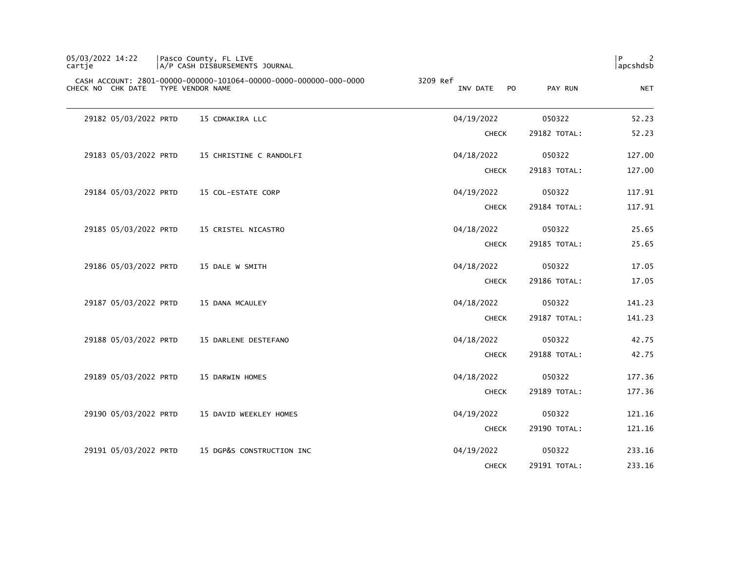| 05/03/2022 14:22<br>cartje |                       | Pasco County, FL LIVE<br> A/P CASH DISBURSEMENTS JOURNAL                              |                             |              | P<br>2<br> apcshdsb |
|----------------------------|-----------------------|---------------------------------------------------------------------------------------|-----------------------------|--------------|---------------------|
| CHECK NO CHK DATE          |                       | CASH ACCOUNT: 2801-00000-000000-101064-00000-0000-000000-000-0000<br>TYPE VENDOR NAME | 3209 Ref<br>PO.<br>INV DATE | PAY RUN      | <b>NET</b>          |
|                            | 29182 05/03/2022 PRTD | 15 CDMAKIRA LLC                                                                       | 04/19/2022                  | 050322       | 52.23               |
|                            |                       |                                                                                       | <b>CHECK</b>                | 29182 TOTAL: | 52.23               |
|                            | 29183 05/03/2022 PRTD | 15 CHRISTINE C RANDOLFI                                                               | 04/18/2022                  | 050322       | 127.00              |
|                            |                       |                                                                                       | <b>CHECK</b>                | 29183 TOTAL: | 127.00              |
|                            | 29184 05/03/2022 PRTD | 15 COL-ESTATE CORP                                                                    | 04/19/2022                  | 050322       | 117.91              |
|                            |                       |                                                                                       | <b>CHECK</b>                | 29184 TOTAL: | 117.91              |
|                            | 29185 05/03/2022 PRTD | 15 CRISTEL NICASTRO                                                                   | 04/18/2022                  | 050322       | 25.65               |
|                            |                       |                                                                                       | <b>CHECK</b>                | 29185 TOTAL: | 25.65               |
|                            | 29186 05/03/2022 PRTD | 15 DALE W SMITH                                                                       | 04/18/2022                  | 050322       | 17.05               |
|                            |                       |                                                                                       | <b>CHECK</b>                | 29186 TOTAL: | 17.05               |
|                            | 29187 05/03/2022 PRTD | 15 DANA MCAULEY                                                                       | 04/18/2022                  | 050322       | 141.23              |
|                            |                       |                                                                                       | <b>CHECK</b>                | 29187 TOTAL: | 141.23              |
|                            | 29188 05/03/2022 PRTD | 15 DARLENE DESTEFANO                                                                  | 04/18/2022                  | 050322       | 42.75               |
|                            |                       |                                                                                       | <b>CHECK</b>                | 29188 TOTAL: | 42.75               |
|                            | 29189 05/03/2022 PRTD | 15 DARWIN HOMES                                                                       | 04/18/2022                  | 050322       | 177.36              |
|                            |                       |                                                                                       | <b>CHECK</b>                | 29189 TOTAL: | 177.36              |
|                            | 29190 05/03/2022 PRTD | 15 DAVID WEEKLEY HOMES                                                                | 04/19/2022                  | 050322       | 121.16              |
|                            |                       |                                                                                       | <b>CHECK</b>                | 29190 TOTAL: | 121.16              |
|                            | 29191 05/03/2022 PRTD | 15 DGP&S CONSTRUCTION INC                                                             | 04/19/2022                  | 050322       | 233.16              |
|                            |                       |                                                                                       | <b>CHECK</b>                | 29191 TOTAL: | 233.16              |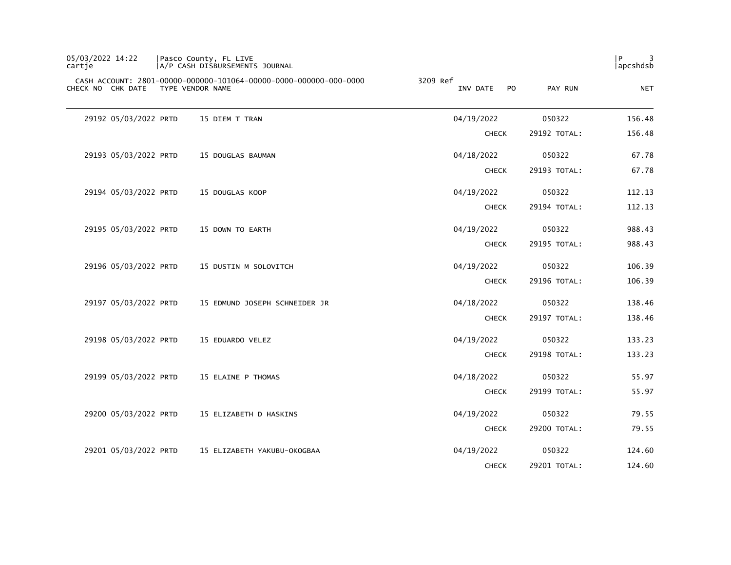| P<br> apcshdsb |              |                                        | Pasco County, FL LIVE<br> A/P CASH DISBURSEMENTS JOURNAL                              | 05/03/2022 14:22<br>cartje |
|----------------|--------------|----------------------------------------|---------------------------------------------------------------------------------------|----------------------------|
| <b>NET</b>     | PAY RUN      | 3209 Ref<br>INV DATE<br>P <sub>O</sub> | CASH ACCOUNT: 2801-00000-000000-101064-00000-0000-000000-000-0000<br>TYPE VENDOR NAME | CHECK NO CHK DATE          |
| 156.48         | 050322       | 04/19/2022                             | 15 DIEM T TRAN                                                                        | 29192 05/03/2022 PRTD      |
| 156.48         | 29192 TOTAL: | <b>CHECK</b>                           |                                                                                       |                            |
| 67.78          | 050322       | 04/18/2022                             | 15 DOUGLAS BAUMAN                                                                     | 29193 05/03/2022 PRTD      |
| 67.78          | 29193 TOTAL: | <b>CHECK</b>                           |                                                                                       |                            |
| 112.13         | 050322       | 04/19/2022                             | 15 DOUGLAS KOOP                                                                       | 29194 05/03/2022 PRTD      |
| 112.13         | 29194 TOTAL: | <b>CHECK</b>                           |                                                                                       |                            |
| 988.43         | 050322       | 04/19/2022                             | 15 DOWN TO EARTH                                                                      | 29195 05/03/2022 PRTD      |
| 988.43         | 29195 TOTAL: | <b>CHECK</b>                           |                                                                                       |                            |
| 106.39         | 050322       | 04/19/2022                             | 15 DUSTIN M SOLOVITCH                                                                 | 29196 05/03/2022 PRTD      |
| 106.39         | 29196 TOTAL: | <b>CHECK</b>                           |                                                                                       |                            |
| 138.46         | 050322       | 04/18/2022                             | 15 EDMUND JOSEPH SCHNEIDER JR                                                         | 29197 05/03/2022 PRTD      |
| 138.46         | 29197 TOTAL: | <b>CHECK</b>                           |                                                                                       |                            |
| 133.23         | 050322       | 04/19/2022                             | 15 EDUARDO VELEZ                                                                      | 29198 05/03/2022 PRTD      |
| 133.23         | 29198 TOTAL: | <b>CHECK</b>                           |                                                                                       |                            |
| 55.97          | 050322       | 04/18/2022                             | 15 ELAINE P THOMAS                                                                    | 29199 05/03/2022 PRTD      |
| 55.97          | 29199 TOTAL: | <b>CHECK</b>                           |                                                                                       |                            |
| 79.55          | 050322       | 04/19/2022                             | 15 ELIZABETH D HASKINS                                                                | 29200 05/03/2022 PRTD      |
| 79.55          | 29200 TOTAL: | <b>CHECK</b>                           |                                                                                       |                            |
| 124.60         | 050322       | 04/19/2022                             | 15 ELIZABETH YAKUBU-OKOGBAA                                                           | 29201 05/03/2022 PRTD      |
| 124.60         | 29201 TOTAL: | <b>CHECK</b>                           |                                                                                       |                            |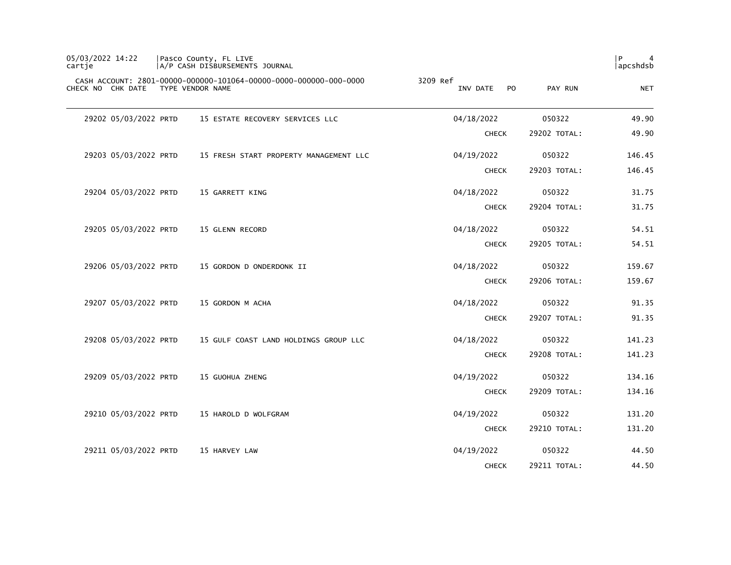| 05/03/2022 14:22<br>cartie | Pasco County, FL LIVE<br>A/P CASH DISBURSEMENTS JOURNAL                               |                                        |              | l P<br>$\overline{4}$<br>  apcshdsb |
|----------------------------|---------------------------------------------------------------------------------------|----------------------------------------|--------------|-------------------------------------|
| CHECK NO CHK DATE          | CASH ACCOUNT: 2801-00000-000000-101064-00000-0000-000000-000-0000<br>TYPE VENDOR NAME | 3209 Ref<br>P <sub>O</sub><br>INV DATE | PAY RUN      | <b>NET</b>                          |
| 29202 05/03/2022 PRTD      | 15 ESTATE RECOVERY SERVICES LLC                                                       | 04/18/2022                             | 050322       | 49.90                               |
|                            |                                                                                       | <b>CHECK</b>                           | 29202 TOTAL: | 49.90                               |
| 29203 05/03/2022 PRTD      | 15 FRESH START PROPERTY MANAGEMENT LLC                                                | 04/19/2022                             | 050322       | 146.45                              |
|                            |                                                                                       | <b>CHECK</b>                           | 29203 TOTAL: | 146.45                              |
| 29204 05/03/2022 PRTD      | 15 GARRETT KING                                                                       | 04/18/2022                             | 050322       | 31.75                               |
|                            |                                                                                       | <b>CHECK</b>                           | 29204 TOTAL: | 31.75                               |
| 29205 05/03/2022 PRTD      | 15 GLENN RECORD                                                                       | 04/18/2022                             | 050322       | 54.51                               |
|                            |                                                                                       | <b>CHECK</b>                           | 29205 TOTAL: | 54.51                               |
| 29206 05/03/2022 PRTD      | 15 GORDON D ONDERDONK II                                                              | 04/18/2022                             | 050322       | 159.67                              |
|                            |                                                                                       | <b>CHECK</b>                           | 29206 TOTAL: | 159.67                              |
| 29207 05/03/2022 PRTD      | 15 GORDON M ACHA                                                                      | 04/18/2022                             | 050322       | 91.35                               |
|                            |                                                                                       | <b>CHECK</b>                           | 29207 TOTAL: | 91.35                               |
| 29208 05/03/2022 PRTD      | 15 GULF COAST LAND HOLDINGS GROUP LLC                                                 | 04/18/2022                             | 050322       | 141.23                              |
|                            |                                                                                       | <b>CHECK</b>                           | 29208 TOTAL: | 141.23                              |
| 29209 05/03/2022 PRTD      | 15 GUOHUA ZHENG                                                                       | 04/19/2022                             | 050322       | 134.16                              |
|                            |                                                                                       | <b>CHECK</b>                           | 29209 TOTAL: | 134.16                              |
| 29210 05/03/2022 PRTD      | 15 HAROLD D WOLFGRAM                                                                  | 04/19/2022                             | 050322       | 131.20                              |
|                            |                                                                                       | <b>CHECK</b>                           | 29210 TOTAL: | 131.20                              |
| 29211 05/03/2022 PRTD      | 15 HARVEY LAW                                                                         | 04/19/2022                             | 050322       | 44.50                               |
|                            |                                                                                       | <b>CHECK</b>                           | 29211 TOTAL: | 44.50                               |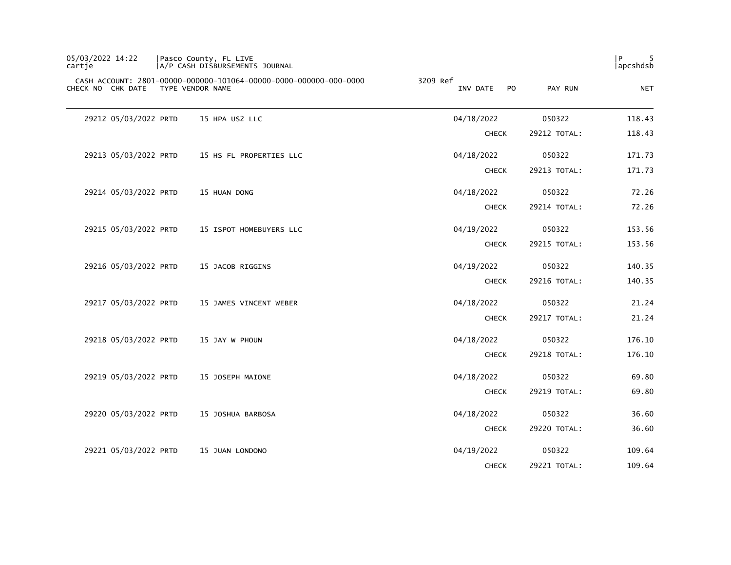| 05/03/2022 14:22<br>cartje | Pasco County, FL LIVE<br> A/P CASH DISBURSEMENTS JOURNAL                              |                             |              | P<br>apcshdsb |
|----------------------------|---------------------------------------------------------------------------------------|-----------------------------|--------------|---------------|
| CHECK NO CHK DATE          | CASH ACCOUNT: 2801-00000-000000-101064-00000-0000-000000-000-0000<br>TYPE VENDOR NAME | 3209 Ref<br>PO.<br>INV DATE | PAY RUN      | <b>NET</b>    |
| 29212 05/03/2022 PRTD      | 15 HPA US2 LLC                                                                        | 04/18/2022                  | 050322       | 118.43        |
|                            |                                                                                       | <b>CHECK</b>                | 29212 TOTAL: | 118.43        |
| 29213 05/03/2022 PRTD      | 15 HS FL PROPERTIES LLC                                                               | 04/18/2022                  | 050322       | 171.73        |
|                            |                                                                                       | <b>CHECK</b>                | 29213 TOTAL: | 171.73        |
| 29214 05/03/2022 PRTD      | 15 HUAN DONG                                                                          | 04/18/2022                  | 050322       | 72.26         |
|                            |                                                                                       | <b>CHECK</b>                | 29214 TOTAL: | 72.26         |
| 29215 05/03/2022 PRTD      | 15 ISPOT HOMEBUYERS LLC                                                               | 04/19/2022                  | 050322       | 153.56        |
|                            |                                                                                       | <b>CHECK</b>                | 29215 TOTAL: | 153.56        |
| 29216 05/03/2022 PRTD      | 15 JACOB RIGGINS                                                                      | 04/19/2022                  | 050322       | 140.35        |
|                            |                                                                                       | <b>CHECK</b>                | 29216 TOTAL: | 140.35        |
| 29217 05/03/2022 PRTD      | 15 JAMES VINCENT WEBER                                                                | 04/18/2022                  | 050322       | 21.24         |
|                            |                                                                                       | <b>CHECK</b>                | 29217 TOTAL: | 21.24         |
| 29218 05/03/2022 PRTD      | 15 JAY W PHOUN                                                                        | 04/18/2022                  | 050322       | 176.10        |
|                            |                                                                                       | <b>CHECK</b>                | 29218 TOTAL: | 176.10        |
| 29219 05/03/2022 PRTD      | 15 JOSEPH MAIONE                                                                      | 04/18/2022                  | 050322       | 69.80         |
|                            |                                                                                       | <b>CHECK</b>                | 29219 TOTAL: | 69.80         |
| 29220 05/03/2022 PRTD      | 15 JOSHUA BARBOSA                                                                     | 04/18/2022                  | 050322       | 36.60         |
|                            |                                                                                       | <b>CHECK</b>                | 29220 TOTAL: | 36.60         |
| 29221 05/03/2022 PRTD      | 15 JUAN LONDONO                                                                       | 04/19/2022                  | 050322       | 109.64        |
|                            |                                                                                       | <b>CHECK</b>                | 29221 TOTAL: | 109.64        |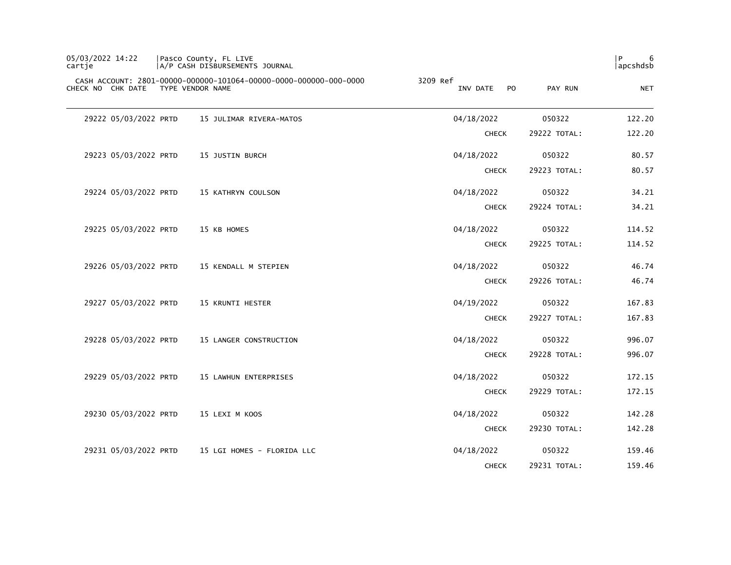| 05/03/2022 14:22<br>cartje |                       | Pasco County, FL LIVE<br> A/P CASH DISBURSEMENTS JOURNAL                              |                                   |              | P<br>6<br> apcshdsb |
|----------------------------|-----------------------|---------------------------------------------------------------------------------------|-----------------------------------|--------------|---------------------|
|                            | CHECK NO CHK DATE     | CASH ACCOUNT: 2801-00000-000000-101064-00000-0000-000000-000-0000<br>TYPE VENDOR NAME | 3209 Ref<br>INV DATE<br><b>PO</b> | PAY RUN      | <b>NET</b>          |
|                            | 29222 05/03/2022 PRTD | 15 JULIMAR RIVERA-MATOS                                                               | 04/18/2022                        | 050322       | 122.20              |
|                            |                       |                                                                                       | <b>CHECK</b>                      | 29222 TOTAL: | 122.20              |
|                            | 29223 05/03/2022 PRTD | 15 JUSTIN BURCH                                                                       | 04/18/2022                        | 050322       | 80.57               |
|                            |                       |                                                                                       | <b>CHECK</b>                      | 29223 TOTAL: | 80.57               |
|                            | 29224 05/03/2022 PRTD | 15 KATHRYN COULSON                                                                    | 04/18/2022                        | 050322       | 34.21               |
|                            |                       |                                                                                       | <b>CHECK</b>                      | 29224 TOTAL: | 34.21               |
|                            | 29225 05/03/2022 PRTD | 15 KB HOMES                                                                           | 04/18/2022                        | 050322       | 114.52              |
|                            |                       |                                                                                       | <b>CHECK</b>                      | 29225 TOTAL: | 114.52              |
|                            | 29226 05/03/2022 PRTD | 15 KENDALL M STEPIEN                                                                  | 04/18/2022                        | 050322       | 46.74               |
|                            |                       |                                                                                       | <b>CHECK</b>                      | 29226 TOTAL: | 46.74               |
|                            | 29227 05/03/2022 PRTD | 15 KRUNTI HESTER                                                                      | 04/19/2022                        | 050322       | 167.83              |
|                            |                       |                                                                                       | <b>CHECK</b>                      | 29227 TOTAL: | 167.83              |
|                            | 29228 05/03/2022 PRTD | 15 LANGER CONSTRUCTION                                                                | 04/18/2022                        | 050322       | 996.07              |
|                            |                       |                                                                                       | <b>CHECK</b>                      | 29228 TOTAL: | 996.07              |
|                            | 29229 05/03/2022 PRTD | 15 LAWHUN ENTERPRISES                                                                 | 04/18/2022                        | 050322       | 172.15              |
|                            |                       |                                                                                       | <b>CHECK</b>                      | 29229 TOTAL: | 172.15              |
|                            | 29230 05/03/2022 PRTD | 15 LEXI M KOOS                                                                        | 04/18/2022                        | 050322       | 142.28              |
|                            |                       |                                                                                       | <b>CHECK</b>                      | 29230 TOTAL: | 142.28              |
|                            | 29231 05/03/2022 PRTD | 15 LGI HOMES - FLORIDA LLC                                                            | 04/18/2022                        | 050322       | 159.46              |
|                            |                       |                                                                                       | <b>CHECK</b>                      | 29231 TOTAL: | 159.46              |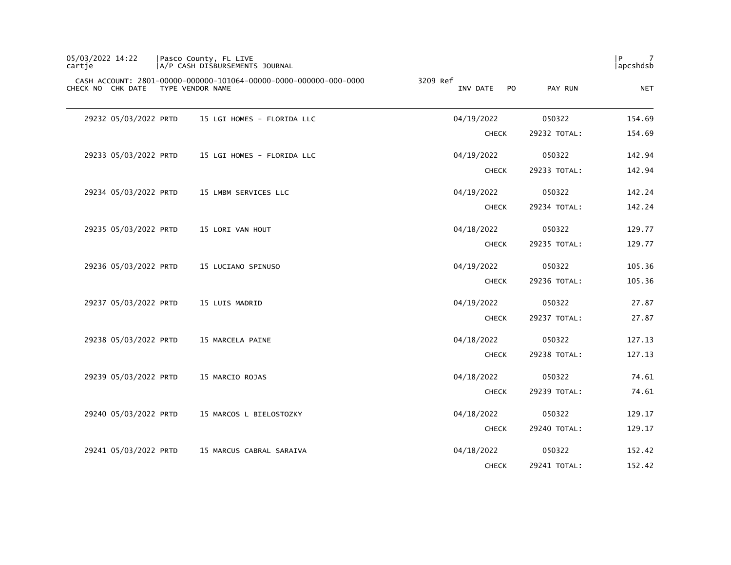| 05/03/2022 14:22<br>cartje | Pasco County, FL LIVE<br>A/P CASH DISBURSEMENTS JOURNAL                               |                             |              | P<br>7<br>apcshdsb |
|----------------------------|---------------------------------------------------------------------------------------|-----------------------------|--------------|--------------------|
| CHECK NO CHK DATE          | CASH ACCOUNT: 2801-00000-000000-101064-00000-0000-000000-000-0000<br>TYPE VENDOR NAME | 3209 Ref<br>PO.<br>INV DATE | PAY RUN      | <b>NET</b>         |
| 29232 05/03/2022 PRTD      | 15 LGI HOMES - FLORIDA LLC                                                            | 04/19/2022                  | 050322       | 154.69             |
|                            |                                                                                       | <b>CHECK</b>                | 29232 TOTAL: | 154.69             |
| 29233 05/03/2022 PRTD      | 15 LGI HOMES - FLORIDA LLC                                                            | 04/19/2022                  | 050322       | 142.94             |
|                            |                                                                                       | <b>CHECK</b>                | 29233 TOTAL: | 142.94             |
| 29234 05/03/2022 PRTD      | 15 LMBM SERVICES LLC                                                                  | 04/19/2022                  | 050322       | 142.24             |
|                            |                                                                                       | <b>CHECK</b>                | 29234 TOTAL: | 142.24             |
| 29235 05/03/2022 PRTD      | 15 LORI VAN HOUT                                                                      | 04/18/2022                  | 050322       | 129.77             |
|                            |                                                                                       | <b>CHECK</b>                | 29235 TOTAL: | 129.77             |
| 29236 05/03/2022 PRTD      | 15 LUCIANO SPINUSO                                                                    | 04/19/2022                  | 050322       | 105.36             |
|                            |                                                                                       | <b>CHECK</b>                | 29236 TOTAL: | 105.36             |
| 29237 05/03/2022 PRTD      | 15 LUIS MADRID                                                                        | 04/19/2022                  | 050322       | 27.87              |
|                            |                                                                                       | <b>CHECK</b>                | 29237 TOTAL: | 27.87              |
| 29238 05/03/2022 PRTD      | 15 MARCELA PAINE                                                                      | 04/18/2022                  | 050322       | 127.13             |
|                            |                                                                                       | <b>CHECK</b>                | 29238 TOTAL: | 127.13             |
| 29239 05/03/2022 PRTD      | 15 MARCIO ROJAS                                                                       | 04/18/2022                  | 050322       | 74.61              |
|                            |                                                                                       | <b>CHECK</b>                | 29239 TOTAL: | 74.61              |
| 29240 05/03/2022 PRTD      | 15 MARCOS L BIELOSTOZKY                                                               | 04/18/2022                  | 050322       | 129.17             |
|                            |                                                                                       | <b>CHECK</b>                | 29240 TOTAL: | 129.17             |
| 29241 05/03/2022 PRTD      | 15 MARCUS CABRAL SARAIVA                                                              | 04/18/2022                  | 050322       | 152.42             |
|                            |                                                                                       | <b>CHECK</b>                | 29241 TOTAL: | 152.42             |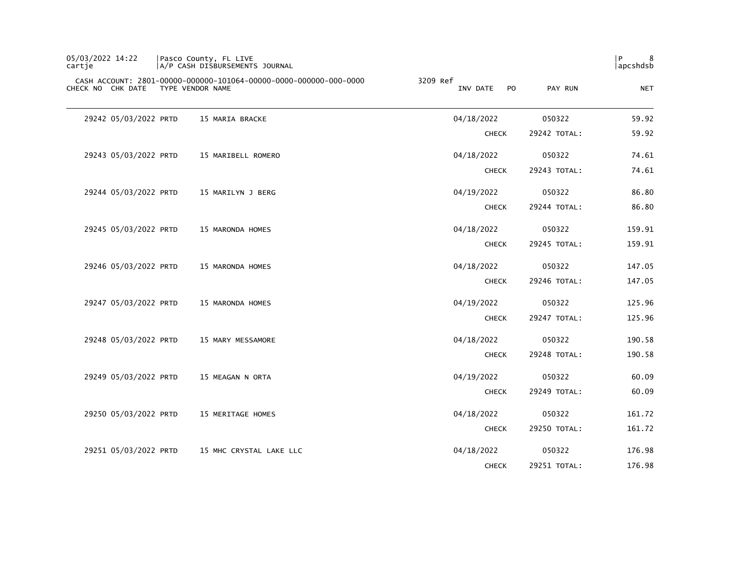| 05/03/2022 14:22<br>cartje | Pasco County, FL LIVE<br>A/P CASH DISBURSEMENTS JOURNAL                               |                                        |              | 8<br>l P<br>  apcshdsb |
|----------------------------|---------------------------------------------------------------------------------------|----------------------------------------|--------------|------------------------|
| CHECK NO CHK DATE          | CASH ACCOUNT: 2801-00000-000000-101064-00000-0000-000000-000-0000<br>TYPE VENDOR NAME | 3209 Ref<br>P <sub>O</sub><br>INV DATE | PAY RUN      | <b>NET</b>             |
| 29242 05/03/2022 PRTD      | 15 MARIA BRACKE                                                                       | 04/18/2022                             | 050322       | 59.92                  |
|                            |                                                                                       | <b>CHECK</b>                           | 29242 TOTAL: | 59.92                  |
| 29243 05/03/2022 PRTD      | 15 MARIBELL ROMERO                                                                    | 04/18/2022                             | 050322       | 74.61                  |
|                            |                                                                                       | <b>CHECK</b>                           | 29243 TOTAL: | 74.61                  |
| 29244 05/03/2022 PRTD      | 15 MARILYN J BERG                                                                     | 04/19/2022                             | 050322       | 86.80                  |
|                            |                                                                                       | <b>CHECK</b>                           | 29244 TOTAL: | 86.80                  |
| 29245 05/03/2022 PRTD      | 15 MARONDA HOMES                                                                      | 04/18/2022                             | 050322       | 159.91                 |
|                            |                                                                                       | <b>CHECK</b>                           | 29245 TOTAL: | 159.91                 |
| 29246 05/03/2022 PRTD      | 15 MARONDA HOMES                                                                      | 04/18/2022                             | 050322       | 147.05                 |
|                            |                                                                                       | <b>CHECK</b>                           | 29246 TOTAL: | 147.05                 |
| 29247 05/03/2022 PRTD      | 15 MARONDA HOMES                                                                      | 04/19/2022                             | 050322       | 125.96                 |
|                            |                                                                                       | <b>CHECK</b>                           | 29247 TOTAL: | 125.96                 |
| 29248 05/03/2022 PRTD      | 15 MARY MESSAMORE                                                                     | 04/18/2022                             | 050322       | 190.58                 |
|                            |                                                                                       | <b>CHECK</b>                           | 29248 TOTAL: | 190.58                 |
| 29249 05/03/2022 PRTD      | 15 MEAGAN N ORTA                                                                      | 04/19/2022                             | 050322       | 60.09                  |
|                            |                                                                                       | <b>CHECK</b>                           | 29249 TOTAL: | 60.09                  |
| 29250 05/03/2022 PRTD      | 15 MERITAGE HOMES                                                                     | 04/18/2022                             | 050322       | 161.72                 |
|                            |                                                                                       | <b>CHECK</b>                           | 29250 TOTAL: | 161.72                 |
| 29251 05/03/2022 PRTD      | 15 MHC CRYSTAL LAKE LLC                                                               | 04/18/2022                             | 050322       | 176.98                 |
|                            |                                                                                       | <b>CHECK</b>                           | 29251 TOTAL: | 176.98                 |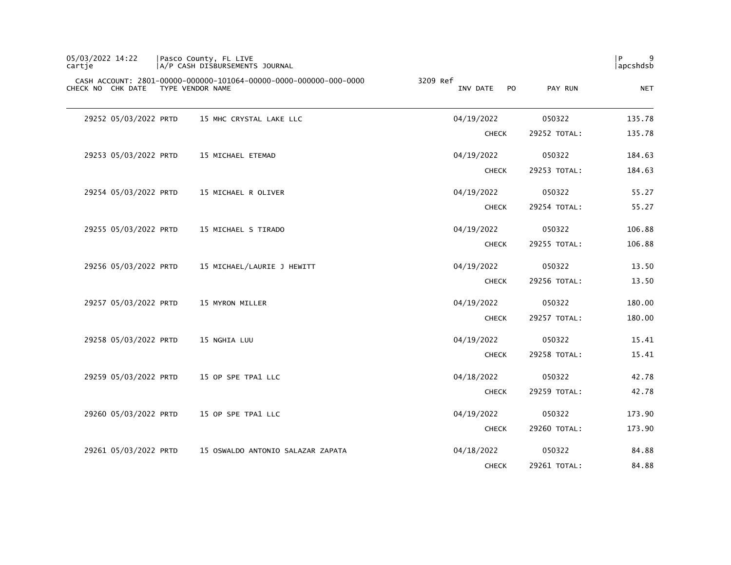| 05/03/2022 14:22<br>cartje |                       | Pasco County, FL LIVE<br>A/P CASH DISBURSEMENTS JOURNAL                               |                                        |              | 9<br>P<br>apcshdsb |
|----------------------------|-----------------------|---------------------------------------------------------------------------------------|----------------------------------------|--------------|--------------------|
|                            | CHECK NO CHK DATE     | CASH ACCOUNT: 2801-00000-000000-101064-00000-0000-000000-000-0000<br>TYPE VENDOR NAME | 3209 Ref<br>INV DATE<br>P <sub>O</sub> | PAY RUN      | <b>NET</b>         |
|                            | 29252 05/03/2022 PRTD | 15 MHC CRYSTAL LAKE LLC                                                               | 04/19/2022                             | 050322       | 135.78             |
|                            |                       |                                                                                       | <b>CHECK</b>                           | 29252 TOTAL: | 135.78             |
|                            | 29253 05/03/2022 PRTD | 15 MICHAEL ETEMAD                                                                     | 04/19/2022                             | 050322       | 184.63             |
|                            |                       |                                                                                       | <b>CHECK</b>                           | 29253 TOTAL: | 184.63             |
|                            | 29254 05/03/2022 PRTD | 15 MICHAEL R OLIVER                                                                   | 04/19/2022                             | 050322       | 55.27              |
|                            |                       |                                                                                       | <b>CHECK</b>                           | 29254 TOTAL: | 55.27              |
|                            | 29255 05/03/2022 PRTD | 15 MICHAEL S TIRADO                                                                   | 04/19/2022                             | 050322       | 106.88             |
|                            |                       |                                                                                       | <b>CHECK</b>                           | 29255 TOTAL: | 106.88             |
|                            | 29256 05/03/2022 PRTD | 15 MICHAEL/LAURIE J HEWITT                                                            | 04/19/2022                             | 050322       | 13.50              |
|                            |                       |                                                                                       | <b>CHECK</b>                           | 29256 TOTAL: | 13.50              |
|                            | 29257 05/03/2022 PRTD | 15 MYRON MILLER                                                                       | 04/19/2022                             | 050322       | 180.00             |
|                            |                       |                                                                                       | <b>CHECK</b>                           | 29257 TOTAL: | 180.00             |
|                            | 29258 05/03/2022 PRTD | 15 NGHIA LUU                                                                          | 04/19/2022                             | 050322       | 15.41              |
|                            |                       |                                                                                       | <b>CHECK</b>                           | 29258 TOTAL: | 15.41              |
|                            | 29259 05/03/2022 PRTD | 15 OP SPE TPA1 LLC                                                                    | 04/18/2022                             | 050322       | 42.78              |
|                            |                       |                                                                                       | <b>CHECK</b>                           | 29259 TOTAL: | 42.78              |
|                            | 29260 05/03/2022 PRTD | 15 OP SPE TPA1 LLC                                                                    | 04/19/2022                             | 050322       | 173.90             |
|                            |                       |                                                                                       | <b>CHECK</b>                           | 29260 TOTAL: | 173.90             |
|                            | 29261 05/03/2022 PRTD | 15 OSWALDO ANTONIO SALAZAR ZAPATA                                                     | 04/18/2022                             | 050322       | 84.88              |
|                            |                       |                                                                                       | <b>CHECK</b>                           | 29261 TOTAL: | 84.88              |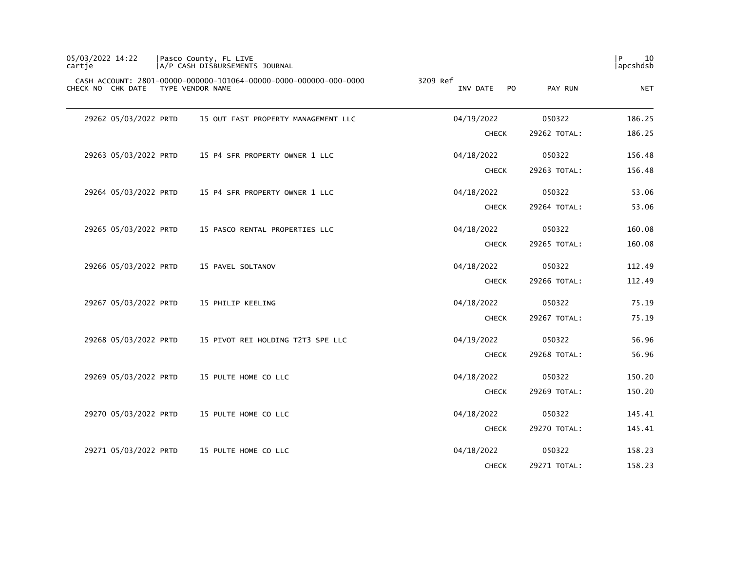| 05/03/2022 14:22<br>cartje |                       | Pasco County, FL LIVE<br>A/P CASH DISBURSEMENTS JOURNAL                               |                                        |              | 10<br>P<br>apcshdsb |
|----------------------------|-----------------------|---------------------------------------------------------------------------------------|----------------------------------------|--------------|---------------------|
|                            | CHECK NO CHK DATE     | CASH ACCOUNT: 2801-00000-000000-101064-00000-0000-000000-000-0000<br>TYPE VENDOR NAME | 3209 Ref<br>INV DATE<br>P <sub>O</sub> | PAY RUN      | <b>NET</b>          |
|                            | 29262 05/03/2022 PRTD | 15 OUT FAST PROPERTY MANAGEMENT LLC                                                   | 04/19/2022                             | 050322       | 186.25              |
|                            |                       |                                                                                       | <b>CHECK</b>                           | 29262 TOTAL: | 186.25              |
|                            | 29263 05/03/2022 PRTD | 15 P4 SFR PROPERTY OWNER 1 LLC                                                        | 04/18/2022                             | 050322       | 156.48              |
|                            |                       |                                                                                       | <b>CHECK</b>                           | 29263 TOTAL: | 156.48              |
|                            | 29264 05/03/2022 PRTD | 15 P4 SFR PROPERTY OWNER 1 LLC                                                        | 04/18/2022                             | 050322       | 53.06               |
|                            |                       |                                                                                       | <b>CHECK</b>                           | 29264 TOTAL: | 53.06               |
|                            | 29265 05/03/2022 PRTD | 15 PASCO RENTAL PROPERTIES LLC                                                        | 04/18/2022                             | 050322       | 160.08              |
|                            |                       |                                                                                       | <b>CHECK</b>                           | 29265 TOTAL: | 160.08              |
|                            | 29266 05/03/2022 PRTD | 15 PAVEL SOLTANOV                                                                     | 04/18/2022                             | 050322       | 112.49              |
|                            |                       |                                                                                       | <b>CHECK</b>                           | 29266 TOTAL: | 112.49              |
|                            | 29267 05/03/2022 PRTD | 15 PHILIP KEELING                                                                     | 04/18/2022                             | 050322       | 75.19               |
|                            |                       |                                                                                       | <b>CHECK</b>                           | 29267 TOTAL: | 75.19               |
|                            | 29268 05/03/2022 PRTD | 15 PIVOT REI HOLDING T2T3 SPE LLC                                                     | 04/19/2022                             | 050322       | 56.96               |
|                            |                       |                                                                                       | <b>CHECK</b>                           | 29268 TOTAL: | 56.96               |
|                            | 29269 05/03/2022 PRTD | 15 PULTE HOME CO LLC                                                                  | 04/18/2022                             | 050322       | 150.20              |
|                            |                       |                                                                                       | <b>CHECK</b>                           | 29269 TOTAL: | 150.20              |
|                            | 29270 05/03/2022 PRTD | 15 PULTE HOME CO LLC                                                                  | 04/18/2022                             | 050322       | 145.41              |
|                            |                       |                                                                                       | <b>CHECK</b>                           | 29270 TOTAL: | 145.41              |
|                            | 29271 05/03/2022 PRTD | 15 PULTE HOME CO LLC                                                                  | 04/18/2022                             | 050322       | 158.23              |
|                            |                       |                                                                                       | <b>CHECK</b>                           | 29271 TOTAL: | 158.23              |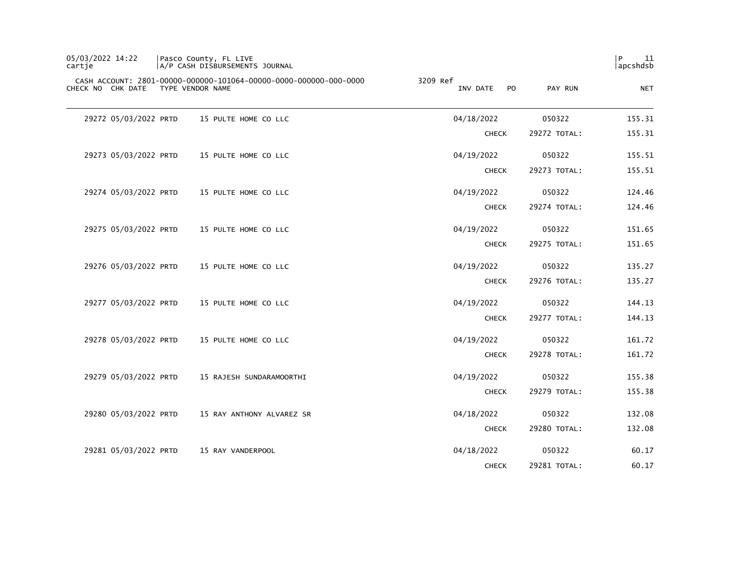| 05/03/2022 14:22<br>cartie | Pasco County, FL LIVE<br>A/P CASH DISBURSEMENTS JOURNAL                               |                                        |              | l P<br>11<br>apcshdsb |
|----------------------------|---------------------------------------------------------------------------------------|----------------------------------------|--------------|-----------------------|
| CHECK NO CHK DATE          | CASH ACCOUNT: 2801-00000-000000-101064-00000-0000-000000-000-0000<br>TYPE VENDOR NAME | 3209 Ref<br>INV DATE<br>P <sub>O</sub> | PAY RUN      | <b>NET</b>            |
| 29272 05/03/2022 PRTD      | 15 PULTE HOME CO LLC                                                                  | 04/18/2022                             | 050322       | 155.31                |
|                            |                                                                                       | <b>CHECK</b>                           | 29272 TOTAL: | 155.31                |
| 29273 05/03/2022 PRTD      | 15 PULTE HOME CO LLC                                                                  | 04/19/2022                             | 050322       | 155.51                |
|                            |                                                                                       | <b>CHECK</b>                           | 29273 TOTAL: | 155.51                |
| 29274 05/03/2022 PRTD      | 15 PULTE HOME CO LLC                                                                  | 04/19/2022                             | 050322       | 124.46                |
|                            |                                                                                       | <b>CHECK</b>                           | 29274 TOTAL: | 124.46                |
| 29275 05/03/2022 PRTD      | 15 PULTE HOME CO LLC                                                                  | 04/19/2022                             | 050322       | 151.65                |
|                            |                                                                                       | <b>CHECK</b>                           | 29275 TOTAL: | 151.65                |
| 29276 05/03/2022 PRTD      | 15 PULTE HOME CO LLC                                                                  | 04/19/2022                             | 050322       | 135.27                |
|                            |                                                                                       | <b>CHECK</b>                           | 29276 TOTAL: | 135.27                |
| 29277 05/03/2022 PRTD      | 15 PULTE HOME CO LLC                                                                  | 04/19/2022                             | 050322       | 144.13                |
|                            |                                                                                       | <b>CHECK</b>                           | 29277 TOTAL: | 144.13                |
| 29278 05/03/2022 PRTD      | 15 PULTE HOME CO LLC                                                                  | 04/19/2022                             | 050322       | 161.72                |
|                            |                                                                                       | <b>CHECK</b>                           | 29278 TOTAL: | 161.72                |
| 29279 05/03/2022 PRTD      | 15 RAJESH SUNDARAMOORTHI                                                              | 04/19/2022                             | 050322       | 155.38                |
|                            |                                                                                       | <b>CHECK</b>                           | 29279 TOTAL: | 155.38                |
| 29280 05/03/2022 PRTD      | 15 RAY ANTHONY ALVAREZ SR                                                             | 04/18/2022                             | 050322       | 132.08                |
|                            |                                                                                       | <b>CHECK</b>                           | 29280 TOTAL: | 132.08                |
| 29281 05/03/2022 PRTD      | 15 RAY VANDERPOOL                                                                     | 04/18/2022                             | 050322       | 60.17                 |
|                            |                                                                                       | <b>CHECK</b>                           | 29281 TOTAL: | 60.17                 |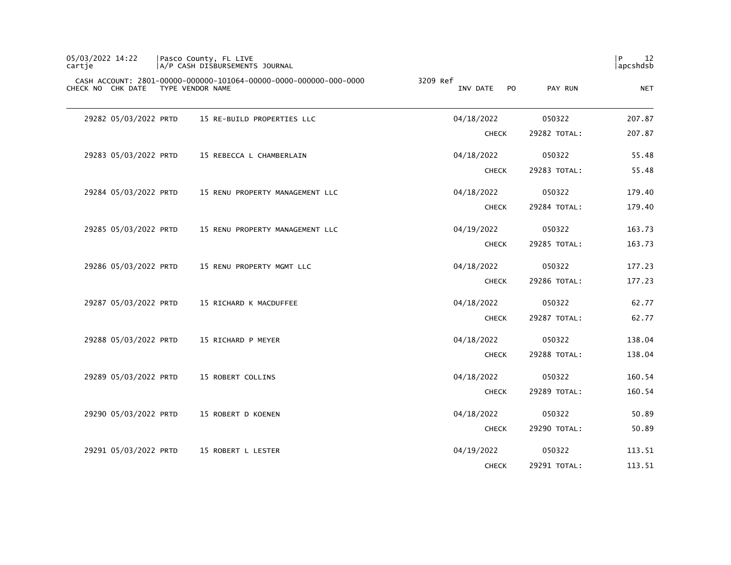| 05/03/2022 14:22<br>cartje | Pasco County, FL LIVE<br>A/P CASH DISBURSEMENTS JOURNAL                               |          |                            |              | $\mathsf{P}$<br>12<br>apcshdsb |
|----------------------------|---------------------------------------------------------------------------------------|----------|----------------------------|--------------|--------------------------------|
| CHECK NO CHK DATE          | CASH ACCOUNT: 2801-00000-000000-101064-00000-0000-000000-000-0000<br>TYPE VENDOR NAME | 3209 Ref | INV DATE<br>P <sub>O</sub> | PAY RUN      | <b>NET</b>                     |
| 29282 05/03/2022 PRTD      | 15 RE-BUILD PROPERTIES LLC                                                            |          | 04/18/2022                 | 050322       | 207.87                         |
|                            |                                                                                       |          | <b>CHECK</b>               | 29282 TOTAL: | 207.87                         |
| 29283 05/03/2022 PRTD      | 15 REBECCA L CHAMBERLAIN                                                              |          | 04/18/2022                 | 050322       | 55.48                          |
|                            |                                                                                       |          | <b>CHECK</b>               | 29283 TOTAL: | 55.48                          |
| 29284 05/03/2022 PRTD      | 15 RENU PROPERTY MANAGEMENT LLC                                                       |          | 04/18/2022                 | 050322       | 179.40                         |
|                            |                                                                                       |          | <b>CHECK</b>               | 29284 TOTAL: | 179.40                         |
| 29285 05/03/2022 PRTD      | 15 RENU PROPERTY MANAGEMENT LLC                                                       |          | 04/19/2022                 | 050322       | 163.73                         |
|                            |                                                                                       |          | <b>CHECK</b>               | 29285 TOTAL: | 163.73                         |
| 29286 05/03/2022 PRTD      | 15 RENU PROPERTY MGMT LLC                                                             |          | 04/18/2022                 | 050322       | 177.23                         |
|                            |                                                                                       |          | <b>CHECK</b>               | 29286 TOTAL: | 177.23                         |
| 29287 05/03/2022 PRTD      | 15 RICHARD K MACDUFFEE                                                                |          | 04/18/2022                 | 050322       | 62.77                          |
|                            |                                                                                       |          | <b>CHECK</b>               | 29287 TOTAL: | 62.77                          |
| 29288 05/03/2022 PRTD      | 15 RICHARD P MEYER                                                                    |          | 04/18/2022                 | 050322       | 138.04                         |
|                            |                                                                                       |          | <b>CHECK</b>               | 29288 TOTAL: | 138.04                         |
| 29289 05/03/2022 PRTD      | 15 ROBERT COLLINS                                                                     |          | 04/18/2022                 | 050322       | 160.54                         |
|                            |                                                                                       |          | <b>CHECK</b>               | 29289 TOTAL: | 160.54                         |
| 29290 05/03/2022 PRTD      | 15 ROBERT D KOENEN                                                                    |          | 04/18/2022                 | 050322       | 50.89                          |
|                            |                                                                                       |          | <b>CHECK</b>               | 29290 TOTAL: | 50.89                          |
| 29291 05/03/2022 PRTD      | 15 ROBERT L LESTER                                                                    |          | 04/19/2022                 | 050322       | 113.51                         |
|                            |                                                                                       |          | <b>CHECK</b>               | 29291 TOTAL: | 113.51                         |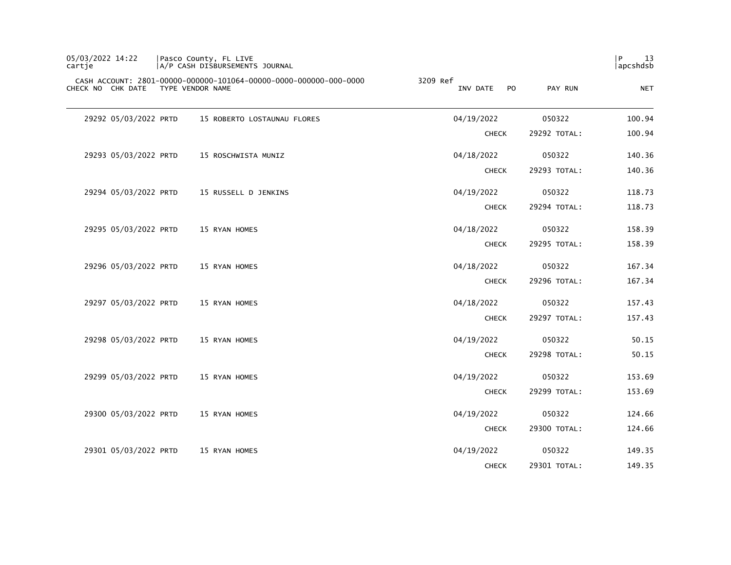| 05/03/2022 14:22<br>cartje |                  | Pasco County, FL LIVE<br>A/P CASH DISBURSEMENTS JOURNAL           |          |                            |              | $\mathsf{P}$<br>13<br>apcshdsb |
|----------------------------|------------------|-------------------------------------------------------------------|----------|----------------------------|--------------|--------------------------------|
| CHECK NO CHK DATE          | TYPE VENDOR NAME | CASH ACCOUNT: 2801-00000-000000-101064-00000-0000-000000-000-0000 | 3209 Ref | INV DATE<br>P <sub>O</sub> | PAY RUN      | <b>NET</b>                     |
| 29292 05/03/2022 PRTD      |                  | 15 ROBERTO LOSTAUNAU FLORES                                       |          | 04/19/2022                 | 050322       | 100.94                         |
|                            |                  |                                                                   |          | <b>CHECK</b>               | 29292 TOTAL: | 100.94                         |
| 29293 05/03/2022 PRTD      |                  | 15 ROSCHWISTA MUNIZ                                               |          | 04/18/2022                 | 050322       | 140.36                         |
|                            |                  |                                                                   |          | <b>CHECK</b>               | 29293 TOTAL: | 140.36                         |
| 29294 05/03/2022 PRTD      |                  | 15 RUSSELL D JENKINS                                              |          | 04/19/2022                 | 050322       | 118.73                         |
|                            |                  |                                                                   |          | <b>CHECK</b>               | 29294 TOTAL: | 118.73                         |
| 29295 05/03/2022 PRTD      |                  | 15 RYAN HOMES                                                     |          | 04/18/2022                 | 050322       | 158.39                         |
|                            |                  |                                                                   |          | <b>CHECK</b>               | 29295 TOTAL: | 158.39                         |
| 29296 05/03/2022 PRTD      |                  | 15 RYAN HOMES                                                     |          | 04/18/2022                 | 050322       | 167.34                         |
|                            |                  |                                                                   |          | <b>CHECK</b>               | 29296 TOTAL: | 167.34                         |
| 29297 05/03/2022 PRTD      |                  | 15 RYAN HOMES                                                     |          | 04/18/2022                 | 050322       | 157.43                         |
|                            |                  |                                                                   |          | <b>CHECK</b>               | 29297 TOTAL: | 157.43                         |
| 29298 05/03/2022 PRTD      |                  | 15 RYAN HOMES                                                     |          | 04/19/2022                 | 050322       | 50.15                          |
|                            |                  |                                                                   |          | <b>CHECK</b>               | 29298 TOTAL: | 50.15                          |
| 29299 05/03/2022 PRTD      |                  | 15 RYAN HOMES                                                     |          | 04/19/2022                 | 050322       | 153.69                         |
|                            |                  |                                                                   |          | <b>CHECK</b>               | 29299 TOTAL: | 153.69                         |
| 29300 05/03/2022 PRTD      |                  | 15 RYAN HOMES                                                     |          | 04/19/2022                 | 050322       | 124.66                         |
|                            |                  |                                                                   |          | <b>CHECK</b>               | 29300 TOTAL: | 124.66                         |
| 29301 05/03/2022 PRTD      |                  | 15 RYAN HOMES                                                     |          | 04/19/2022                 | 050322       | 149.35                         |
|                            |                  |                                                                   |          | <b>CHECK</b>               | 29301 TOTAL: | 149.35                         |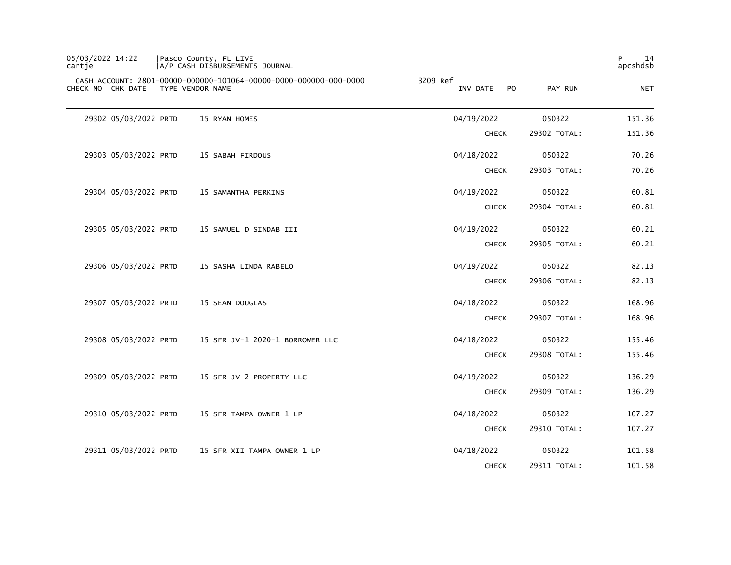| 05/03/2022 14:22<br>cartje |                       |                  | Pasco County, FL LIVE<br>A/P CASH DISBURSEMENTS JOURNAL           |                                        |              | 14<br>P<br>apcshdsb |
|----------------------------|-----------------------|------------------|-------------------------------------------------------------------|----------------------------------------|--------------|---------------------|
|                            | CHECK NO CHK DATE     | TYPE VENDOR NAME | CASH ACCOUNT: 2801-00000-000000-101064-00000-0000-000000-000-0000 | 3209 Ref<br>INV DATE<br>P <sub>O</sub> | PAY RUN      | <b>NET</b>          |
|                            | 29302 05/03/2022 PRTD |                  | 15 RYAN HOMES                                                     | 04/19/2022                             | 050322       | 151.36              |
|                            |                       |                  |                                                                   | <b>CHECK</b>                           | 29302 TOTAL: | 151.36              |
|                            | 29303 05/03/2022 PRTD |                  | 15 SABAH FIRDOUS                                                  | 04/18/2022                             | 050322       | 70.26               |
|                            |                       |                  |                                                                   | <b>CHECK</b>                           | 29303 TOTAL: | 70.26               |
|                            | 29304 05/03/2022 PRTD |                  | 15 SAMANTHA PERKINS                                               | 04/19/2022                             | 050322       | 60.81               |
|                            |                       |                  |                                                                   | <b>CHECK</b>                           | 29304 TOTAL: | 60.81               |
|                            | 29305 05/03/2022 PRTD |                  | 15 SAMUEL D SINDAB III                                            | 04/19/2022                             | 050322       | 60.21               |
|                            |                       |                  |                                                                   | <b>CHECK</b>                           | 29305 TOTAL: | 60.21               |
|                            | 29306 05/03/2022 PRTD |                  | 15 SASHA LINDA RABELO                                             | 04/19/2022                             | 050322       | 82.13               |
|                            |                       |                  |                                                                   | <b>CHECK</b>                           | 29306 TOTAL: | 82.13               |
|                            | 29307 05/03/2022 PRTD |                  | 15 SEAN DOUGLAS                                                   | 04/18/2022                             | 050322       | 168.96              |
|                            |                       |                  |                                                                   | <b>CHECK</b>                           | 29307 TOTAL: | 168.96              |
|                            | 29308 05/03/2022 PRTD |                  | 15 SFR JV-1 2020-1 BORROWER LLC                                   | 04/18/2022                             | 050322       | 155.46              |
|                            |                       |                  |                                                                   | <b>CHECK</b>                           | 29308 TOTAL: | 155.46              |
|                            | 29309 05/03/2022 PRTD |                  | 15 SFR JV-2 PROPERTY LLC                                          | 04/19/2022                             | 050322       | 136.29              |
|                            |                       |                  |                                                                   | <b>CHECK</b>                           | 29309 TOTAL: | 136.29              |
|                            | 29310 05/03/2022 PRTD |                  | 15 SFR TAMPA OWNER 1 LP                                           | 04/18/2022                             | 050322       | 107.27              |
|                            |                       |                  |                                                                   | <b>CHECK</b>                           | 29310 TOTAL: | 107.27              |
|                            | 29311 05/03/2022 PRTD |                  | 15 SFR XII TAMPA OWNER 1 LP                                       | 04/18/2022                             | 050322       | 101.58              |
|                            |                       |                  |                                                                   | <b>CHECK</b>                           | 29311 TOTAL: | 101.58              |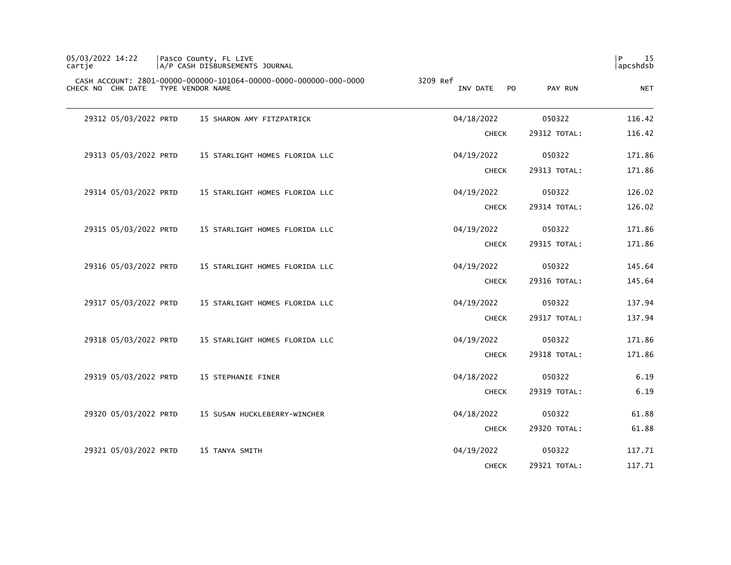| 05/03/2022 14:22<br>cartje | Pasco County, FL LIVE<br>A/P CASH DISBURSEMENTS JOURNAL                               |          |                            |              | $\mathsf{P}$<br>15<br>apcshdsb |
|----------------------------|---------------------------------------------------------------------------------------|----------|----------------------------|--------------|--------------------------------|
| CHECK NO CHK DATE          | CASH ACCOUNT: 2801-00000-000000-101064-00000-0000-000000-000-0000<br>TYPE VENDOR NAME | 3209 Ref | INV DATE<br>P <sub>O</sub> | PAY RUN      | <b>NET</b>                     |
| 29312 05/03/2022 PRTD      | 15 SHARON AMY FITZPATRICK                                                             |          | 04/18/2022                 | 050322       | 116.42                         |
|                            |                                                                                       |          | <b>CHECK</b>               | 29312 TOTAL: | 116.42                         |
| 29313 05/03/2022 PRTD      | 15 STARLIGHT HOMES FLORIDA LLC                                                        |          | 04/19/2022                 | 050322       | 171.86                         |
|                            |                                                                                       |          | <b>CHECK</b>               | 29313 TOTAL: | 171.86                         |
| 29314 05/03/2022 PRTD      | 15 STARLIGHT HOMES FLORIDA LLC                                                        |          | 04/19/2022                 | 050322       | 126.02                         |
|                            |                                                                                       |          | <b>CHECK</b>               | 29314 TOTAL: | 126.02                         |
| 29315 05/03/2022 PRTD      | 15 STARLIGHT HOMES FLORIDA LLC                                                        |          | 04/19/2022                 | 050322       | 171.86                         |
|                            |                                                                                       |          | <b>CHECK</b>               | 29315 TOTAL: | 171.86                         |
| 29316 05/03/2022 PRTD      | 15 STARLIGHT HOMES FLORIDA LLC                                                        |          | 04/19/2022                 | 050322       | 145.64                         |
|                            |                                                                                       |          | <b>CHECK</b>               | 29316 TOTAL: | 145.64                         |
| 29317 05/03/2022 PRTD      | 15 STARLIGHT HOMES FLORIDA LLC                                                        |          | 04/19/2022                 | 050322       | 137.94                         |
|                            |                                                                                       |          | <b>CHECK</b>               | 29317 TOTAL: | 137.94                         |
| 29318 05/03/2022 PRTD      | 15 STARLIGHT HOMES FLORIDA LLC                                                        |          | 04/19/2022                 | 050322       | 171.86                         |
|                            |                                                                                       |          | <b>CHECK</b>               | 29318 TOTAL: | 171.86                         |
| 29319 05/03/2022 PRTD      | 15 STEPHANIE FINER                                                                    |          | 04/18/2022                 | 050322       | 6.19                           |
|                            |                                                                                       |          | <b>CHECK</b>               | 29319 TOTAL: | 6.19                           |
| 29320 05/03/2022 PRTD      | 15 SUSAN HUCKLEBERRY-WINCHER                                                          |          | 04/18/2022                 | 050322       | 61.88                          |
|                            |                                                                                       |          | <b>CHECK</b>               | 29320 TOTAL: | 61.88                          |
| 29321 05/03/2022 PRTD      | 15 TANYA SMITH                                                                        |          | 04/19/2022                 | 050322       | 117.71                         |
|                            |                                                                                       |          | <b>CHECK</b>               | 29321 TOTAL: | 117.71                         |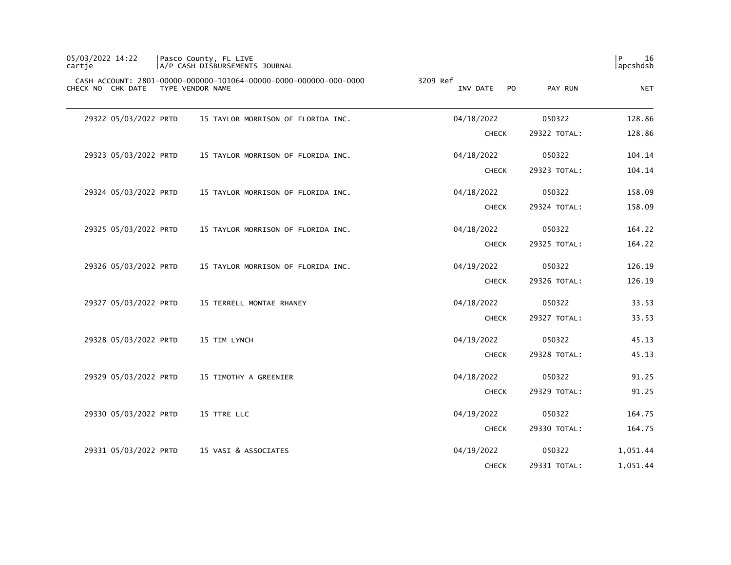| 05/03/2022 14:22<br>cartje |                       | Pasco County, FL LIVE<br>A/P CASH DISBURSEMENTS JOURNAL                               |          |              |                |              | 16<br>P<br>apcshdsb |
|----------------------------|-----------------------|---------------------------------------------------------------------------------------|----------|--------------|----------------|--------------|---------------------|
|                            | CHECK NO CHK DATE     | CASH ACCOUNT: 2801-00000-000000-101064-00000-0000-000000-000-0000<br>TYPE VENDOR NAME | 3209 Ref | INV DATE     | P <sub>O</sub> | PAY RUN      | <b>NET</b>          |
|                            | 29322 05/03/2022 PRTD | 15 TAYLOR MORRISON OF FLORIDA INC.                                                    |          | 04/18/2022   |                | 050322       | 128.86              |
|                            |                       |                                                                                       |          | <b>CHECK</b> |                | 29322 TOTAL: | 128.86              |
|                            | 29323 05/03/2022 PRTD | 15 TAYLOR MORRISON OF FLORIDA INC.                                                    |          | 04/18/2022   |                | 050322       | 104.14              |
|                            |                       |                                                                                       |          | <b>CHECK</b> |                | 29323 TOTAL: | 104.14              |
|                            | 29324 05/03/2022 PRTD | 15 TAYLOR MORRISON OF FLORIDA INC.                                                    |          | 04/18/2022   |                | 050322       | 158.09              |
|                            |                       |                                                                                       |          | <b>CHECK</b> |                | 29324 TOTAL: | 158.09              |
|                            | 29325 05/03/2022 PRTD | 15 TAYLOR MORRISON OF FLORIDA INC.                                                    |          | 04/18/2022   |                | 050322       | 164.22              |
|                            |                       |                                                                                       |          | <b>CHECK</b> |                | 29325 TOTAL: | 164.22              |
|                            | 29326 05/03/2022 PRTD | 15 TAYLOR MORRISON OF FLORIDA INC.                                                    |          | 04/19/2022   |                | 050322       | 126.19              |
|                            |                       |                                                                                       |          | <b>CHECK</b> |                | 29326 TOTAL: | 126.19              |
|                            | 29327 05/03/2022 PRTD | 15 TERRELL MONTAE RHANEY                                                              |          | 04/18/2022   |                | 050322       | 33.53               |
|                            |                       |                                                                                       |          | <b>CHECK</b> |                | 29327 TOTAL: | 33.53               |
|                            | 29328 05/03/2022 PRTD | 15 TIM LYNCH                                                                          |          | 04/19/2022   |                | 050322       | 45.13               |
|                            |                       |                                                                                       |          | <b>CHECK</b> |                | 29328 TOTAL: | 45.13               |
|                            | 29329 05/03/2022 PRTD | 15 TIMOTHY A GREENIER                                                                 |          | 04/18/2022   |                | 050322       | 91.25               |
|                            |                       |                                                                                       |          | <b>CHECK</b> |                | 29329 TOTAL: | 91.25               |
|                            | 29330 05/03/2022 PRTD | 15 TTRE LLC                                                                           |          | 04/19/2022   |                | 050322       | 164.75              |
|                            |                       |                                                                                       |          | <b>CHECK</b> |                | 29330 TOTAL: | 164.75              |
|                            | 29331 05/03/2022 PRTD | 15 VASI & ASSOCIATES                                                                  |          | 04/19/2022   |                | 050322       | 1,051.44            |
|                            |                       |                                                                                       |          | <b>CHECK</b> |                | 29331 TOTAL: | 1,051.44            |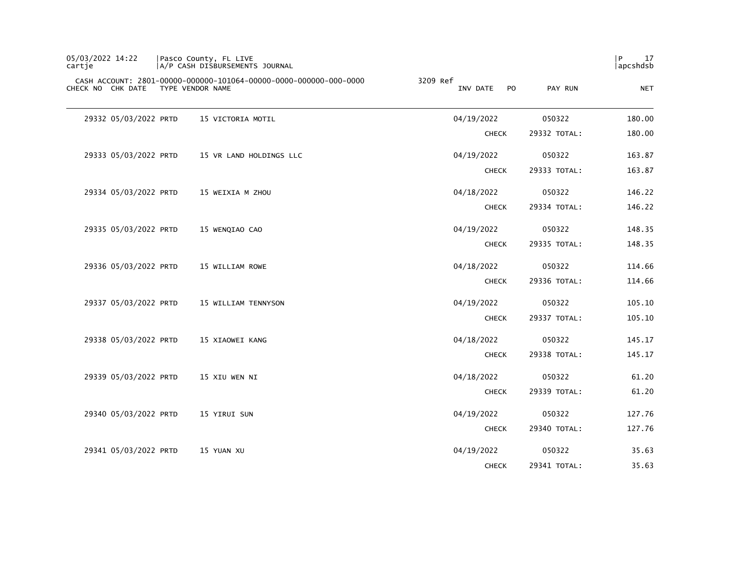| 05/03/2022 14:22<br>cartje | Pasco County, FL LIVE<br>A/P CASH DISBURSEMENTS JOURNAL                               |          |                |              | P<br>17<br>apcshdsb |
|----------------------------|---------------------------------------------------------------------------------------|----------|----------------|--------------|---------------------|
| CHECK NO CHK DATE          | CASH ACCOUNT: 2801-00000-000000-101064-00000-0000-000000-000-0000<br>TYPE VENDOR NAME | 3209 Ref | INV DATE<br>PO | PAY RUN      | <b>NET</b>          |
| 29332 05/03/2022 PRTD      | 15 VICTORIA MOTIL                                                                     |          | 04/19/2022     | 050322       | 180.00              |
|                            |                                                                                       |          | <b>CHECK</b>   | 29332 TOTAL: | 180.00              |
| 29333 05/03/2022 PRTD      | 15 VR LAND HOLDINGS LLC                                                               |          | 04/19/2022     | 050322       | 163.87              |
|                            |                                                                                       |          | <b>CHECK</b>   | 29333 TOTAL: | 163.87              |
| 29334 05/03/2022 PRTD      | 15 WEIXIA M ZHOU                                                                      |          | 04/18/2022     | 050322       | 146.22              |
|                            |                                                                                       |          | <b>CHECK</b>   | 29334 TOTAL: | 146.22              |
| 29335 05/03/2022 PRTD      | 15 WENQIAO CAO                                                                        |          | 04/19/2022     | 050322       | 148.35              |
|                            |                                                                                       |          | <b>CHECK</b>   | 29335 TOTAL: | 148.35              |
| 29336 05/03/2022 PRTD      | 15 WILLIAM ROWE                                                                       |          | 04/18/2022     | 050322       | 114.66              |
|                            |                                                                                       |          | <b>CHECK</b>   | 29336 TOTAL: | 114.66              |
| 29337 05/03/2022 PRTD      | 15 WILLIAM TENNYSON                                                                   |          | 04/19/2022     | 050322       | 105.10              |
|                            |                                                                                       |          | <b>CHECK</b>   | 29337 TOTAL: | 105.10              |
| 29338 05/03/2022 PRTD      | 15 XIAOWEI KANG                                                                       |          | 04/18/2022     | 050322       | 145.17              |
|                            |                                                                                       |          | <b>CHECK</b>   | 29338 TOTAL: | 145.17              |
| 29339 05/03/2022 PRTD      | 15 XIU WEN NI                                                                         |          | 04/18/2022     | 050322       | 61.20               |
|                            |                                                                                       |          | <b>CHECK</b>   | 29339 TOTAL: | 61.20               |
| 29340 05/03/2022 PRTD      | 15 YIRUI SUN                                                                          |          | 04/19/2022     | 050322       | 127.76              |
|                            |                                                                                       |          | <b>CHECK</b>   | 29340 TOTAL: | 127.76              |
| 29341 05/03/2022 PRTD      | 15 YUAN XU                                                                            |          | 04/19/2022     | 050322       | 35.63               |
|                            |                                                                                       |          | <b>CHECK</b>   | 29341 TOTAL: | 35.63               |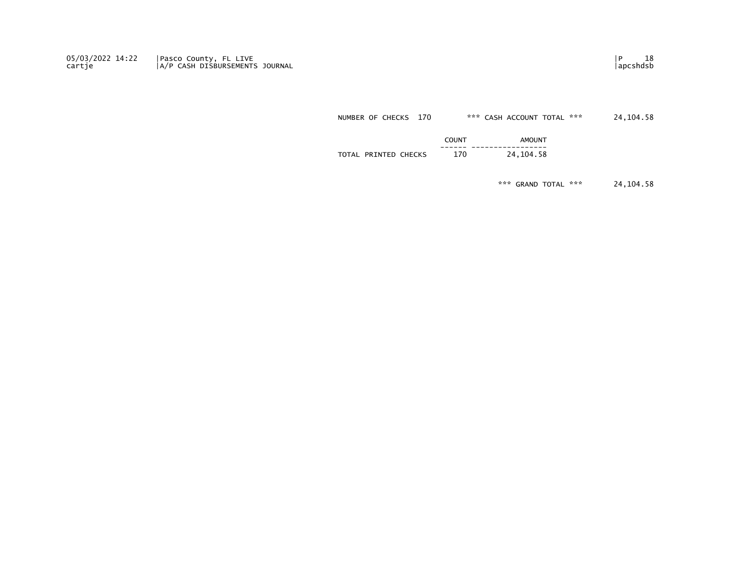05/03/2022 14:22 Pasco County, FL LIVE |P 18 محمد المستخدم المستخدم المستخدم المستخدم المستخدم المستخدم المستخدم المستخدم المستخدم المستخدم المستخدم المستخدم المستخدم المستخدم المستخدم المستخدم المستخدم المستخدم المستخدم ا cartje |A/P CASH DISBURSEMENTS JOURNAL |apcshdsb

NUMBER OF CHECKS 170 \*\*\* CASH ACCOUNT TOTAL \*\*\* 24,104.58

|                                   | COUNT<br>.    | AMOUN <sup>T</sup>              |
|-----------------------------------|---------------|---------------------------------|
| PRINTED<br><b>CHECKS</b><br>TOTAL | ------<br>170 | -----------------<br>24, 104.58 |
|                                   |               |                                 |

\*\*\* GRAND TOTAL \*\*\* 24,104.58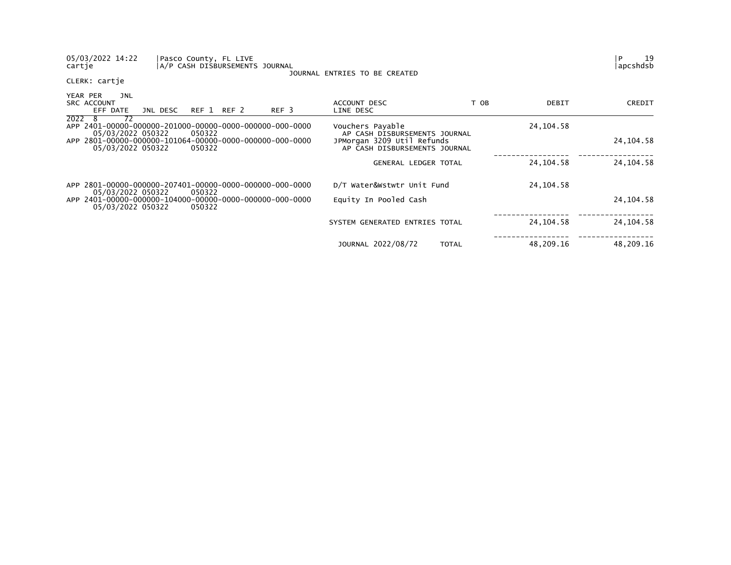| 05/03/2022 14:22<br>Pasco County, FL LIVE<br>cartje                                    | A/P CASH DISBURSEMENTS JOURNAL | JOURNAL ENTRIES TO BE CREATED                               |              |             | 19<br>P<br> apcshdsb |
|----------------------------------------------------------------------------------------|--------------------------------|-------------------------------------------------------------|--------------|-------------|----------------------|
| CLERK: cartje                                                                          |                                |                                                             |              |             |                      |
| YEAR PER<br>JNL<br>SRC ACCOUNT<br>REF 1 REF 2<br>JNL DESC<br>EFF DATE                  | REF <sub>3</sub>               | ACCOUNT DESC<br>LINE DESC                                   | T OB         | DEBIT       | CREDIT               |
| 2022<br>72<br>- 8<br>05/03/2022 050322<br>050322                                       |                                | Vouchers Payable<br>AP CASH DISBURSEMENTS JOURNAL           |              | 24, 104. 58 |                      |
| APP 2801-00000-000000-101064-00000-0000-000000-000-0000<br>05/03/2022 050322<br>050322 |                                | JPMorgan 3209 Util Refunds<br>AP CASH DISBURSEMENTS JOURNAL |              |             | 24, 104.58           |
|                                                                                        |                                | GENERAL LEDGER TOTAL                                        |              | 24, 104. 58 | 24, 104. 58          |
| APP 2801-00000-000000-207401-00000-0000-000000-000-0000<br>050322<br>05/03/2022 050322 |                                | D/T Water&Wstwtr Unit Fund                                  |              | 24, 104. 58 |                      |
| 05/03/2022 050322<br>050322                                                            |                                | Equity In Pooled Cash                                       |              |             | 24, 104. 58          |
|                                                                                        |                                | SYSTEM GENERATED ENTRIES TOTAL                              |              | 24, 104. 58 | 24, 104. 58          |
|                                                                                        |                                | JOURNAL 2022/08/72                                          | <b>TOTAL</b> | 48,209.16   | 48,209.16            |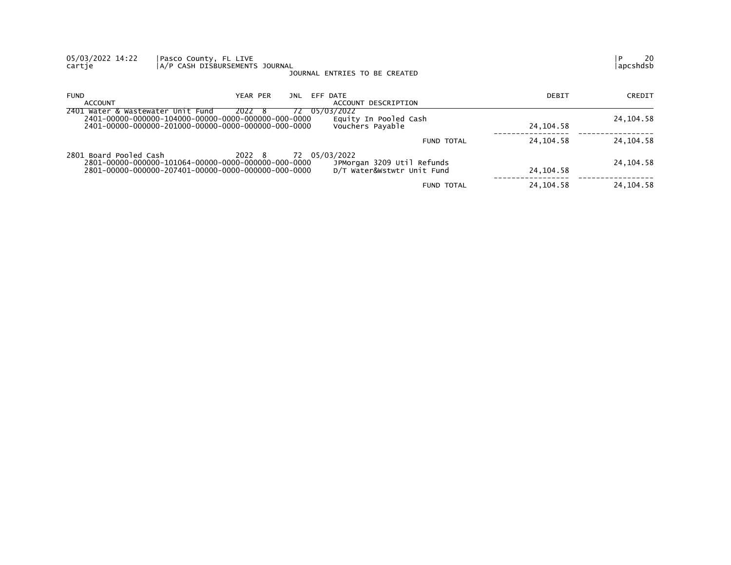| 05/03/2022 14:22<br>cartje        | Pasco County, FL LIVE<br>A/P CASH DISBURSEMENTS JOURNAL<br>JOURNAL ENTRIES TO BE CREATED                                              |                                                          |             | 20<br>apcshdsb |
|-----------------------------------|---------------------------------------------------------------------------------------------------------------------------------------|----------------------------------------------------------|-------------|----------------|
| <b>FUND</b><br>ACCOUNT            | YEAR PER<br>EFF DATE<br>JNL                                                                                                           | ACCOUNT DESCRIPTION                                      | DEBIT       | CREDIT         |
| 2401 Water & Wastewater Unit Fund | 05/03/2022<br>2022 8<br>72.<br>Vouchers Payable                                                                                       | Equity In Pooled Cash                                    | 24, 104.58  | 24, 104. 58    |
|                                   |                                                                                                                                       | FUND TOTAL                                               | 24, 104. 58 | 24, 104. 58    |
| 2801 Board Pooled Cash            | 2022 8<br>72 05/03/2022<br>2801-00000-000000-101064-00000-0000-000000-000-0000<br>2801-00000-000000-207401-00000-0000-000000-000-0000 | JPMorgan 3209 Util Refunds<br>D/T Water&Wstwtr Unit Fund | 24, 104. 58 | 24, 104. 58    |
|                                   |                                                                                                                                       | <b>FUND TOTAL</b>                                        | 24, 104. 58 | 24, 104. 58    |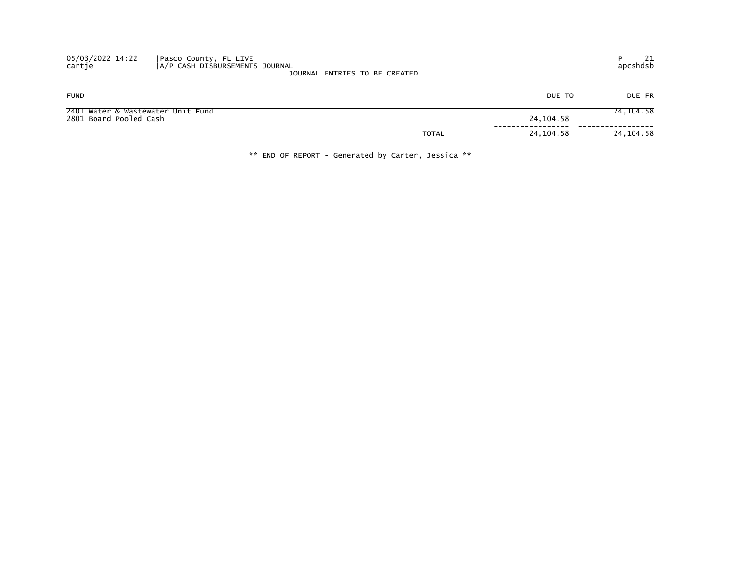| 05/03/2022 14:22<br>cartje | Pasco County, FL LIVE<br>A/P CASH DISBURSEMENTS JOURNAL | JOURNAL ENTRIES TO BE CREATED |             | 21<br>  apcshdsb |
|----------------------------|---------------------------------------------------------|-------------------------------|-------------|------------------|
| <b>FUND</b>                |                                                         |                               | DUE TO      | DUE FR           |
| 2801 Board Pooled Cash     | 2401 Water & Wastewater Unit Fund                       |                               | 24, 104. 58 | 24, 104.58       |
|                            |                                                         | <b>TOTAL</b>                  | 24, 104.58  | 24, 104.58       |

\*\* END OF REPORT - Generated by Carter, Jessica \*\*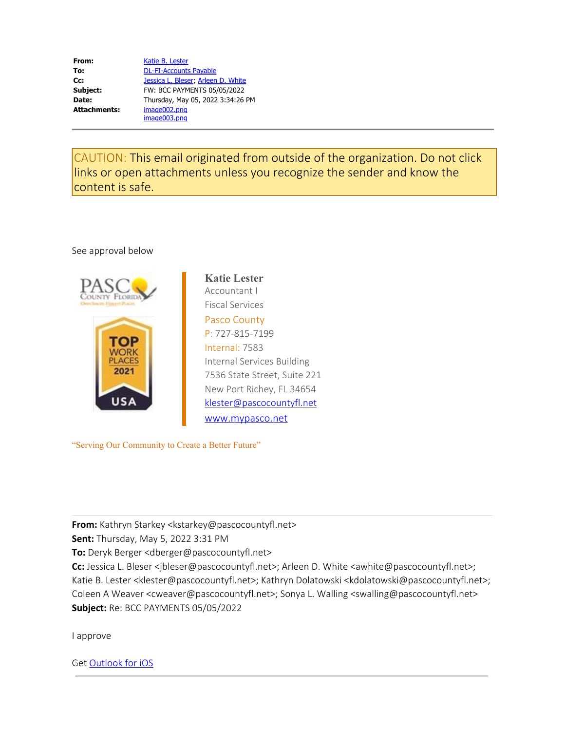| From:               | Katie B. Lester                    |
|---------------------|------------------------------------|
| To:                 | <b>DL-FI-Accounts Payable</b>      |
| Cc:                 | Jessica L. Bleser, Arleen D. White |
| Subject:            | FW: BCC PAYMENTS 05/05/2022        |
| Date:               | Thursday, May 05, 2022 3:34:26 PM  |
| <b>Attachments:</b> | image002.png                       |
|                     | image003.png                       |

CAUTION: This email originated from outside of the organization. Do not click links or open attachments unless you recognize the sender and know the content is safe.

### See approval below



**Katie Lester** Accountant I Fiscal Services Pasco County P: 727-815-7199 Internal: 7583 Internal Services Building 7536 State Street, Suite 221 New Port Richey, FL 34654 klester@pascocountyfl.net [www.mypasco.net](https://urldefense.com/v3/__http://www.mypasco.net/__;!!ELbYQBAoW-A!u7r9IZHTg_VgYAYjdINWn56lJ_rGb7T-vTNl_M84TRlFYIJDk47uOGjC-im4o1DAwd1z9ei5JfTE23Qe$)

"Serving Our Community to Create a Better Future"

**From:** Kathryn Starkey <kstarkey@pascocountyfl.net>

**Sent:** Thursday, May 5, 2022 3:31 PM

**To:** Deryk Berger <dberger@pascocountyfl.net>

Cc: Jessica L. Bleser <jbleser@pascocountyfl.net>; Arleen D. White <awhite@pascocountyfl.net>; Katie B. Lester <klester@pascocountyfl.net>; Kathryn Dolatowski <kdolatowski@pascocountyfl.net>; Coleen A Weaver <cweaver@pascocountyfl.net>; Sonya L. Walling <swalling@pascocountyfl.net> **Subject:** Re: BCC PAYMENTS 05/05/2022

I approve

Get [Outlook for iOS](https://urldefense.com/v3/__https://aka.ms/o0ukef__;!!ELbYQBAoW-A!u7r9IZHTg_VgYAYjdINWn56lJ_rGb7T-vTNl_M84TRlFYIJDk47uOGjC-im4o1DAwd1z9ei5JRAvW7nc$)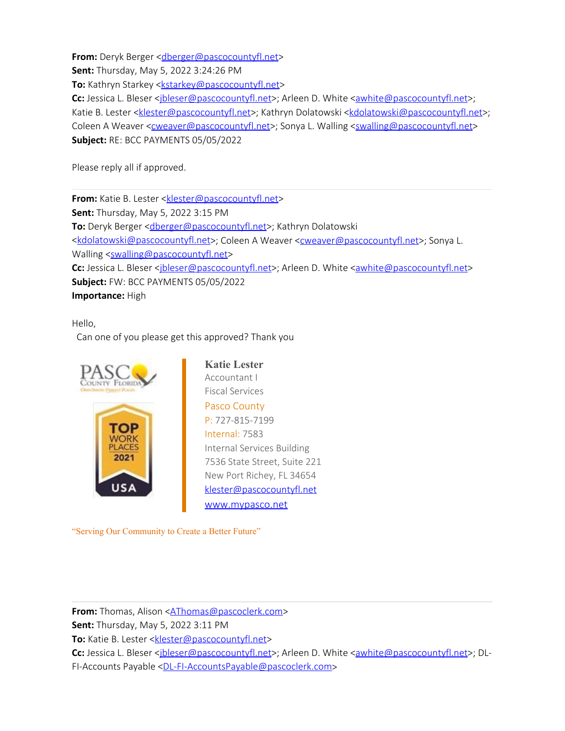**From:** Deryk Berger < dberger@pascocountyfl.net>

**Sent:** Thursday, May 5, 2022 3:24:26 PM

**To:** Kathryn Starkey <**kstarkey@pascocountyfl.net>** 

Cc: Jessica L. Bleser <*jbleser@pascocountyfl.net>*; Arleen D. White [<awhite@pascocountyfl.net](mailto:awhite@pascocountyfl.net)>; Katie B. Lester [<klester@pascocountyfl.net](mailto:klester@pascocountyfl.net)>; Kathryn Dolatowski [<kdolatowski@pascocountyfl.net](mailto:kdolatowski@pascocountyfl.net)>; Coleen A Weaver [<cweaver@pascocountyfl.net](mailto:cweaver@pascocountyfl.net)>; Sonya L. Walling [<swalling@pascocountyfl.net](mailto:swalling@pascocountyfl.net)> **Subject:** RE: BCC PAYMENTS 05/05/2022

Please reply all if approved.

**From:** Katie B. Lester <**klester@pascocountyfl.net> Sent:** Thursday, May 5, 2022 3:15 PM **To:** Deryk Berger [<dberger@pascocountyfl.net](mailto:dberger@pascocountyfl.net)>; Kathryn Dolatowski [<kdolatowski@pascocountyfl.net](mailto:kdolatowski@pascocountyfl.net)>; Coleen A Weaver [<cweaver@pascocountyfl.net](mailto:cweaver@pascocountyfl.net)>; Sonya L. Walling [<swalling@pascocountyfl.net](mailto:swalling@pascocountyfl.net)> Cc: Jessica L. Bleser [<jbleser@pascocountyfl.net](mailto:jbleser@pascocountyfl.net)>; Arleen D. White [<awhite@pascocountyfl.net](mailto:awhite@pascocountyfl.net)> **Subject:** FW: BCC PAYMENTS 05/05/2022 **Importance:** High

Hello,

Can one of you please get this approved? Thank you



**Katie Lester** Accountant I Fiscal Services Pasco County P: 727-815-7199 Internal: 7583 Internal Services Building 7536 State Street, Suite 221 New Port Richey, FL 34654 [klester@pascocountyfl.net](mailto:klester@pascocountyfl.net) [www.mypasco.net](https://urldefense.com/v3/__http://www.mypasco.net/__;!!ELbYQBAoW-A!u7r9IZHTg_VgYAYjdINWn56lJ_rGb7T-vTNl_M84TRlFYIJDk47uOGjC-im4o1DAwd1z9ei5JfTE23Qe$)

"Serving Our Community to Create a Better Future"

**From:** Thomas, Alison <[AThomas@pascoclerk.com>](mailto:AThomas@pascoclerk.com)

**Sent:** Thursday, May 5, 2022 3:11 PM

To: Katie B. Lester [<klester@pascocountyfl.net](mailto:klester@pascocountyfl.net)>

Cc: Jessica L. Bleser <*jbleser@pascocountyfl.net>*; Arleen D. White <*awhite@pascocountyfl.net>*; DL-FI-Accounts Payable [<DL-FI-AccountsPayable@pascoclerk.com](mailto:DL-FI-AccountsPayable@pascoclerk.com)>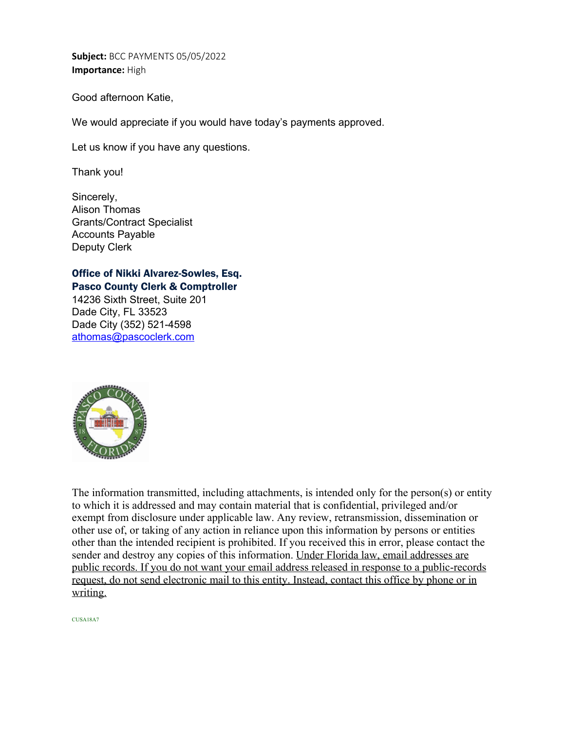**Subject:** BCC PAYMENTS 05/05/2022 **Importance:** High

Good afternoon Katie,

We would appreciate if you would have today's payments approved.

Let us know if you have any questions.

Thank you!

Sincerely, Alison Thomas Grants/Contract Specialist Accounts Payable Deputy Clerk

# Office of Nikki Alvarez-Sowles, Esq.

Pasco County Clerk & Comptroller 14236 Sixth Street, Suite 201 Dade City, FL 33523 Dade City (352) 521-4598 [athomas@pascoclerk.com](mailto:athomas@pascoclerk.com)



The information transmitted, including attachments, is intended only for the person(s) or entity to which it is addressed and may contain material that is confidential, privileged and/or exempt from disclosure under applicable law. Any review, retransmission, dissemination or other use of, or taking of any action in reliance upon this information by persons or entities other than the intended recipient is prohibited. If you received this in error, please contact the sender and destroy any copies of this information. Under Florida law, email addresses are public records. If you do not want your email address released in response to a public-records request, do not send electronic mail to this entity. Instead, contact this office by phone or in writing.

CUSA18A7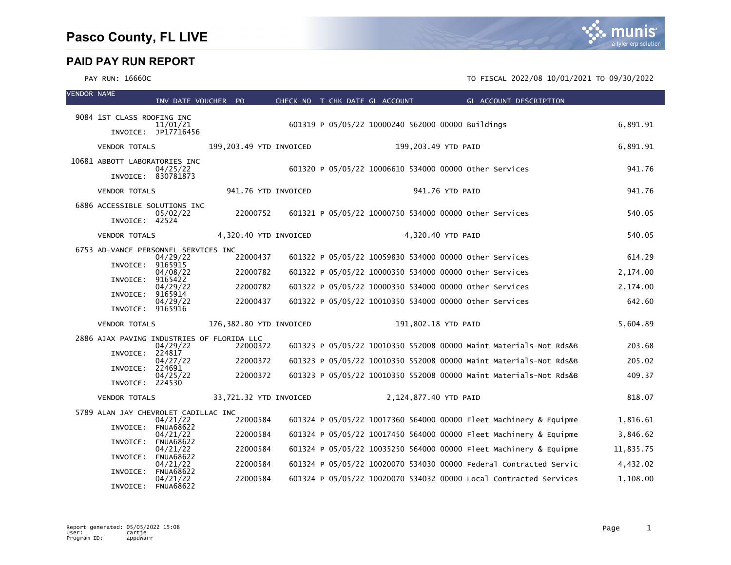# munis a tyler erp solution

| <b>VENDOR NAME</b> |                                      | INV DATE VOUCHER PO          |                                            | CHECK NO T CHK DATE GL ACCOUNT |  |                       |                 | <b>GL ACCOUNT DESCRIPTION</b>                                     |           |
|--------------------|--------------------------------------|------------------------------|--------------------------------------------|--------------------------------|--|-----------------------|-----------------|-------------------------------------------------------------------|-----------|
|                    |                                      |                              |                                            |                                |  |                       |                 |                                                                   |           |
|                    | 9084 1ST CLASS ROOFING INC           | 11/01/21                     |                                            |                                |  |                       |                 | 601319 P 05/05/22 10000240 562000 00000 Buildings                 | 6,891.91  |
|                    |                                      | INVOICE: JP17716456          |                                            |                                |  |                       |                 |                                                                   |           |
|                    | <b>VENDOR TOTALS</b>                 |                              | 199,203.49 YTD INVOICED                    |                                |  | 199,203.49 YTD PAID   |                 |                                                                   | 6,891.91  |
|                    | 10681 ABBOTT LABORATORIES INC        | 04/25/22                     |                                            |                                |  |                       |                 | 601320 P 05/05/22 10006610 534000 00000 other Services            | 941.76    |
|                    |                                      | INVOICE: 830781873           |                                            |                                |  |                       |                 |                                                                   |           |
|                    | <b>VENDOR TOTALS</b>                 |                              | 941.76 YTD INVOICED                        |                                |  |                       | 941.76 YTD PAID |                                                                   | 941.76    |
|                    | 6886 ACCESSIBLE SOLUTIONS INC        | 05/02/22                     | 22000752                                   |                                |  |                       |                 | 601321 P 05/05/22 10000750 534000 00000 other Services            | 540.05    |
|                    | INVOICE: 42524                       |                              |                                            |                                |  |                       |                 |                                                                   |           |
|                    | <b>VENDOR TOTALS</b>                 |                              | 4,320.40 YTD INVOICED                      |                                |  | 4,320.40 YTD PAID     |                 |                                                                   | 540.05    |
|                    | 6753 AD-VANCE PERSONNEL SERVICES INC | 04/29/22                     | 22000437                                   |                                |  |                       |                 | 601322 P 05/05/22 10059830 534000 00000 other Services            | 614.29    |
|                    | INVOICE: 9165915                     |                              |                                            |                                |  |                       |                 |                                                                   |           |
|                    | INVOICE:                             | 04/08/22<br>9165422          | 22000782                                   |                                |  |                       |                 | 601322 P 05/05/22 10000350 534000 00000 Other Services            | 2,174.00  |
|                    | INVOICE: 9165914                     | 04/29/22                     | 22000782                                   |                                |  |                       |                 | 601322 P 05/05/22 10000350 534000 00000 other Services            | 2,174.00  |
|                    | INVOICE: 9165916                     | 04/29/22                     | 22000437                                   |                                |  |                       |                 | 601322 P 05/05/22 10010350 534000 00000 other Services            | 642.60    |
|                    | <b>VENDOR TOTALS</b>                 |                              | 176,382.80 YTD INVOICED                    |                                |  | 191,802.18 YTD PAID   |                 |                                                                   | 5,604.89  |
|                    |                                      |                              | 2886 AJAX PAVING INDUSTRIES OF FLORIDA LLC |                                |  |                       |                 |                                                                   |           |
|                    | INVOICE: 224817                      | 04/29/22                     | 22000372                                   |                                |  |                       |                 | 601323 P 05/05/22 10010350 552008 00000 Maint Materials-Not Rds&B | 203.68    |
|                    | INVOICE: 224691                      | 04/27/22                     | 22000372                                   |                                |  |                       |                 | 601323 P 05/05/22 10010350 552008 00000 Maint Materials-Not Rds&B | 205.02    |
|                    | INVOICE: 224530                      | 04/25/22                     | 22000372                                   |                                |  |                       |                 | 601323 P 05/05/22 10010350 552008 00000 Maint Materials-Not Rds&B | 409.37    |
|                    | <b>VENDOR TOTALS</b>                 |                              | 33,721.32 YTD INVOICED                     |                                |  | 2,124,877.40 YTD PAID |                 |                                                                   | 818.07    |
|                    | 5789 ALAN JAY CHEVROLET CADILLAC INC |                              |                                            |                                |  |                       |                 |                                                                   |           |
|                    | INVOICE:                             | 04/21/22<br><b>FNUA68622</b> | 22000584                                   |                                |  |                       |                 | 601324 P 05/05/22 10017360 564000 00000 Fleet Machinery & Equipme | 1,816.61  |
|                    | INVOICE:                             | 04/21/22<br><b>FNUA68622</b> | 22000584                                   |                                |  |                       |                 | 601324 P 05/05/22 10017450 564000 00000 Fleet Machinery & Equipme | 3,846.62  |
|                    | INVOICE:                             | 04/21/22<br><b>FNUA68622</b> | 22000584                                   |                                |  |                       |                 | 601324 P 05/05/22 10035250 564000 00000 Fleet Machinery & Equipme | 11,835.75 |
|                    |                                      | 04/21/22                     | 22000584                                   |                                |  |                       |                 | 601324 P 05/05/22 10020070 534030 00000 Federal Contracted Servic | 4,432.02  |
|                    | INVOICE:                             | <b>FNUA68622</b><br>04/21/22 | 22000584                                   |                                |  |                       |                 | 601324 P 05/05/22 10020070 534032 00000 Local Contracted Services | 1,108.00  |
|                    | INVOICE:                             | <b>FNUA68622</b>             |                                            |                                |  |                       |                 |                                                                   |           |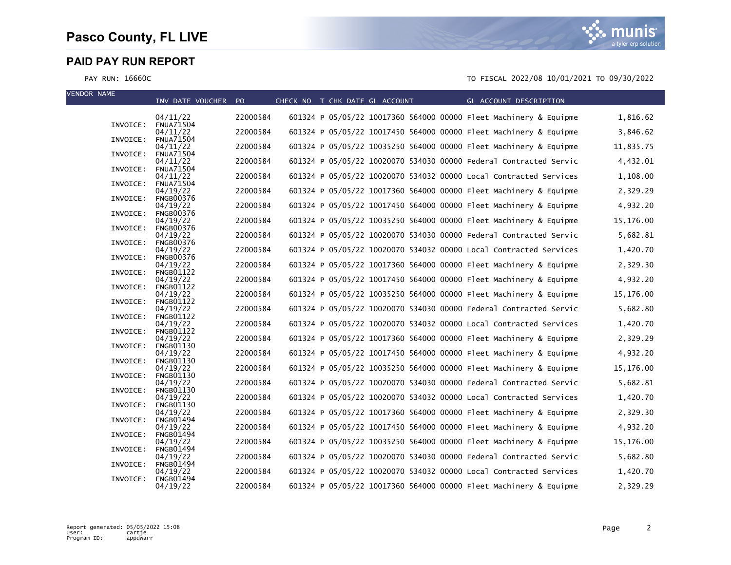

| CHECK NO T CHK DATE GL ACCOUNT<br>GL ACCOUNT DESCRIPTION<br>INV DATE VOUCHER PO                                           |           |
|---------------------------------------------------------------------------------------------------------------------------|-----------|
|                                                                                                                           |           |
| 601324 P 05/05/22 10017360 564000 00000 Fleet Machinery & Equipme<br>04/11/22<br>22000584<br><b>FNUA71504</b><br>INVOICE: | 1,816.62  |
| 22000584<br>601324 P 05/05/22 10017450 564000 00000 Fleet Machinery & Equipme<br>04/11/22                                 | 3,846.62  |
| INVOICE:<br><b>FNUA71504</b><br>22000584<br>601324 P 05/05/22 10035250 564000 00000 Fleet Machinery & Equipme             | 11,835.75 |
| 04/11/22<br>INVOICE:<br><b>FNUA71504</b>                                                                                  |           |
| 22000584<br>601324 P 05/05/22 10020070 534030 00000 Federal Contracted Servic<br>04/11/22                                 | 4,432.01  |
| INVOICE:<br><b>FNUA71504</b><br>22000584<br>601324 P 05/05/22 10020070 534032 00000 Local Contracted Services<br>04/11/22 | 1,108.00  |
| INVOICE:<br><b>FNUA71504</b>                                                                                              |           |
| 22000584<br>601324 P 05/05/22 10017360 564000 00000 Fleet Machinery & Equipme<br>04/19/22<br>INVOICE:<br><b>FNGB00376</b> | 2,329.29  |
| 22000584<br>601324 P 05/05/22 10017450 564000 00000 Fleet Machinery & Equipme<br>04/19/22                                 | 4,932.20  |
| INVOICE:<br><b>FNGB00376</b><br>22000584<br>601324 P 05/05/22 10035250 564000 00000 Fleet Machinery & Equipme<br>04/19/22 | 15,176.00 |
| INVOICE:<br><b>FNGB00376</b>                                                                                              |           |
| 22000584<br>601324 P 05/05/22 10020070 534030 00000 Federal Contracted Servic<br>04/19/22                                 | 5,682.81  |
| INVOICE:<br><b>FNGB00376</b><br>22000584<br>601324 P 05/05/22 10020070 534032 00000 Local Contracted Services<br>04/19/22 | 1,420.70  |
| INVOICE:<br><b>FNGB00376</b>                                                                                              |           |
| 22000584<br>601324 P 05/05/22 10017360 564000 00000 Fleet Machinery & Equipme<br>04/19/22<br>INVOICE:<br><b>FNGB01122</b> | 2,329.30  |
| 22000584<br>601324 P 05/05/22 10017450 564000 00000 Fleet Machinery & Equipme<br>04/19/22                                 | 4,932.20  |
| INVOICE:<br><b>FNGB01122</b><br>22000584<br>601324 P 05/05/22 10035250 564000 00000 Fleet Machinery & Equipme<br>04/19/22 | 15,176.00 |
| INVOICE:<br><b>FNGB01122</b>                                                                                              |           |
| 22000584<br>601324 P 05/05/22 10020070 534030 00000 Federal Contracted Servic<br>04/19/22<br>INVOICE:<br><b>FNGB01122</b> | 5,682.80  |
| 22000584<br>601324 P 05/05/22 10020070 534032 00000 Local Contracted Services<br>04/19/22                                 | 1,420.70  |
| INVOICE:<br><b>FNGB01122</b>                                                                                              |           |
| 601324 P 05/05/22 10017360 564000 00000 Fleet Machinery & Equipme<br>22000584<br>04/19/22<br>INVOICE:<br><b>FNGB01130</b> | 2,329.29  |
| 601324 P 05/05/22 10017450 564000 00000 Fleet Machinery & Equipme<br>22000584<br>04/19/22                                 | 4,932.20  |
| INVOICE:<br><b>FNGB01130</b><br>22000584<br>601324 P 05/05/22 10035250 564000 00000 Fleet Machinery & Equipme<br>04/19/22 | 15,176.00 |
| INVOICE:<br><b>FNGB01130</b>                                                                                              |           |
| 22000584<br>601324 P 05/05/22 10020070 534030 00000 Federal Contracted Servic<br>04/19/22<br>INVOICE:<br><b>FNGB01130</b> | 5,682.81  |
| 22000584<br>601324 P 05/05/22 10020070 534032 00000 Local Contracted Services<br>04/19/22                                 | 1,420.70  |
| INVOICE:<br><b>FNGB01130</b><br>601324 P 05/05/22 10017360 564000 00000 Fleet Machinery & Equipme<br>22000584<br>04/19/22 | 2,329.30  |
| INVOICE:<br><b>FNGB01494</b>                                                                                              |           |
| 22000584<br>601324 P 05/05/22 10017450 564000 00000 Fleet Machinery & Equipme<br>04/19/22                                 | 4,932.20  |
| INVOICE:<br><b>FNGB01494</b><br>22000584<br>601324 P 05/05/22 10035250 564000 00000 Fleet Machinery & Equipme<br>04/19/22 | 15,176.00 |
| INVOICE:<br><b>FNGB01494</b>                                                                                              |           |
| 22000584<br>601324 P 05/05/22 10020070 534030 00000 Federal Contracted Servic<br>04/19/22<br>INVOICE:<br><b>FNGB01494</b> | 5,682.80  |
| 601324 P 05/05/22 10020070 534032 00000 Local Contracted Services<br>22000584<br>04/19/22                                 | 1,420.70  |
| <b>FNGB01494</b><br>INVOICE:<br>22000584<br>601324 P 05/05/22 10017360 564000 00000 Fleet Machinery & Equipme<br>04/19/22 | 2,329.29  |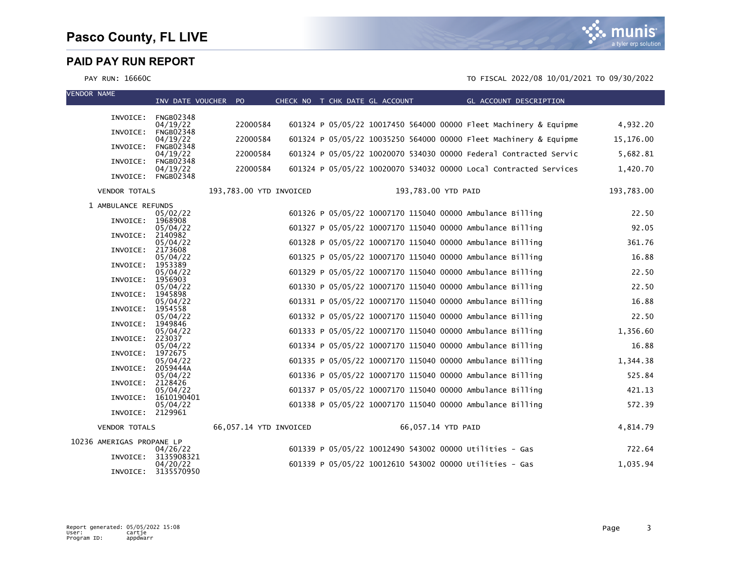



| <b>VENDOR NAME</b>        |                      | INV DATE VOUCHER PO            |                         |  | CHECK NO T CHK DATE GL ACCOUNT | GL ACCOUNT DESCRIPTION<br><b>Service Service</b>                  |            |
|---------------------------|----------------------|--------------------------------|-------------------------|--|--------------------------------|-------------------------------------------------------------------|------------|
|                           |                      |                                |                         |  |                                |                                                                   |            |
|                           |                      | INVOICE: FNGB02348<br>04/19/22 | 22000584                |  |                                | 601324 P 05/05/22 10017450 564000 00000 Fleet Machinery & Equipme | 4,932.20   |
|                           | INVOICE:             | <b>FNGB02348</b>               | 22000584                |  |                                | 601324 P 05/05/22 10035250 564000 00000 Fleet Machinery & Equipme |            |
|                           | INVOICE:             | 04/19/22<br><b>FNGB02348</b>   |                         |  |                                |                                                                   | 15,176.00  |
|                           | INVOICE:             | 04/19/22<br><b>FNGB02348</b>   | 22000584                |  |                                | 601324 P 05/05/22 10020070 534030 00000 Federal Contracted Servic | 5,682.81   |
|                           |                      | 04/19/22<br>INVOICE: FNGB02348 | 22000584                |  |                                | 601324 P 05/05/22 10020070 534032 00000 Local Contracted Services | 1,420.70   |
|                           | <b>VENDOR TOTALS</b> |                                | 193,783.00 YTD INVOICED |  |                                | 193,783.00 YTD PAID                                               | 193,783.00 |
|                           | 1 AMBULANCE REFUNDS  |                                |                         |  |                                |                                                                   |            |
|                           | INVOICE:             | 05/02/22<br>1968908            |                         |  |                                | 601326 P 05/05/22 10007170 115040 00000 Ambulance Billing         | 22.50      |
|                           |                      | 05/04/22                       |                         |  |                                | 601327 P 05/05/22 10007170 115040 00000 Ambulance Billing         | 92.05      |
|                           | INVOICE:             | 2140982<br>05/04/22            |                         |  |                                | 601328 P 05/05/22 10007170 115040 00000 Ambulance Billing         | 361.76     |
|                           | INVOICE:             | 2173608                        |                         |  |                                |                                                                   |            |
|                           | INVOICE:             | 05/04/22<br>1953389            |                         |  |                                | 601325 P 05/05/22 10007170 115040 00000 Ambulance Billing         | 16.88      |
|                           |                      | 05/04/22                       |                         |  |                                | 601329 P 05/05/22 10007170 115040 00000 Ambulance Billing         | 22.50      |
|                           | INVOICE:             | 1956903<br>05/04/22            |                         |  |                                | 601330 P 05/05/22 10007170 115040 00000 Ambulance Billing         | 22.50      |
|                           | INVOICE:             | 1945898<br>05/04/22            |                         |  |                                | 601331 P 05/05/22 10007170 115040 00000 Ambulance Billing         | 16.88      |
|                           | INVOICE:             | 1954558                        |                         |  |                                |                                                                   |            |
|                           | INVOICE:             | 05/04/22<br>1949846            |                         |  |                                | 601332 P 05/05/22 10007170 115040 00000 Ambulance Billing         | 22.50      |
|                           |                      | 05/04/22                       |                         |  |                                | 601333 P 05/05/22 10007170 115040 00000 Ambulance Billing         | 1,356.60   |
|                           | INVOICE:             | 223037<br>05/04/22             |                         |  |                                | 601334 P 05/05/22 10007170 115040 00000 Ambulance Billing         | 16.88      |
|                           | INVOICE:             | 1972675                        |                         |  |                                |                                                                   |            |
|                           | INVOICE:             | 05/04/22<br>2059444A           |                         |  |                                | 601335 P 05/05/22 10007170 115040 00000 Ambulance Billing         | 1,344.38   |
|                           | INVOICE:             | 05/04/22<br>2128426            |                         |  |                                | 601336 P 05/05/22 10007170 115040 00000 Ambulance Billing         | 525.84     |
|                           |                      | 05/04/22                       |                         |  |                                | 601337 P 05/05/22 10007170 115040 00000 Ambulance Billing         | 421.13     |
|                           | INVOICE:             | 1610190401<br>05/04/22         |                         |  |                                | 601338 P 05/05/22 10007170 115040 00000 Ambulance Billing         | 572.39     |
|                           |                      | INVOICE: 2129961               |                         |  |                                |                                                                   |            |
|                           | <b>VENDOR TOTALS</b> |                                | 66,057.14 YTD INVOICED  |  |                                | 66,057.14 YTD PAID                                                | 4,814.79   |
| 10236 AMERIGAS PROPANE LP |                      |                                |                         |  |                                |                                                                   |            |
|                           | INVOICE:             | 04/26/22<br>3135908321         |                         |  |                                | 601339 P 05/05/22 10012490 543002 00000 Utilities - Gas           | 722.64     |
|                           | INVOICE:             | 04/20/22<br>3135570950         |                         |  |                                | 601339 P 05/05/22 10012610 543002 00000 Utilities - Gas           | 1,035.94   |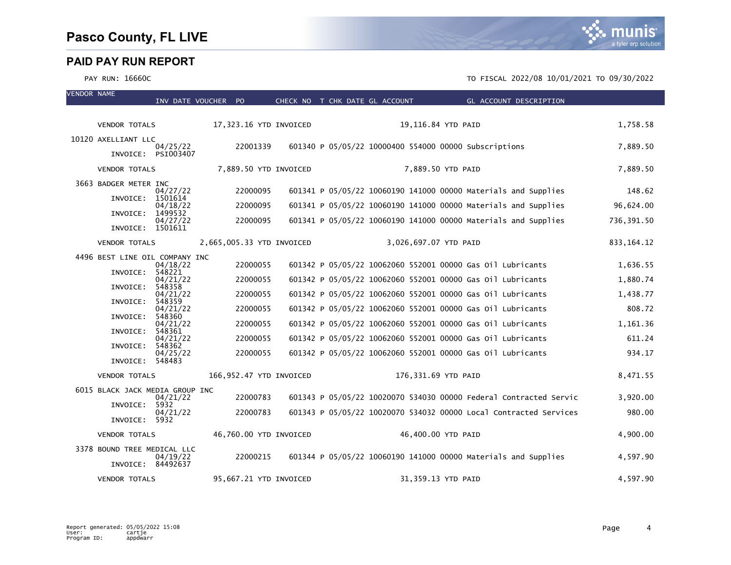

| <b>VENDOR NAME</b> |                                                  | INV DATE VOUCHER PO |          |                           | CHECK NO T CHK DATE GL ACCOUNT |                       | GL ACCOUNT DESCRIPTION                                            |              |
|--------------------|--------------------------------------------------|---------------------|----------|---------------------------|--------------------------------|-----------------------|-------------------------------------------------------------------|--------------|
|                    |                                                  |                     |          |                           |                                |                       |                                                                   |              |
|                    | VENDOR TOTALS                                    |                     |          | 17,323.16 YTD INVOICED    |                                |                       | 19,116.84 YTD PAID                                                | 1,758.58     |
|                    | 10120 AXELLIANT LLC                              | 04/25/22            | 22001339 |                           |                                |                       | 601340 P 05/05/22 10000400 554000 00000 Subscriptions             | 7,889.50     |
|                    | INVOICE: PSI003407<br><b>VENDOR TOTALS</b>       |                     |          | 7,889.50 YTD INVOICED     |                                |                       | 7,889.50 YTD PAID                                                 | 7,889.50     |
|                    |                                                  |                     |          |                           |                                |                       |                                                                   |              |
|                    | 3663 BADGER METER INC<br>INVOICE:                | 04/27/22<br>1501614 | 22000095 |                           |                                |                       | 601341 P 05/05/22 10060190 141000 00000 Materials and Supplies    | 148.62       |
|                    |                                                  | 04/18/22            | 22000095 |                           |                                |                       | 601341 P 05/05/22 10060190 141000 00000 Materials and Supplies    | 96,624.00    |
|                    | INVOICE:<br>INVOICE: 1501611                     | 1499532<br>04/27/22 | 22000095 |                           |                                |                       | 601341 P 05/05/22 10060190 141000 00000 Materials and Supplies    | 736,391.50   |
|                    | <b>VENDOR TOTALS</b>                             |                     |          | 2,665,005.33 YTD INVOICED |                                | 3,026,697.07 YTD PAID |                                                                   | 833, 164. 12 |
|                    | 4496 BEST LINE OIL COMPANY INC                   |                     |          |                           |                                |                       |                                                                   |              |
|                    | INVOICE:                                         | 04/18/22<br>548221  | 22000055 |                           |                                |                       | 601342 P 05/05/22 10062060 552001 00000 Gas 01l Lubricants        | 1,636.55     |
|                    |                                                  | 04/21/22            | 22000055 |                           |                                |                       | 601342 P 05/05/22 10062060 552001 00000 Gas 01l Lubricants        | 1,880.74     |
|                    | INVOICE:                                         | 548358<br>04/21/22  | 22000055 |                           |                                |                       | 601342 P 05/05/22 10062060 552001 00000 Gas 01l Lubricants        | 1,438.77     |
|                    | INVOICE:                                         | 548359<br>04/21/22  | 22000055 |                           |                                |                       | 601342 P 05/05/22 10062060 552001 00000 Gas 0il Lubricants        | 808.72       |
|                    | INVOICE:                                         | 548360<br>04/21/22  | 22000055 |                           |                                |                       | 601342 P 05/05/22 10062060 552001 00000 Gas 0il Lubricants        | 1,161.36     |
|                    | INVOICE:                                         | 548361<br>04/21/22  | 22000055 |                           |                                |                       | 601342 P 05/05/22 10062060 552001 00000 Gas 01l Lubricants        | 611.24       |
|                    | INVOICE:                                         | 548362<br>04/25/22  | 22000055 |                           |                                |                       | 601342 P 05/05/22 10062060 552001 00000 Gas 01l Lubricants        | 934.17       |
|                    | INVOICE:                                         | 548483              |          |                           |                                |                       |                                                                   |              |
|                    | <b>VENDOR TOTALS</b>                             |                     |          | 166,952.47 YTD INVOICED   |                                |                       | 176,331.69 YTD PAID                                               | 8,471.55     |
|                    | 6015 BLACK JACK MEDIA GROUP INC                  |                     |          |                           |                                |                       |                                                                   |              |
|                    | INVOICE:                                         | 04/21/22<br>5932    | 22000783 |                           |                                |                       | 601343 P 05/05/22 10020070 534030 00000 Federal Contracted Servic | 3,920.00     |
|                    | INVOICE: 5932                                    | 04/21/22            | 22000783 |                           |                                |                       | 601343 P 05/05/22 10020070 534032 00000 Local Contracted Services | 980.00       |
|                    | <b>VENDOR TOTALS</b>                             |                     |          | 46,760.00 YTD INVOICED    |                                |                       | 46,400.00 YTD PAID                                                | 4,900.00     |
|                    | 3378 BOUND TREE MEDICAL LLC<br>INVOICE: 84492637 | 04/19/22            | 22000215 |                           |                                |                       | 601344 P 05/05/22 10060190 141000 00000 Materials and Supplies    | 4,597.90     |
|                    | <b>VENDOR TOTALS</b>                             |                     |          | 95,667.21 YTD INVOICED    |                                |                       | 31,359.13 YTD PAID                                                | 4,597.90     |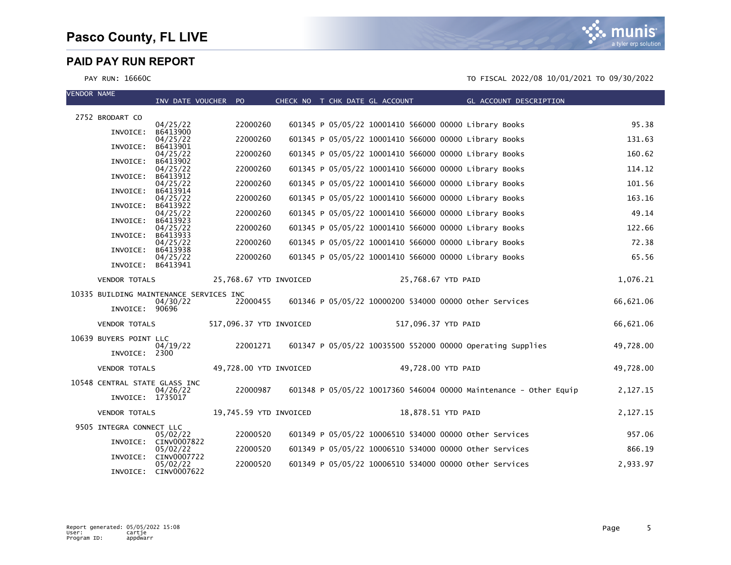| <b>VENDOR NAME</b> |                                         | INV DATE VOUCHER PO              |                         |  | CHECK NO T CHK DATE GL ACCOUNT | GL ACCOUNT DESCRIPTION                                            |           |
|--------------------|-----------------------------------------|----------------------------------|-------------------------|--|--------------------------------|-------------------------------------------------------------------|-----------|
|                    | 2752 BRODART CO                         |                                  |                         |  |                                |                                                                   |           |
|                    |                                         | 04/25/22                         | 22000260                |  |                                | 601345 P 05/05/22 10001410 566000 00000 Library Books             | 95.38     |
|                    | INVOICE:                                | B6413900<br>04/25/22             | 22000260                |  |                                | 601345 P 05/05/22 10001410 566000 00000 Library Books             | 131.63    |
|                    | INVOICE:                                | B6413901<br>04/25/22             | 22000260                |  |                                | 601345 P 05/05/22 10001410 566000 00000 Library Books             | 160.62    |
|                    | INVOICE:                                | B6413902<br>04/25/22             | 22000260                |  |                                | 601345 P 05/05/22 10001410 566000 00000 Library Books             | 114.12    |
|                    | INVOICE:                                | B6413912<br>04/25/22             | 22000260                |  |                                | 601345 P 05/05/22 10001410 566000 00000 Library Books             | 101.56    |
|                    | INVOICE:                                | B6413914                         |                         |  |                                |                                                                   |           |
|                    | INVOICE:                                | 04/25/22<br>B6413922             | 22000260                |  |                                | 601345 P 05/05/22 10001410 566000 00000 Library Books             | 163.16    |
|                    | INVOICE:                                | 04/25/22<br>B6413923             | 22000260                |  |                                | 601345 P 05/05/22 10001410 566000 00000 Library Books             | 49.14     |
|                    | INVOICE:                                | 04/25/22<br>B6413933             | 22000260                |  |                                | 601345 P 05/05/22 10001410 566000 00000 Library Books             | 122.66    |
|                    | INVOICE:                                | 04/25/22<br>B6413938             | 22000260                |  |                                | 601345 P 05/05/22 10001410 566000 00000 Library Books             | 72.38     |
|                    |                                         | 04/25/22                         | 22000260                |  |                                | 601345 P 05/05/22 10001410 566000 00000 Library Books             | 65.56     |
|                    | INVOICE:                                | B6413941                         |                         |  |                                |                                                                   |           |
|                    | <b>VENDOR TOTALS</b>                    |                                  | 25,768.67 YTD INVOICED  |  |                                | 25,768.67 YTD PAID                                                | 1,076.21  |
|                    | 10335 BUILDING MAINTENANCE SERVICES INC | 04/30/22                         | 22000455                |  |                                | 601346 P 05/05/22 10000200 534000 00000 other Services            | 66,621.06 |
|                    | INVOICE: 90696                          |                                  |                         |  |                                |                                                                   |           |
|                    | <b>VENDOR TOTALS</b>                    |                                  | 517,096.37 YTD INVOICED |  |                                | 517,096.37 YTD PAID                                               | 66,621.06 |
|                    | 10639 BUYERS POINT LLC                  |                                  |                         |  |                                |                                                                   |           |
|                    | INVOICE: 2300                           | 04/19/22                         | 22001271                |  |                                | 601347 P 05/05/22 10035500 552000 00000 Operating Supplies        | 49,728.00 |
|                    | VENDOR TOTALS                           |                                  | 49,728.00 YTD INVOICED  |  |                                | 49,728.00 YTD PAID                                                | 49,728.00 |
|                    | 10548 CENTRAL STATE GLASS INC           |                                  |                         |  |                                |                                                                   |           |
|                    | INVOICE: 1735017                        | 04/26/22                         | 22000987                |  |                                | 601348 P 05/05/22 10017360 546004 00000 Maintenance - Other Equip | 2,127.15  |
|                    | <b>VENDOR TOTALS</b>                    |                                  | 19,745.59 YTD INVOICED  |  |                                | 18,878.51 YTD PAID                                                | 2,127.15  |
|                    | 9505 INTEGRA CONNECT LLC                |                                  |                         |  |                                |                                                                   |           |
|                    |                                         | 05/02/22<br>INVOICE: CINV0007822 | 22000520                |  |                                | 601349 P 05/05/22 10006510 534000 00000 other Services            | 957.06    |
|                    | INVOICE:                                | 05/02/22<br>CINV0007722          | 22000520                |  |                                | 601349 P 05/05/22 10006510 534000 00000 other Services            | 866.19    |
|                    | INVOICE:                                | 05/02/22<br>CINV0007622          | 22000520                |  |                                | 601349 P 05/05/22 10006510 534000 00000 other Services            | 2,933.97  |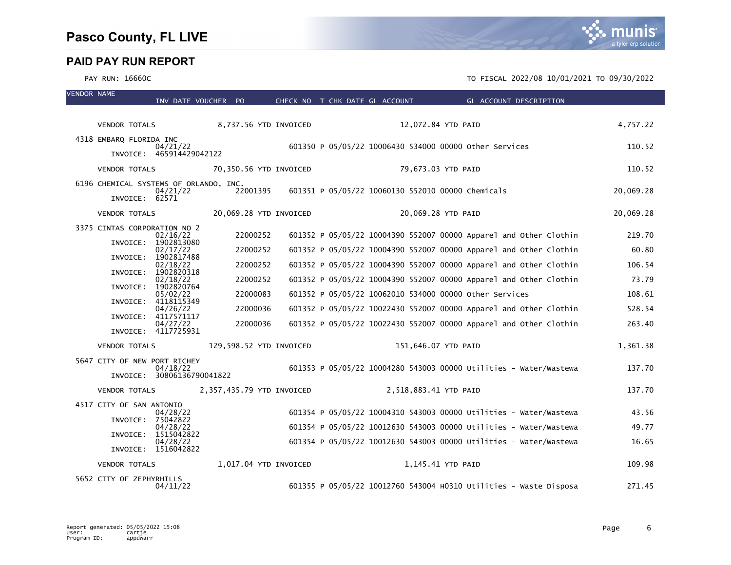| <b>VENDOR NAME</b> |                                        | INV DATE VOUCHER PO                    |                           |  | CHECK NO T CHK DATE GL ACCOUNT |                       | <b>Example 2018 GL ACCOUNT DESCRIPTION</b>                        |           |
|--------------------|----------------------------------------|----------------------------------------|---------------------------|--|--------------------------------|-----------------------|-------------------------------------------------------------------|-----------|
|                    |                                        |                                        |                           |  |                                |                       |                                                                   |           |
|                    | VENDOR TOTALS                          |                                        | 8,737.56 YTD INVOICED     |  |                                | 12,072.84 YTD PAID    |                                                                   | 4,757.22  |
|                    | 4318 EMBARQ FLORIDA INC                | 04/21/22<br>INVOICE: 465914429042122   |                           |  |                                |                       | 601350 P 05/05/22 10006430 534000 00000 other Services            | 110.52    |
|                    | <b>VENDOR TOTALS</b>                   |                                        | 70,350.56 YTD INVOICED    |  |                                | 79,673.03 YTD PAID    |                                                                   | 110.52    |
|                    | 6196 CHEMICAL SYSTEMS OF ORLANDO, INC. | 04/21/22                               | 22001395                  |  |                                |                       | 601351 P 05/05/22 10060130 552010 00000 Chemicals                 | 20,069.28 |
|                    | INVOICE: 62571                         |                                        |                           |  |                                |                       |                                                                   |           |
|                    | <b>VENDOR TOTALS</b>                   |                                        | 20,069.28 YTD INVOICED    |  |                                | 20,069.28 YTD PAID    |                                                                   | 20,069.28 |
|                    | 3375 CINTAS CORPORATION NO 2           | 02/16/22                               | 22000252                  |  |                                |                       | 601352 P 05/05/22 10004390 552007 00000 Apparel and Other Clothin | 219.70    |
|                    | INVOICE:                               | 1902813080<br>02/17/22                 | 22000252                  |  |                                |                       | 601352 P 05/05/22 10004390 552007 00000 Apparel and Other Clothin | 60.80     |
|                    | INVOICE:                               | 1902817488                             | 22000252                  |  |                                |                       | 601352 P 05/05/22 10004390 552007 00000 Apparel and Other Clothin | 106.54    |
|                    | INVOICE:                               | 02/18/22<br>1902820318                 |                           |  |                                |                       |                                                                   |           |
|                    |                                        | 02/18/22<br>INVOICE: 1902820764        | 22000252                  |  |                                |                       | 601352 P 05/05/22 10004390 552007 00000 Apparel and Other Clothin | 73.79     |
|                    |                                        | 05/02/22<br>INVOICE: 4118115349        | 22000083                  |  |                                |                       | 601352 P 05/05/22 10062010 534000 00000 other Services            | 108.61    |
|                    |                                        | 04/26/22<br>INVOICE: 4117571117        | 22000036                  |  |                                |                       | 601352 P 05/05/22 10022430 552007 00000 Apparel and Other Clothin | 528.54    |
|                    |                                        | 04/27/22<br>INVOICE: 4117725931        | 22000036                  |  |                                |                       | 601352 P 05/05/22 10022430 552007 00000 Apparel and Other Clothin | 263.40    |
|                    | <b>VENDOR TOTALS</b>                   |                                        | 129,598.52 YTD INVOICED   |  |                                | 151,646.07 YTD PAID   |                                                                   | 1,361.38  |
|                    | 5647 CITY OF NEW PORT RICHEY           | 04/18/22<br>INVOICE: 30806136790041822 |                           |  |                                |                       | 601353 P 05/05/22 10004280 543003 00000 Utilities - Water/Wastewa | 137.70    |
|                    | <b>VENDOR TOTALS</b>                   |                                        | 2,357,435.79 YTD INVOICED |  |                                | 2,518,883.41 YTD PAID |                                                                   | 137.70    |
|                    | 4517 CITY OF SAN ANTONIO               |                                        |                           |  |                                |                       |                                                                   |           |
|                    | INVOICE: 75042822                      | 04/28/22                               |                           |  |                                |                       | 601354 P 05/05/22 10004310 543003 00000 Utilities - Water/Wastewa | 43.56     |
|                    | INVOICE:                               | 04/28/22<br>1515042822                 |                           |  |                                |                       | 601354 P 05/05/22 10012630 543003 00000 Utilities - Water/Wastewa | 49.77     |
|                    |                                        | 04/28/22<br>INVOICE: 1516042822        |                           |  |                                |                       | 601354 P 05/05/22 10012630 543003 00000 Utilities - Water/Wastewa | 16.65     |
|                    | <b>VENDOR TOTALS</b>                   |                                        | 1,017.04 YTD INVOICED     |  |                                | 1,145.41 YTD PAID     |                                                                   | 109.98    |
|                    | 5652 CITY OF ZEPHYRHILLS               | 04/11/22                               |                           |  |                                |                       | 601355 P 05/05/22 10012760 543004 H0310 Utilities - Waste Disposa | 271.45    |

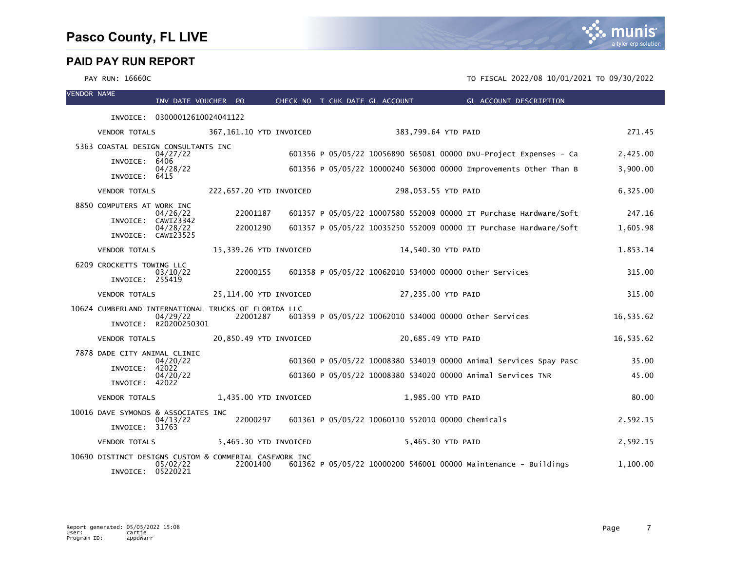| <b>VENDOR NAME</b> |                                                        | INV DATE VOUCHER PO            |  |                         |  |  | CHECK NO T CHK DATE GL ACCOUNT | <b>Example 2016 GL ACCOUNT DESCRIPTION</b>                        |           |
|--------------------|--------------------------------------------------------|--------------------------------|--|-------------------------|--|--|--------------------------------|-------------------------------------------------------------------|-----------|
|                    |                                                        | INVOICE: 03000012610024041122  |  |                         |  |  |                                |                                                                   |           |
|                    | <b>VENDOR TOTALS</b>                                   |                                |  | 367,161.10 YTD INVOICED |  |  |                                | 383,799.64 YTD PAID                                               | 271.45    |
|                    | 5363 COASTAL DESIGN CONSULTANTS INC                    | 04/27/22                       |  |                         |  |  |                                | 601356 P 05/05/22 10056890 565081 00000 DNU-Project Expenses - Ca | 2,425.00  |
|                    | INVOICE:                                               | 6406<br>04/28/22               |  |                         |  |  |                                | 601356 P 05/05/22 10000240 563000 00000 Improvements Other Than B | 3,900.00  |
|                    | INVOICE: 6415                                          |                                |  |                         |  |  |                                |                                                                   |           |
|                    | <b>VENDOR TOTALS</b>                                   |                                |  | 222,657.20 YTD INVOICED |  |  |                                | 298,053.55 YTD PAID                                               | 6,325.00  |
|                    | 8850 COMPUTERS AT WORK INC                             | 04/26/22                       |  | 22001187                |  |  |                                | 601357 P 05/05/22 10007580 552009 00000 IT Purchase Hardware/Soft | 247.16    |
|                    |                                                        | INVOICE: CAWI23342<br>04/28/22 |  | 22001290                |  |  |                                | 601357 P 05/05/22 10035250 552009 00000 IT Purchase Hardware/Soft | 1,605.98  |
|                    |                                                        | INVOICE: CAWI23525             |  |                         |  |  |                                |                                                                   |           |
|                    | <b>VENDOR TOTALS</b>                                   |                                |  | 15,339.26 YTD INVOICED  |  |  |                                | 14,540.30 YTD PAID                                                | 1,853.14  |
|                    | 6209 CROCKETTS TOWING LLC                              | 03/10/22                       |  | 22000155                |  |  |                                | 601358 P 05/05/22 10062010 534000 00000 other Services            | 315.00    |
|                    | INVOICE: 255419                                        |                                |  |                         |  |  |                                |                                                                   |           |
|                    | <b>VENDOR TOTALS</b>                                   |                                |  | 25,114.00 YTD INVOICED  |  |  |                                | 27,235.00 YTD PAID                                                | 315.00    |
|                    | 10624 CUMBERLAND INTERNATIONAL TRUCKS OF FLORIDA LLC   | 04/29/22                       |  | 22001287                |  |  |                                | 601359 P 05/05/22 10062010 534000 00000 other Services            | 16,535.62 |
|                    |                                                        | INVOICE: R20200250301          |  |                         |  |  |                                |                                                                   |           |
|                    | <b>VENDOR TOTALS</b>                                   |                                |  | 20,850.49 YTD INVOICED  |  |  |                                | 20,685.49 YTD PAID                                                | 16,535.62 |
|                    | 7878 DADE CITY ANIMAL CLINIC                           | 04/20/22                       |  |                         |  |  |                                | 601360 P 05/05/22 10008380 534019 00000 Animal Services Spay Pasc | 35.00     |
|                    | INVOICE:                                               | 42022<br>04/20/22              |  |                         |  |  |                                | 601360 P 05/05/22 10008380 534020 00000 Animal Services TNR       | 45.00     |
|                    | INVOICE: 42022                                         |                                |  |                         |  |  |                                |                                                                   |           |
|                    | <b>VENDOR TOTALS</b>                                   |                                |  | 1,435.00 YTD INVOICED   |  |  |                                | 1,985.00 YTD PAID                                                 | 80.00     |
|                    | 10016 DAVE SYMONDS & ASSOCIATES INC                    | 04/13/22                       |  | 22000297                |  |  |                                | 601361 P 05/05/22 10060110 552010 00000 Chemicals                 | 2,592.15  |
|                    | INVOICE: 31763                                         |                                |  |                         |  |  |                                |                                                                   |           |
|                    | <b>VENDOR TOTALS</b>                                   |                                |  | 5,465.30 YTD INVOICED   |  |  |                                | 5,465.30 YTD PAID                                                 | 2,592.15  |
|                    | 10690 DISTINCT DESIGNS CUSTOM & COMMERIAL CASEWORK INC | 05/02/22                       |  | 22001400                |  |  |                                | 601362 P 05/05/22 10000200 546001 00000 Maintenance - Buildings   | 1,100.00  |
|                    | INVOICE: 05220221                                      |                                |  |                         |  |  |                                |                                                                   |           |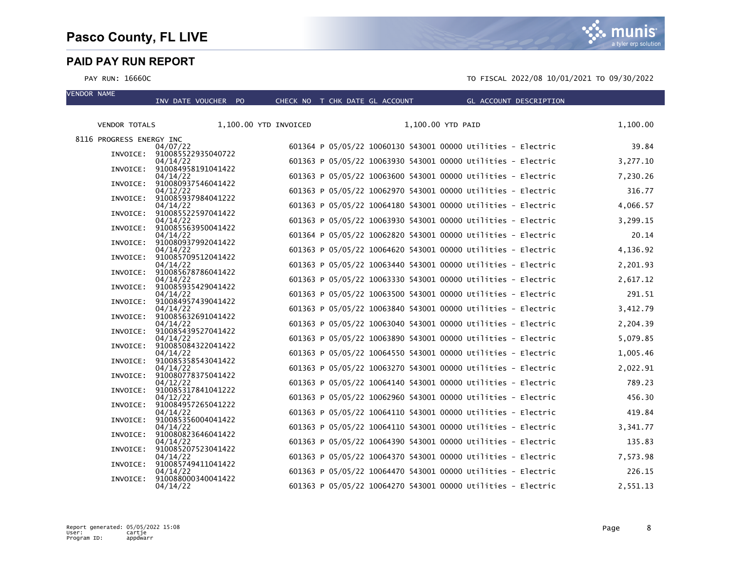VENDOR NAME



#### PAY RUN: 16660C TO FISCAL 2022/08 10/01/2021 TO 09/30/2022

| <b>VENDOR TOTALS</b>     |                                | 1,100.00 YTD INVOICED | 1,100.00 YTD PAID                                            | 1,100.00 |
|--------------------------|--------------------------------|-----------------------|--------------------------------------------------------------|----------|
| 8116 PROGRESS ENERGY INC | 04/07/22                       |                       | 601364 P 05/05/22 10060130 543001 00000 Utilities - Electric | 39.84    |
| INVOICE:                 | 910085522935040722<br>04/14/22 |                       | 601363 P 05/05/22 10063930 543001 00000 Utilities - Electric | 3,277.10 |
| INVOICE:                 | 910084958191041422             |                       |                                                              |          |
| INVOICE:                 | 04/14/22<br>910080937546041422 |                       | 601363 P 05/05/22 10063600 543001 00000 Utilities - Electric | 7,230.26 |
| INVOICE:                 | 04/12/22<br>910085937984041222 |                       | 601363 P 05/05/22 10062970 543001 00000 Utilities - Electric | 316.77   |
|                          | 04/14/22                       |                       | 601363 P 05/05/22 10064180 543001 00000 Utilities - Electric | 4,066.57 |
| INVOICE:                 | 910085522597041422<br>04/14/22 |                       | 601363 P 05/05/22 10063930 543001 00000 Utilities - Electric | 3,299.15 |
| INVOICE:                 | 910085563950041422<br>04/14/22 |                       | 601364 P 05/05/22 10062820 543001 00000 Utilities - Electric | 20.14    |
| INVOICE:                 | 910080937992041422             |                       |                                                              |          |
| INVOICE:                 | 04/14/22<br>910085709512041422 |                       | 601363 P 05/05/22 10064620 543001 00000 Utilities - Electric | 4,136.92 |
| INVOICE:                 | 04/14/22<br>910085678786041422 |                       | 601363 P 05/05/22 10063440 543001 00000 Utilities - Electric | 2,201.93 |
|                          | 04/14/22                       |                       | 601363 P 05/05/22 10063330 543001 00000 Utilities - Electric | 2,617.12 |
| INVOICE:                 | 910085935429041422<br>04/14/22 |                       | 601363 P 05/05/22 10063500 543001 00000 Utilities - Electric | 291.51   |
| INVOICE:                 | 910084957439041422<br>04/14/22 |                       | 601363 P 05/05/22 10063840 543001 00000 Utilities - Electric | 3,412.79 |
| INVOICE:                 | 910085632691041422             |                       |                                                              |          |
| INVOICE:                 | 04/14/22<br>910085439527041422 |                       | 601363 P 05/05/22 10063040 543001 00000 Utilities - Electric | 2,204.39 |
| INVOICE:                 | 04/14/22<br>910085084322041422 |                       | 601363 P 05/05/22 10063890 543001 00000 Utilities - Electric | 5,079.85 |
|                          | 04/14/22                       |                       | 601363 P 05/05/22 10064550 543001 00000 Utilities - Electric | 1,005.46 |
| INVOICE:                 | 910085358543041422<br>04/14/22 |                       | 601363 P 05/05/22 10063270 543001 00000 Utilities - Electric | 2,022.91 |
| INVOICE:                 | 910080778375041422<br>04/12/22 |                       | 601363 P 05/05/22 10064140 543001 00000 Utilities - Electric | 789.23   |
| INVOICE:                 | 910085317841041222<br>04/12/22 |                       | 601363 P 05/05/22 10062960 543001 00000 Utilities - Electric | 456.30   |
| INVOICE:                 | 910084957265041222             |                       |                                                              |          |
| INVOICE:                 | 04/14/22<br>910085356004041422 |                       | 601363 P 05/05/22 10064110 543001 00000 Utilities - Electric | 419.84   |
| INVOICE:                 | 04/14/22<br>910080823646041422 |                       | 601363 P 05/05/22 10064110 543001 00000 Utilities - Electric | 3,341.77 |
|                          | 04/14/22                       |                       | 601363 P 05/05/22 10064390 543001 00000 Utilities - Electric | 135.83   |
| INVOICE:                 | 910085207523041422<br>04/14/22 |                       | 601363 P 05/05/22 10064370 543001 00000 Utilities - Electric | 7,573.98 |
| INVOICE:                 | 910085749411041422<br>04/14/22 |                       | 601363 P 05/05/22 10064470 543001 00000 Utilities - Electric | 226.15   |
| INVOICE:                 | 910088000340041422             |                       |                                                              |          |
|                          | 04/14/22                       |                       | 601363 P 05/05/22 10064270 543001 00000 Utilities - Electric | 2,551.13 |

INV DATE VOUCHER PO CHECK NO T CHK DATE GL ACCOUNT GL ACCOUNT DESCRIPTION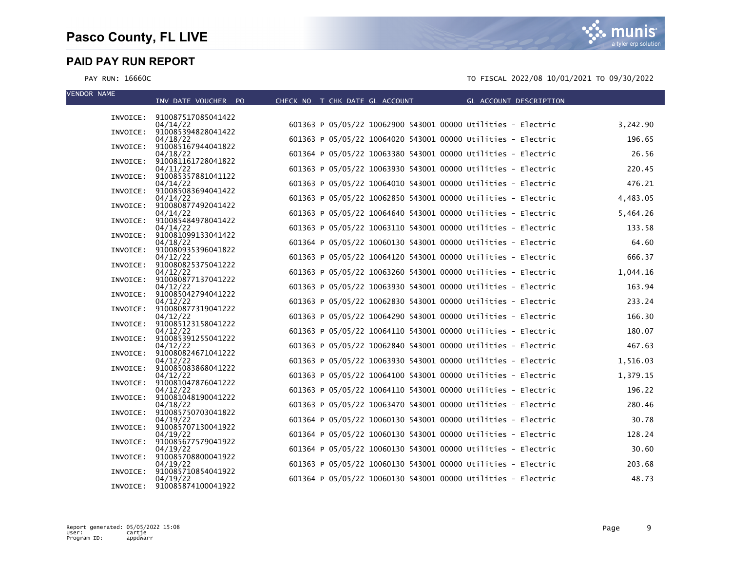munis a tyler erp solution

| <b>VENDOR NAME</b> | INV DATE VOUCHER PO                     | CHECK NO T CHK DATE GL ACCOUNT THE GL ACCOUNT DESCRIPTION    |          |
|--------------------|-----------------------------------------|--------------------------------------------------------------|----------|
|                    |                                         |                                                              |          |
|                    | INVOICE: 910087517085041422<br>04/14/22 | 601363 P 05/05/22 10062900 543001 00000 Utilities - Electric | 3,242.90 |
|                    | INVOICE: 910085394828041422             |                                                              |          |
|                    | 04/18/22<br>INVOICE: 910085167944041822 | 601363 P 05/05/22 10064020 543001 00000 Utilities - Electric | 196.65   |
|                    | 04/18/22                                | 601364 P 05/05/22 10063380 543001 00000 Utilities - Electric | 26.56    |
|                    | INVOICE: 910081161728041822<br>04/11/22 | 601363 P 05/05/22 10063930 543001 00000 Utilities - Electric | 220.45   |
|                    | INVOICE: 910085357881041122             |                                                              |          |
|                    | 04/14/22                                | 601363 P 05/05/22 10064010 543001 00000 Utilities - Electric | 476.21   |
|                    | INVOICE: 910085083694041422<br>04/14/22 | 601363 P 05/05/22 10062850 543001 00000 Utilities - Electric | 4,483.05 |
|                    | INVOICE: 910080877492041422             |                                                              |          |
|                    | 04/14/22<br>INVOICE: 910085484978041422 | 601363 P 05/05/22 10064640 543001 00000 Utilities - Electric | 5,464.26 |
|                    | 04/14/22                                | 601363 P 05/05/22 10063110 543001 00000 Utilities - Electric | 133.58   |
|                    | INVOICE: 910081099133041422<br>04/18/22 | 601364 P 05/05/22 10060130 543001 00000 Utilities - Electric | 64.60    |
|                    | INVOICE: 910080935396041822             |                                                              |          |
|                    | 04/12/22<br>INVOICE: 910080825375041222 | 601363 P 05/05/22 10064120 543001 00000 Utilities - Electric | 666.37   |
|                    | 04/12/22                                | 601363 P 05/05/22 10063260 543001 00000 Utilities - Electric | 1,044.16 |
|                    | INVOICE: 910080877137041222<br>04/12/22 | 601363 P 05/05/22 10063930 543001 00000 Utilities - Electric | 163.94   |
|                    | INVOICE: 910085042794041222             |                                                              |          |
|                    | 04/12/22<br>INVOICE: 910080877319041222 | 601363 P 05/05/22 10062830 543001 00000 Utilities - Electric | 233.24   |
|                    | 04/12/22                                | 601363 P 05/05/22 10064290 543001 00000 Utilities - Electric | 166.30   |
|                    | INVOICE: 910085123158041222             | 601363 P 05/05/22 10064110 543001 00000 Utilities - Electric | 180.07   |
|                    | 04/12/22<br>INVOICE: 910085391255041222 |                                                              |          |
|                    | 04/12/22                                | 601363 P 05/05/22 10062840 543001 00000 Utilities - Electric | 467.63   |
|                    | INVOICE: 910080824671041222<br>04/12/22 | 601363 P 05/05/22 10063930 543001 00000 Utilities - Electric | 1,516.03 |
|                    | INVOICE: 910085083868041222             |                                                              |          |
|                    | 04/12/22<br>INVOICE: 910081047876041222 | 601363 P 05/05/22 10064100 543001 00000 Utilities - Electric | 1,379.15 |
|                    | 04/12/22                                | 601363 P 05/05/22 10064110 543001 00000 Utilities - Electric | 196.22   |
|                    | INVOICE: 910081048190041222<br>04/18/22 | 601363 P 05/05/22 10063470 543001 00000 Utilities - Electric | 280.46   |
|                    | INVOICE: 910085750703041822             |                                                              |          |
|                    | 04/19/22<br>INVOICE: 910085707130041922 | 601364 P 05/05/22 10060130 543001 00000 Utilities - Electric | 30.78    |
|                    | 04/19/22                                | 601364 P 05/05/22 10060130 543001 00000 Utilities - Electric | 128.24   |
|                    | INVOICE: 910085677579041922<br>04/19/22 | 601364 P 05/05/22 10060130 543001 00000 Utilities - Electric | 30.60    |
|                    | INVOICE: 910085708800041922             |                                                              |          |
|                    | 04/19/22<br>INVOICE: 910085710854041922 | 601363 P 05/05/22 10060130 543001 00000 Utilities - Electric | 203.68   |
|                    | 04/19/22                                | 601364 P 05/05/22 10060130 543001 00000 Utilities - Electric | 48.73    |
|                    | INVOICE: 910085874100041922             |                                                              |          |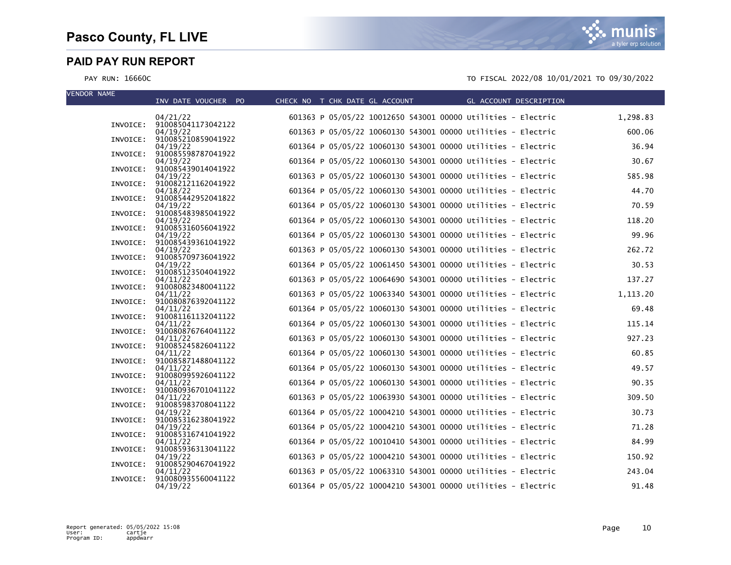| <b>VENDOR NAME</b> | INV DATE VOUCHER PO                     | CHECK NO T CHK DATE GL ACCOUNT                               | GL ACCOUNT DESCRIPTION |           |
|--------------------|-----------------------------------------|--------------------------------------------------------------|------------------------|-----------|
|                    | 04/21/22                                | 601363 P 05/05/22 10012650 543001 00000 Utilities - Electric |                        | 1,298.83  |
|                    | INVOICE: 910085041173042122<br>04/19/22 | 601363 P 05/05/22 10060130 543001 00000 Utilities - Electric |                        | 600.06    |
| INVOICE:           | 910085210859041922<br>04/19/22          | 601364 P 05/05/22 10060130 543001 00000 Utilities - Electric |                        | 36.94     |
|                    | INVOICE: 910085598787041922<br>04/19/22 | 601364 P 05/05/22 10060130 543001 00000 Utilities - Electric |                        | 30.67     |
|                    | INVOICE: 910085439014041922             |                                                              |                        |           |
|                    | 04/19/22<br>INVOICE: 910082121162041922 | 601363 P 05/05/22 10060130 543001 00000 Utilities - Electric |                        | 585.98    |
|                    | 04/18/22<br>INVOICE: 910085442952041822 | 601364 P 05/05/22 10060130 543001 00000 Utilities - Electric |                        | 44.70     |
|                    | 04/19/22<br>INVOICE: 910085483985041922 | 601364 P 05/05/22 10060130 543001 00000 Utilities - Electric |                        | 70.59     |
|                    | 04/19/22<br>INVOICE: 910085316056041922 | 601364 P 05/05/22 10060130 543001 00000 Utilities - Electric |                        | 118.20    |
|                    | 04/19/22                                | 601364 P 05/05/22 10060130 543001 00000 Utilities - Electric |                        | 99.96     |
| INVOICE:           | 910085439361041922<br>04/19/22          | 601363 P 05/05/22 10060130 543001 00000 Utilities - Electric |                        | 262.72    |
|                    | INVOICE: 910085709736041922<br>04/19/22 | 601364 P 05/05/22 10061450 543001 00000 Utilities - Electric |                        | 30.53     |
|                    | INVOICE: 910085123504041922<br>04/11/22 | 601363 P 05/05/22 10064690 543001 00000 Utilities - Electric |                        | 137.27    |
|                    | INVOICE: 910080823480041122<br>04/11/22 | 601363 P 05/05/22 10063340 543001 00000 Utilities - Electric |                        | 1, 113.20 |
|                    | INVOICE: 910080876392041122             |                                                              |                        |           |
|                    | 04/11/22<br>INVOICE: 910081161132041122 | 601364 P 05/05/22 10060130 543001 00000 Utilities - Electric |                        | 69.48     |
|                    | 04/11/22<br>INVOICE: 910080876764041122 | 601364 P 05/05/22 10060130 543001 00000 Utilities - Electric |                        | 115.14    |
|                    | 04/11/22<br>INVOICE: 910085245826041122 | 601363 P 05/05/22 10060130 543001 00000 Utilities - Electric |                        | 927.23    |
|                    | 04/11/22<br>INVOICE: 910085871488041122 | 601364 P 05/05/22 10060130 543001 00000 Utilities - Electric |                        | 60.85     |
|                    | 04/11/22                                | 601364 P 05/05/22 10060130 543001 00000 Utilities - Electric |                        | 49.57     |
|                    | INVOICE: 910080995926041122<br>04/11/22 | 601364 P 05/05/22 10060130 543001 00000 Utilities - Electric |                        | 90.35     |
|                    | INVOICE: 910080936701041122<br>04/11/22 | 601363 P 05/05/22 10063930 543001 00000 Utilities - Electric |                        | 309.50    |
|                    | INVOICE: 910085983708041122<br>04/19/22 | 601364 P 05/05/22 10004210 543001 00000 Utilities - Electric |                        | 30.73     |
|                    | INVOICE: 910085316238041922<br>04/19/22 | 601364 P 05/05/22 10004210 543001 00000 Utilities - Electric |                        | 71.28     |
|                    | INVOICE: 910085316741041922             |                                                              |                        |           |
|                    | 04/11/22<br>INVOICE: 910085936313041122 | 601364 P 05/05/22 10010410 543001 00000 Utilities - Electric |                        | 84.99     |
|                    | 04/19/22<br>INVOICE: 910085290467041922 | 601363 P 05/05/22 10004210 543001 00000 Utilities - Electric |                        | 150.92    |
| INVOICE:           | 04/11/22<br>910080935560041122          | 601363 P 05/05/22 10063310 543001 00000 Utilities - Electric |                        | 243.04    |
|                    | 04/19/22                                | 601364 P 05/05/22 10004210 543001 00000 Utilities - Electric |                        | 91.48     |

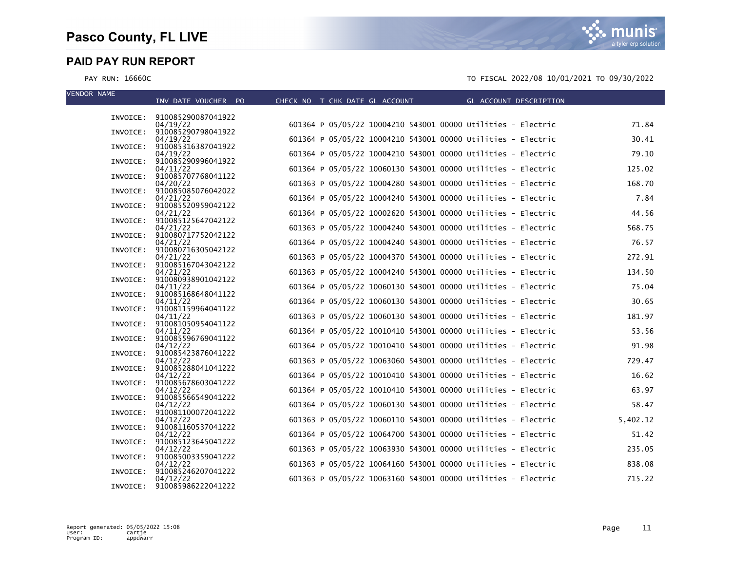munis a tyler erp solution

| <b>VENDOR NAME</b> | INV DATE VOUCHER PO                     | CHECK NO T CHK DATE GL ACCOUNT THE GL ACCOUNT DESCRIPTION    |          |
|--------------------|-----------------------------------------|--------------------------------------------------------------|----------|
|                    |                                         |                                                              |          |
|                    | INVOICE: 910085290087041922<br>04/19/22 | 601364 P 05/05/22 10004210 543001 00000 Utilities - Electric | 71.84    |
|                    | INVOICE: 910085290798041922             |                                                              |          |
|                    | 04/19/22<br>INVOICE: 910085316387041922 | 601364 P 05/05/22 10004210 543001 00000 Utilities - Electric | 30.41    |
|                    | 04/19/22                                | 601364 P 05/05/22 10004210 543001 00000 Utilities - Electric | 79.10    |
|                    | INVOICE: 910085290996041922<br>04/11/22 | 601364 P 05/05/22 10060130 543001 00000 Utilities - Electric | 125.02   |
|                    | INVOICE: 910085707768041122             |                                                              |          |
|                    | 04/20/22<br>INVOICE: 910085085076042022 | 601363 P 05/05/22 10004280 543001 00000 Utilities - Electric | 168.70   |
|                    | 04/21/22                                | 601364 P 05/05/22 10004240 543001 00000 Utilities - Electric | 7.84     |
|                    | INVOICE: 910085520959042122<br>04/21/22 | 601364 P 05/05/22 10002620 543001 00000 Utilities - Electric | 44.56    |
|                    | INVOICE: 910085125647042122             |                                                              |          |
|                    | 04/21/22<br>INVOICE: 910080717752042122 | 601363 P 05/05/22 10004240 543001 00000 Utilities - Electric | 568.75   |
|                    | 04/21/22                                | 601364 P 05/05/22 10004240 543001 00000 Utilities - Electric | 76.57    |
|                    | INVOICE: 910080716305042122             |                                                              |          |
|                    | 04/21/22<br>INVOICE: 910085167043042122 | 601363 P 05/05/22 10004370 543001 00000 Utilities - Electric | 272.91   |
|                    | 04/21/22                                | 601363 P 05/05/22 10004240 543001 00000 Utilities - Electric | 134.50   |
|                    | INVOICE: 910080938901042122<br>04/11/22 | 601364 P 05/05/22 10060130 543001 00000 Utilities - Electric | 75.04    |
|                    | INVOICE: 910085168648041122             |                                                              |          |
|                    | 04/11/22<br>INVOICE: 910081159964041122 | 601364 P 05/05/22 10060130 543001 00000 Utilities - Electric | 30.65    |
|                    | 04/11/22                                | 601363 P 05/05/22 10060130 543001 00000 Utilities - Electric | 181.97   |
|                    | INVOICE: 910081050954041122<br>04/11/22 | 601364 P 05/05/22 10010410 543001 00000 Utilities - Electric | 53.56    |
|                    | INVOICE: 910085596769041122             |                                                              |          |
|                    | 04/12/22<br>INVOICE: 910085423876041222 | 601364 P 05/05/22 10010410 543001 00000 Utilities - Electric | 91.98    |
|                    | 04/12/22                                | 601363 P 05/05/22 10063060 543001 00000 Utilities - Electric | 729.47   |
|                    | INVOICE: 910085288041041222             | 601364 P 05/05/22 10010410 543001 00000 Utilities - Electric | 16.62    |
|                    | 04/12/22<br>INVOICE: 910085678603041222 |                                                              |          |
|                    | 04/12/22                                | 601364 P 05/05/22 10010410 543001 00000 Utilities - Electric | 63.97    |
|                    | INVOICE: 910085566549041222<br>04/12/22 | 601364 P 05/05/22 10060130 543001 00000 Utilities - Electric | 58.47    |
|                    | INVOICE: 910081100072041222             |                                                              |          |
|                    | 04/12/22<br>INVOICE: 910081160537041222 | 601363 P 05/05/22 10060110 543001 00000 Utilities - Electric | 5,402.12 |
|                    | 04/12/22                                | 601364 P 05/05/22 10064700 543001 00000 Utilities - Electric | 51.42    |
|                    | INVOICE: 910085123645041222<br>04/12/22 | 601363 P 05/05/22 10063930 543001 00000 Utilities - Electric | 235.05   |
|                    | INVOICE: 910085003359041222             |                                                              |          |
|                    | 04/12/22<br>INVOICE: 910085246207041222 | 601363 P 05/05/22 10064160 543001 00000 Utilities - Electric | 838.08   |
|                    | 04/12/22                                | 601363 P 05/05/22 10063160 543001 00000 Utilities - Electric | 715.22   |
|                    | INVOICE: 910085986222041222             |                                                              |          |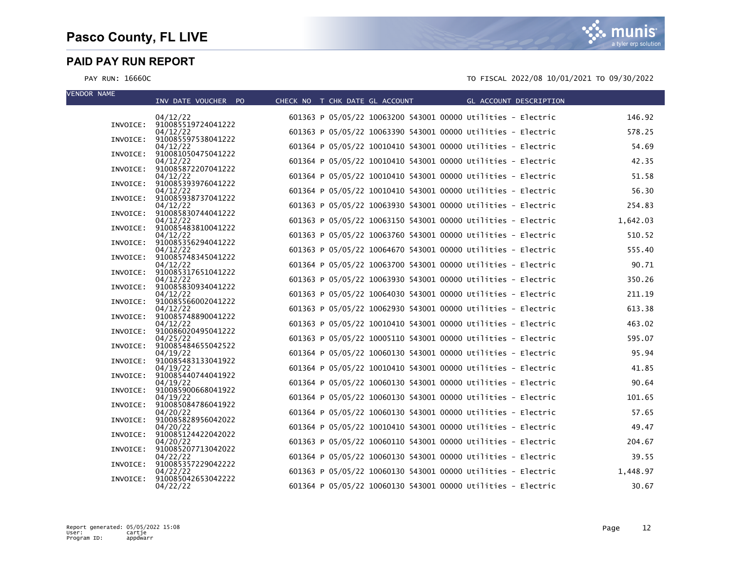| <b>VENDOR NAME</b> | INV DATE VOUCHER PO                     | CHECK NO T CHK DATE GL ACCOUNT | GL ACCOUNT DESCRIPTION                                       |          |
|--------------------|-----------------------------------------|--------------------------------|--------------------------------------------------------------|----------|
|                    | 04/12/22                                |                                | 601363 P 05/05/22 10063200 543001 00000 Utilities - Electric | 146.92   |
|                    | INVOICE: 910085519724041222<br>04/12/22 |                                | 601363 P 05/05/22 10063390 543001 00000 Utilities - Electric | 578.25   |
| INVOICE:           | 910085597538041222<br>04/12/22          |                                | 601364 P 05/05/22 10010410 543001 00000 Utilities - Electric | 54.69    |
|                    | INVOICE: 910081050475041222<br>04/12/22 |                                | 601364 P 05/05/22 10010410 543001 00000 Utilities - Electric | 42.35    |
|                    | INVOICE: 910085872207041222<br>04/12/22 |                                | 601364 P 05/05/22 10010410 543001 00000 Utilities - Electric | 51.58    |
|                    | INVOICE: 910085393976041222<br>04/12/22 |                                | 601364 P 05/05/22 10010410 543001 00000 Utilities - Electric | 56.30    |
|                    | INVOICE: 910085938737041222             |                                |                                                              | 254.83   |
|                    | 04/12/22<br>INVOICE: 910085830744041222 |                                | 601363 P 05/05/22 10063930 543001 00000 Utilities - Electric |          |
|                    | 04/12/22<br>INVOICE: 910085483810041222 |                                | 601363 P 05/05/22 10063150 543001 00000 Utilities - Electric | 1,642.03 |
| INVOICE:           | 04/12/22<br>910085356294041222          |                                | 601363 P 05/05/22 10063760 543001 00000 Utilities - Electric | 510.52   |
|                    | 04/12/22<br>INVOICE: 910085748345041222 |                                | 601363 P 05/05/22 10064670 543001 00000 Utilities - Electric | 555.40   |
|                    | 04/12/22<br>INVOICE: 910085317651041222 |                                | 601364 P 05/05/22 10063700 543001 00000 Utilities - Electric | 90.71    |
|                    | 04/12/22<br>INVOICE: 910085830934041222 |                                | 601363 P 05/05/22 10063930 543001 00000 Utilities - Electric | 350.26   |
|                    | 04/12/22<br>INVOICE: 910085566002041222 |                                | 601363 P 05/05/22 10064030 543001 00000 Utilities - Electric | 211.19   |
|                    | 04/12/22<br>INVOICE: 910085748890041222 |                                | 601363 P 05/05/22 10062930 543001 00000 Utilities - Electric | 613.38   |
|                    | 04/12/22                                |                                | 601363 P 05/05/22 10010410 543001 00000 Utilities - Electric | 463.02   |
|                    | INVOICE: 910086020495041222<br>04/25/22 |                                | 601363 P 05/05/22 10005110 543001 00000 Utilities - Electric | 595.07   |
|                    | INVOICE: 910085484655042522<br>04/19/22 |                                | 601364 P 05/05/22 10060130 543001 00000 Utilities - Electric | 95.94    |
|                    | INVOICE: 910085483133041922<br>04/19/22 |                                | 601364 P 05/05/22 10010410 543001 00000 Utilities - Electric | 41.85    |
|                    | INVOICE: 910085440744041922<br>04/19/22 |                                | 601364 P 05/05/22 10060130 543001 00000 Utilities - Electric | 90.64    |
|                    | INVOICE: 910085900668041922<br>04/19/22 |                                | 601364 P 05/05/22 10060130 543001 00000 Utilities - Electric | 101.65   |
|                    | INVOICE: 910085084786041922<br>04/20/22 |                                | 601364 P 05/05/22 10060130 543001 00000 Utilities - Electric | 57.65    |
|                    | INVOICE: 910085828956042022             |                                | 601364 P 05/05/22 10010410 543001 00000 Utilities - Electric | 49.47    |
|                    | 04/20/22<br>INVOICE: 910085124422042022 |                                |                                                              |          |
|                    | 04/20/22<br>INVOICE: 910085207713042022 |                                | 601363 P 05/05/22 10060110 543001 00000 Utilities - Electric | 204.67   |
|                    | 04/22/22<br>INVOICE: 910085357229042222 |                                | 601364 P 05/05/22 10060130 543001 00000 Utilities - Electric | 39.55    |
| INVOICE:           | 04/22/22<br>910085042653042222          |                                | 601363 P 05/05/22 10060130 543001 00000 Utilities - Electric | 1,448.97 |
|                    | 04/22/22                                |                                | 601364 P 05/05/22 10060130 543001 00000 Utilities - Electric | 30.67    |

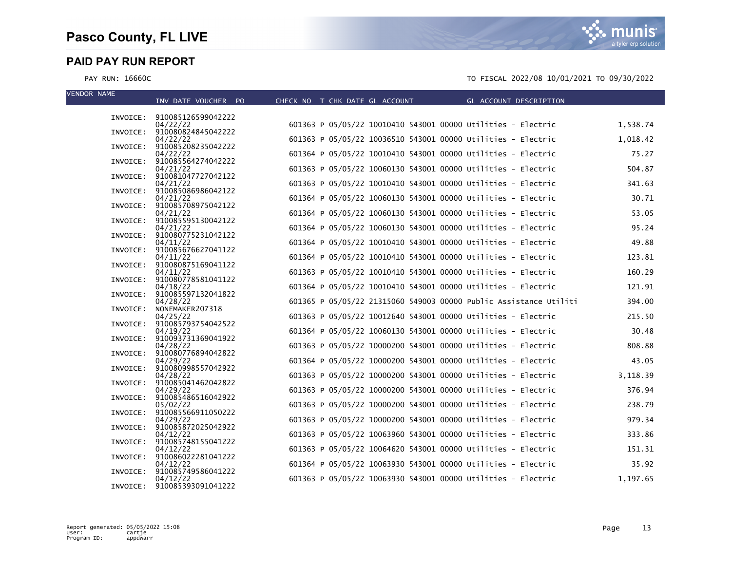munis a tyler erp solution

| <b>VENDOR NAME</b> | INV DATE VOUCHER PO                     | CHECK NO T CHK DATE GL ACCOUNT                                    | GL ACCOUNT DESCRIPTION |
|--------------------|-----------------------------------------|-------------------------------------------------------------------|------------------------|
|                    |                                         |                                                                   |                        |
|                    | INVOICE: 910085126599042222<br>04/22/22 | 601363 P 05/05/22 10010410 543001 00000 Utilities - Electric      | 1,538.74               |
|                    | INVOICE: 910080824845042222             |                                                                   |                        |
|                    | 04/22/22<br>INVOICE: 910085208235042222 | 601363 P 05/05/22 10036510 543001 00000 Utilities - Electric      | 1,018.42               |
|                    | 04/22/22                                | 601364 P 05/05/22 10010410 543001 00000 Utilities - Electric      | 75.27                  |
|                    | INVOICE: 910085564274042222<br>04/21/22 | 601363 P 05/05/22 10060130 543001 00000 Utilities - Electric      | 504.87                 |
|                    | INVOICE: 910081047727042122             |                                                                   |                        |
|                    | 04/21/22<br>INVOICE: 910085086986042122 | 601363 P 05/05/22 10010410 543001 00000 Utilities - Electric      | 341.63                 |
|                    | 04/21/22                                | 601364 P 05/05/22 10060130 543001 00000 Utilities - Electric      | 30.71                  |
|                    | INVOICE: 910085708975042122             | 601364 P 05/05/22 10060130 543001 00000 Utilities - Electric      | 53.05                  |
|                    | 04/21/22<br>INVOICE: 910085595130042122 |                                                                   |                        |
|                    | 04/21/22                                | 601364 P 05/05/22 10060130 543001 00000 Utilities - Electric      | 95.24                  |
|                    | INVOICE: 910080775231042122<br>04/11/22 | 601364 P 05/05/22 10010410 543001 00000 Utilities - Electric      | 49.88                  |
|                    | INVOICE: 910085676627041122             |                                                                   |                        |
|                    | 04/11/22<br>INVOICE: 910080875169041122 | 601364 P 05/05/22 10010410 543001 00000 Utilities - Electric      | 123.81                 |
|                    | 04/11/22                                | 601363 P 05/05/22 10010410 543001 00000 Utilities - Electric      | 160.29                 |
| INVOICE:           | 910080778581041122<br>04/18/22          | 601364 P 05/05/22 10010410 543001 00000 Utilities - Electric      | 121.91                 |
|                    | INVOICE: 910085597132041822             |                                                                   |                        |
| INVOICE:           | 04/28/22<br>NONEMAKER207318             | 601365 P 05/05/22 21315060 549003 00000 Public Assistance Utiliti | 394.00                 |
|                    | 04/25/22                                | 601363 P 05/05/22 10012640 543001 00000 Utilities - Electric      | 215.50                 |
|                    | INVOICE: 910085793754042522<br>04/19/22 | 601364 P 05/05/22 10060130 543001 00000 Utilities - Electric      | 30.48                  |
|                    | INVOICE: 910093731369041922             |                                                                   |                        |
|                    | 04/28/22<br>INVOICE: 910080776894042822 | 601363 P 05/05/22 10000200 543001 00000 Utilities - Electric      | 808.88                 |
|                    | 04/29/22                                | 601364 P 05/05/22 10000200 543001 00000 Utilities - Electric      | 43.05                  |
|                    | INVOICE: 910080998557042922<br>04/28/22 | 601363 P 05/05/22 10000200 543001 00000 Utilities - Electric      | 3,118.39               |
|                    | INVOICE: 910085041462042822             |                                                                   |                        |
|                    | 04/29/22<br>INVOICE: 910085486516042922 | 601363 P 05/05/22 10000200 543001 00000 Utilities - Electric      | 376.94                 |
|                    | 05/02/22                                | 601363 P 05/05/22 10000200 543001 00000 Utilities - Electric      | 238.79                 |
|                    | INVOICE: 910085566911050222             |                                                                   | 979.34                 |
|                    | 04/29/22<br>INVOICE: 910085872025042922 | 601363 P 05/05/22 10000200 543001 00000 Utilities - Electric      |                        |
|                    | 04/12/22                                | 601363 P 05/05/22 10063960 543001 00000 Utilities - Electric      | 333.86                 |
|                    | INVOICE: 910085748155041222<br>04/12/22 | 601363 P 05/05/22 10064620 543001 00000 Utilities - Electric      | 151.31                 |
|                    | INVOICE: 910086022281041222             |                                                                   |                        |
| INVOICE:           | 04/12/22<br>910085749586041222          | 601364 P 05/05/22 10063930 543001 00000 Utilities - Electric      | 35.92                  |
|                    | 04/12/22                                | 601363 P 05/05/22 10063930 543001 00000 Utilities - Electric      | 1,197.65               |
|                    | INVOICE: 910085393091041222             |                                                                   |                        |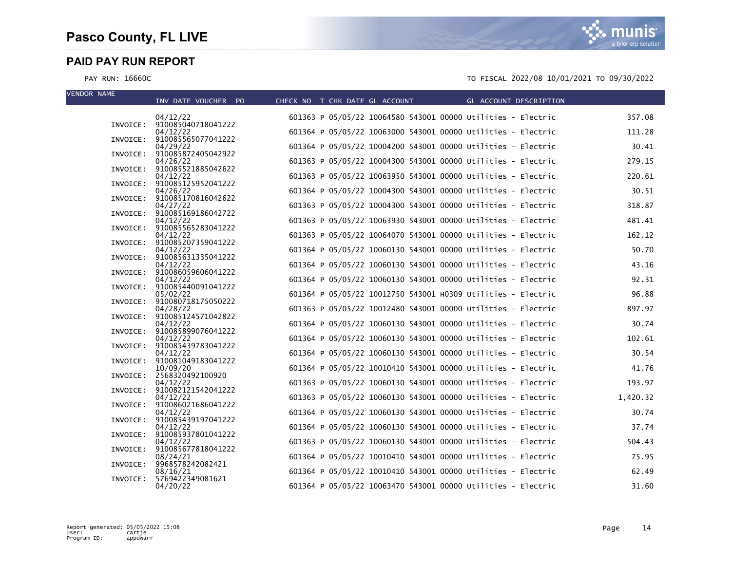| <b>VENDOR NAME</b> | INV DATE VOUCHER PO                     | CHECK NO T CHK DATE GL ACCOUNT | <b>Example 20 GL ACCOUNT DESCRIPTION</b>                     |          |
|--------------------|-----------------------------------------|--------------------------------|--------------------------------------------------------------|----------|
|                    | 04/12/22                                |                                | 601363 P 05/05/22 10064580 543001 00000 Utilities - Electric | 357.08   |
|                    | INVOICE: 910085040718041222<br>04/12/22 |                                | 601364 P 05/05/22 10063000 543001 00000 Utilities - Electric | 111.28   |
| INVOICE:           | 910085565077041222<br>04/29/22          |                                | 601364 P 05/05/22 10004200 543001 00000 Utilities - Electric | 30.41    |
|                    | INVOICE: 910085872405042922<br>04/26/22 |                                | 601363 P 05/05/22 10004300 543001 00000 Utilities - Electric | 279.15   |
|                    | INVOICE: 910085521885042622<br>04/12/22 |                                | 601363 P 05/05/22 10063950 543001 00000 Utilities - Electric | 220.61   |
|                    | INVOICE: 910085125952041222<br>04/26/22 |                                | 601364 P 05/05/22 10004300 543001 00000 Utilities - Electric | 30.51    |
|                    | INVOICE: 910085170816042622             |                                |                                                              |          |
|                    | 04/27/22<br>INVOICE: 910085169186042722 |                                | 601363 P 05/05/22 10004300 543001 00000 Utilities - Electric | 318.87   |
|                    | 04/12/22<br>INVOICE: 910085565283041222 |                                | 601363 P 05/05/22 10063930 543001 00000 Utilities - Electric | 481.41   |
|                    | 04/12/22<br>INVOICE: 910085207359041222 |                                | 601363 P 05/05/22 10064070 543001 00000 Utilities - Electric | 162.12   |
|                    | 04/12/22<br>INVOICE: 910085631335041222 |                                | 601364 P 05/05/22 10060130 543001 00000 Utilities - Electric | 50.70    |
|                    | 04/12/22<br>INVOICE: 910086059606041222 |                                | 601364 P 05/05/22 10060130 543001 00000 Utilities - Electric | 43.16    |
|                    | 04/12/22<br>INVOICE: 910085440091041222 |                                | 601364 P 05/05/22 10060130 543001 00000 Utilities - Electric | 92.31    |
|                    | 05/02/22                                |                                | 601364 P 05/05/22 10012750 543001 H0309 Utilities - Electric | 96.88    |
|                    | INVOICE: 910080718175050222<br>04/28/22 |                                | 601363 P 05/05/22 10012480 543001 00000 Utilities - Electric | 897.97   |
|                    | INVOICE: 910085124571042822<br>04/12/22 |                                | 601364 P 05/05/22 10060130 543001 00000 Utilities - Electric | 30.74    |
|                    | INVOICE: 910085899076041222<br>04/12/22 |                                | 601364 P 05/05/22 10060130 543001 00000 Utilities - Electric | 102.61   |
|                    | INVOICE: 910085439783041222<br>04/12/22 |                                | 601364 P 05/05/22 10060130 543001 00000 Utilities - Electric | 30.54    |
|                    | INVOICE: 910081049183041222<br>10/09/20 |                                | 601364 P 05/05/22 10010410 543001 00000 Utilities - Electric | 41.76    |
|                    | INVOICE: 2568320492100920<br>04/12/22   |                                | 601363 P 05/05/22 10060130 543001 00000 Utilities - Electric | 193.97   |
|                    | INVOICE: 910082121542041222<br>04/12/22 |                                | 601363 P 05/05/22 10060130 543001 00000 Utilities - Electric | 1,420.32 |
|                    | INVOICE: 910086021686041222             |                                |                                                              |          |
|                    | 04/12/22<br>INVOICE: 910085439197041222 |                                | 601364 P 05/05/22 10060130 543001 00000 Utilities - Electric | 30.74    |
|                    | 04/12/22<br>INVOICE: 910085937801041222 |                                | 601364 P 05/05/22 10060130 543001 00000 Utilities - Electric | 37.74    |
|                    | 04/12/22<br>INVOICE: 910085677818041222 |                                | 601363 P 05/05/22 10060130 543001 00000 Utilities - Electric | 504.43   |
| INVOICE:           | 08/24/21<br>9968578242082421            |                                | 601364 P 05/05/22 10010410 543001 00000 Utilities - Electric | 75.95    |
| INVOICE:           | 08/16/21<br>5769422349081621            |                                | 601364 P 05/05/22 10010410 543001 00000 Utilities - Electric | 62.49    |
|                    | 04/20/22                                |                                | 601364 P 05/05/22 10063470 543001 00000 Utilities - Electric | 31.60    |

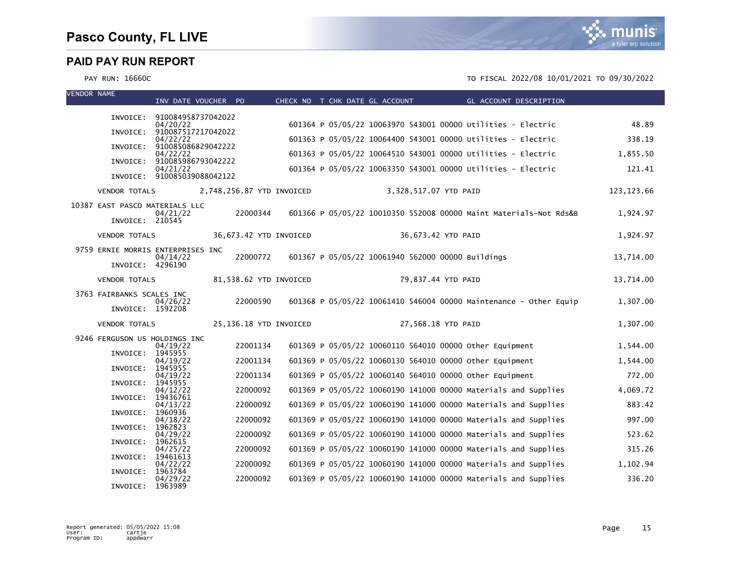| <b>VENDOR NAME</b> |                                | INV DATE VOUCHER PO                     |                           |  | CHECK NO T CHK DATE GL ACCOUNT |                       | GL ACCOUNT DESCRIPTION                                            |             |
|--------------------|--------------------------------|-----------------------------------------|---------------------------|--|--------------------------------|-----------------------|-------------------------------------------------------------------|-------------|
|                    |                                |                                         |                           |  |                                |                       |                                                                   |             |
|                    |                                | INVOICE: 910084958737042022<br>04/20/22 |                           |  |                                |                       | 601364 P 05/05/22 10063970 543001 00000 Utilities - Electric      | 48.89       |
|                    |                                | INVOICE: 910087517217042022<br>04/22/22 |                           |  |                                |                       | 601363 P 05/05/22 10064400 543001 00000 Utilities - Electric      | 338.19      |
|                    | INVOICE:                       | 910085086829042222<br>04/22/22          |                           |  |                                |                       | 601363 P 05/05/22 10064510 543001 00000 Utilities - Electric      | 1,855.50    |
|                    | INVOICE:                       | 910085986793042222                      |                           |  |                                |                       |                                                                   |             |
|                    |                                | 04/21/22<br>INVOICE: 910085039088042122 |                           |  |                                |                       | 601364 P 05/05/22 10063350 543001 00000 Utilities - Electric      | 121.41      |
|                    | <b>VENDOR TOTALS</b>           |                                         | 2,748,256.87 YTD INVOICED |  |                                | 3,328,517.07 YTD PAID |                                                                   | 123, 123.66 |
|                    | 10387 EAST PASCO MATERIALS LLC |                                         |                           |  |                                |                       |                                                                   |             |
|                    | INVOICE: 210545                | 04/21/22                                | 22000344                  |  |                                |                       | 601366 P 05/05/22 10010350 552008 00000 Maint Materials-Not Rds&B | 1,924.97    |
|                    | <b>VENDOR TOTALS</b>           |                                         | 36,673.42 YTD INVOICED    |  |                                | 36,673.42 YTD PAID    |                                                                   | 1,924.97    |
|                    |                                | 9759 ERNIE MORRIS ENTERPRISES INC       |                           |  |                                |                       |                                                                   |             |
|                    | INVOICE: 4296190               | 04/14/22                                | 22000772                  |  |                                |                       | 601367 P 05/05/22 10061940 562000 00000 Buildings                 | 13,714.00   |
|                    | <b>VENDOR TOTALS</b>           |                                         | 81,538.62 YTD INVOICED    |  |                                | 79,837.44 YTD PAID    |                                                                   | 13,714.00   |
|                    | 3763 FAIRBANKS SCALES INC      | 04/26/22                                | 22000590                  |  |                                |                       | 601368 P 05/05/22 10061410 546004 00000 Maintenance - Other Equip | 1,307.00    |
|                    | INVOICE: 1592208               |                                         |                           |  |                                |                       |                                                                   |             |
|                    | <b>VENDOR TOTALS</b>           |                                         | 25,136.18 YTD INVOICED    |  |                                | 27,568.18 YTD PAID    |                                                                   | 1,307.00    |
|                    | 9246 FERGUSON US HOLDINGS INC  |                                         |                           |  |                                |                       |                                                                   |             |
|                    | INVOICE:                       | 04/19/22<br>1945955                     | 22001134                  |  |                                |                       | 601369 P 05/05/22 10060110 564010 00000 other Equipment           | 1,544.00    |
|                    | INVOICE:                       | 04/19/22<br>1945955                     | 22001134                  |  |                                |                       | 601369 P 05/05/22 10060130 564010 00000 other Equipment           | 1,544.00    |
|                    |                                | 04/19/22                                | 22001134                  |  |                                |                       | 601369 P 05/05/22 10060140 564010 00000 other Equipment           | 772.00      |
|                    | INVOICE:                       | 1945955<br>04/12/22                     | 22000092                  |  |                                |                       | 601369 P 05/05/22 10060190 141000 00000 Materials and Supplies    | 4,069.72    |
|                    | INVOICE:                       | 19436761<br>04/13/22                    | 22000092                  |  |                                |                       | 601369 P 05/05/22 10060190 141000 00000 Materials and Supplies    | 883.42      |
|                    | INVOICE:                       | 1960936<br>04/18/22                     | 22000092                  |  |                                |                       | 601369 P 05/05/22 10060190 141000 00000 Materials and Supplies    | 997.00      |
|                    | INVOICE:                       | 1962823                                 |                           |  |                                |                       |                                                                   |             |
|                    | INVOICE:                       | 04/29/22<br>1962615                     | 22000092                  |  |                                |                       | 601369 P 05/05/22 10060190 141000 00000 Materials and Supplies    | 523.62      |
|                    | INVOICE:                       | 04/25/22<br>19461613                    | 22000092                  |  |                                |                       | 601369 P 05/05/22 10060190 141000 00000 Materials and Supplies    | 315.26      |
|                    |                                | 04/22/22                                | 22000092                  |  |                                |                       | 601369 P 05/05/22 10060190 141000 00000 Materials and Supplies    | 1,102.94    |
|                    | INVOICE:                       | 1963784<br>04/29/22                     | 22000092                  |  |                                |                       | 601369 P 05/05/22 10060190 141000 00000 Materials and Supplies    | 336.20      |
|                    | INVOICE:                       | 1963989                                 |                           |  |                                |                       |                                                                   |             |

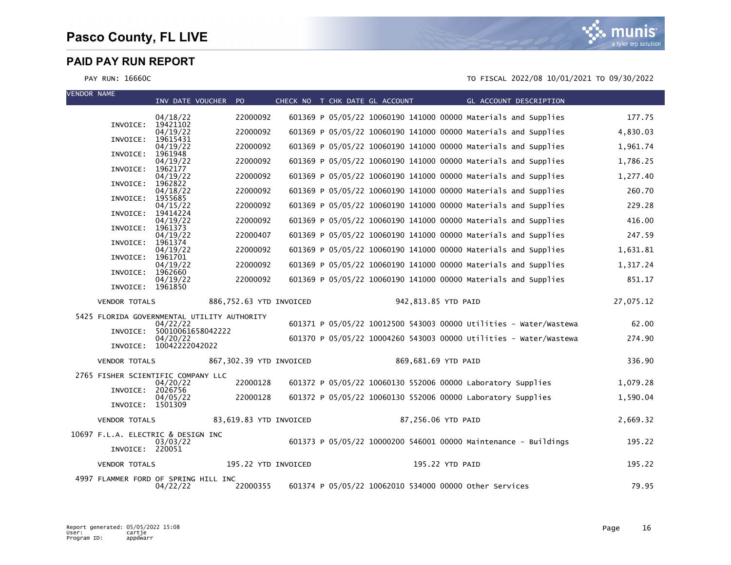

| <b>VENDOR NAME</b> |                      | INV DATE VOUCHER PO                                     |                         |  | CHECK NO T CHK DATE GL ACCOUNT                                    |                     | GL ACCOUNT DESCRIPTION |           |
|--------------------|----------------------|---------------------------------------------------------|-------------------------|--|-------------------------------------------------------------------|---------------------|------------------------|-----------|
|                    |                      | 04/18/22                                                | 22000092                |  | 601369 P 05/05/22 10060190 141000 00000 Materials and Supplies    |                     |                        | 177.75    |
|                    | INVOICE:             | 19421102<br>04/19/22                                    | 22000092                |  | 601369 P 05/05/22 10060190 141000 00000 Materials and Supplies    |                     |                        | 4,830.03  |
|                    | INVOICE:             | 19615431<br>04/19/22                                    | 22000092                |  | 601369 P 05/05/22 10060190 141000 00000 Materials and Supplies    |                     |                        | 1,961.74  |
|                    | INVOICE:             | 1961948<br>04/19/22                                     | 22000092                |  | 601369 P 05/05/22 10060190 141000 00000 Materials and Supplies    |                     |                        | 1,786.25  |
|                    | INVOICE:             | 1962177                                                 |                         |  |                                                                   |                     |                        |           |
|                    | INVOICE:             | 04/19/22<br>1962822                                     | 22000092                |  | 601369 P 05/05/22 10060190 141000 00000 Materials and Supplies    |                     |                        | 1,277.40  |
|                    | INVOICE:             | 04/18/22<br>1955685                                     | 22000092                |  | 601369 P 05/05/22 10060190 141000 00000 Materials and Supplies    |                     |                        | 260.70    |
|                    | INVOICE:             | 04/15/22<br>19414224                                    | 22000092                |  | 601369 P 05/05/22 10060190 141000 00000 Materials and Supplies    |                     |                        | 229.28    |
|                    | INVOICE:             | 04/19/22<br>1961373                                     | 22000092                |  | 601369 P 05/05/22 10060190 141000 00000 Materials and Supplies    |                     |                        | 416.00    |
|                    | INVOICE:             | 04/19/22<br>1961374                                     | 22000407                |  | 601369 P 05/05/22 10060190 141000 00000 Materials and Supplies    |                     |                        | 247.59    |
|                    | INVOICE:             | 04/19/22<br>1961701                                     | 22000092                |  | 601369 P 05/05/22 10060190 141000 00000 Materials and Supplies    |                     |                        | 1,631.81  |
|                    | INVOICE:             | 04/19/22<br>1962660                                     | 22000092                |  | 601369 P 05/05/22 10060190 141000 00000 Materials and Supplies    |                     |                        | 1,317.24  |
|                    |                      | 04/19/22                                                | 22000092                |  | 601369 P 05/05/22 10060190 141000 00000 Materials and Supplies    |                     |                        | 851.17    |
|                    | INVOICE: 1961850     |                                                         |                         |  |                                                                   |                     |                        |           |
|                    | <b>VENDOR TOTALS</b> |                                                         | 886,752.63 YTD INVOICED |  |                                                                   | 942,813.85 YTD PAID |                        | 27,075.12 |
|                    |                      | 5425 FLORIDA GOVERNMENTAL UTILITY AUTHORITY<br>04/22/22 |                         |  | 601371 P 05/05/22 10012500 543003 00000 Utilities - Water/Wastewa |                     |                        | 62.00     |
|                    | INVOICE:             | 50010061658042222<br>04/20/22                           |                         |  | 601370 P 05/05/22 10004260 543003 00000 Utilities - Water/Wastewa |                     |                        | 274.90    |
|                    |                      | INVOICE: 10042222042022                                 |                         |  |                                                                   |                     |                        |           |
|                    | <b>VENDOR TOTALS</b> |                                                         | 867,302.39 YTD INVOICED |  |                                                                   | 869,681.69 YTD PAID |                        | 336.90    |
|                    |                      | 2765 FISHER SCIENTIFIC COMPANY LLC<br>04/20/22          | 22000128                |  | 601372 P 05/05/22 10060130 552006 00000 Laboratory Supplies       |                     |                        | 1,079.28  |
|                    | INVOICE:             | 2026756<br>04/05/22                                     | 22000128                |  | 601372 P 05/05/22 10060130 552006 00000 Laboratory Supplies       |                     |                        | 1,590.04  |
|                    | INVOICE: 1501309     |                                                         |                         |  |                                                                   |                     |                        |           |
|                    | <b>VENDOR TOTALS</b> |                                                         | 83,619.83 YTD INVOICED  |  |                                                                   | 87,256.06 YTD PAID  |                        | 2,669.32  |
|                    |                      | 10697 F.L.A. ELECTRIC & DESIGN INC                      |                         |  |                                                                   |                     |                        |           |
|                    | INVOICE: 220051      | 03/03/22                                                |                         |  | 601373 P 05/05/22 10000200 546001 00000 Maintenance - Buildings   |                     |                        | 195.22    |
|                    | <b>VENDOR TOTALS</b> |                                                         | 195.22 YTD INVOICED     |  |                                                                   | 195.22 YTD PAID     |                        | 195.22    |
|                    |                      | 4997 FLAMMER FORD OF SPRING HILL INC<br>04/22/22        | 22000355                |  | 601374 P 05/05/22 10062010 534000 00000 other Services            |                     |                        | 79.95     |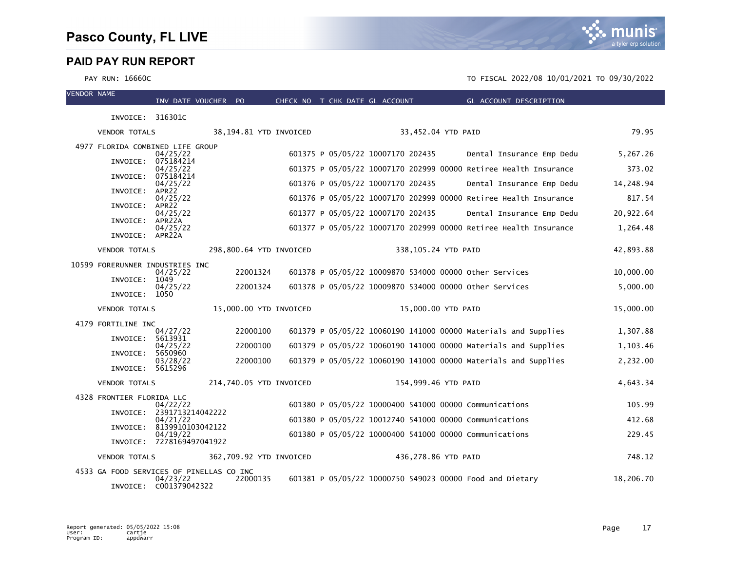| <b>VENDOR NAME</b> |                                          | INV DATE VOUCHER PO           |          |                         | CHECK NO T CHK DATE GL ACCOUNT    |                     | GL ACCOUNT DESCRIPTION                                           |           |
|--------------------|------------------------------------------|-------------------------------|----------|-------------------------|-----------------------------------|---------------------|------------------------------------------------------------------|-----------|
|                    | INVOICE: 316301C                         |                               |          |                         |                                   |                     |                                                                  |           |
|                    | <b>VENDOR TOTALS</b>                     |                               |          | 38,194.81 YTD INVOICED  |                                   | 33,452.04 YTD PAID  |                                                                  | 79.95     |
|                    |                                          |                               |          |                         |                                   |                     |                                                                  |           |
|                    | 4977 FLORIDA COMBINED LIFE GROUP         | 04/25/22                      |          |                         | 601375 P 05/05/22 10007170 202435 |                     | Dental Insurance Emp Dedu                                        | 5,267.26  |
|                    | INVOICE:                                 | 075184214<br>04/25/22         |          |                         |                                   |                     | 601375 P 05/05/22 10007170 202999 00000 Retiree Health Insurance | 373.02    |
|                    | INVOICE:                                 | 075184214<br>04/25/22         |          |                         | 601376 P 05/05/22 10007170 202435 |                     | Dental Insurance Emp Dedu                                        | 14,248.94 |
|                    | INVOICE:                                 | APR <sub>22</sub><br>04/25/22 |          |                         |                                   |                     | 601376 P 05/05/22 10007170 202999 00000 Retiree Health Insurance | 817.54    |
|                    | INVOICE:                                 | APR22<br>04/25/22             |          |                         | 601377 P 05/05/22 10007170 202435 |                     | Dental Insurance Emp Dedu                                        | 20,922.64 |
|                    | INVOICE:                                 | APR22A<br>04/25/22            |          |                         |                                   |                     | 601377 P 05/05/22 10007170 202999 00000 Retiree Health Insurance | 1,264.48  |
|                    | INVOICE: APR22A                          |                               |          |                         |                                   |                     |                                                                  |           |
|                    | <b>VENDOR TOTALS</b>                     |                               |          | 298,800.64 YTD INVOICED |                                   | 338,105.24 YTD PAID |                                                                  | 42,893.88 |
|                    | 10599 FORERUNNER INDUSTRIES INC          |                               | 22001324 |                         |                                   |                     | 601378 P 05/05/22 10009870 534000 00000 Other Services           | 10,000.00 |
|                    | INVOICE:                                 | 04/25/22<br>1049              |          |                         |                                   |                     |                                                                  |           |
|                    | INVOICE:                                 | 04/25/22<br>1050              | 22001324 |                         |                                   |                     | 601378 P 05/05/22 10009870 534000 00000 other Services           | 5,000.00  |
|                    | <b>VENDOR TOTALS</b>                     |                               |          | 15,000.00 YTD INVOICED  |                                   | 15,000.00 YTD PAID  |                                                                  | 15,000.00 |
|                    | 4179 FORTILINE INC                       |                               |          |                         |                                   |                     |                                                                  |           |
|                    | INVOICE:                                 | 04/27/22<br>5613931           | 22000100 |                         |                                   |                     | 601379 P 05/05/22 10060190 141000 00000 Materials and Supplies   | 1,307.88  |
|                    | INVOICE:                                 | 04/25/22<br>5650960           | 22000100 |                         |                                   |                     | 601379 P 05/05/22 10060190 141000 00000 Materials and Supplies   | 1,103.46  |
|                    | INVOICE: 5615296                         | 03/28/22                      | 22000100 |                         |                                   |                     | 601379 P 05/05/22 10060190 141000 00000 Materials and Supplies   | 2,232.00  |
|                    | <b>VENDOR TOTALS</b>                     |                               |          | 214,740.05 YTD INVOICED |                                   | 154,999.46 YTD PAID |                                                                  | 4,643.34  |
|                    | 4328 FRONTIER FLORIDA LLC                |                               |          |                         |                                   |                     |                                                                  |           |
|                    | INVOICE:                                 | 04/22/22<br>2391713214042222  |          |                         |                                   |                     | 601380 P 05/05/22 10000400 541000 00000 Communications           | 105.99    |
|                    | INVOICE:                                 | 04/21/22<br>8139910103042122  |          |                         |                                   |                     | 601380 P 05/05/22 10012740 541000 00000 Communications           | 412.68    |
|                    |                                          | 04/19/22                      |          |                         |                                   |                     | 601380 P 05/05/22 10000400 541000 00000 Communications           | 229.45    |
|                    |                                          | INVOICE: 7278169497041922     |          |                         |                                   |                     |                                                                  |           |
|                    | <b>VENDOR TOTALS</b>                     |                               |          | 362,709.92 YTD INVOICED |                                   | 436,278.86 YTD PAID |                                                                  | 748.12    |
|                    | 4533 GA FOOD SERVICES OF PINELLAS CO INC | 04/23/22                      | 22000135 |                         |                                   |                     | 601381 P 05/05/22 10000750 549023 00000 Food and Dietary         | 18,206.70 |
|                    |                                          | INVOICE: C001379042322        |          |                         |                                   |                     |                                                                  |           |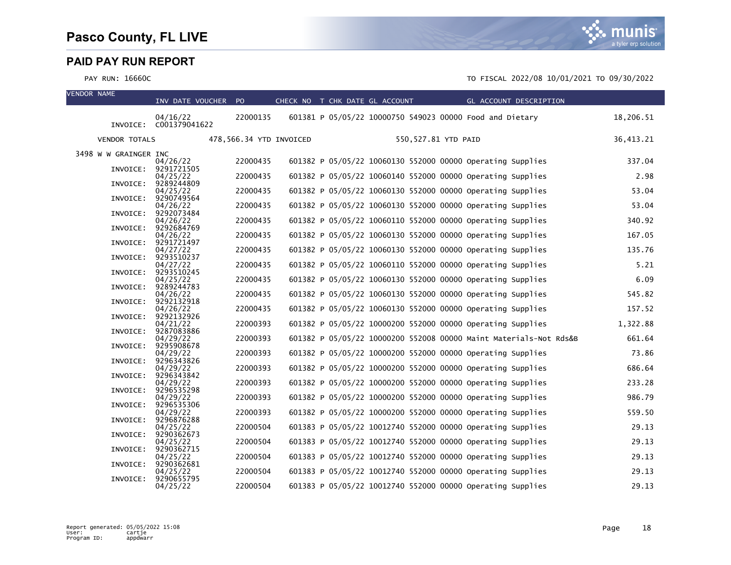

| <b>VENDOR NAME</b> |                       | INV DATE VOUCHER PO    |                         | CHECK NO T CHK DATE GL ACCOUNT |  |                     |                                                            | GL ACCOUNT DESCRIPTION                                            |           |
|--------------------|-----------------------|------------------------|-------------------------|--------------------------------|--|---------------------|------------------------------------------------------------|-------------------------------------------------------------------|-----------|
|                    |                       | 04/16/22               | 22000135                |                                |  |                     | 601381 P 05/05/22 10000750 549023 00000 Food and Dietary   |                                                                   | 18,206.51 |
|                    |                       | INVOICE: C001379041622 |                         |                                |  |                     |                                                            |                                                                   |           |
|                    | <b>VENDOR TOTALS</b>  |                        | 478,566.34 YTD INVOICED |                                |  | 550,527.81 YTD PAID |                                                            |                                                                   | 36,413.21 |
|                    | 3498 W W GRAINGER INC |                        |                         |                                |  |                     |                                                            |                                                                   |           |
|                    | INVOICE:              | 04/26/22<br>9291721505 | 22000435                |                                |  |                     | 601382 P 05/05/22 10060130 552000 00000 Operating Supplies |                                                                   | 337.04    |
|                    | INVOICE:              | 04/25/22<br>9289244809 | 22000435                |                                |  |                     | 601382 P 05/05/22 10060140 552000 00000 Operating Supplies |                                                                   | 2.98      |
|                    |                       | 04/25/22               | 22000435                |                                |  |                     | 601382 P 05/05/22 10060130 552000 00000 Operating Supplies |                                                                   | 53.04     |
|                    | INVOICE:              | 9290749564<br>04/26/22 | 22000435                |                                |  |                     | 601382 P 05/05/22 10060130 552000 00000 Operating Supplies |                                                                   | 53.04     |
|                    | INVOICE:              | 9292073484<br>04/26/22 | 22000435                |                                |  |                     | 601382 P 05/05/22 10060110 552000 00000 Operating Supplies |                                                                   | 340.92    |
|                    | INVOICE:              | 9292684769             |                         |                                |  |                     |                                                            |                                                                   |           |
|                    | INVOICE:              | 04/26/22<br>9291721497 | 22000435                |                                |  |                     | 601382 P 05/05/22 10060130 552000 00000 Operating Supplies |                                                                   | 167.05    |
|                    | INVOICE:              | 04/27/22<br>9293510237 | 22000435                |                                |  |                     | 601382 P 05/05/22 10060130 552000 00000 Operating Supplies |                                                                   | 135.76    |
|                    |                       | 04/27/22               | 22000435                |                                |  |                     | 601382 P 05/05/22 10060110 552000 00000 Operating Supplies |                                                                   | 5.21      |
|                    | INVOICE:              | 9293510245<br>04/25/22 | 22000435                |                                |  |                     | 601382 P 05/05/22 10060130 552000 00000 Operating Supplies |                                                                   | 6.09      |
|                    | INVOICE:              | 9289244783<br>04/26/22 | 22000435                |                                |  |                     | 601382 P 05/05/22 10060130 552000 00000 Operating Supplies |                                                                   | 545.82    |
|                    | INVOICE:              | 9292132918<br>04/26/22 | 22000435                |                                |  |                     | 601382 P 05/05/22 10060130 552000 00000 Operating Supplies |                                                                   | 157.52    |
|                    | INVOICE:              | 9292132926             |                         |                                |  |                     |                                                            |                                                                   |           |
|                    | INVOICE:              | 04/21/22<br>9287083886 | 22000393                |                                |  |                     | 601382 P 05/05/22 10000200 552000 00000 Operating Supplies |                                                                   | 1,322.88  |
|                    | INVOICE:              | 04/29/22<br>9295908678 | 22000393                |                                |  |                     |                                                            | 601382 P 05/05/22 10000200 552008 00000 Maint Materials-Not Rds&B | 661.64    |
|                    |                       | 04/29/22               | 22000393                |                                |  |                     | 601382 P 05/05/22 10000200 552000 00000 Operating Supplies |                                                                   | 73.86     |
|                    | INVOICE:              | 9296343826<br>04/29/22 | 22000393                |                                |  |                     | 601382 P 05/05/22 10000200 552000 00000 Operating Supplies |                                                                   | 686.64    |
|                    | INVOICE:              | 9296343842<br>04/29/22 | 22000393                |                                |  |                     | 601382 P 05/05/22 10000200 552000 00000 Operating Supplies |                                                                   | 233.28    |
|                    | INVOICE:              | 9296535298<br>04/29/22 | 22000393                |                                |  |                     | 601382 P 05/05/22 10000200 552000 00000 Operating Supplies |                                                                   | 986.79    |
|                    | INVOICE:              | 9296535306             |                         |                                |  |                     |                                                            |                                                                   |           |
|                    | INVOICE:              | 04/29/22<br>9296876288 | 22000393                |                                |  |                     | 601382 P 05/05/22 10000200 552000 00000 Operating Supplies |                                                                   | 559.50    |
|                    | INVOICE:              | 04/25/22<br>9290362673 | 22000504                |                                |  |                     | 601383 P 05/05/22 10012740 552000 00000 Operating Supplies |                                                                   | 29.13     |
|                    |                       | 04/25/22               | 22000504                |                                |  |                     | 601383 P 05/05/22 10012740 552000 00000 Operating Supplies |                                                                   | 29.13     |
|                    | INVOICE:              | 9290362715<br>04/25/22 | 22000504                |                                |  |                     | 601383 P 05/05/22 10012740 552000 00000 Operating Supplies |                                                                   | 29.13     |
|                    | INVOICE:              | 9290362681<br>04/25/22 | 22000504                |                                |  |                     | 601383 P 05/05/22 10012740 552000 00000 Operating Supplies |                                                                   | 29.13     |
|                    | INVOICE:              | 9290655795<br>04/25/22 | 22000504                |                                |  |                     | 601383 P 05/05/22 10012740 552000 00000 Operating Supplies |                                                                   | 29.13     |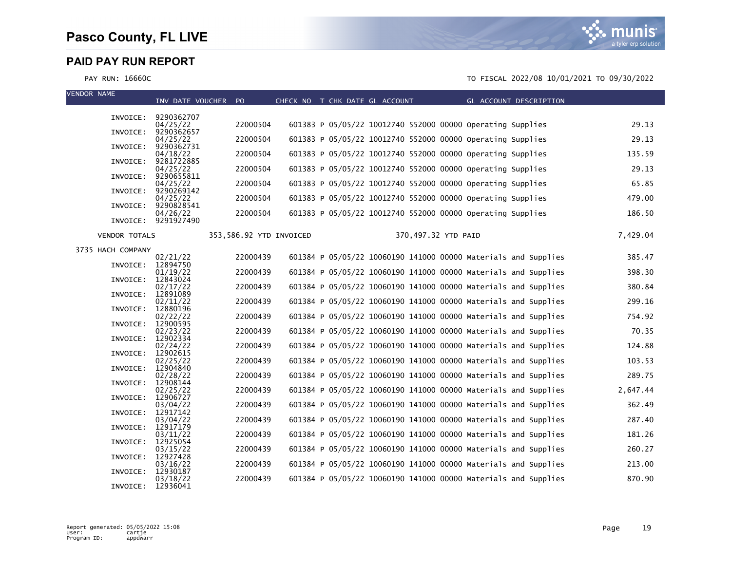



| <b>VENDOR NAME</b> |                      | INV DATE VOUCHER PO    |                         | CHECK NO T CHK DATE GL ACCOUNT |                                                                | GL ACCOUNT DESCRIPTION |          |
|--------------------|----------------------|------------------------|-------------------------|--------------------------------|----------------------------------------------------------------|------------------------|----------|
|                    | INVOICE:             | 9290362707             |                         |                                |                                                                |                        |          |
|                    |                      | 04/25/22               | 22000504                |                                | 601383 P 05/05/22 10012740 552000 00000 Operating Supplies     |                        | 29.13    |
|                    | INVOICE:             | 9290362657<br>04/25/22 | 22000504                |                                | 601383 P 05/05/22 10012740 552000 00000 Operating Supplies     |                        | 29.13    |
|                    | INVOICE:             | 9290362731<br>04/18/22 | 22000504                |                                | 601383 P 05/05/22 10012740 552000 00000 Operating Supplies     |                        | 135.59   |
|                    | INVOICE:             | 9281722885<br>04/25/22 | 22000504                |                                | 601383 P 05/05/22 10012740 552000 00000 Operating Supplies     |                        | 29.13    |
|                    | INVOICE:             | 9290655811<br>04/25/22 | 22000504                |                                | 601383 P 05/05/22 10012740 552000 00000 Operating Supplies     |                        | 65.85    |
|                    | INVOICE:             | 9290269142             |                         |                                |                                                                |                        |          |
|                    | INVOICE:             | 04/25/22<br>9290828541 | 22000504                |                                | 601383 P 05/05/22 10012740 552000 00000 operating Supplies     |                        | 479.00   |
|                    | INVOICE:             | 04/26/22<br>9291927490 | 22000504                |                                | 601383 P 05/05/22 10012740 552000 00000 Operating Supplies     |                        | 186.50   |
|                    | <b>VENDOR TOTALS</b> |                        | 353,586.92 YTD INVOICED |                                | 370,497.32 YTD PAID                                            |                        | 7,429.04 |
|                    | 3735 HACH COMPANY    |                        |                         |                                |                                                                |                        |          |
|                    | INVOICE:             | 02/21/22<br>12894750   | 22000439                |                                | 601384 P 05/05/22 10060190 141000 00000 Materials and Supplies |                        | 385.47   |
|                    | INVOICE:             | 01/19/22<br>12843024   | 22000439                |                                | 601384 P 05/05/22 10060190 141000 00000 Materials and Supplies |                        | 398.30   |
|                    | INVOICE:             | 02/17/22<br>12891089   | 22000439                |                                | 601384 P 05/05/22 10060190 141000 00000 Materials and Supplies |                        | 380.84   |
|                    |                      | 02/11/22               | 22000439                |                                | 601384 P 05/05/22 10060190 141000 00000 Materials and Supplies |                        | 299.16   |
|                    | INVOICE:             | 12880196<br>02/22/22   | 22000439                |                                | 601384 P 05/05/22 10060190 141000 00000 Materials and Supplies |                        | 754.92   |
|                    | INVOICE:             | 12900595<br>02/23/22   | 22000439                |                                | 601384 P 05/05/22 10060190 141000 00000 Materials and Supplies |                        | 70.35    |
|                    | INVOICE:             | 12902334<br>02/24/22   | 22000439                |                                | 601384 P 05/05/22 10060190 141000 00000 Materials and Supplies |                        | 124.88   |
|                    | INVOICE:             | 12902615               |                         |                                |                                                                |                        |          |
|                    | INVOICE:             | 02/25/22<br>12904840   | 22000439                |                                | 601384 P 05/05/22 10060190 141000 00000 Materials and Supplies |                        | 103.53   |
|                    | INVOICE:             | 02/28/22<br>12908144   | 22000439                |                                | 601384 P 05/05/22 10060190 141000 00000 Materials and Supplies |                        | 289.75   |
|                    | INVOICE:             | 02/25/22<br>12906727   | 22000439                |                                | 601384 P 05/05/22 10060190 141000 00000 Materials and Supplies |                        | 2,647.44 |
|                    |                      | 03/04/22               | 22000439                |                                | 601384 P 05/05/22 10060190 141000 00000 Materials and Supplies |                        | 362.49   |
|                    | INVOICE:             | 12917142<br>03/04/22   | 22000439                |                                | 601384 P 05/05/22 10060190 141000 00000 Materials and Supplies |                        | 287.40   |
|                    | INVOICE:             | 12917179<br>03/11/22   | 22000439                |                                | 601384 P 05/05/22 10060190 141000 00000 Materials and Supplies |                        | 181.26   |
|                    | INVOICE:             | 12925054<br>03/15/22   | 22000439                |                                | 601384 P 05/05/22 10060190 141000 00000 Materials and Supplies |                        | 260.27   |
|                    | INVOICE:             | 12927428               |                         |                                |                                                                |                        |          |
|                    | INVOICE:             | 03/16/22<br>12930187   | 22000439                |                                | 601384 P 05/05/22 10060190 141000 00000 Materials and Supplies |                        | 213.00   |
|                    | INVOICE:             | 03/18/22<br>12936041   | 22000439                |                                | 601384 P 05/05/22 10060190 141000 00000 Materials and Supplies |                        | 870.90   |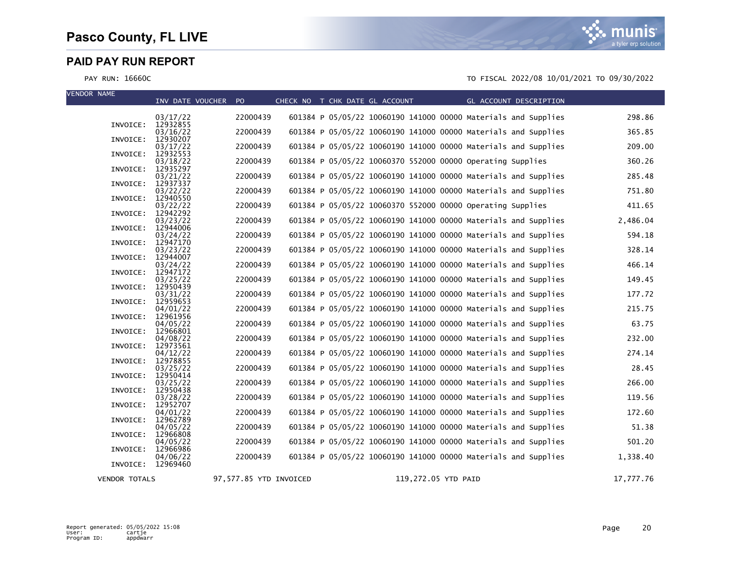| <b>VENDOR NAME</b>   | INV DATE VOUCHER PO  |                        | CHECK NO T CHK DATE GL ACCOUNT                             | $\mathcal{L}^{\text{max}}_{\text{max}}$ and $\mathcal{L}^{\text{max}}_{\text{max}}$ and $\mathcal{L}^{\text{max}}_{\text{max}}$ |  | GL ACCOUNT DESCRIPTION                                         |           |
|----------------------|----------------------|------------------------|------------------------------------------------------------|---------------------------------------------------------------------------------------------------------------------------------|--|----------------------------------------------------------------|-----------|
|                      |                      |                        |                                                            |                                                                                                                                 |  |                                                                |           |
| INVOICE: 12932855    | 03/17/22             | 22000439               |                                                            |                                                                                                                                 |  | 601384 P 05/05/22 10060190 141000 00000 Materials and Supplies | 298.86    |
|                      | 03/16/22             | 22000439               |                                                            |                                                                                                                                 |  | 601384 P 05/05/22 10060190 141000 00000 Materials and Supplies | 365.85    |
| INVOICE:             | 12930207<br>03/17/22 | 22000439               |                                                            |                                                                                                                                 |  | 601384 P 05/05/22 10060190 141000 00000 Materials and Supplies | 209.00    |
| INVOICE:             | 12932553             |                        |                                                            |                                                                                                                                 |  |                                                                |           |
| INVOICE:             | 03/18/22<br>12935297 | 22000439               | 601384 P 05/05/22 10060370 552000 00000 Operating Supplies |                                                                                                                                 |  |                                                                | 360.26    |
|                      | 03/21/22             | 22000439               |                                                            |                                                                                                                                 |  | 601384 P 05/05/22 10060190 141000 00000 Materials and Supplies | 285.48    |
| INVOICE:             | 12937337<br>03/22/22 | 22000439               |                                                            |                                                                                                                                 |  | 601384 P 05/05/22 10060190 141000 00000 Materials and Supplies | 751.80    |
| INVOICE:             | 12940550             |                        |                                                            |                                                                                                                                 |  |                                                                |           |
| INVOICE:             | 03/22/22<br>12942292 | 22000439               | 601384 P 05/05/22 10060370 552000 00000 Operating Supplies |                                                                                                                                 |  |                                                                | 411.65    |
|                      | 03/23/22             | 22000439               |                                                            |                                                                                                                                 |  | 601384 P 05/05/22 10060190 141000 00000 Materials and Supplies | 2,486.04  |
| INVOICE:             | 12944006<br>03/24/22 | 22000439               |                                                            |                                                                                                                                 |  | 601384 P 05/05/22 10060190 141000 00000 Materials and Supplies | 594.18    |
| INVOICE:             | 12947170             |                        |                                                            |                                                                                                                                 |  |                                                                |           |
| INVOICE:             | 03/23/22<br>12944007 | 22000439               |                                                            |                                                                                                                                 |  | 601384 P 05/05/22 10060190 141000 00000 Materials and Supplies | 328.14    |
|                      | 03/24/22             | 22000439               |                                                            |                                                                                                                                 |  | 601384 P 05/05/22 10060190 141000 00000 Materials and Supplies | 466.14    |
| INVOICE:             | 12947172<br>03/25/22 | 22000439               |                                                            |                                                                                                                                 |  | 601384 P 05/05/22 10060190 141000 00000 Materials and Supplies | 149.45    |
| INVOICE:             | 12950439             |                        |                                                            |                                                                                                                                 |  |                                                                |           |
| INVOICE:             | 03/31/22<br>12959653 | 22000439               |                                                            |                                                                                                                                 |  | 601384 P 05/05/22 10060190 141000 00000 Materials and Supplies | 177.72    |
|                      | 04/01/22             | 22000439               |                                                            |                                                                                                                                 |  | 601384 P 05/05/22 10060190 141000 00000 Materials and Supplies | 215.75    |
| INVOICE:             | 12961956<br>04/05/22 | 22000439               |                                                            |                                                                                                                                 |  | 601384 P 05/05/22 10060190 141000 00000 Materials and Supplies | 63.75     |
| INVOICE:             | 12966801             |                        |                                                            |                                                                                                                                 |  |                                                                |           |
| INVOICE:             | 04/08/22<br>12973561 | 22000439               |                                                            |                                                                                                                                 |  | 601384 P 05/05/22 10060190 141000 00000 Materials and Supplies | 232.00    |
|                      | 04/12/22             | 22000439               |                                                            |                                                                                                                                 |  | 601384 P 05/05/22 10060190 141000 00000 Materials and Supplies | 274.14    |
| INVOICE:             | 12978855<br>03/25/22 | 22000439               |                                                            |                                                                                                                                 |  | 601384 P 05/05/22 10060190 141000 00000 Materials and Supplies | 28.45     |
| INVOICE:             | 12950414             |                        |                                                            |                                                                                                                                 |  |                                                                |           |
| INVOICE:             | 03/25/22<br>12950438 | 22000439               |                                                            |                                                                                                                                 |  | 601384 P 05/05/22 10060190 141000 00000 Materials and Supplies | 266.00    |
|                      | 03/28/22             | 22000439               |                                                            |                                                                                                                                 |  | 601384 P 05/05/22 10060190 141000 00000 Materials and Supplies | 119.56    |
| INVOICE:             | 12952707<br>04/01/22 | 22000439               |                                                            |                                                                                                                                 |  | 601384 P 05/05/22 10060190 141000 00000 Materials and Supplies | 172.60    |
| INVOICE:             | 12962789             |                        |                                                            |                                                                                                                                 |  |                                                                |           |
| INVOICE:             | 04/05/22<br>12966808 | 22000439               |                                                            |                                                                                                                                 |  | 601384 P 05/05/22 10060190 141000 00000 Materials and Supplies | 51.38     |
|                      | 04/05/22             | 22000439               |                                                            |                                                                                                                                 |  | 601384 P 05/05/22 10060190 141000 00000 Materials and Supplies | 501.20    |
| INVOICE:             | 12966986<br>04/06/22 | 22000439               |                                                            |                                                                                                                                 |  | 601384 P 05/05/22 10060190 141000 00000 Materials and Supplies | 1,338.40  |
| INVOICE: 12969460    |                      |                        |                                                            |                                                                                                                                 |  |                                                                |           |
| <b>VENDOR TOTALS</b> |                      | 97,577.85 YTD INVOICED |                                                            | 119,272.05 YTD PAID                                                                                                             |  |                                                                | 17,777.76 |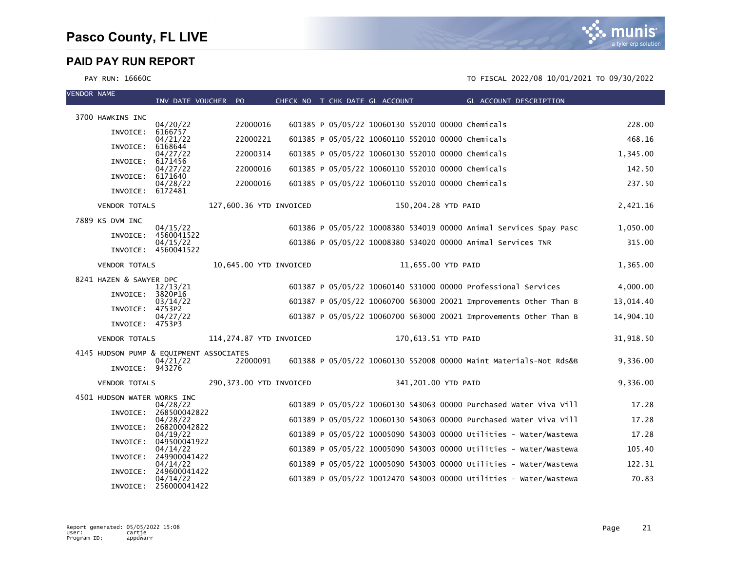

VENDOR NAME



| <b>VENDUR NAME</b> |                                         | INV DATE VOUCHER PO               |                         |  | CHECK NO T CHK DATE GL ACCOUNT                    | GL ACCOUNT DESCRIPTION                                            |           |
|--------------------|-----------------------------------------|-----------------------------------|-------------------------|--|---------------------------------------------------|-------------------------------------------------------------------|-----------|
|                    | 3700 HAWKINS INC                        |                                   |                         |  |                                                   |                                                                   |           |
|                    | INVOICE:                                | 04/20/22<br>6166757               | 22000016                |  | 601385 P 05/05/22 10060130 552010 00000 Chemicals |                                                                   | 228.00    |
|                    |                                         | 04/21/22                          | 22000221                |  | 601385 P 05/05/22 10060110 552010 00000 Chemicals |                                                                   | 468.16    |
|                    | INVOICE:                                | 6168644<br>04/27/22               | 22000314                |  | 601385 P 05/05/22 10060130 552010 00000 Chemicals |                                                                   | 1,345.00  |
|                    | INVOICE:                                | 6171456<br>04/27/22               | 22000016                |  | 601385 P 05/05/22 10060110 552010 00000 Chemicals |                                                                   | 142.50    |
|                    | INVOICE:                                | 6171640<br>04/28/22               | 22000016                |  | 601385 P 05/05/22 10060110 552010 00000 Chemicals |                                                                   | 237.50    |
|                    | INVOICE: 6172481                        |                                   |                         |  |                                                   |                                                                   |           |
|                    | <b>VENDOR TOTALS</b>                    |                                   | 127,600.36 YTD INVOICED |  |                                                   | 150,204.28 YTD PAID                                               | 2,421.16  |
|                    | 7889 KS DVM INC                         | 04/15/22                          |                         |  |                                                   | 601386 P 05/05/22 10008380 534019 00000 Animal Services Spay Pasc | 1,050.00  |
|                    |                                         | INVOICE: 4560041522               |                         |  |                                                   |                                                                   |           |
|                    |                                         | 04/15/22<br>INVOICE: 4560041522   |                         |  |                                                   | 601386 P 05/05/22 10008380 534020 00000 Animal Services TNR       | 315.00    |
|                    | <b>VENDOR TOTALS</b>                    |                                   | 10,645.00 YTD INVOICED  |  |                                                   | 11,655.00 YTD PAID                                                | 1,365.00  |
|                    | 8241 HAZEN & SAWYER DPC                 |                                   |                         |  |                                                   |                                                                   |           |
|                    | INVOICE:                                | 12/13/21<br>3820P16               |                         |  |                                                   | 601387 P 05/05/22 10060140 531000 00000 Professional Services     | 4,000.00  |
|                    | INVOICE: 4753P2                         | 03/14/22                          |                         |  |                                                   | 601387 P 05/05/22 10060700 563000 20021 Improvements Other Than B | 13,014.40 |
|                    | INVOICE: 4753P3                         | 04/27/22                          |                         |  |                                                   | 601387 P 05/05/22 10060700 563000 20021 Improvements Other Than B | 14,904.10 |
|                    | <b>VENDOR TOTALS</b>                    |                                   | 114,274.87 YTD INVOICED |  | 170,613.51 YTD PAID                               |                                                                   | 31,918.50 |
|                    | 4145 HUDSON PUMP & EQUIPMENT ASSOCIATES |                                   |                         |  |                                                   |                                                                   |           |
|                    | INVOICE: 943276                         | 04/21/22                          | 22000091                |  |                                                   | 601388 P 05/05/22 10060130 552008 00000 Maint Materials-Not Rds&B | 9,336.00  |
|                    | <b>VENDOR TOTALS</b>                    |                                   | 290,373.00 YTD INVOICED |  |                                                   | 341,201.00 YTD PAID                                               | 9,336.00  |
|                    | 4501 HUDSON WATER WORKS INC             |                                   |                         |  |                                                   |                                                                   |           |
|                    |                                         | 04/28/22<br>INVOICE: 268500042822 |                         |  |                                                   | 601389 P 05/05/22 10060130 543063 00000 Purchased Water Viva Vill | 17.28     |
|                    | INVOICE:                                | 04/28/22<br>268200042822          |                         |  |                                                   | 601389 P 05/05/22 10060130 543063 00000 Purchased Water Viva Vill | 17.28     |
|                    |                                         | 04/19/22                          |                         |  |                                                   | 601389 P 05/05/22 10005090 543003 00000 Utilities - Water/Wastewa | 17.28     |
|                    | INVOICE:                                | 049500041922<br>04/14/22          |                         |  |                                                   | 601389 P 05/05/22 10005090 543003 00000 Utilities - Water/Wastewa | 105.40    |
|                    | INVOICE:                                | 249900041422<br>04/14/22          |                         |  |                                                   | 601389 P 05/05/22 10005090 543003 00000 Utilities - Water/Wastewa | 122.31    |
|                    | INVOICE:                                | 249600041422<br>04/14/22          |                         |  |                                                   | 601389 P 05/05/22 10012470 543003 00000 Utilities - Water/Wastewa | 70.83     |
|                    |                                         | INVOICE: 256000041422             |                         |  |                                                   |                                                                   |           |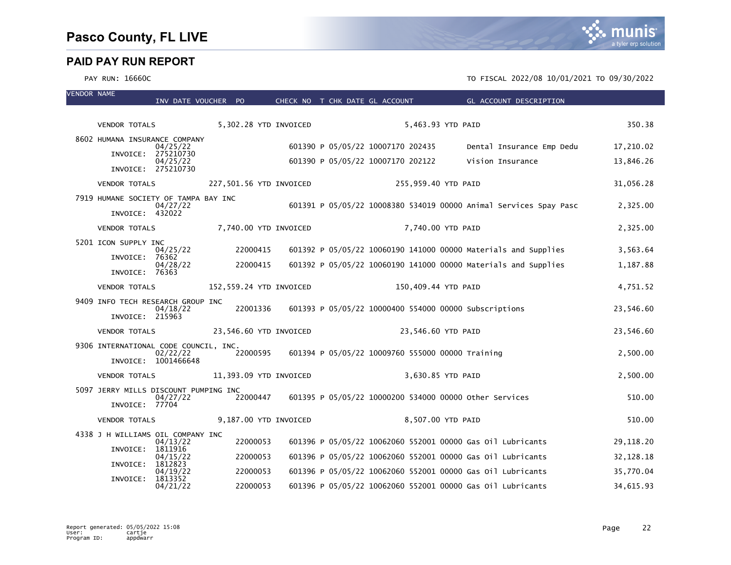

| 5,302.28 YTD INVOICED<br>5,463.93 YTD PAID<br><b>VENDOR TOTALS</b><br>8602 HUMANA INSURANCE COMPANY<br>601390 P 05/05/22 10007170 202435<br>Dental Insurance Emp Dedu<br>04/25/22<br>INVOICE: 275210730<br>601390 P 05/05/22 10007170 202122<br>Vision Insurance<br>04/25/22 | 350.38<br>17,210.02    |
|------------------------------------------------------------------------------------------------------------------------------------------------------------------------------------------------------------------------------------------------------------------------------|------------------------|
|                                                                                                                                                                                                                                                                              |                        |
|                                                                                                                                                                                                                                                                              |                        |
|                                                                                                                                                                                                                                                                              |                        |
|                                                                                                                                                                                                                                                                              | 13,846.26              |
| INVOICE: 275210730                                                                                                                                                                                                                                                           |                        |
| 227,501.56 YTD INVOICED<br>255,959.40 YTD PAID<br><b>VENDOR TOTALS</b>                                                                                                                                                                                                       | 31,056.28              |
| 7919 HUMANE SOCIETY OF TAMPA BAY INC<br>601391 P 05/05/22 10008380 534019 00000 Animal Services Spay Pasc<br>04/27/22                                                                                                                                                        | 2,325.00               |
| INVOICE: 432022                                                                                                                                                                                                                                                              |                        |
| 7,740.00 YTD INVOICED<br>7,740.00 YTD PAID<br><b>VENDOR TOTALS</b>                                                                                                                                                                                                           | 2,325.00               |
| 5201 ICON SUPPLY INC<br>22000415<br>601392 P 05/05/22 10060190 141000 00000 Materials and Supplies<br>04/25/22                                                                                                                                                               | 3,563.64               |
| INVOICE: 76362                                                                                                                                                                                                                                                               |                        |
| 22000415<br>601392 P 05/05/22 10060190 141000 00000 Materials and Supplies<br>04/28/22<br>INVOICE: 76363                                                                                                                                                                     | 1,187.88               |
| 152,559.24 YTD INVOICED<br>150,409.44 YTD PAID<br><b>VENDOR TOTALS</b>                                                                                                                                                                                                       | 4,751.52               |
| 9409 INFO TECH RESEARCH GROUP INC                                                                                                                                                                                                                                            |                        |
| 601393 P 05/05/22 10000400 554000 00000 Subscriptions<br>22001336<br>04/18/22<br>INVOICE: 215963                                                                                                                                                                             | 23,546.60              |
| 23,546.60 YTD INVOICED<br>23,546.60 YTD PAID<br><b>VENDOR TOTALS</b>                                                                                                                                                                                                         | 23,546.60              |
| 9306 INTERNATIONAL CODE COUNCIL, INC.                                                                                                                                                                                                                                        |                        |
| 22000595<br>601394 P 05/05/22 10009760 555000 00000 Training<br>02/22/22<br>INVOICE: 1001466648                                                                                                                                                                              | 2,500.00               |
| 11,393.09 YTD INVOICED<br>3,630.85 YTD PAID<br><b>VENDOR TOTALS</b>                                                                                                                                                                                                          | 2,500.00               |
| 5097 JERRY MILLS DISCOUNT PUMPING INC                                                                                                                                                                                                                                        |                        |
| 601395 P 05/05/22 10000200 534000 00000 other Services<br>22000447<br>04/27/22<br>INVOICE: 77704                                                                                                                                                                             | 510.00                 |
| 9,187.00 YTD INVOICED<br>8,507.00 YTD PAID<br><b>VENDOR TOTALS</b>                                                                                                                                                                                                           | 510.00                 |
| 4338 J H WILLIAMS OIL COMPANY INC<br>22000053<br>601396 P 05/05/22 10062060 552001 00000 Gas 0il Lubricants<br>04/13/22                                                                                                                                                      | 29,118.20              |
| INVOICE:<br>1811916<br>22000053                                                                                                                                                                                                                                              |                        |
| 601396 P 05/05/22 10062060 552001 00000 Gas 01l Lubricants<br>04/15/22<br>INVOICE:<br>1812823                                                                                                                                                                                | 32, 128. 18            |
| 22000053<br>601396 P 05/05/22 10062060 552001 00000 Gas 01l Lubricants<br>04/19/22<br>INVOICE:<br>1813352<br>22000053<br>601396 P 05/05/22 10062060 552001 00000 Gas 0il Lubricants<br>04/21/22                                                                              | 35,770.04<br>34,615.93 |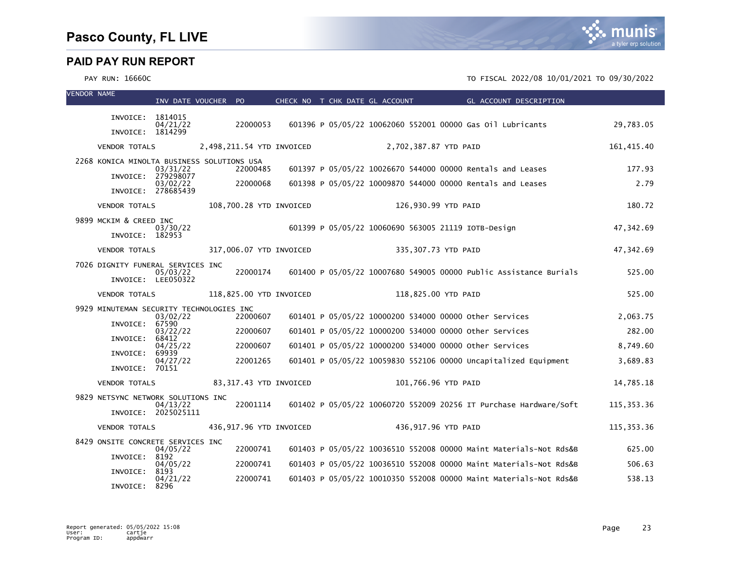

| <b>VENDOR NAME</b> |                                            | INV DATE VOUCHER PO             |                           | CHECK NO T CHK DATE GL ACCOUNT |  |                                                     | GL ACCOUNT DESCRIPTION                                            |             |
|--------------------|--------------------------------------------|---------------------------------|---------------------------|--------------------------------|--|-----------------------------------------------------|-------------------------------------------------------------------|-------------|
|                    | INVOICE: 1814015                           |                                 |                           |                                |  |                                                     |                                                                   |             |
|                    | INVOICE: 1814299                           | 04/21/22                        | 22000053                  |                                |  |                                                     | 601396 P 05/05/22 10062060 552001 00000 Gas 01l Lubricants        | 29,783.05   |
|                    | <b>VENDOR TOTALS</b>                       |                                 | 2,498,211.54 YTD INVOICED |                                |  | 2,702,387.87 YTD PAID                               |                                                                   | 161,415.40  |
|                    | 2268 KONICA MINOLTA BUSINESS SOLUTIONS USA |                                 |                           |                                |  |                                                     |                                                                   |             |
|                    |                                            | 03/31/22<br>INVOICE: 279298077  | 22000485                  |                                |  |                                                     | 601397 P 05/05/22 10026670 544000 00000 Rentals and Leases        | 177.93      |
|                    |                                            | 03/02/22<br>INVOICE: 278685439  | 22000068                  |                                |  |                                                     | 601398 P 05/05/22 10009870 544000 00000 Rentals and Leases        | 2.79        |
|                    | <b>VENDOR TOTALS</b>                       |                                 | 108,700.28 YTD INVOICED   |                                |  | 126,930.99 YTD PAID                                 |                                                                   | 180.72      |
|                    | 9899 MCKIM & CREED INC                     |                                 |                           |                                |  |                                                     |                                                                   |             |
|                    | INVOICE: 182953                            | 03/30/22                        |                           |                                |  | 601399 P 05/05/22 10060690 563005 21119 IOTB-Design |                                                                   | 47,342.69   |
|                    | <b>VENDOR TOTALS</b>                       |                                 | 317,006.07 YTD INVOICED   |                                |  | 335,307.73 YTD PAID                                 |                                                                   | 47,342.69   |
|                    | 7026 DIGNITY FUNERAL SERVICES INC          |                                 |                           |                                |  |                                                     |                                                                   |             |
|                    |                                            | 05/03/22<br>INVOICE: LEE050322  | 22000174                  |                                |  |                                                     | 601400 P 05/05/22 10007680 549005 00000 Public Assistance Burials | 525.00      |
|                    | <b>VENDOR TOTALS</b>                       |                                 | 118,825.00 YTD INVOICED   |                                |  | 118,825.00 YTD PAID                                 |                                                                   | 525.00      |
|                    | 9929 MINUTEMAN SECURITY TECHNOLOGIES INC   | 03/02/22                        | 22000607                  |                                |  |                                                     | 601401 P 05/05/22 10000200 534000 00000 other Services            | 2,063.75    |
|                    | INVOICE:                                   | 67590                           |                           |                                |  |                                                     |                                                                   |             |
|                    | INVOICE:                                   | 03/22/22<br>68412               | 22000607                  |                                |  |                                                     | 601401 P 05/05/22 10000200 534000 00000 other Services            | 282.00      |
|                    | INVOICE:                                   | 04/25/22<br>69939               | 22000607                  |                                |  |                                                     | 601401 P 05/05/22 10000200 534000 00000 Other Services            | 8,749.60    |
|                    | INVOICE: 70151                             | 04/27/22                        | 22001265                  |                                |  |                                                     | 601401 P 05/05/22 10059830 552106 00000 Uncapitalized Equipment   | 3,689.83    |
|                    | <b>VENDOR TOTALS</b>                       |                                 | 83,317.43 YTD INVOICED    |                                |  | 101,766.96 YTD PAID                                 |                                                                   | 14,785.18   |
|                    | 9829 NETSYNC NETWORK SOLUTIONS INC         |                                 |                           |                                |  |                                                     |                                                                   |             |
|                    |                                            | 04/13/22<br>INVOICE: 2025025111 | 22001114                  |                                |  |                                                     | 601402 P 05/05/22 10060720 552009 20256 IT Purchase Hardware/Soft | 115, 353.36 |
|                    | <b>VENDOR TOTALS</b>                       |                                 | 436,917.96 YTD INVOICED   |                                |  | 436,917.96 YTD PAID                                 |                                                                   | 115, 353.36 |
|                    | 8429 ONSITE CONCRETE SERVICES INC          | 04/05/22                        | 22000741                  |                                |  |                                                     | 601403 P 05/05/22 10036510 552008 00000 Maint Materials-Not Rds&B | 625.00      |
|                    | INVOICE:                                   | 8192<br>04/05/22                | 22000741                  |                                |  |                                                     | 601403 P 05/05/22 10036510 552008 00000 Maint Materials-Not Rds&B | 506.63      |
|                    | INVOICE:                                   | 8193                            |                           |                                |  |                                                     |                                                                   |             |
|                    | INVOICE:                                   | 04/21/22<br>8296                | 22000741                  |                                |  |                                                     | 601403 P 05/05/22 10010350 552008 00000 Maint Materials-Not Rds&B | 538.13      |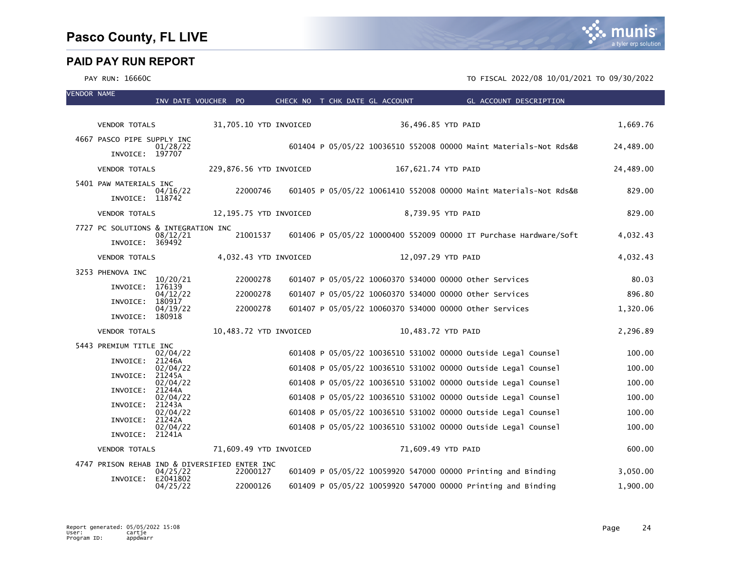| <b>VENDOR NAME</b> |                                               | INV DATE VOUCHER PO  |          |                         | CHECK NO T CHK DATE GL ACCOUNT | GL ACCOUNT DESCRIPTION                                            |           |
|--------------------|-----------------------------------------------|----------------------|----------|-------------------------|--------------------------------|-------------------------------------------------------------------|-----------|
|                    |                                               |                      |          |                         |                                |                                                                   |           |
|                    | <b>VENDOR TOTALS</b>                          |                      |          | 31,705.10 YTD INVOICED  |                                | 36,496.85 YTD PAID                                                | 1,669.76  |
|                    | 4667 PASCO PIPE SUPPLY INC<br>INVOICE: 197707 | 01/28/22             |          |                         |                                | 601404 P 05/05/22 10036510 552008 00000 Maint Materials-Not Rds&B | 24,489.00 |
|                    | <b>VENDOR TOTALS</b>                          |                      |          | 229,876.56 YTD INVOICED |                                | 167,621.74 YTD PAID                                               | 24,489.00 |
|                    | 5401 PAW MATERIALS INC                        |                      |          |                         |                                |                                                                   |           |
|                    | INVOICE: 118742                               | 04/16/22             | 22000746 |                         |                                | 601405 P 05/05/22 10061410 552008 00000 Maint Materials-Not Rds&B | 829.00    |
|                    | <b>VENDOR TOTALS</b>                          |                      |          | 12,195.75 YTD INVOICED  |                                | 8,739.95 YTD PAID                                                 | 829.00    |
|                    | 7727 PC SOLUTIONS & INTEGRATION INC           | 08/12/21             | 21001537 |                         |                                | 601406 P 05/05/22 10000400 552009 00000 IT Purchase Hardware/Soft | 4,032.43  |
|                    | INVOICE: 369492                               |                      |          |                         |                                |                                                                   |           |
|                    | <b>VENDOR TOTALS</b>                          |                      |          | 4,032.43 YTD INVOICED   |                                | 12,097.29 YTD PAID                                                | 4,032.43  |
|                    | 3253 PHENOVA INC                              | 10/20/21             | 22000278 |                         |                                | 601407 P 05/05/22 10060370 534000 00000 Other Services            | 80.03     |
|                    | INVOICE:                                      | 176139<br>04/12/22   | 22000278 |                         |                                | 601407 P 05/05/22 10060370 534000 00000 other Services            | 896.80    |
|                    | INVOICE:                                      | 180917<br>04/19/22   | 22000278 |                         |                                | 601407 P 05/05/22 10060370 534000 00000 other Services            | 1,320.06  |
|                    | INVOICE:                                      | 180918               |          |                         |                                |                                                                   |           |
|                    | <b>VENDOR TOTALS</b>                          |                      |          | 10,483.72 YTD INVOICED  |                                | 10,483.72 YTD PAID                                                | 2,296.89  |
|                    | 5443 PREMIUM TITLE INC                        | 02/04/22             |          |                         |                                | 601408 P 05/05/22 10036510 531002 00000 Outside Legal Counsel     | 100.00    |
|                    | INVOICE:                                      | 21246A<br>02/04/22   |          |                         |                                | 601408 P 05/05/22 10036510 531002 00000 Outside Legal Counsel     | 100.00    |
|                    | INVOICE:                                      | 21245A<br>02/04/22   |          |                         |                                | 601408 P 05/05/22 10036510 531002 00000 Outside Legal Counsel     | 100.00    |
|                    | INVOICE:                                      | 21244A<br>02/04/22   |          |                         |                                | 601408 P 05/05/22 10036510 531002 00000 Outside Legal Counsel     | 100.00    |
|                    | INVOICE:                                      | 21243A<br>02/04/22   |          |                         |                                | 601408 P 05/05/22 10036510 531002 00000 Outside Legal Counsel     | 100.00    |
|                    | INVOICE:                                      | 21242A<br>02/04/22   |          |                         |                                | 601408 P 05/05/22 10036510 531002 00000 Outside Legal Counsel     | 100.00    |
|                    | INVOICE: 21241A                               |                      |          |                         |                                |                                                                   |           |
|                    | <b>VENDOR TOTALS</b>                          |                      |          | 71,609.49 YTD INVOICED  |                                | 71,609.49 YTD PAID                                                | 600.00    |
|                    | 4747 PRISON REHAB IND & DIVERSIFIED ENTER INC | 04/25/22             | 22000127 |                         |                                | 601409 P 05/05/22 10059920 547000 00000 Printing and Binding      | 3,050.00  |
|                    | INVOICE:                                      | E2041802<br>04/25/22 | 22000126 |                         |                                | 601409 P 05/05/22 10059920 547000 00000 Printing and Binding      | 1,900.00  |

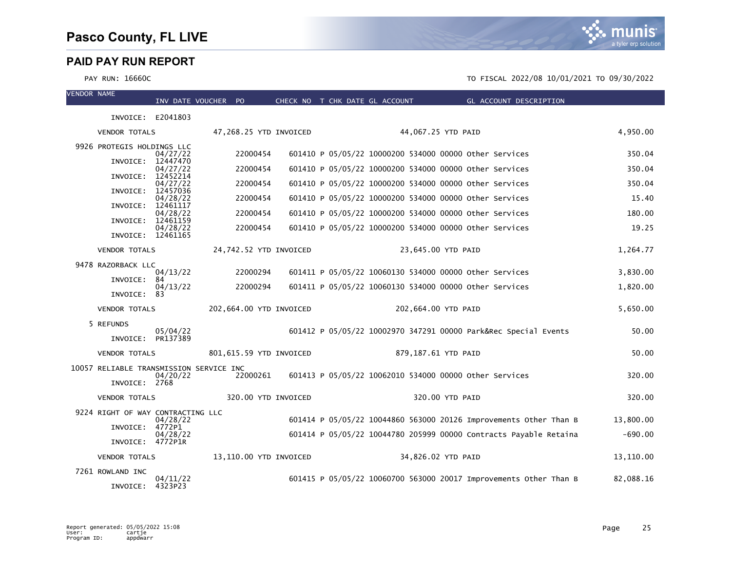munis a tyler erp solution

| <b>VENDOR NAME</b> |                                         | INV DATE VOUCHER PO  |                         | CHECK NO T CHK DATE GL ACCOUNT |  |                     | <b>EXAMPLE SECTION GENETAL ACCOUNT DESCRIPTION</b>                |           |
|--------------------|-----------------------------------------|----------------------|-------------------------|--------------------------------|--|---------------------|-------------------------------------------------------------------|-----------|
|                    | INVOICE: E2041803                       |                      |                         |                                |  |                     |                                                                   |           |
|                    | <b>VENDOR TOTALS</b>                    |                      | 47,268.25 YTD INVOICED  |                                |  | 44,067.25 YTD PAID  |                                                                   | 4,950.00  |
|                    | 9926 PROTEGIS HOLDINGS LLC              |                      |                         |                                |  |                     |                                                                   |           |
|                    | INVOICE:                                | 04/27/22<br>12447470 | 22000454                |                                |  |                     | 601410 P 05/05/22 10000200 534000 00000 other Services            | 350.04    |
|                    | INVOICE:                                | 04/27/22<br>12452214 | 22000454                |                                |  |                     | 601410 P 05/05/22 10000200 534000 00000 Other Services            | 350.04    |
|                    | INVOICE:                                | 04/27/22<br>12457036 | 22000454                |                                |  |                     | 601410 P 05/05/22 10000200 534000 00000 other Services            | 350.04    |
|                    | INVOICE:                                | 04/28/22<br>12461117 | 22000454                |                                |  |                     | 601410 P 05/05/22 10000200 534000 00000 other Services            | 15.40     |
|                    | INVOICE:                                | 04/28/22<br>12461159 | 22000454                |                                |  |                     | 601410 P 05/05/22 10000200 534000 00000 other Services            | 180.00    |
|                    | INVOICE: 12461165                       | 04/28/22             | 22000454                |                                |  |                     | 601410 P 05/05/22 10000200 534000 00000 Other Services            | 19.25     |
|                    | <b>VENDOR TOTALS</b>                    |                      | 24,742.52 YTD INVOICED  |                                |  | 23,645.00 YTD PAID  |                                                                   | 1,264.77  |
|                    | 9478 RAZORBACK LLC                      |                      |                         |                                |  |                     |                                                                   |           |
|                    | INVOICE:                                | 04/13/22<br>84       | 22000294                |                                |  |                     | 601411 P 05/05/22 10060130 534000 00000 Other Services            | 3,830.00  |
|                    | INVOICE:                                | 04/13/22<br>83       | 22000294                |                                |  |                     | 601411 P 05/05/22 10060130 534000 00000 other Services            | 1,820.00  |
|                    | <b>VENDOR TOTALS</b>                    |                      | 202,664.00 YTD INVOICED |                                |  | 202,664.00 YTD PAID |                                                                   | 5,650.00  |
|                    | 5 REFUNDS                               | 05/04/22             |                         |                                |  |                     | 601412 P 05/05/22 10002970 347291 00000 Park&Rec Special Events   | 50.00     |
|                    | INVOICE: PR137389                       |                      |                         |                                |  |                     |                                                                   |           |
|                    | <b>VENDOR TOTALS</b>                    |                      | 801,615.59 YTD INVOICED |                                |  | 879,187.61 YTD PAID |                                                                   | 50.00     |
|                    | 10057 RELIABLE TRANSMISSION SERVICE INC | 04/20/22             | 22000261                |                                |  |                     | 601413 P 05/05/22 10062010 534000 00000 other Services            | 320.00    |
|                    | INVOICE: 2768                           |                      |                         |                                |  |                     |                                                                   |           |
|                    | <b>VENDOR TOTALS</b>                    |                      | 320.00 YTD INVOICED     |                                |  | 320.00 YTD PAID     |                                                                   | 320.00    |
|                    | 9224 RIGHT OF WAY CONTRACTING LLC       |                      |                         |                                |  |                     |                                                                   |           |
|                    | INVOICE:                                | 04/28/22<br>4772P1   |                         |                                |  |                     | 601414 P 05/05/22 10044860 563000 20126 Improvements Other Than B | 13,800.00 |
|                    | INVOICE: 4772P1R                        | 04/28/22             |                         |                                |  |                     | 601414 P 05/05/22 10044780 205999 00000 Contracts Payable Retaina | $-690.00$ |
|                    | <b>VENDOR TOTALS</b>                    |                      | 13,110.00 YTD INVOICED  |                                |  | 34,826.02 YTD PAID  |                                                                   | 13,110.00 |
|                    | 7261 ROWLAND INC                        |                      |                         |                                |  |                     |                                                                   |           |
|                    | INVOICE: 4323P23                        | 04/11/22             |                         |                                |  |                     | 601415 P 05/05/22 10060700 563000 20017 Improvements Other Than B | 82,088.16 |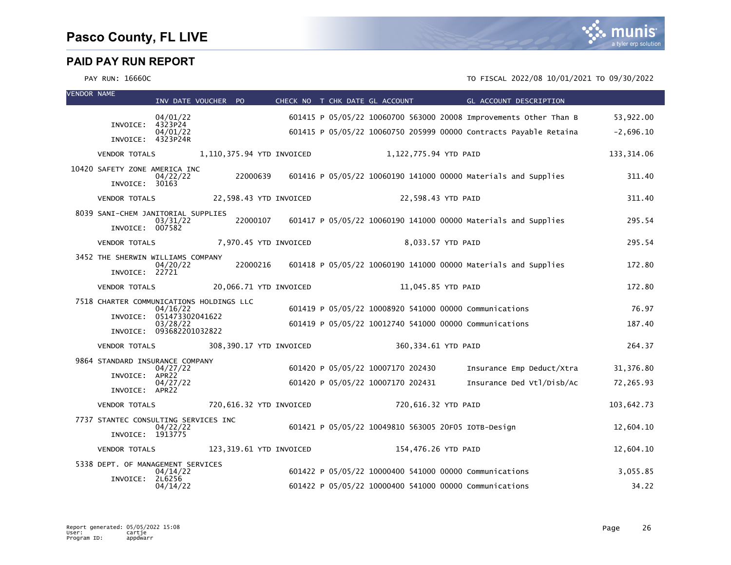

| <b>VENDOR NAME</b> |                                                          | INV DATE VOUCHER PO                                              |          |                           |  |                                                     | CHECK NO T CHK DATE GL ACCOUNT GL ACCOUNT DESCRIPTION             |             |
|--------------------|----------------------------------------------------------|------------------------------------------------------------------|----------|---------------------------|--|-----------------------------------------------------|-------------------------------------------------------------------|-------------|
|                    |                                                          | 04/01/22                                                         |          |                           |  |                                                     | 601415 P 05/05/22 10060700 563000 20008 Improvements Other Than B | 53,922.00   |
|                    | INVOICE:<br>INVOICE: 4323P24R                            | 4323P24<br>04/01/22                                              |          |                           |  |                                                     | 601415 P 05/05/22 10060750 205999 00000 Contracts Payable Retaina | $-2,696.10$ |
|                    | <b>VENDOR TOTALS</b>                                     |                                                                  |          | 1,110,375.94 YTD INVOICED |  | 1,122,775.94 YTD PAID                               |                                                                   | 133, 314.06 |
|                    | 10420 SAFETY ZONE AMERICA INC                            | 04/22/22                                                         | 22000639 |                           |  |                                                     | 601416 P 05/05/22 10060190 141000 00000 Materials and Supplies    | 311.40      |
|                    | INVOICE: 30163<br><b>VENDOR TOTALS</b>                   |                                                                  |          | 22,598.43 YTD INVOICED    |  | 22,598.43 YTD PAID                                  |                                                                   | 311.40      |
|                    | 8039 SANI-CHEM JANITORIAL SUPPLIES                       |                                                                  |          |                           |  |                                                     |                                                                   |             |
|                    | INVOICE: 007582                                          | 03/31/22                                                         | 22000107 |                           |  |                                                     | 601417 P 05/05/22 10060190 141000 00000 Materials and Supplies    | 295.54      |
|                    | <b>VENDOR TOTALS</b>                                     |                                                                  |          | 7,970.45 YTD INVOICED     |  | 8,033.57 YTD PAID                                   |                                                                   | 295.54      |
|                    | 3452 THE SHERWIN WILLIAMS COMPANY<br>INVOICE: 22721      | 04/20/22                                                         | 22000216 |                           |  |                                                     | 601418 P 05/05/22 10060190 141000 00000 Materials and Supplies    | 172.80      |
|                    | <b>VENDOR TOTALS</b>                                     |                                                                  |          | 20,066.71 YTD INVOICED    |  | 11,045.85 YTD PAID                                  |                                                                   | 172.80      |
|                    | 7518 CHARTER COMMUNICATIONS HOLDINGS LLC                 | 04/16/22                                                         |          |                           |  |                                                     | 601419 P 05/05/22 10008920 541000 00000 Communications            | 76.97       |
|                    |                                                          | INVOICE: 051473302041622<br>03/28/22<br>INVOICE: 093682201032822 |          |                           |  |                                                     | 601419 P 05/05/22 10012740 541000 00000 Communications            | 187.40      |
|                    | <b>VENDOR TOTALS</b>                                     |                                                                  |          | 308,390.17 YTD INVOICED   |  | 360,334.61 YTD PAID                                 |                                                                   | 264.37      |
|                    | 9864 STANDARD INSURANCE COMPANY                          | 04/27/22                                                         |          |                           |  | 601420 P 05/05/22 10007170 202430                   | Insurance Emp Deduct/Xtra                                         | 31,376.80   |
|                    | INVOICE: APR22                                           | 04/27/22                                                         |          |                           |  | 601420 P 05/05/22 10007170 202431                   | Insurance Ded Vtl/Disb/Ac                                         | 72,265.93   |
|                    | INVOICE: APR22                                           |                                                                  |          |                           |  |                                                     |                                                                   |             |
|                    | <b>VENDOR TOTALS</b>                                     |                                                                  |          | 720,616.32 YTD INVOICED   |  | 720,616.32 YTD PAID                                 |                                                                   | 103,642.73  |
|                    | 7737 STANTEC CONSULTING SERVICES INC<br>INVOICE: 1913775 | 04/22/22                                                         |          |                           |  | 601421 P 05/05/22 10049810 563005 20F05 IOTB-Design |                                                                   | 12,604.10   |
|                    | <b>VENDOR TOTALS</b>                                     |                                                                  |          | 123,319.61 YTD INVOICED   |  | 154,476.26 YTD PAID                                 |                                                                   | 12,604.10   |
|                    | 5338 DEPT. OF MANAGEMENT SERVICES                        | 04/14/22                                                         |          |                           |  |                                                     | 601422 P 05/05/22 10000400 541000 00000 Communications            | 3,055.85    |
|                    | INVOICE: 2L6256                                          | 04/14/22                                                         |          |                           |  |                                                     | 601422 P 05/05/22 10000400 541000 00000 Communications            | 34.22       |
|                    |                                                          |                                                                  |          |                           |  |                                                     |                                                                   |             |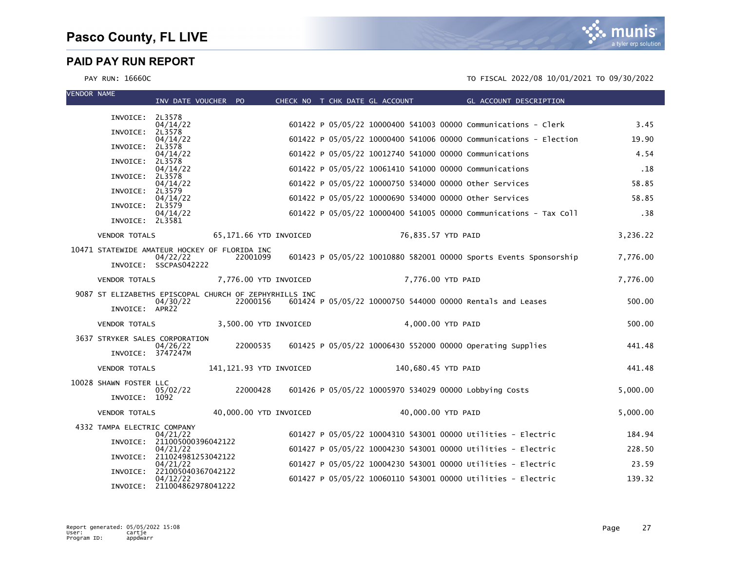

| <b>VENDOR NAME</b> |                             | INV DATE VOUCHER PO                                                |                         |  | CHECK NO T CHK DATE GL ACCOUNT                         | <b>Example 2018 GL ACCOUNT DESCRIPTION</b>                        |          |
|--------------------|-----------------------------|--------------------------------------------------------------------|-------------------------|--|--------------------------------------------------------|-------------------------------------------------------------------|----------|
|                    | INVOICE: 2L3578             |                                                                    |                         |  |                                                        |                                                                   |          |
|                    |                             | 04/14/22                                                           |                         |  |                                                        | 601422 P 05/05/22 10000400 541003 00000 Communications - Clerk    | 3.45     |
|                    | INVOICE:                    | 2L3578<br>04/14/22                                                 |                         |  |                                                        | 601422 P 05/05/22 10000400 541006 00000 Communications - Election | 19.90    |
|                    | INVOICE: 2L3578             | 04/14/22                                                           |                         |  | 601422 P 05/05/22 10012740 541000 00000 Communications |                                                                   | 4.54     |
|                    | INVOICE: 2L3578             | 04/14/22                                                           |                         |  | 601422 P 05/05/22 10061410 541000 00000 Communications |                                                                   | .18      |
|                    | INVOICE:                    | 2L3578                                                             |                         |  |                                                        |                                                                   |          |
|                    | INVOICE:                    | 04/14/22<br>2L3579                                                 |                         |  | 601422 P 05/05/22 10000750 534000 00000 other Services |                                                                   | 58.85    |
|                    | INVOICE: 2L3579             | 04/14/22                                                           |                         |  | 601422 P 05/05/22 10000690 534000 00000 Other Services |                                                                   | 58.85    |
|                    | INVOICE: 2L3581             | 04/14/22                                                           |                         |  |                                                        | 601422 P 05/05/22 10000400 541005 00000 Communications - Tax Coll | .38      |
|                    | <b>VENDOR TOTALS</b>        |                                                                    | 65,171.66 YTD INVOICED  |  | 76,835.57 YTD PAID                                     |                                                                   | 3,236.22 |
|                    |                             | 10471 STATEWIDE AMATEUR HOCKEY OF FLORIDA INC                      |                         |  |                                                        |                                                                   |          |
|                    |                             | 04/22/22<br>INVOICE: SSCPAS042222                                  | 22001099                |  |                                                        | 601423 P 05/05/22 10010880 582001 00000 Sports Events Sponsorship | 7,776.00 |
|                    | <b>VENDOR TOTALS</b>        |                                                                    | 7,776.00 YTD INVOICED   |  | 7,776.00 YTD PAID                                      |                                                                   | 7,776.00 |
|                    |                             | 9087 ST ELIZABETHS EPISCOPAL CHURCH OF ZEPHYRHILLS INC<br>04/30/22 | 22000156                |  |                                                        | 601424 P 05/05/22 10000750 544000 00000 Rentals and Leases        | 500.00   |
|                    | INVOICE: APR22              |                                                                    |                         |  |                                                        |                                                                   |          |
|                    | <b>VENDOR TOTALS</b>        |                                                                    | 3,500.00 YTD INVOICED   |  | 4,000.00 YTD PAID                                      |                                                                   | 500.00   |
|                    |                             | 3637 STRYKER SALES CORPORATION                                     |                         |  |                                                        |                                                                   |          |
|                    | INVOICE: 3747247M           | 04/26/22                                                           | 22000535                |  |                                                        | 601425 P 05/05/22 10006430 552000 00000 Operating Supplies        | 441.48   |
|                    | <b>VENDOR TOTALS</b>        |                                                                    | 141,121.93 YTD INVOICED |  | 140,680.45 YTD PAID                                    |                                                                   | 441.48   |
|                    | 10028 SHAWN FOSTER LLC      |                                                                    |                         |  |                                                        |                                                                   |          |
|                    | INVOICE: 1092               | 05/02/22                                                           | 22000428                |  | 601426 P 05/05/22 10005970 534029 00000 Lobbying Costs |                                                                   | 5,000.00 |
|                    | <b>VENDOR TOTALS</b>        |                                                                    | 40,000.00 YTD INVOICED  |  | 40,000.00 YTD PAID                                     |                                                                   | 5,000.00 |
|                    | 4332 TAMPA ELECTRIC COMPANY |                                                                    |                         |  |                                                        |                                                                   |          |
|                    | INVOICE:                    | 04/21/22<br>211005000396042122                                     |                         |  |                                                        | 601427 P 05/05/22 10004310 543001 00000 Utilities - Electric      | 184.94   |
|                    |                             | 04/21/22<br>INVOICE: 211024981253042122                            |                         |  |                                                        | 601427 P 05/05/22 10004230 543001 00000 Utilities - Electric      | 228.50   |
|                    |                             | 04/21/22<br>INVOICE: 221005040367042122                            |                         |  |                                                        | 601427 P 05/05/22 10004230 543001 00000 Utilities - Electric      | 23.59    |
|                    |                             | 04/12/22<br>INVOICE: 211004862978041222                            |                         |  |                                                        | 601427 P 05/05/22 10060110 543001 00000 Utilities - Electric      | 139.32   |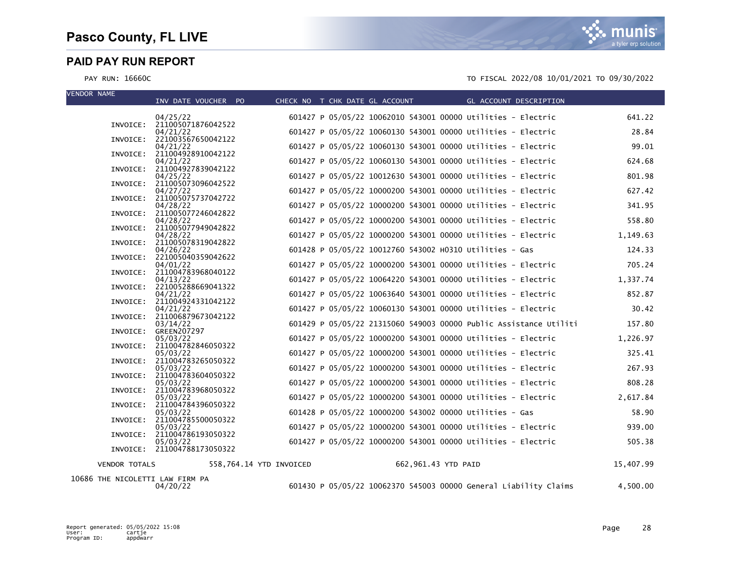VEN

PAY RUN: 16660C TO FISCAL 2022/08 10/01/2021 TO 09/30/2022

| VLINDUN INAMIC       | INV DATE VOUCHER PO                     |                         | CHECK NO T CHK DATE GL ACCOUNT                               |                     | GL ACCOUNT DESCRIPTION                                            |           |
|----------------------|-----------------------------------------|-------------------------|--------------------------------------------------------------|---------------------|-------------------------------------------------------------------|-----------|
|                      | 04/25/22                                |                         | 601427 P 05/05/22 10062010 543001 00000 Utilities - Electric |                     |                                                                   | 641.22    |
|                      | INVOICE: 211005071876042522<br>04/21/22 |                         | 601427 P 05/05/22 10060130 543001 00000 Utilities - Electric |                     |                                                                   | 28.84     |
|                      | INVOICE: 221003567650042122             |                         |                                                              |                     |                                                                   |           |
| INVOICE:             | 04/21/22<br>211004928910042122          |                         | 601427 P 05/05/22 10060130 543001 00000 Utilities - Electric |                     |                                                                   | 99.01     |
|                      | 04/21/22                                |                         | 601427 P 05/05/22 10060130 543001 00000 Utilities - Electric |                     |                                                                   | 624.68    |
|                      | INVOICE: 211004927839042122<br>04/25/22 |                         | 601427 P 05/05/22 10012630 543001 00000 Utilities - Electric |                     |                                                                   | 801.98    |
| INVOICE:             | 211005073096042522                      |                         | 601427 P 05/05/22 10000200 543001 00000 Utilities - Electric |                     |                                                                   | 627.42    |
|                      | 04/27/22<br>INVOICE: 211005075737042722 |                         |                                                              |                     |                                                                   |           |
|                      | 04/28/22                                |                         | 601427 P 05/05/22 10000200 543001 00000 Utilities - Electric |                     |                                                                   | 341.95    |
|                      | INVOICE: 211005077246042822<br>04/28/22 |                         | 601427 P 05/05/22 10000200 543001 00000 Utilities - Electric |                     |                                                                   | 558.80    |
|                      | INVOICE: 211005077949042822             |                         | 601427 P 05/05/22 10000200 543001 00000 Utilities - Electric |                     |                                                                   |           |
|                      | 04/28/22<br>INVOICE: 211005078319042822 |                         |                                                              |                     |                                                                   | 1,149.63  |
|                      | 04/26/22<br>INVOICE: 221005040359042622 |                         | 601428 P 05/05/22 10012760 543002 H0310 Utilities - Gas      |                     |                                                                   | 124.33    |
|                      | 04/01/22                                |                         | 601427 P 05/05/22 10000200 543001 00000 Utilities - Electric |                     |                                                                   | 705.24    |
|                      | INVOICE: 211004783968040122             |                         | 601427 P 05/05/22 10064220 543001 00000 Utilities - Electric |                     |                                                                   | 1,337.74  |
|                      | 04/13/22<br>INVOICE: 221005288669041322 |                         |                                                              |                     |                                                                   |           |
|                      | 04/21/22                                |                         | 601427 P 05/05/22 10063640 543001 00000 Utilities - Electric |                     |                                                                   | 852.87    |
|                      | INVOICE: 211004924331042122<br>04/21/22 |                         | 601427 P 05/05/22 10060130 543001 00000 Utilities - Electric |                     |                                                                   | 30.42     |
|                      | INVOICE: 211006879673042122             |                         |                                                              |                     |                                                                   |           |
| INVOICE:             | 03/14/22<br><b>GREEN207297</b>          |                         |                                                              |                     | 601429 P 05/05/22 21315060 549003 00000 Public Assistance Utiliti | 157.80    |
|                      | 05/03/22                                |                         | 601427 P 05/05/22 10000200 543001 00000 Utilities - Electric |                     |                                                                   | 1,226.97  |
| INVOICE:             | 211004782846050322<br>05/03/22          |                         | 601427 P 05/05/22 10000200 543001 00000 Utilities - Electric |                     |                                                                   | 325.41    |
|                      | INVOICE: 211004783265050322             |                         |                                                              |                     |                                                                   |           |
| INVOICE:             | 05/03/22<br>211004783604050322          |                         | 601427 P 05/05/22 10000200 543001 00000 Utilities - Electric |                     |                                                                   | 267.93    |
|                      | 05/03/22                                |                         | 601427 P 05/05/22 10000200 543001 00000 Utilities - Electric |                     |                                                                   | 808.28    |
| INVOICE:             | 211004783968050322<br>05/03/22          |                         | 601427 P 05/05/22 10000200 543001 00000 Utilities - Electric |                     |                                                                   | 2,617.84  |
|                      | INVOICE: 211004784396050322             |                         |                                                              |                     |                                                                   |           |
|                      | 05/03/22<br>INVOICE: 211004785500050322 |                         | 601428 P 05/05/22 10000200 543002 00000 Utilities - Gas      |                     |                                                                   | 58.90     |
|                      | 05/03/22                                |                         | 601427 P 05/05/22 10000200 543001 00000 Utilities - Electric |                     |                                                                   | 939.00    |
| INVOICE:             | 211004786193050322<br>05/03/22          |                         | 601427 P 05/05/22 10000200 543001 00000 Utilities - Electric |                     |                                                                   | 505.38    |
|                      | INVOICE: 211004788173050322             |                         |                                                              |                     |                                                                   |           |
| <b>VENDOR TOTALS</b> |                                         | 558.764.14 YTD INVOICED |                                                              | 662,961.43 YTD PAID |                                                                   | 15,407.99 |

10686 THE NICOLETTI LAW FIRM PA

04/20/22 601430 P 05/05/22 10062370 545003 00000 General Liability Claims 4,500.00

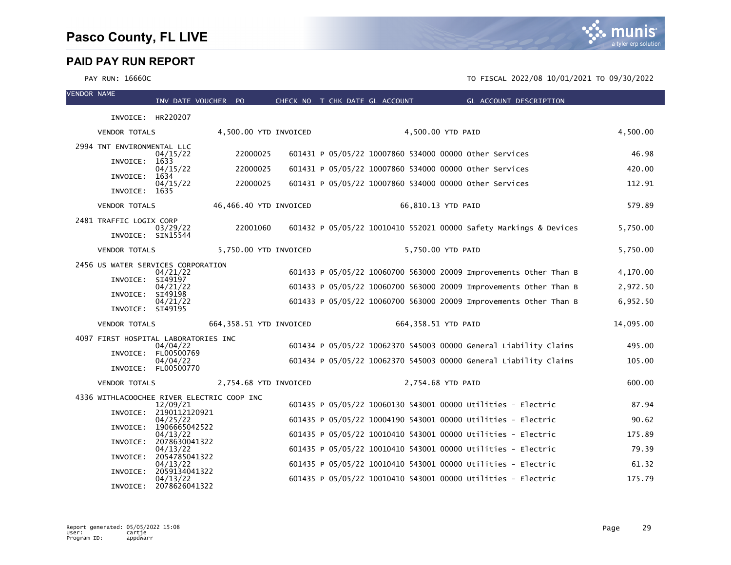mı nis a tyler erp solution

| <b>VENDOR NAME</b> |                                            | INV DATE VOUCHER PO       |                         | CHECK NO T CHK DATE GL ACCOUNT |  |                     | GL ACCOUNT DESCRIPTION                                            |           |
|--------------------|--------------------------------------------|---------------------------|-------------------------|--------------------------------|--|---------------------|-------------------------------------------------------------------|-----------|
|                    | INVOICE: HR220207                          |                           |                         |                                |  |                     |                                                                   |           |
|                    | <b>VENDOR TOTALS</b>                       |                           | 4,500.00 YTD INVOICED   |                                |  | 4,500.00 YTD PAID   |                                                                   | 4,500.00  |
|                    |                                            |                           |                         |                                |  |                     |                                                                   |           |
|                    | 2994 TNT ENVIRONMENTAL LLC                 | 04/15/22                  | 22000025                |                                |  |                     | 601431 P 05/05/22 10007860 534000 00000 Other Services            | 46.98     |
|                    | INVOICE:                                   | 1633<br>04/15/22          | 22000025                |                                |  |                     | 601431 P 05/05/22 10007860 534000 00000 other Services            | 420.00    |
|                    | INVOICE:                                   | 1634<br>04/15/22          | 22000025                |                                |  |                     | 601431 P 05/05/22 10007860 534000 00000 Other Services            | 112.91    |
|                    | INVOICE: 1635                              |                           |                         |                                |  |                     |                                                                   |           |
|                    | <b>VENDOR TOTALS</b>                       |                           | 46,466.40 YTD INVOICED  |                                |  | 66,810.13 YTD PAID  |                                                                   | 579.89    |
|                    | 2481 TRAFFIC LOGIX CORP                    |                           | 22001060                |                                |  |                     | 601432 P 05/05/22 10010410 552021 00000 Safety Markings & Devices | 5,750.00  |
|                    | INVOICE: SIN15544                          | 03/29/22                  |                         |                                |  |                     |                                                                   |           |
|                    | <b>VENDOR TOTALS</b>                       |                           | 5,750.00 YTD INVOICED   |                                |  | 5,750.00 YTD PAID   |                                                                   | 5,750.00  |
|                    | 2456 US WATER SERVICES CORPORATION         |                           |                         |                                |  |                     |                                                                   |           |
|                    | INVOICE:                                   | 04/21/22<br>SI49197       |                         |                                |  |                     | 601433 P 05/05/22 10060700 563000 20009 Improvements Other Than B | 4,170.00  |
|                    | INVOICE:                                   | 04/21/22<br>SI49198       |                         |                                |  |                     | 601433 P 05/05/22 10060700 563000 20009 Improvements Other Than B | 2,972.50  |
|                    | INVOICE: SI49195                           | 04/21/22                  |                         |                                |  |                     | 601433 P 05/05/22 10060700 563000 20009 Improvements Other Than B | 6,952.50  |
|                    | <b>VENDOR TOTALS</b>                       |                           | 664,358.51 YTD INVOICED |                                |  | 664,358.51 YTD PAID |                                                                   | 14,095.00 |
|                    |                                            |                           |                         |                                |  |                     |                                                                   |           |
|                    | 4097 FIRST HOSPITAL LABORATORIES INC       | 04/04/22                  |                         |                                |  |                     | 601434 P 05/05/22 10062370 545003 00000 General Liability Claims  | 495.00    |
|                    | INVOICE: FL00500769                        | 04/04/22                  |                         |                                |  |                     | 601434 P 05/05/22 10062370 545003 00000 General Liability Claims  | 105.00    |
|                    |                                            | INVOICE: FL00500770       |                         |                                |  |                     |                                                                   |           |
|                    | <b>VENDOR TOTALS</b>                       |                           | 2,754.68 YTD INVOICED   |                                |  | 2,754.68 YTD PAID   |                                                                   | 600.00    |
|                    | 4336 WITHLACOOCHEE RIVER ELECTRIC COOP INC | 12/09/21                  |                         |                                |  |                     | 601435 P 05/05/22 10060130 543001 00000 Utilities - Electric      | 87.94     |
|                    | INVOICE: 2190112120921                     |                           |                         |                                |  |                     |                                                                   |           |
|                    | INVOICE:                                   | 04/25/22<br>1906665042522 |                         |                                |  |                     | 601435 P 05/05/22 10004190 543001 00000 Utilities - Electric      | 90.62     |
|                    | INVOICE:                                   | 04/13/22<br>2078630041322 |                         |                                |  |                     | 601435 P 05/05/22 10010410 543001 00000 Utilities - Electric      | 175.89    |
|                    | INVOICE:                                   | 04/13/22<br>2054785041322 |                         |                                |  |                     | 601435 P 05/05/22 10010410 543001 00000 Utilities - Electric      | 79.39     |
|                    |                                            | 04/13/22                  |                         |                                |  |                     | 601435 P 05/05/22 10010410 543001 00000 Utilities - Electric      | 61.32     |
|                    | INVOICE:                                   | 2059134041322<br>04/13/22 |                         |                                |  |                     | 601435 P 05/05/22 10010410 543001 00000 Utilities - Electric      | 175.79    |
|                    | INVOICE:                                   | 2078626041322             |                         |                                |  |                     |                                                                   |           |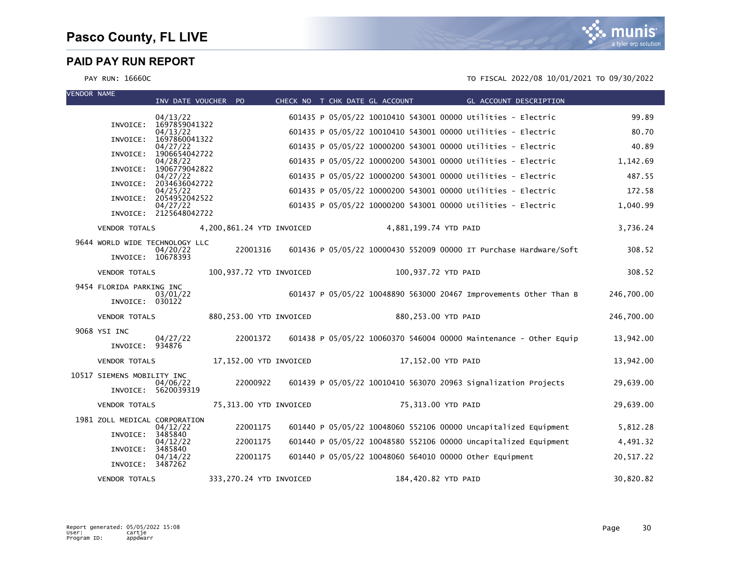| <b>VENDOR NAME</b> |                                | INV DATE VOUCHER PO       |                           | CHECK NO T CHK DATE GL ACCOUNT |  |                       |                                                              | <b>Example 2018 GL ACCOUNT DESCRIPTION</b>                        |            |
|--------------------|--------------------------------|---------------------------|---------------------------|--------------------------------|--|-----------------------|--------------------------------------------------------------|-------------------------------------------------------------------|------------|
|                    |                                | 04/13/22                  |                           |                                |  |                       | 601435 P 05/05/22 10010410 543001 00000 Utilities - Electric |                                                                   | 99.89      |
|                    | INVOICE:                       | 1697859041322<br>04/13/22 |                           |                                |  |                       | 601435 P 05/05/22 10010410 543001 00000 Utilities - Electric |                                                                   | 80.70      |
|                    | INVOICE:                       | 1697860041322<br>04/27/22 |                           |                                |  |                       | 601435 P 05/05/22 10000200 543001 00000 Utilities - Electric |                                                                   | 40.89      |
|                    | INVOICE:                       | 1906654042722<br>04/28/22 |                           |                                |  |                       | 601435 P 05/05/22 10000200 543001 00000 Utilities - Electric |                                                                   | 1,142.69   |
|                    | INVOICE:                       | 1906779042822<br>04/27/22 |                           |                                |  |                       | 601435 P 05/05/22 10000200 543001 00000 Utilities - Electric |                                                                   | 487.55     |
|                    | INVOICE:                       | 2034636042722<br>04/25/22 |                           |                                |  |                       | 601435 P 05/05/22 10000200 543001 00000 Utilities - Electric |                                                                   | 172.58     |
|                    | INVOICE:                       | 2054952042522<br>04/27/22 |                           |                                |  |                       | 601435 P 05/05/22 10000200 543001 00000 Utilities - Electric |                                                                   | 1,040.99   |
|                    |                                | INVOICE: 2125648042722    |                           |                                |  |                       |                                                              |                                                                   |            |
|                    | <b>VENDOR TOTALS</b>           |                           | 4,200,861.24 YTD INVOICED |                                |  | 4,881,199.74 YTD PAID |                                                              |                                                                   | 3,736.24   |
|                    | 9644 WORLD WIDE TECHNOLOGY LLC | 04/20/22                  | 22001316                  |                                |  |                       |                                                              | 601436 P 05/05/22 10000430 552009 00000 IT Purchase Hardware/Soft | 308.52     |
|                    | INVOICE: 10678393              |                           |                           |                                |  |                       |                                                              |                                                                   |            |
|                    | <b>VENDOR TOTALS</b>           |                           | 100,937.72 YTD INVOICED   |                                |  | 100,937.72 YTD PAID   |                                                              |                                                                   | 308.52     |
|                    | 9454 FLORIDA PARKING INC       | 03/01/22                  |                           |                                |  |                       |                                                              | 601437 P 05/05/22 10048890 563000 20467 Improvements Other Than B | 246,700.00 |
|                    | INVOICE: 030122                |                           |                           |                                |  |                       |                                                              |                                                                   |            |
|                    | <b>VENDOR TOTALS</b>           |                           | 880, 253.00 YTD INVOICED  |                                |  | 880,253.00 YTD PAID   |                                                              |                                                                   | 246,700.00 |
|                    | 9068 YSI INC                   | 04/27/22                  | 22001372                  |                                |  |                       |                                                              | 601438 P 05/05/22 10060370 546004 00000 Maintenance - Other Equip | 13,942.00  |
|                    | INVOICE: 934876                |                           |                           |                                |  |                       |                                                              |                                                                   |            |
|                    | <b>VENDOR TOTALS</b>           |                           | 17,152.00 YTD INVOICED    |                                |  | 17,152.00 YTD PAID    |                                                              |                                                                   | 13,942.00  |
|                    | 10517 SIEMENS MOBILITY INC     | 04/06/22                  | 22000922                  |                                |  |                       |                                                              | 601439 P 05/05/22 10010410 563070 20963 Signalization Projects    | 29,639.00  |
|                    |                                | INVOICE: 5620039319       |                           |                                |  |                       |                                                              |                                                                   |            |
|                    | <b>VENDOR TOTALS</b>           |                           | 75,313.00 YTD INVOICED    |                                |  | 75,313.00 YTD PAID    |                                                              |                                                                   | 29,639.00  |
|                    | 1981 ZOLL MEDICAL CORPORATION  |                           | 22001175                  |                                |  |                       |                                                              |                                                                   |            |
|                    | INVOICE:                       | 04/12/22<br>3485840       |                           |                                |  |                       |                                                              | 601440 P 05/05/22 10048060 552106 00000 Uncapitalized Equipment   | 5,812.28   |
|                    | INVOICE:                       | 04/12/22<br>3485840       | 22001175                  |                                |  |                       |                                                              | 601440 P 05/05/22 10048580 552106 00000 Uncapitalized Equipment   | 4,491.32   |
|                    | INVOICE: 3487262               | 04/14/22                  | 22001175                  |                                |  |                       | 601440 P 05/05/22 10048060 564010 00000 other Equipment      |                                                                   | 20,517.22  |
|                    | <b>VENDOR TOTALS</b>           |                           | 333,270.24 YTD INVOICED   |                                |  | 184,420.82 YTD PAID   |                                                              |                                                                   | 30,820.82  |

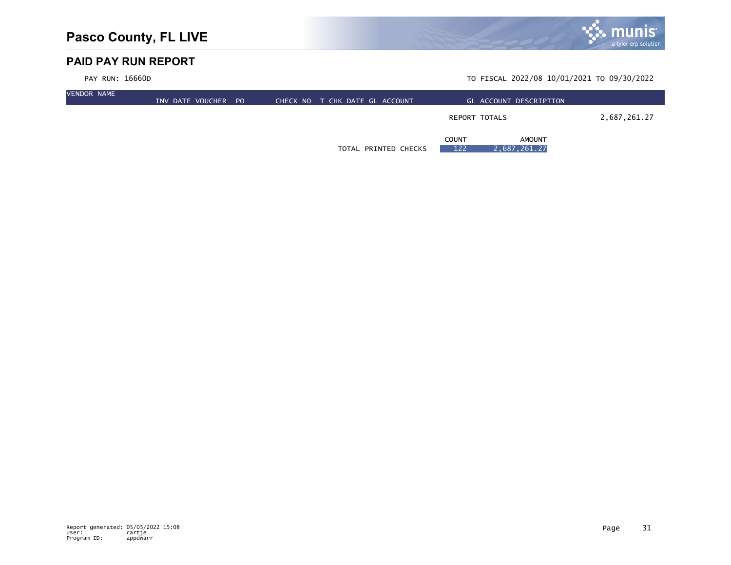

| <b>VENDOR NAME</b> | INV DATE VOUCHER PO | T CHK DATE GL ACCOUNT<br>CHECK NO | GL ACCOUNT DESCRIPTION                               |              |
|--------------------|---------------------|-----------------------------------|------------------------------------------------------|--------------|
|                    |                     |                                   | REPORT TOTALS                                        | 2,687,261.27 |
|                    |                     | TOTAL PRINTED CHECKS              | <b>AMOUNT</b><br><b>COUNT</b><br>122<br>2,687,261.27 |              |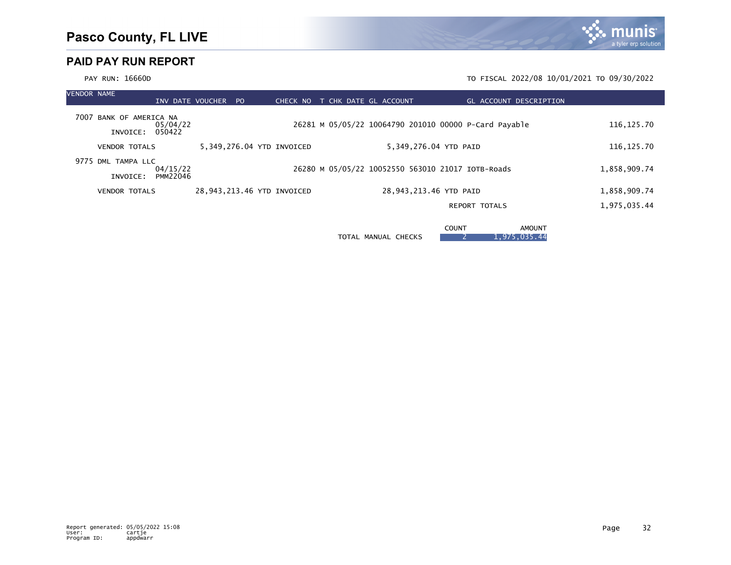

| <b>VENDOR NAME</b> |                                            |                      | INV DATE VOUCHER PO        |  | CHECK NO |  |  | T CHK DATE GL ACCOUNT                                 |              |                      | <b>GL ACCOUNT DESCRIPTION</b> |  |              |  |
|--------------------|--------------------------------------------|----------------------|----------------------------|--|----------|--|--|-------------------------------------------------------|--------------|----------------------|-------------------------------|--|--------------|--|
|                    | 7007 BANK OF AMERICA NA<br>INVOICE: 050422 | 05/04/22             |                            |  |          |  |  | 26281 M 05/05/22 10064790 201010 00000 P-Card Payable |              |                      |                               |  | 116, 125.70  |  |
|                    | <b>VENDOR TOTALS</b>                       |                      | 5,349,276.04 YTD INVOICED  |  |          |  |  | 5,349,276.04 YTD PAID                                 |              |                      |                               |  | 116, 125.70  |  |
|                    | 9775 DML TAMPA LLC<br>INVOICE:             | 04/15/22<br>PMM22046 |                            |  |          |  |  | 26280 M 05/05/22 10052550 563010 21017 IOTB-Roads     |              |                      |                               |  | 1,858,909.74 |  |
|                    | <b>VENDOR TOTALS</b>                       |                      | 28,943,213.46 YTD INVOICED |  |          |  |  | 28,943,213.46 YTD PAID                                |              |                      |                               |  | 1,858,909.74 |  |
|                    |                                            |                      |                            |  |          |  |  |                                                       |              | <b>REPORT TOTALS</b> |                               |  | 1,975,035.44 |  |
|                    |                                            |                      |                            |  |          |  |  | TOTAL MANUAL CHECKS                                   | <b>COUNT</b> |                      | <b>AMOUNT</b><br>1,975,035.44 |  |              |  |

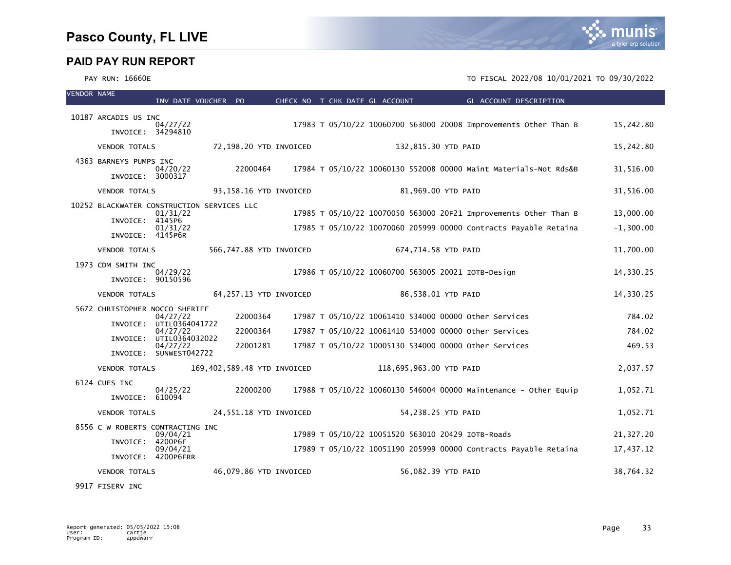mı

nıs

#### PAY RUN: 16660E 12022/08 10/01/2021 TO FISCAL 2022/08 10/01/2021 TO 09/30/2022

| <b>VENDOR NAME</b> |                        | INV DATE VOUCHER PO                                    |                             | CHECK NO T CHK DATE GL ACCOUNT |                                                    | GL ACCOUNT DESCRIPTION                                           |             |
|--------------------|------------------------|--------------------------------------------------------|-----------------------------|--------------------------------|----------------------------------------------------|------------------------------------------------------------------|-------------|
|                    | 10187 ARCADIS US INC   |                                                        |                             |                                |                                                    |                                                                  |             |
|                    | INVOICE: 34294810      | 04/27/22                                               |                             |                                |                                                    | 17983 T 05/10/22 10060700 563000 20008 Improvements Other Than B | 15,242.80   |
|                    | <b>VENDOR TOTALS</b>   |                                                        | 72,198.20 YTD INVOICED      |                                | 132,815.30 YTD PAID                                |                                                                  | 15,242.80   |
|                    | 4363 BARNEYS PUMPS INC |                                                        |                             |                                |                                                    |                                                                  |             |
|                    | INVOICE: 3000317       | 04/20/22                                               | 22000464                    |                                |                                                    | 17984 T 05/10/22 10060130 552008 00000 Maint Materials-Not Rds&B | 31,516.00   |
|                    | <b>VENDOR TOTALS</b>   |                                                        | 93,158.16 YTD INVOICED      |                                | 81,969.00 YTD PAID                                 |                                                                  | 31,516.00   |
|                    |                        | 10252 BLACKWATER CONSTRUCTION SERVICES LLC<br>01/31/22 |                             |                                |                                                    | 17985 T 05/10/22 10070050 563000 20F21 Improvements Other Than B | 13,000.00   |
|                    | INVOICE:               | 4145P6<br>01/31/22                                     |                             |                                |                                                    | 17985 T 05/10/22 10070060 205999 00000 Contracts Payable Retaina | $-1,300.00$ |
|                    | INVOICE: 4145P6R       |                                                        |                             |                                |                                                    |                                                                  |             |
|                    | <b>VENDOR TOTALS</b>   |                                                        | 566,747.88 YTD INVOICED     |                                | 674,714.58 YTD PAID                                |                                                                  | 11,700.00   |
|                    | 1973 CDM SMITH INC     | 04/29/22                                               |                             |                                | 17986 T 05/10/22 10060700 563005 20021 IOTB-Design |                                                                  | 14,330.25   |
|                    | INVOICE: 90150596      |                                                        |                             |                                |                                                    |                                                                  |             |
|                    | <b>VENDOR TOTALS</b>   |                                                        | 64,257.13 YTD INVOICED      |                                | 86,538.01 YTD PAID                                 |                                                                  | 14,330.25   |
|                    |                        | 5672 CHRISTOPHER NOCCO SHERIFF<br>04/27/22             | 22000364                    |                                |                                                    | 17987 T 05/10/22 10061410 534000 00000 other Services            | 784.02      |
|                    | INVOICE:               | UTIL0364041722<br>04/27/22                             | 22000364                    |                                |                                                    | 17987 T 05/10/22 10061410 534000 00000 other Services            | 784.02      |
|                    | INVOICE:               | UTIL0364032022<br>04/27/22                             | 22001281                    |                                |                                                    | 17987 T 05/10/22 10005130 534000 00000 other Services            | 469.53      |
|                    |                        | INVOICE: SUNWEST042722                                 |                             |                                |                                                    |                                                                  |             |
|                    | <b>VENDOR TOTALS</b>   |                                                        | 169,402,589.48 YTD INVOICED |                                | 118,695,963.00 YTD PAID                            |                                                                  | 2,037.57    |
|                    | 6124 CUES INC          | 04/25/22                                               | 22000200                    |                                |                                                    | 17988 T 05/10/22 10060130 546004 00000 Maintenance - Other Equip | 1,052.71    |
|                    | INVOICE:               | 610094                                                 |                             |                                |                                                    |                                                                  |             |
|                    | <b>VENDOR TOTALS</b>   |                                                        | 24,551.18 YTD INVOICED      |                                | 54,238.25 YTD PAID                                 |                                                                  | 1,052.71    |
|                    |                        | 8556 C W ROBERTS CONTRACTING INC<br>09/04/21           |                             |                                | 17989 T 05/10/22 10051520 563010 20429 IOTB-Roads  |                                                                  | 21,327.20   |
|                    | INVOICE:               | 4200P6F<br>09/04/21                                    |                             |                                |                                                    | 17989 T 05/10/22 10051190 205999 00000 Contracts Payable Retaina | 17,437.12   |
|                    |                        | INVOICE: 4200P6FRR                                     |                             |                                |                                                    |                                                                  |             |
|                    | <b>VENDOR TOTALS</b>   |                                                        | 46,079.86 YTD INVOICED      |                                | 56,082.39 YTD PAID                                 |                                                                  | 38,764.32   |

9917 FISERV INC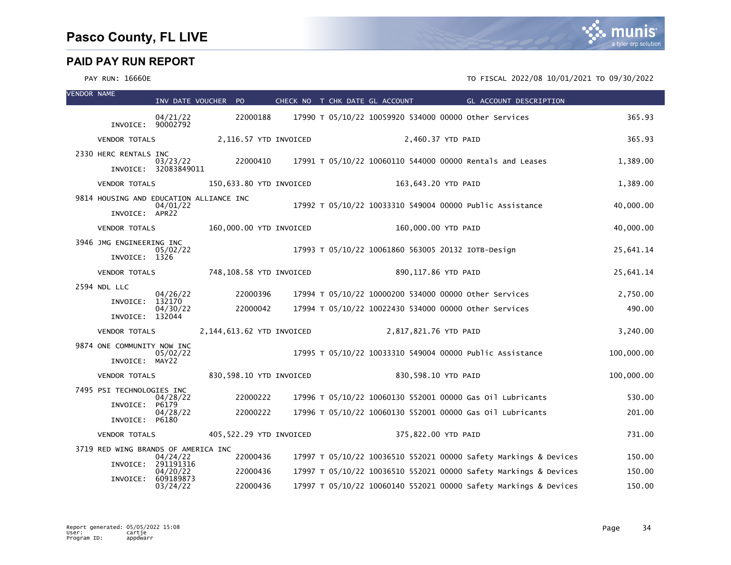PAY RUN: 16660E 12022/08 10/01/2021 TO FISCAL 2022/08 10/01/2021 TO 09/30/2022

| <b>VENDOR NAME</b> |                                                           |                                  | INV DATE VOUCHER PO       | CHECK NO T CHK DATE GL ACCOUNT |                                                          | GL ACCOUNT DESCRIPTION                                           |            |
|--------------------|-----------------------------------------------------------|----------------------------------|---------------------------|--------------------------------|----------------------------------------------------------|------------------------------------------------------------------|------------|
|                    |                                                           | 04/21/22                         | 22000188                  |                                | 17990 T 05/10/22 10059920 534000 00000 other Services    |                                                                  | 365.93     |
|                    | INVOICE: 90002792                                         |                                  |                           |                                |                                                          |                                                                  |            |
|                    | <b>VENDOR TOTALS</b>                                      |                                  | 2,116.57 YTD INVOICED     |                                | 2,460.37 YTD PAID                                        |                                                                  | 365.93     |
|                    | 2330 HERC RENTALS INC                                     | 03/23/22<br>INVOICE: 32083849011 | 22000410                  |                                |                                                          | 17991 T 05/10/22 10060110 544000 00000 Rentals and Leases        | 1,389.00   |
|                    | <b>VENDOR TOTALS</b>                                      |                                  | 150,633.80 YTD INVOICED   |                                | 163,643.20 YTD PAID                                      |                                                                  | 1,389.00   |
|                    | 9814 HOUSING AND EDUCATION ALLIANCE INC<br>INVOICE: APR22 | 04/01/22                         |                           |                                | 17992 T 05/10/22 10033310 549004 00000 Public Assistance |                                                                  | 40,000.00  |
|                    | <b>VENDOR TOTALS</b>                                      |                                  | 160,000.00 YTD INVOICED   |                                | 160,000.00 YTD PAID                                      |                                                                  | 40,000.00  |
|                    | 3946 JMG ENGINEERING INC<br>INVOICE: 1326                 | 05/02/22                         |                           |                                | 17993 T 05/10/22 10061860 563005 20132 IOTB-Design       |                                                                  | 25,641.14  |
|                    | <b>VENDOR TOTALS</b>                                      |                                  | 748,108.58 YTD INVOICED   |                                | 890,117.86 YTD PAID                                      |                                                                  | 25,641.14  |
|                    | 2594 NDL LLC                                              |                                  |                           |                                |                                                          |                                                                  |            |
|                    | INVOICE:                                                  | 04/26/22<br>132170               | 22000396                  |                                | 17994 T 05/10/22 10000200 534000 00000 other Services    |                                                                  | 2,750.00   |
|                    | INVOICE: 132044                                           | 04/30/22                         | 22000042                  |                                | 17994 T 05/10/22 10022430 534000 00000 other Services    |                                                                  | 490.00     |
|                    | <b>VENDOR TOTALS</b>                                      |                                  | 2,144,613.62 YTD INVOICED |                                | 2,817,821.76 YTD PAID                                    |                                                                  | 3,240.00   |
|                    | 9874 ONE COMMUNITY NOW INC<br>INVOICE: MAY22              | 05/02/22                         |                           |                                | 17995 T 05/10/22 10033310 549004 00000 Public Assistance |                                                                  | 100,000.00 |
|                    | <b>VENDOR TOTALS</b>                                      |                                  | 830,598.10 YTD INVOICED   |                                | 830,598.10 YTD PAID                                      |                                                                  | 100,000.00 |
|                    | 7495 PSI TECHNOLOGIES INC                                 | 04/28/22                         | 22000222                  |                                |                                                          | 17996 T 05/10/22 10060130 552001 00000 Gas 01l Lubricants        | 530.00     |
|                    | INVOICE:<br>INVOICE: P6180                                | P6179<br>04/28/22                | 22000222                  |                                |                                                          | 17996 T 05/10/22 10060130 552001 00000 Gas 0il Lubricants        | 201.00     |
|                    | <b>VENDOR TOTALS</b>                                      |                                  | 405,522.29 YTD INVOICED   |                                | 375,822.00 YTD PAID                                      |                                                                  | 731.00     |
|                    | 3719 RED WING BRANDS OF AMERICA INC                       |                                  |                           |                                |                                                          |                                                                  |            |
|                    | INVOICE:                                                  | 04/24/22<br>291191316            | 22000436                  |                                |                                                          | 17997 T 05/10/22 10036510 552021 00000 Safety Markings & Devices | 150.00     |
|                    | INVOICE:                                                  | 04/20/22<br>609189873            | 22000436                  |                                |                                                          | 17997 T 05/10/22 10036510 552021 00000 Safety Markings & Devices | 150.00     |
|                    |                                                           | 03/24/22                         | 22000436                  |                                |                                                          | 17997 T 05/10/22 10060140 552021 00000 Safety Markings & Devices | 150.00     |